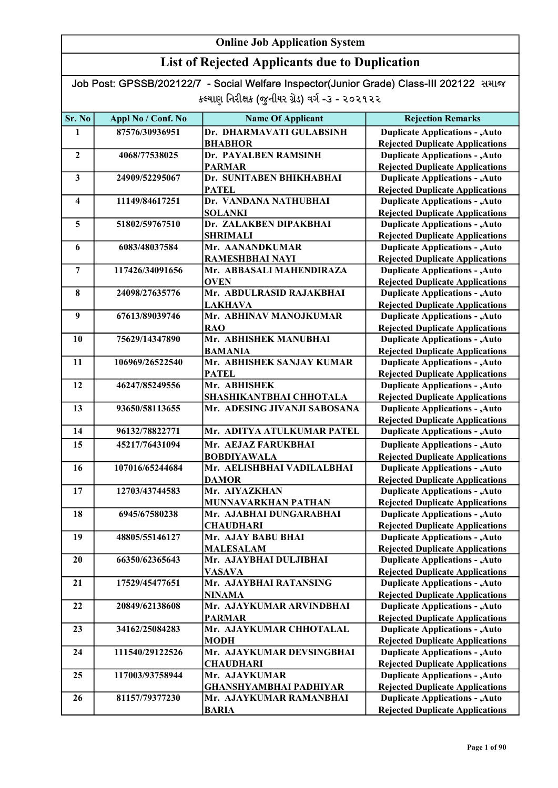### List of Rejected Applicants due to Duplication

| Sr. No                  | Appl No / Conf. No | <b>Name Of Applicant</b>      | <b>Rejection Remarks</b>               |
|-------------------------|--------------------|-------------------------------|----------------------------------------|
|                         |                    |                               |                                        |
| 1                       | 87576/30936951     | Dr. DHARMAVATI GULABSINH      | <b>Duplicate Applications - , Auto</b> |
|                         |                    | <b>BHABHOR</b>                | <b>Rejected Duplicate Applications</b> |
| $\mathbf{2}$            | 4068/77538025      | Dr. PAYALBEN RAMSINH          | <b>Duplicate Applications - , Auto</b> |
|                         |                    | <b>PARMAR</b>                 | <b>Rejected Duplicate Applications</b> |
| $\mathbf{3}$            | 24909/52295067     | Dr. SUNITABEN BHIKHABHAI      | <b>Duplicate Applications - , Auto</b> |
|                         |                    | <b>PATEL</b>                  | <b>Rejected Duplicate Applications</b> |
| $\overline{\mathbf{4}}$ | 11149/84617251     | Dr. VANDANA NATHUBHAI         | <b>Duplicate Applications - , Auto</b> |
|                         |                    | <b>SOLANKI</b>                | <b>Rejected Duplicate Applications</b> |
| 5                       | 51802/59767510     | Dr. ZALAKBEN DIPAKBHAI        | <b>Duplicate Applications - , Auto</b> |
|                         |                    | <b>SHRIMALI</b>               | <b>Rejected Duplicate Applications</b> |
| 6                       | 6083/48037584      | Mr. AANANDKUMAR               | <b>Duplicate Applications - , Auto</b> |
|                         |                    | RAMESHBHAI NAYI               | <b>Rejected Duplicate Applications</b> |
| $\overline{7}$          | 117426/34091656    | Mr. ABBASALI MAHENDIRAZA      | <b>Duplicate Applications - , Auto</b> |
|                         |                    | <b>OVEN</b>                   | <b>Rejected Duplicate Applications</b> |
| 8                       | 24098/27635776     | Mr. ABDULRASID RAJAKBHAI      | <b>Duplicate Applications - , Auto</b> |
|                         |                    | <b>LAKHAVA</b>                | <b>Rejected Duplicate Applications</b> |
| 9                       | 67613/89039746     | Mr. ABHINAV MANOJKUMAR        | <b>Duplicate Applications - , Auto</b> |
|                         |                    | <b>RAO</b>                    | <b>Rejected Duplicate Applications</b> |
| 10                      | 75629/14347890     | Mr. ABHISHEK MANUBHAI         | <b>Duplicate Applications - , Auto</b> |
|                         |                    | <b>BAMANIA</b>                | <b>Rejected Duplicate Applications</b> |
| 11                      | 106969/26522540    | Mr. ABHISHEK SANJAY KUMAR     | <b>Duplicate Applications - , Auto</b> |
|                         |                    | <b>PATEL</b>                  | <b>Rejected Duplicate Applications</b> |
| 12                      | 46247/85249556     | Mr. ABHISHEK                  | <b>Duplicate Applications - , Auto</b> |
|                         |                    | SHASHIKANTBHAI CHHOTALA       | <b>Rejected Duplicate Applications</b> |
| 13                      | 93650/58113655     | Mr. ADESING JIVANJI SABOSANA  | <b>Duplicate Applications - , Auto</b> |
|                         |                    |                               | <b>Rejected Duplicate Applications</b> |
| 14                      | 96132/78822771     | Mr. ADITYA ATULKUMAR PATEL    | <b>Duplicate Applications - , Auto</b> |
| 15                      | 45217/76431094     | Mr. AEJAZ FARUKBHAI           | <b>Duplicate Applications - , Auto</b> |
|                         |                    | <b>BOBDIYAWALA</b>            | <b>Rejected Duplicate Applications</b> |
| 16                      | 107016/65244684    | Mr. AELISHBHAI VADILALBHAI    | Duplicate Applications - , Auto        |
|                         |                    | <b>DAMOR</b>                  | <b>Rejected Duplicate Applications</b> |
| 17                      | 12703/43744583     | Mr. AIYAZKHAN                 | <b>Duplicate Applications - , Auto</b> |
|                         |                    | <b>MUNNAVARKHAN PATHAN</b>    | <b>Rejected Duplicate Applications</b> |
| 18                      | 6945/67580238      | Mr. AJABHAI DUNGARABHAI       | <b>Duplicate Applications - , Auto</b> |
|                         |                    | <b>CHAUDHARI</b>              | <b>Rejected Duplicate Applications</b> |
| 19                      | 48805/55146127     | Mr. AJAY BABU BHAI            | <b>Duplicate Applications - , Auto</b> |
|                         |                    | <b>MALESALAM</b>              | <b>Rejected Duplicate Applications</b> |
| 20                      | 66350/62365643     | Mr. AJAYBHAI DULJIBHAI        | <b>Duplicate Applications - , Auto</b> |
|                         |                    | <b>VASAVA</b>                 | <b>Rejected Duplicate Applications</b> |
| 21                      | 17529/45477651     | Mr. AJAYBHAI RATANSING        | <b>Duplicate Applications - , Auto</b> |
|                         |                    | <b>NINAMA</b>                 | <b>Rejected Duplicate Applications</b> |
| 22                      | 20849/62138608     | Mr. AJAYKUMAR ARVINDBHAI      | <b>Duplicate Applications - , Auto</b> |
|                         |                    | <b>PARMAR</b>                 | <b>Rejected Duplicate Applications</b> |
| 23                      | 34162/25084283     | Mr. AJAYKUMAR CHHOTALAL       | <b>Duplicate Applications - , Auto</b> |
|                         |                    | <b>MODH</b>                   | <b>Rejected Duplicate Applications</b> |
| 24                      | 111540/29122526    | Mr. AJAYKUMAR DEVSINGBHAI     | <b>Duplicate Applications - , Auto</b> |
|                         |                    | <b>CHAUDHARI</b>              | <b>Rejected Duplicate Applications</b> |
| 25                      | 117003/93758944    | Mr. AJAYKUMAR                 | <b>Duplicate Applications - , Auto</b> |
|                         |                    | <b>GHANSHYAMBHAI PADHIYAR</b> | <b>Rejected Duplicate Applications</b> |
| 26                      | 81157/79377230     | Mr. AJAYKUMAR RAMANBHAI       | <b>Duplicate Applications - , Auto</b> |
|                         |                    | <b>BARIA</b>                  | <b>Rejected Duplicate Applications</b> |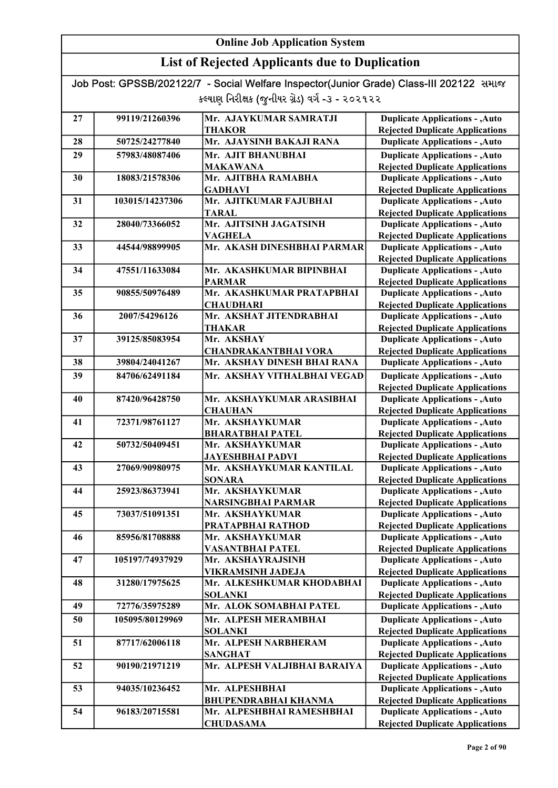| Job Post: GPSSB/202122/7 - Social Welfare Inspector(Junior Grade) Class-III 202122 समाळ |  |
|-----------------------------------------------------------------------------------------|--|
| કલ્યાણ નિરીક્ષક (જુનીયર ગ્રેડ) વર્ગ -૩ - ૨૦૨૧૨૨                                         |  |

| 27 | 99119/21260396  | Mr. AJAYKUMAR SAMRATJI                                   | <b>Duplicate Applications - , Auto</b>                                           |
|----|-----------------|----------------------------------------------------------|----------------------------------------------------------------------------------|
|    |                 | <b>THAKOR</b>                                            | <b>Rejected Duplicate Applications</b>                                           |
| 28 | 50725/24277840  | Mr. AJAYSINH BAKAJI RANA                                 | <b>Duplicate Applications - , Auto</b>                                           |
| 29 | 57983/48087406  | Mr. AJIT BHANUBHAI                                       | <b>Duplicate Applications - , Auto</b>                                           |
|    |                 | <b>MAKAWANA</b>                                          | <b>Rejected Duplicate Applications</b>                                           |
| 30 | 18083/21578306  | Mr. AJITBHA RAMABHA                                      | <b>Duplicate Applications - , Auto</b>                                           |
|    |                 | <b>GADHAVI</b>                                           | <b>Rejected Duplicate Applications</b>                                           |
| 31 | 103015/14237306 | Mr. AJITKUMAR FAJUBHAI                                   | <b>Duplicate Applications - , Auto</b>                                           |
|    |                 | <b>TARAL</b>                                             | <b>Rejected Duplicate Applications</b>                                           |
| 32 | 28040/73366052  | Mr. AJITSINH JAGATSINH                                   | <b>Duplicate Applications - , Auto</b>                                           |
|    |                 | <b>VAGHELA</b>                                           | <b>Rejected Duplicate Applications</b>                                           |
| 33 | 44544/98899905  | Mr. AKASH DINESHBHAI PARMAR                              | <b>Duplicate Applications - , Auto</b>                                           |
| 34 | 47551/11633084  | Mr. AKASHKUMAR BIPINBHAI                                 | <b>Rejected Duplicate Applications</b><br><b>Duplicate Applications - , Auto</b> |
|    |                 | <b>PARMAR</b>                                            | <b>Rejected Duplicate Applications</b>                                           |
| 35 | 90855/50976489  | Mr. AKASHKUMAR PRATAPBHAI                                | <b>Duplicate Applications - , Auto</b>                                           |
|    |                 | <b>CHAUDHARI</b>                                         | <b>Rejected Duplicate Applications</b>                                           |
| 36 | 2007/54296126   | Mr. AKSHAT JITENDRABHAI                                  | <b>Duplicate Applications - , Auto</b>                                           |
|    |                 | THAKAR                                                   | <b>Rejected Duplicate Applications</b>                                           |
| 37 | 39125/85083954  | Mr. AKSHAY                                               | <b>Duplicate Applications - , Auto</b>                                           |
|    |                 | <b>CHANDRAKANTBHAI VORA</b>                              | <b>Rejected Duplicate Applications</b>                                           |
| 38 | 39804/24041267  | Mr. AKSHAY DINESH BHAI RANA                              | <b>Duplicate Applications - , Auto</b>                                           |
| 39 | 84706/62491184  | Mr. AKSHAY VITHALBHAI VEGAD                              | <b>Duplicate Applications - , Auto</b>                                           |
|    |                 |                                                          | <b>Rejected Duplicate Applications</b>                                           |
| 40 | 87420/96428750  | Mr. AKSHAYKUMAR ARASIBHAI                                | <b>Duplicate Applications - , Auto</b>                                           |
|    |                 | <b>CHAUHAN</b>                                           | <b>Rejected Duplicate Applications</b>                                           |
| 41 | 72371/98761127  | Mr. AKSHAYKUMAR                                          | <b>Duplicate Applications - , Auto</b>                                           |
|    |                 | <b>BHARATBHAI PATEL</b>                                  | <b>Rejected Duplicate Applications</b>                                           |
| 42 | 50732/50409451  | Mr. AKSHAYKUMAR                                          | <b>Duplicate Applications - , Auto</b>                                           |
|    |                 | JAYESHBHAI PADVI                                         | <b>Rejected Duplicate Applications</b>                                           |
| 43 | 27069/90980975  | Mr. AKSHAYKUMAR KANTILAL                                 | <b>Duplicate Applications - , Auto</b>                                           |
|    |                 | <b>SONARA</b>                                            | <b>Rejected Duplicate Applications</b>                                           |
| 44 | 25923/86373941  | Mr. AKSHAYKUMAR                                          | <b>Duplicate Applications - , Auto</b>                                           |
|    |                 | <b>NARSINGBHAI PARMAR</b>                                | <b>Rejected Duplicate Applications</b>                                           |
| 45 | 73037/51091351  | Mr. AKSHAYKUMAR                                          | <b>Duplicate Applications - , Auto</b>                                           |
|    |                 | PRATAPBHAI RATHOD                                        | <b>Rejected Duplicate Applications</b>                                           |
| 46 | 85956/81708888  | Mr. AKSHAYKUMAR                                          | <b>Duplicate Applications - , Auto</b>                                           |
|    |                 | <b>VASANTBHAI PATEL</b>                                  | <b>Rejected Duplicate Applications</b>                                           |
| 47 | 105197/74937929 | Mr. AKSHAYRAJSINH                                        | <b>Duplicate Applications - , Auto</b>                                           |
|    |                 | <b>VIKRAMSINH JADEJA</b>                                 | <b>Rejected Duplicate Applications</b>                                           |
| 48 | 31280/17975625  | Mr. ALKESHKUMAR KHODABHAI                                | <b>Duplicate Applications - , Auto</b>                                           |
|    |                 | <b>SOLANKI</b>                                           | <b>Rejected Duplicate Applications</b>                                           |
| 49 | 72776/35975289  | Mr. ALOK SOMABHAI PATEL                                  | <b>Duplicate Applications - , Auto</b>                                           |
| 50 | 105095/80129969 | Mr. ALPESH MERAMBHAI                                     | <b>Duplicate Applications - , Auto</b>                                           |
|    |                 | <b>SOLANKI</b>                                           | <b>Rejected Duplicate Applications</b>                                           |
| 51 | 87717/62006118  | Mr. ALPESH NARBHERAM                                     | <b>Duplicate Applications - , Auto</b>                                           |
|    |                 | <b>SANGHAT</b>                                           | <b>Rejected Duplicate Applications</b>                                           |
| 52 | 90190/21971219  | Mr. ALPESH VALJIBHAI BARAIYA                             | <b>Duplicate Applications - , Auto</b>                                           |
|    |                 |                                                          | <b>Rejected Duplicate Applications</b>                                           |
| 53 | 94035/10236452  | Mr. ALPESHBHAI                                           | <b>Duplicate Applications - , Auto</b>                                           |
| 54 | 96183/20715581  | <b>BHUPENDRABHAI KHANMA</b><br>Mr. ALPESHBHAI RAMESHBHAI | <b>Rejected Duplicate Applications</b><br><b>Duplicate Applications - , Auto</b> |
|    |                 | <b>CHUDASAMA</b>                                         |                                                                                  |
|    |                 |                                                          | <b>Rejected Duplicate Applications</b>                                           |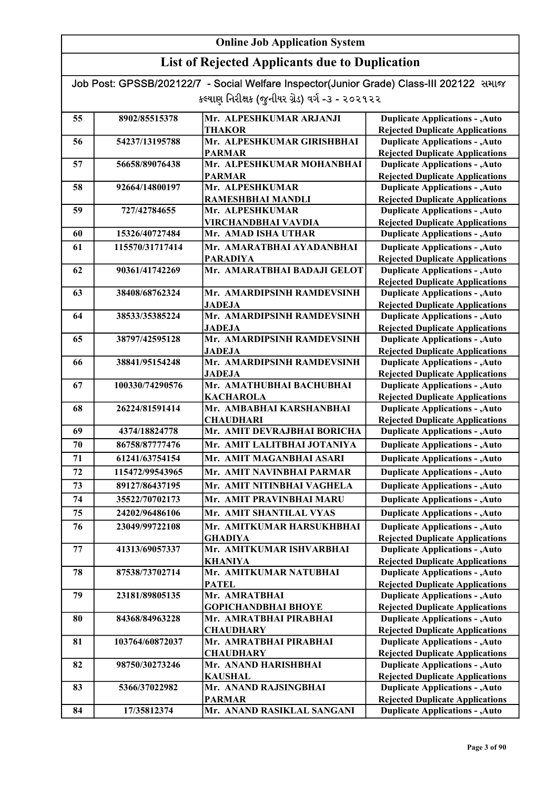| Job Post: GPSSB/202122/7 - Social Welfare Inspector(Junior Grade) Class-III 202122 समाल |  |
|-----------------------------------------------------------------------------------------|--|
| કલ્યાણ નિરીક્ષક (જુનીયર ગ્રેડ) વર્ગ -૩ - ૨૦૨૧૨૨                                         |  |

|    |                 | Mr. ALPESHKUMAR ARJANJI                      |                                                                                  |
|----|-----------------|----------------------------------------------|----------------------------------------------------------------------------------|
| 55 | 8902/85515378   | THAKOR                                       | <b>Duplicate Applications - , Auto</b><br><b>Rejected Duplicate Applications</b> |
| 56 | 54237/13195788  | Mr. ALPESHKUMAR GIRISHBHAI                   | <b>Duplicate Applications - , Auto</b>                                           |
|    |                 | <b>PARMAR</b>                                | <b>Rejected Duplicate Applications</b>                                           |
| 57 | 56658/89076438  | Mr. ALPESHKUMAR MOHANBHAI                    | <b>Duplicate Applications - , Auto</b>                                           |
|    |                 | <b>PARMAR</b>                                | <b>Rejected Duplicate Applications</b>                                           |
| 58 | 92664/14800197  | Mr. ALPESHKUMAR                              | <b>Duplicate Applications - , Auto</b>                                           |
|    |                 | RAMESHBHAI MANDLI                            | <b>Rejected Duplicate Applications</b>                                           |
| 59 | 727/42784655    | Mr. ALPESHKUMAR                              | <b>Duplicate Applications - , Auto</b>                                           |
|    |                 | VIRCHANDBHAI VAVDIA                          | <b>Rejected Duplicate Applications</b>                                           |
| 60 | 15326/40727484  | Mr. AMAD ISHA UTHAR                          | <b>Duplicate Applications - , Auto</b>                                           |
| 61 | 115570/31717414 | Mr. AMARATBHAI AYADANBHAI                    | <b>Duplicate Applications - , Auto</b>                                           |
|    |                 | <b>PARADIYA</b>                              | <b>Rejected Duplicate Applications</b>                                           |
| 62 | 90361/41742269  | Mr. AMARATBHAI BADAJI GELOT                  | <b>Duplicate Applications - , Auto</b>                                           |
|    |                 |                                              | <b>Rejected Duplicate Applications</b>                                           |
| 63 | 38408/68762324  | Mr. AMARDIPSINH RAMDEVSINH                   | <b>Duplicate Applications - , Auto</b>                                           |
|    |                 | <b>JADEJA</b>                                | <b>Rejected Duplicate Applications</b>                                           |
| 64 | 38533/35385224  | Mr. AMARDIPSINH RAMDEVSINH                   | <b>Duplicate Applications - , Auto</b>                                           |
|    |                 | <b>JADEJA</b>                                | <b>Rejected Duplicate Applications</b>                                           |
| 65 | 38797/42595128  | Mr. AMARDIPSINH RAMDEVSINH                   | <b>Duplicate Applications - , Auto</b>                                           |
|    |                 | <b>JADEJA</b>                                | <b>Rejected Duplicate Applications</b>                                           |
| 66 | 38841/95154248  | Mr. AMARDIPSINH RAMDEVSINH                   | <b>Duplicate Applications - , Auto</b>                                           |
|    |                 | <b>JADEJA</b>                                | <b>Rejected Duplicate Applications</b>                                           |
| 67 | 100330/74290576 | Mr. AMATHUBHAI BACHUBHAI                     | <b>Duplicate Applications - , Auto</b>                                           |
|    |                 | <b>KACHAROLA</b><br>Mr. AMBABHAI KARSHANBHAI | <b>Rejected Duplicate Applications</b>                                           |
| 68 | 26224/81591414  | <b>CHAUDHARI</b>                             | <b>Duplicate Applications - , Auto</b><br><b>Rejected Duplicate Applications</b> |
| 69 | 4374/18824778   | Mr. AMIT DEVRAJBHAI BORICHA                  | <b>Duplicate Applications - , Auto</b>                                           |
| 70 | 86758/87777476  | Mr. AMIT LALITBHAI JOTANIYA                  | <b>Duplicate Applications - , Auto</b>                                           |
| 71 | 61241/63754154  | Mr. AMIT MAGANBHAI ASARI                     | <b>Duplicate Applications - , Auto</b>                                           |
| 72 | 115472/99543965 | Mr. AMIT NAVINBHAI PARMAR                    | <b>Duplicate Applications - , Auto</b>                                           |
| 73 | 89127/86437195  | Mr. AMIT NITINBHAI VAGHELA                   | <b>Duplicate Applications - , Auto</b>                                           |
| 74 | 35522/70702173  | Mr. AMIT PRAVINBHAI MARU                     | <b>Duplicate Applications - , Auto</b>                                           |
|    |                 |                                              |                                                                                  |
| 75 | 24202/96486106  | Mr. AMIT SHANTILAL VYAS                      | <b>Duplicate Applications - , Auto</b>                                           |
| 76 | 23049/99722108  | Mr. AMITKUMAR HARSUKHBHAI                    | <b>Duplicate Applications - , Auto</b>                                           |
|    |                 | <b>GHADIYA</b>                               | <b>Rejected Duplicate Applications</b>                                           |
| 77 | 41313/69057337  | Mr. AMITKUMAR ISHVARBHAI                     | <b>Duplicate Applications - , Auto</b>                                           |
|    |                 | <b>KHANIYA</b><br>Mr. AMITKUMAR NATUBHAI     | <b>Rejected Duplicate Applications</b>                                           |
| 78 | 87538/73702714  | <b>PATEL</b>                                 | <b>Duplicate Applications - , Auto</b>                                           |
| 79 | 23181/89805135  | Mr. AMRATBHAI                                | <b>Rejected Duplicate Applications</b><br><b>Duplicate Applications - , Auto</b> |
|    |                 | <b>GOPICHANDBHAI BHOYE</b>                   | <b>Rejected Duplicate Applications</b>                                           |
| 80 | 84368/84963228  | Mr. AMRATBHAI PIRABHAI                       | <b>Duplicate Applications - , Auto</b>                                           |
|    |                 | <b>CHAUDHARY</b>                             | <b>Rejected Duplicate Applications</b>                                           |
| 81 | 103764/60872037 | Mr. AMRATBHAI PIRABHAI                       | <b>Duplicate Applications - , Auto</b>                                           |
|    |                 | <b>CHAUDHARY</b>                             | <b>Rejected Duplicate Applications</b>                                           |
| 82 | 98750/30273246  | Mr. ANAND HARISHBHAI                         | <b>Duplicate Applications - , Auto</b>                                           |
|    |                 | <b>KAUSHAL</b>                               | <b>Rejected Duplicate Applications</b>                                           |
| 83 | 5366/37022982   | Mr. ANAND RAJSINGBHAI                        | <b>Duplicate Applications - , Auto</b>                                           |
|    |                 | <b>PARMAR</b>                                | <b>Rejected Duplicate Applications</b>                                           |
| 84 | 17/35812374     | Mr. ANAND RASIKLAL SANGANI                   | <b>Duplicate Applications - , Auto</b>                                           |
|    |                 |                                              |                                                                                  |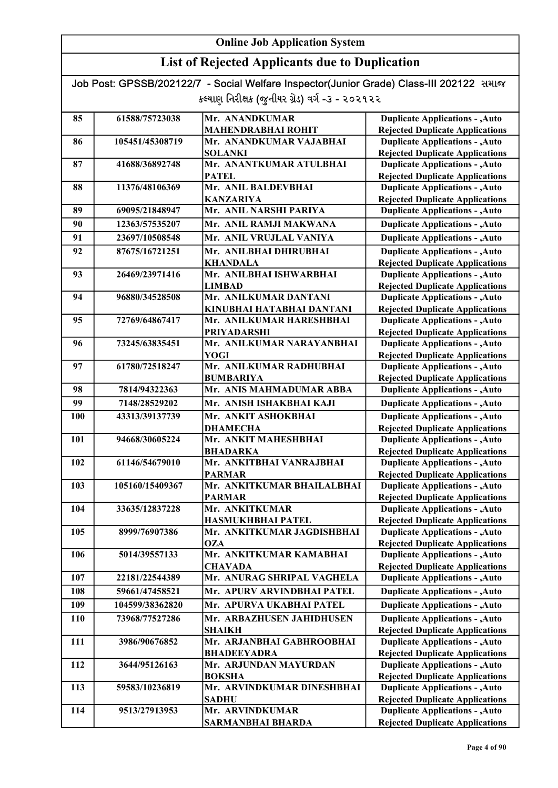### List of Rejected Applicants due to Duplication

| 85  | 61588/75723038  | Mr. ANANDKUMAR                              | <b>Duplicate Applications - , Auto</b>                                           |
|-----|-----------------|---------------------------------------------|----------------------------------------------------------------------------------|
|     |                 | <b>MAHENDRABHAI ROHIT</b>                   | <b>Rejected Duplicate Applications</b>                                           |
| 86  | 105451/45308719 | Mr. ANANDKUMAR VAJABHAI                     | <b>Duplicate Applications - , Auto</b>                                           |
|     |                 | <b>SOLANKI</b>                              | <b>Rejected Duplicate Applications</b>                                           |
| 87  | 41688/36892748  | Mr. ANANTKUMAR ATULBHAI                     | <b>Duplicate Applications - , Auto</b>                                           |
|     |                 | <b>PATEL</b>                                | <b>Rejected Duplicate Applications</b>                                           |
| 88  | 11376/48106369  | Mr. ANIL BALDEVBHAI                         | <b>Duplicate Applications - , Auto</b>                                           |
|     |                 | <b>KANZARIYA</b>                            | <b>Rejected Duplicate Applications</b>                                           |
| 89  | 69095/21848947  | Mr. ANIL NARSHI PARIYA                      | <b>Duplicate Applications - , Auto</b>                                           |
| 90  | 12363/57535207  | Mr. ANIL RAMJI MAKWANA                      | <b>Duplicate Applications - , Auto</b>                                           |
| 91  | 23697/10508548  | Mr. ANIL VRUJLAL VANIYA                     | <b>Duplicate Applications - , Auto</b>                                           |
| 92  | 87675/16721251  | Mr. ANILBHAI DHIRUBHAI                      | <b>Duplicate Applications - , Auto</b>                                           |
|     |                 | <b>KHANDALA</b>                             | <b>Rejected Duplicate Applications</b>                                           |
| 93  | 26469/23971416  | Mr. ANILBHAI ISHWARBHAI                     | <b>Duplicate Applications - , Auto</b>                                           |
|     |                 | <b>LIMBAD</b>                               | <b>Rejected Duplicate Applications</b>                                           |
| 94  | 96880/34528508  | Mr. ANILKUMAR DANTANI                       | <b>Duplicate Applications - , Auto</b>                                           |
|     |                 | KINUBHAI HATABHAI DANTANI                   | <b>Rejected Duplicate Applications</b>                                           |
| 95  | 72769/64867417  | Mr. ANILKUMAR HARESHBHAI                    | <b>Duplicate Applications - , Auto</b>                                           |
|     |                 | <b>PRIYADARSHI</b>                          | <b>Rejected Duplicate Applications</b>                                           |
| 96  | 73245/63835451  | Mr. ANILKUMAR NARAYANBHAI                   | <b>Duplicate Applications - , Auto</b>                                           |
|     |                 | <b>YOGI</b>                                 | <b>Rejected Duplicate Applications</b>                                           |
| 97  | 61780/72518247  | Mr. ANILKUMAR RADHUBHAI                     | <b>Duplicate Applications - , Auto</b>                                           |
|     |                 | <b>BUMBARIYA</b>                            | <b>Rejected Duplicate Applications</b>                                           |
| 98  | 7814/94322363   | Mr. ANIS MAHMADUMAR ABBA                    | <b>Duplicate Applications - , Auto</b>                                           |
| 99  | 7148/28529202   | Mr. ANISH ISHAKBHAI KAJI                    | <b>Duplicate Applications - , Auto</b>                                           |
| 100 | 43313/39137739  | Mr. ANKIT ASHOKBHAI                         | <b>Duplicate Applications - , Auto</b>                                           |
|     |                 | <b>DHAMECHA</b>                             | <b>Rejected Duplicate Applications</b>                                           |
| 101 | 94668/30605224  | Mr. ANKIT MAHESHBHAI                        | <b>Duplicate Applications - , Auto</b>                                           |
|     |                 | <b>BHADARKA</b>                             | <b>Rejected Duplicate Applications</b>                                           |
| 102 | 61146/54679010  | Mr. ANKITBHAI VANRAJBHAI                    | <b>Duplicate Applications - , Auto</b>                                           |
|     | 105160/15409367 | <b>PARMAR</b><br>Mr. ANKITKUMAR BHAILALBHAI | <b>Rejected Duplicate Applications</b>                                           |
| 103 |                 |                                             | <b>Duplicate Applications - , Auto</b>                                           |
| 104 | 33635/12837228  | <b>PARMAR</b><br>Mr. ANKITKUMAR             | <b>Rejected Duplicate Applications</b><br><b>Duplicate Applications - , Auto</b> |
|     |                 | <b>HASMUKHBHAI PATEL</b>                    | <b>Rejected Duplicate Applications</b>                                           |
| 105 | 8999/76907386   | Mr. ANKITKUMAR JAGDISHBHAI                  | <b>Duplicate Applications - , Auto</b>                                           |
|     |                 | <b>OZA</b>                                  | <b>Rejected Duplicate Applications</b>                                           |
| 106 | 5014/39557133   | Mr. ANKITKUMAR KAMABHAI                     | <b>Duplicate Applications - , Auto</b>                                           |
|     |                 | <b>CHAVADA</b>                              | <b>Rejected Duplicate Applications</b>                                           |
| 107 | 22181/22544389  | Mr. ANURAG SHRIPAL VAGHELA                  | <b>Duplicate Applications - , Auto</b>                                           |
| 108 | 59661/47458521  | Mr. APURV ARVINDBHAI PATEL                  | <b>Duplicate Applications - , Auto</b>                                           |
| 109 | 104599/38362820 | Mr. APURVA UKABHAI PATEL                    | <b>Duplicate Applications - , Auto</b>                                           |
| 110 | 73968/77527286  | Mr. ARBAZHUSEN JAHIDHUSEN                   | <b>Duplicate Applications - , Auto</b>                                           |
|     |                 | <b>SHAIKH</b>                               | <b>Rejected Duplicate Applications</b>                                           |
| 111 | 3986/90676852   | Mr. ARJANBHAI GABHROOBHAI                   | <b>Duplicate Applications - , Auto</b>                                           |
|     |                 | <b>BHADEEYADRA</b>                          | <b>Rejected Duplicate Applications</b>                                           |
| 112 | 3644/95126163   | Mr. ARJUNDAN MAYURDAN                       | <b>Duplicate Applications - , Auto</b>                                           |
|     |                 | <b>BOKSHA</b>                               | <b>Rejected Duplicate Applications</b>                                           |
| 113 | 59583/10236819  | Mr. ARVINDKUMAR DINESHBHAI                  | <b>Duplicate Applications - , Auto</b>                                           |
|     |                 | <b>SADHU</b>                                | <b>Rejected Duplicate Applications</b>                                           |
| 114 | 9513/27913953   | Mr. ARVINDKUMAR                             | <b>Duplicate Applications - , Auto</b>                                           |
|     |                 | <b>SARMANBHAI BHARDA</b>                    | <b>Rejected Duplicate Applications</b>                                           |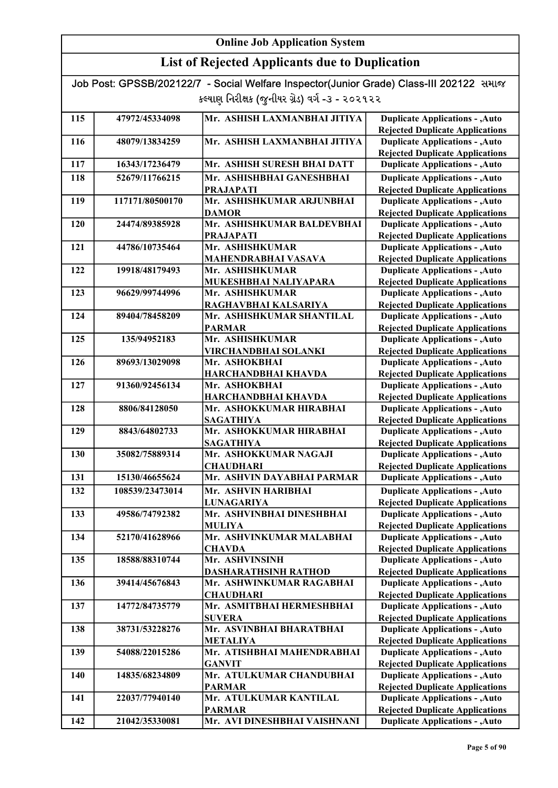# List of Rejected Applicants due to Duplication

|                                                 | Job Post: GPSSB/202122/7 - Social Welfare Inspector(Junior Grade) Class-III 202122 समाळ |                                                |                                                                                  |  |
|-------------------------------------------------|-----------------------------------------------------------------------------------------|------------------------------------------------|----------------------------------------------------------------------------------|--|
| કલ્યાણ નિરીક્ષક (જુનીયર ગ્રેડ) વર્ગ -૩ - ૨૦૨૧૨૨ |                                                                                         |                                                |                                                                                  |  |
|                                                 |                                                                                         |                                                |                                                                                  |  |
| 115                                             | 47972/45334098                                                                          | Mr. ASHISH LAXMANBHAI JITIYA                   | <b>Duplicate Applications - , Auto</b>                                           |  |
|                                                 |                                                                                         |                                                | <b>Rejected Duplicate Applications</b>                                           |  |
| 116                                             | 48079/13834259                                                                          | Mr. ASHISH LAXMANBHAI JITIYA                   | <b>Duplicate Applications - , Auto</b>                                           |  |
|                                                 |                                                                                         |                                                | <b>Rejected Duplicate Applications</b>                                           |  |
| 117                                             | 16343/17236479                                                                          | Mr. ASHISH SURESH BHAI DATT                    | <b>Duplicate Applications - , Auto</b>                                           |  |
| 118                                             | 52679/11766215                                                                          | Mr. ASHISHBHAI GANESHBHAI                      | <b>Duplicate Applications - , Auto</b>                                           |  |
|                                                 |                                                                                         | <b>PRAJAPATI</b>                               | <b>Rejected Duplicate Applications</b>                                           |  |
| 119                                             | 117171/80500170                                                                         | Mr. ASHISHKUMAR ARJUNBHAI                      | <b>Duplicate Applications - , Auto</b>                                           |  |
|                                                 |                                                                                         | <b>DAMOR</b>                                   | <b>Rejected Duplicate Applications</b>                                           |  |
| 120                                             | 24474/89385928                                                                          | Mr. ASHISHKUMAR BALDEVBHAI<br><b>PRAJAPATI</b> | <b>Duplicate Applications - , Auto</b>                                           |  |
| 121                                             | 44786/10735464                                                                          | Mr. ASHISHKUMAR                                | <b>Rejected Duplicate Applications</b><br><b>Duplicate Applications - , Auto</b> |  |
|                                                 |                                                                                         | <b>MAHENDRABHAI VASAVA</b>                     | <b>Rejected Duplicate Applications</b>                                           |  |
| 122                                             | 19918/48179493                                                                          | Mr. ASHISHKUMAR                                | <b>Duplicate Applications - , Auto</b>                                           |  |
|                                                 |                                                                                         | MUKESHBHAI NALIYAPARA                          | <b>Rejected Duplicate Applications</b>                                           |  |
| 123                                             | 96629/99744996                                                                          | Mr. ASHISHKUMAR                                | <b>Duplicate Applications - , Auto</b>                                           |  |
|                                                 |                                                                                         | RAGHAVBHAI KALSARIYA                           | <b>Rejected Duplicate Applications</b>                                           |  |
| 124                                             | 89404/78458209                                                                          | Mr. ASHISHKUMAR SHANTILAL                      | <b>Duplicate Applications - , Auto</b>                                           |  |
|                                                 |                                                                                         | <b>PARMAR</b>                                  | <b>Rejected Duplicate Applications</b>                                           |  |
| 125                                             | 135/94952183                                                                            | Mr. ASHISHKUMAR                                | <b>Duplicate Applications - , Auto</b>                                           |  |
|                                                 |                                                                                         | VIRCHANDBHAI SOLANKI                           | <b>Rejected Duplicate Applications</b>                                           |  |
| 126                                             | 89693/13029098                                                                          | Mr. ASHOKBHAI                                  | <b>Duplicate Applications - , Auto</b>                                           |  |
|                                                 |                                                                                         | HARCHANDBHAI KHAVDA                            | <b>Rejected Duplicate Applications</b>                                           |  |
| 127                                             | 91360/92456134                                                                          | Mr. ASHOKBHAI                                  | <b>Duplicate Applications - , Auto</b>                                           |  |
|                                                 |                                                                                         | <b>HARCHANDBHAI KHAVDA</b>                     | <b>Rejected Duplicate Applications</b>                                           |  |
| 128                                             | 8806/84128050                                                                           | Mr. ASHOKKUMAR HIRABHAI                        | <b>Duplicate Applications - , Auto</b>                                           |  |
|                                                 |                                                                                         | <b>SAGATHIYA</b>                               | <b>Rejected Duplicate Applications</b>                                           |  |
| 129                                             | 8843/64802733                                                                           | Mr. ASHOKKUMAR HIRABHAI                        | <b>Duplicate Applications - , Auto</b>                                           |  |
|                                                 |                                                                                         | <b>SAGATHIYA</b>                               | <b>Rejected Duplicate Applications</b>                                           |  |
| 130                                             | 35082/75889314                                                                          | Mr. ASHOKKUMAR NAGAJI                          | <b>Duplicate Applications - , Auto</b>                                           |  |
|                                                 |                                                                                         | <b>CHAUDHARI</b>                               | <b>Rejected Duplicate Applications</b>                                           |  |
| 131                                             | 15130/46655624                                                                          | Mr. ASHVIN DAYABHAI PARMAR                     | <b>Duplicate Applications - , Auto</b>                                           |  |
| 132                                             | 108539/23473014                                                                         | Mr. ASHVIN HARIBHAI                            | <b>Duplicate Applications - , Auto</b>                                           |  |
|                                                 |                                                                                         | <b>LUNAGARIYA</b>                              | <b>Rejected Duplicate Applications</b>                                           |  |
| 133                                             | 49586/74792382                                                                          | Mr. ASHVINBHAI DINESHBHAI                      | <b>Duplicate Applications - , Auto</b>                                           |  |
|                                                 |                                                                                         | <b>MULIYA</b>                                  | <b>Rejected Duplicate Applications</b>                                           |  |
| 134                                             | 52170/41628966                                                                          | Mr. ASHVINKUMAR MALABHAI                       | <b>Duplicate Applications - , Auto</b>                                           |  |
|                                                 |                                                                                         | <b>CHAVDA</b>                                  | <b>Rejected Duplicate Applications</b>                                           |  |
| 135                                             | 18588/88310744                                                                          | Mr. ASHVINSINH                                 | <b>Duplicate Applications - , Auto</b>                                           |  |
|                                                 |                                                                                         | <b>DASHARATHSINH RATHOD</b>                    | <b>Rejected Duplicate Applications</b>                                           |  |
| 136                                             | 39414/45676843                                                                          | Mr. ASHWINKUMAR RAGABHAI                       | <b>Duplicate Applications - , Auto</b>                                           |  |
|                                                 |                                                                                         | <b>CHAUDHARI</b>                               | <b>Rejected Duplicate Applications</b>                                           |  |
| 137                                             | 14772/84735779                                                                          | Mr. ASMITBHAI HERMESHBHAI                      | <b>Duplicate Applications - , Auto</b>                                           |  |
|                                                 |                                                                                         | <b>SUVERA</b>                                  | <b>Rejected Duplicate Applications</b>                                           |  |
| 138                                             | 38731/53228276                                                                          | Mr. ASVINBHAI BHARATBHAI                       | <b>Duplicate Applications - , Auto</b>                                           |  |
| 139                                             | 54088/22015286                                                                          | <b>METALIYA</b><br>Mr. ATISHBHAI MAHENDRABHAI  | <b>Rejected Duplicate Applications</b>                                           |  |
|                                                 |                                                                                         | <b>GANVIT</b>                                  | <b>Duplicate Applications - , Auto</b><br><b>Rejected Duplicate Applications</b> |  |
| 140                                             | 14835/68234809                                                                          | Mr. ATULKUMAR CHANDUBHAI                       | <b>Duplicate Applications - , Auto</b>                                           |  |
|                                                 |                                                                                         | <b>PARMAR</b>                                  | <b>Rejected Duplicate Applications</b>                                           |  |
| 141                                             | 22037/77940140                                                                          | Mr. ATULKUMAR KANTILAL                         | <b>Duplicate Applications - , Auto</b>                                           |  |
|                                                 |                                                                                         | <b>PARMAR</b>                                  | <b>Rejected Duplicate Applications</b>                                           |  |
| 142                                             | 21042/35330081                                                                          | Mr. AVI DINESHBHAI VAISHNANI                   | <b>Duplicate Applications - , Auto</b>                                           |  |

Rejected Duplicate Applications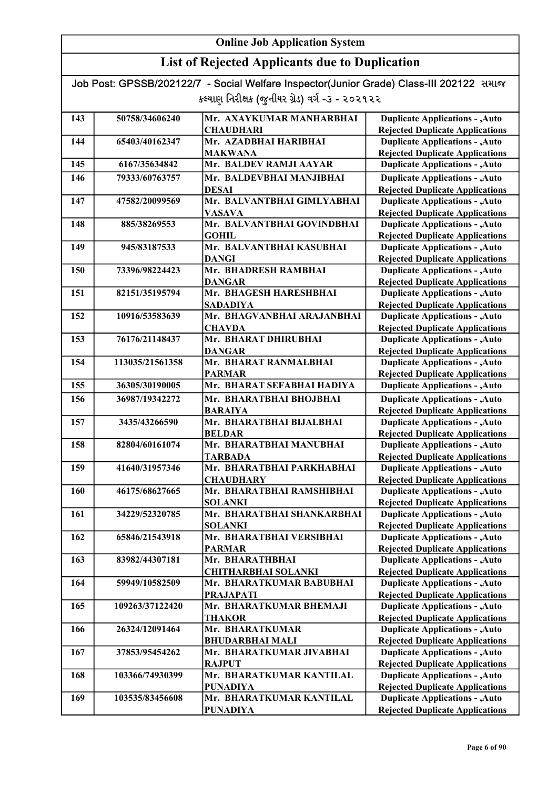### List of Rejected Applicants due to Duplication

| 143 | 50758/34606240  | Mr. AXAYKUMAR MANHARBHAI                | <b>Duplicate Applications - , Auto</b>                                           |
|-----|-----------------|-----------------------------------------|----------------------------------------------------------------------------------|
|     |                 | <b>CHAUDHARI</b>                        | <b>Rejected Duplicate Applications</b>                                           |
| 144 | 65403/40162347  | Mr. AZADBHAI HARIBHAI                   | <b>Duplicate Applications - , Auto</b>                                           |
|     |                 | <b>MAKWANA</b>                          | <b>Rejected Duplicate Applications</b>                                           |
| 145 | 6167/35634842   | Mr. BALDEV RAMJI AAYAR                  | <b>Duplicate Applications - , Auto</b>                                           |
| 146 | 79333/60763757  | Mr. BALDEVBHAI MANJIBHAI                | <b>Duplicate Applications - , Auto</b>                                           |
|     |                 | <b>DESAI</b>                            | <b>Rejected Duplicate Applications</b>                                           |
| 147 | 47582/20099569  | Mr. BALVANTBHAI GIMLYABHAI              | <b>Duplicate Applications - , Auto</b>                                           |
|     |                 | <b>VASAVA</b>                           | <b>Rejected Duplicate Applications</b>                                           |
| 148 | 885/38269553    | Mr. BALVANTBHAI GOVINDBHAI              | <b>Duplicate Applications - , Auto</b>                                           |
|     |                 | <b>GOHIL</b>                            | <b>Rejected Duplicate Applications</b>                                           |
| 149 | 945/83187533    | Mr. BALVANTBHAI KASUBHAI                | <b>Duplicate Applications - , Auto</b>                                           |
|     |                 | <b>DANGI</b>                            | <b>Rejected Duplicate Applications</b>                                           |
| 150 | 73396/98224423  | Mr. BHADRESH RAMBHAI                    | <b>Duplicate Applications - , Auto</b>                                           |
| 151 | 82151/35195794  | <b>DANGAR</b><br>Mr. BHAGESH HARESHBHAI | <b>Rejected Duplicate Applications</b><br><b>Duplicate Applications - , Auto</b> |
|     |                 | <b>SADADIYA</b>                         |                                                                                  |
| 152 | 10916/53583639  | Mr. BHAGVANBHAI ARAJANBHAI              | <b>Rejected Duplicate Applications</b><br><b>Duplicate Applications - , Auto</b> |
|     |                 | <b>CHAVDA</b>                           | <b>Rejected Duplicate Applications</b>                                           |
| 153 | 76176/21148437  | Mr. BHARAT DHIRUBHAI                    | <b>Duplicate Applications - , Auto</b>                                           |
|     |                 | <b>DANGAR</b>                           | <b>Rejected Duplicate Applications</b>                                           |
| 154 | 113035/21561358 | Mr. BHARAT RANMALBHAI                   | <b>Duplicate Applications - , Auto</b>                                           |
|     |                 | <b>PARMAR</b>                           | <b>Rejected Duplicate Applications</b>                                           |
| 155 | 36305/30190005  | Mr. BHARAT SEFABHAI HADIYA              | <b>Duplicate Applications - , Auto</b>                                           |
| 156 | 36987/19342272  | Mr. BHARATBHAI BHOJBHAI                 | <b>Duplicate Applications - , Auto</b>                                           |
|     |                 | <b>BARAIYA</b>                          | <b>Rejected Duplicate Applications</b>                                           |
| 157 | 3435/43266590   | Mr. BHARATBHAI BIJALBHAI                | <b>Duplicate Applications - , Auto</b>                                           |
|     |                 | <b>BELDAR</b>                           | <b>Rejected Duplicate Applications</b>                                           |
| 158 | 82804/60161074  | Mr. BHARATBHAI MANUBHAI                 | <b>Duplicate Applications - , Auto</b>                                           |
|     |                 | <b>TARBADA</b>                          | <b>Rejected Duplicate Applications</b>                                           |
| 159 | 41640/31957346  | Mr. BHARATBHAI PARKHABHAI               | <b>Duplicate Applications - , Auto</b>                                           |
|     |                 | <b>CHAUDHARY</b>                        | <b>Rejected Duplicate Applications</b>                                           |
| 160 | 46175/68627665  | Mr. BHARATBHAI RAMSHIBHAI               | <b>Duplicate Applications - , Auto</b>                                           |
|     |                 | <b>SOLANKI</b>                          | <b>Rejected Duplicate Applications</b>                                           |
| 161 | 34229/52320785  | Mr. BHARATBHAI SHANKARBHAI              | <b>Duplicate Applications - , Auto</b>                                           |
|     |                 | SOLANKI                                 | <b>Rejected Duplicate Applications</b>                                           |
| 162 | 65846/21543918  | Mr. BHARATBHAI VERSIBHAI                | <b>Duplicate Applications - , Auto</b>                                           |
|     |                 | <b>PARMAR</b>                           | <b>Rejected Duplicate Applications</b>                                           |
| 163 | 83982/44307181  | Mr. BHARATHBHAI                         | <b>Duplicate Applications - , Auto</b>                                           |
|     |                 | <b>CHITHARBHAI SOLANKI</b>              | <b>Rejected Duplicate Applications</b>                                           |
| 164 | 59949/10582509  | Mr. BHARATKUMAR BABUBHAI                | <b>Duplicate Applications - , Auto</b>                                           |
|     |                 | <b>PRAJAPATI</b>                        | <b>Rejected Duplicate Applications</b>                                           |
| 165 | 109263/37122420 | Mr. BHARATKUMAR BHEMAJI                 | <b>Duplicate Applications - , Auto</b>                                           |
| 166 | 26324/12091464  | <b>THAKOR</b><br>Mr. BHARATKUMAR        | <b>Rejected Duplicate Applications</b>                                           |
|     |                 | <b>BHUDARBHAI MALI</b>                  | <b>Duplicate Applications - , Auto</b><br><b>Rejected Duplicate Applications</b> |
| 167 | 37853/95454262  | Mr. BHARATKUMAR JIVABHAI                | <b>Duplicate Applications - , Auto</b>                                           |
|     |                 | <b>RAJPUT</b>                           | <b>Rejected Duplicate Applications</b>                                           |
| 168 | 103366/74930399 | Mr. BHARATKUMAR KANTILAL                | <b>Duplicate Applications - , Auto</b>                                           |
|     |                 | <b>PUNADIYA</b>                         | <b>Rejected Duplicate Applications</b>                                           |
| 169 | 103535/83456608 | Mr. BHARATKUMAR KANTILAL                | <b>Duplicate Applications - , Auto</b>                                           |
|     |                 | <b>PUNADIYA</b>                         | <b>Rejected Duplicate Applications</b>                                           |
|     |                 |                                         |                                                                                  |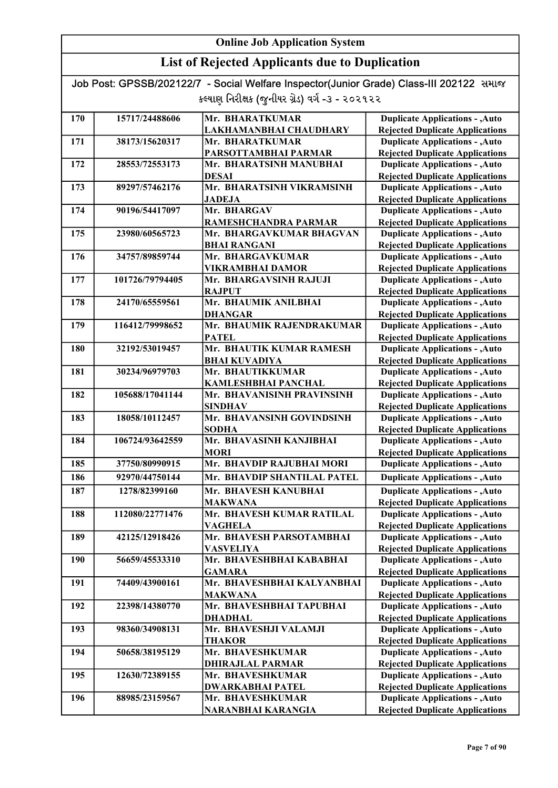### List of Rejected Applicants due to Duplication

| 170 | 15717/24488606  | Mr. BHARATKUMAR                        | <b>Duplicate Applications - , Auto</b>                                           |
|-----|-----------------|----------------------------------------|----------------------------------------------------------------------------------|
|     |                 | LAKHAMANBHAI CHAUDHARY                 | <b>Rejected Duplicate Applications</b>                                           |
| 171 | 38173/15620317  | Mr. BHARATKUMAR                        | <b>Duplicate Applications - , Auto</b>                                           |
|     |                 | PARSOTTAMBHAI PARMAR                   | <b>Rejected Duplicate Applications</b>                                           |
| 172 | 28553/72553173  | Mr. BHARATSINH MANUBHAI                | <b>Duplicate Applications - , Auto</b>                                           |
|     |                 | <b>DESAI</b>                           | <b>Rejected Duplicate Applications</b>                                           |
| 173 | 89297/57462176  | Mr. BHARATSINH VIKRAMSINH              | <b>Duplicate Applications - , Auto</b>                                           |
|     |                 | <b>JADEJA</b>                          | <b>Rejected Duplicate Applications</b>                                           |
| 174 | 90196/54417097  | Mr. BHARGAV                            | <b>Duplicate Applications - , Auto</b>                                           |
|     |                 | RAMESHCHANDRA PARMAR                   | <b>Rejected Duplicate Applications</b>                                           |
| 175 | 23980/60565723  | Mr. BHARGAVKUMAR BHAGVAN               | <b>Duplicate Applications - , Auto</b>                                           |
|     |                 | <b>BHAI RANGANI</b>                    | <b>Rejected Duplicate Applications</b>                                           |
| 176 | 34757/89859744  | Mr. BHARGAVKUMAR                       | <b>Duplicate Applications - , Auto</b>                                           |
|     |                 | <b>VIKRAMBHAI DAMOR</b>                | <b>Rejected Duplicate Applications</b>                                           |
| 177 | 101726/79794405 | Mr. BHARGAVSINH RAJUJI                 | <b>Duplicate Applications - , Auto</b>                                           |
|     |                 | <b>RAJPUT</b>                          | <b>Rejected Duplicate Applications</b>                                           |
| 178 | 24170/65559561  | Mr. BHAUMIK ANILBHAI                   | <b>Duplicate Applications - , Auto</b>                                           |
|     |                 | <b>DHANGAR</b>                         | <b>Rejected Duplicate Applications</b>                                           |
| 179 | 116412/79998652 | Mr. BHAUMIK RAJENDRAKUMAR              | <b>Duplicate Applications - , Auto</b>                                           |
|     |                 | <b>PATEL</b>                           | <b>Rejected Duplicate Applications</b>                                           |
| 180 | 32192/53019457  | Mr. BHAUTIK KUMAR RAMESH               | <b>Duplicate Applications - , Auto</b>                                           |
|     |                 | <b>BHAI KUVADIYA</b>                   | <b>Rejected Duplicate Applications</b>                                           |
| 181 | 30234/96979703  | Mr. BHAUTIKKUMAR                       | <b>Duplicate Applications - , Auto</b>                                           |
|     |                 | <b>KAMLESHBHAI PANCHAL</b>             | <b>Rejected Duplicate Applications</b>                                           |
| 182 | 105688/17041144 | Mr. BHAVANISINH PRAVINSINH             | Duplicate Applications - , Auto                                                  |
|     |                 | <b>SINDHAV</b>                         | <b>Rejected Duplicate Applications</b>                                           |
| 183 | 18058/10112457  | Mr. BHAVANSINH GOVINDSINH              | <b>Duplicate Applications - , Auto</b>                                           |
|     |                 | <b>SODHA</b>                           | <b>Rejected Duplicate Applications</b>                                           |
| 184 | 106724/93642559 | Mr. BHAVASINH KANJIBHAI                | <b>Duplicate Applications - , Auto</b>                                           |
|     |                 | <b>MORI</b>                            | <b>Rejected Duplicate Applications</b>                                           |
| 185 | 37750/80990915  | Mr. BHAVDIP RAJUBHAI MORI              | <b>Duplicate Applications - , Auto</b>                                           |
| 186 | 92970/44750144  | Mr. BHAVDIP SHANTILAL PATEL            | <b>Duplicate Applications - , Auto</b>                                           |
| 187 | 1278/82399160   | Mr. BHAVESH KANUBHAI                   | <b>Duplicate Applications - , Auto</b>                                           |
|     |                 | <b>MAKWANA</b>                         | <b>Rejected Duplicate Applications</b>                                           |
| 188 | 112080/22771476 | Mr. BHAVESH KUMAR RATILAL              | <b>Duplicate Applications - , Auto</b>                                           |
|     |                 | VAGHELA                                | <b>Rejected Duplicate Applications</b>                                           |
| 189 | 42125/12918426  | Mr. BHAVESH PARSOTAMBHAI               | <b>Duplicate Applications - , Auto</b>                                           |
|     |                 | <b>VASVELIYA</b>                       | <b>Rejected Duplicate Applications</b>                                           |
| 190 | 56659/45533310  | Mr. BHAVESHBHAI KABABHAI               | <b>Duplicate Applications - , Auto</b>                                           |
|     |                 | <b>GAMARA</b>                          | <b>Rejected Duplicate Applications</b>                                           |
| 191 | 74409/43900161  | Mr. BHAVESHBHAI KALYANBHAI             | <b>Duplicate Applications - , Auto</b>                                           |
|     |                 | <b>MAKWANA</b>                         | <b>Rejected Duplicate Applications</b>                                           |
| 192 | 22398/14380770  | Mr. BHAVESHBHAI TAPUBHAI               | <b>Duplicate Applications - , Auto</b>                                           |
|     |                 | <b>DHADHAL</b>                         | <b>Rejected Duplicate Applications</b>                                           |
| 193 | 98360/34908131  | Mr. BHAVESHJI VALAMJI                  | <b>Duplicate Applications - , Auto</b>                                           |
|     |                 | <b>THAKOR</b>                          | <b>Rejected Duplicate Applications</b>                                           |
| 194 |                 |                                        |                                                                                  |
|     | 50658/38195129  | Mr. BHAVESHKUMAR                       | <b>Duplicate Applications - , Auto</b>                                           |
|     |                 | <b>DHIRAJLAL PARMAR</b>                | <b>Rejected Duplicate Applications</b>                                           |
| 195 | 12630/72389155  | Mr. BHAVESHKUMAR                       | <b>Duplicate Applications - , Auto</b>                                           |
|     |                 | <b>DWARKABHAI PATEL</b>                | <b>Rejected Duplicate Applications</b>                                           |
| 196 | 88985/23159567  | Mr. BHAVESHKUMAR<br>NARANBHAI KARANGIA | <b>Duplicate Applications - , Auto</b><br><b>Rejected Duplicate Applications</b> |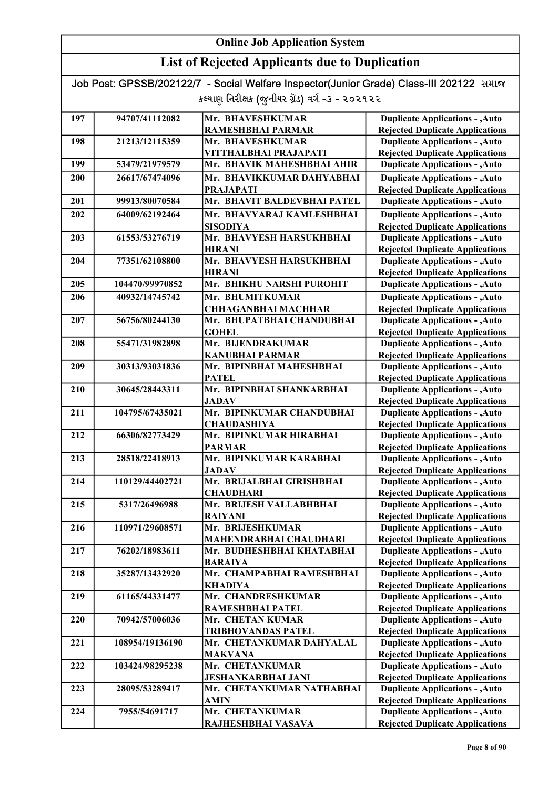### List of Rejected Applicants due to Duplication

| 197 | 94707/41112082  | Mr. BHAVESHKUMAR                        | <b>Duplicate Applications - , Auto</b>                                           |
|-----|-----------------|-----------------------------------------|----------------------------------------------------------------------------------|
|     |                 | RAMESHBHAI PARMAR                       | <b>Rejected Duplicate Applications</b>                                           |
| 198 | 21213/12115359  | Mr. BHAVESHKUMAR                        | <b>Duplicate Applications - , Auto</b>                                           |
|     |                 | VITTHALBHAI PRAJAPATI                   | <b>Rejected Duplicate Applications</b>                                           |
| 199 | 53479/21979579  | Mr. BHAVIK MAHESHBHAI AHIR              | <b>Duplicate Applications - , Auto</b>                                           |
| 200 | 26617/67474096  | Mr. BHAVIKKUMAR DAHYABHAI               | <b>Duplicate Applications - , Auto</b>                                           |
|     |                 | <b>PRAJAPATI</b>                        | <b>Rejected Duplicate Applications</b>                                           |
| 201 | 99913/80070584  | Mr. BHAVIT BALDEVBHAI PATEL             | <b>Duplicate Applications - , Auto</b>                                           |
| 202 | 64009/62192464  | Mr. BHAVYARAJ KAMLESHBHAI               | <b>Duplicate Applications - , Auto</b>                                           |
|     |                 | <b>SISODIYA</b>                         | <b>Rejected Duplicate Applications</b>                                           |
| 203 | 61553/53276719  | Mr. BHAVYESH HARSUKHBHAI                | <b>Duplicate Applications - , Auto</b>                                           |
|     |                 | <b>HIRANI</b>                           | <b>Rejected Duplicate Applications</b>                                           |
| 204 | 77351/62108800  | Mr. BHAVYESH HARSUKHBHAI                | <b>Duplicate Applications - , Auto</b>                                           |
|     |                 | <b>HIRANI</b>                           | <b>Rejected Duplicate Applications</b>                                           |
| 205 | 104470/99970852 | Mr. BHIKHU NARSHI PUROHIT               | <b>Duplicate Applications - , Auto</b>                                           |
| 206 | 40932/14745742  | Mr. BHUMITKUMAR                         | <b>Duplicate Applications - , Auto</b>                                           |
|     |                 | <b>CHHAGANBHAI MACHHAR</b>              | <b>Rejected Duplicate Applications</b>                                           |
| 207 | 56756/80244130  | Mr. BHUPATBHAI CHANDUBHAI               | <b>Duplicate Applications - , Auto</b>                                           |
|     |                 | <b>GOHEL</b>                            | <b>Rejected Duplicate Applications</b>                                           |
| 208 | 55471/31982898  | Mr. BIJENDRAKUMAR                       | <b>Duplicate Applications - , Auto</b>                                           |
|     |                 | <b>KANUBHAI PARMAR</b>                  | <b>Rejected Duplicate Applications</b>                                           |
| 209 | 30313/93031836  | Mr. BIPINBHAI MAHESHBHAI                | <b>Duplicate Applications - , Auto</b>                                           |
|     |                 | <b>PATEL</b>                            | <b>Rejected Duplicate Applications</b>                                           |
| 210 | 30645/28443311  | Mr. BIPINBHAI SHANKARBHAI               | <b>Duplicate Applications - , Auto</b>                                           |
|     |                 | <b>JADAV</b>                            | <b>Rejected Duplicate Applications</b>                                           |
| 211 | 104795/67435021 | Mr. BIPINKUMAR CHANDUBHAI               | <b>Duplicate Applications - , Auto</b>                                           |
|     |                 | <b>CHAUDASHIYA</b>                      | <b>Rejected Duplicate Applications</b>                                           |
| 212 | 66306/82773429  | Mr. BIPINKUMAR HIRABHAI                 | <b>Duplicate Applications - , Auto</b>                                           |
|     |                 | <b>PARMAR</b>                           | <b>Rejected Duplicate Applications</b>                                           |
| 213 | 28518/22418913  | Mr. BIPINKUMAR KARABHAI<br><b>JADAV</b> | <b>Duplicate Applications - , Auto</b><br><b>Rejected Duplicate Applications</b> |
| 214 | 110129/44402721 | Mr. BRIJALBHAI GIRISHBHAI               | <b>Duplicate Applications - , Auto</b>                                           |
|     |                 | <b>CHAUDHARI</b>                        | <b>Rejected Duplicate Applications</b>                                           |
| 215 | 5317/26496988   | Mr. BRIJESH VALLABHBHAI                 | <b>Duplicate Applications - , Auto</b>                                           |
|     |                 | <b>RAIYANI</b>                          | <b>Rejected Duplicate Applications</b>                                           |
| 216 | 110971/29608571 | Mr. BRIJESHKUMAR                        | <b>Duplicate Applications - , Auto</b>                                           |
|     |                 | MAHENDRABHAI CHAUDHARI                  | <b>Rejected Duplicate Applications</b>                                           |
| 217 | 76202/18983611  | Mr. BUDHESHBHAI KHATABHAI               | <b>Duplicate Applications - , Auto</b>                                           |
|     |                 | <b>BARAIYA</b>                          | <b>Rejected Duplicate Applications</b>                                           |
| 218 | 35287/13432920  | Mr. CHAMPABHAI RAMESHBHAI               | <b>Duplicate Applications - , Auto</b>                                           |
|     |                 | KHADIYA                                 | <b>Rejected Duplicate Applications</b>                                           |
| 219 | 61165/44331477  | Mr. CHANDRESHKUMAR                      | <b>Duplicate Applications - , Auto</b>                                           |
|     |                 | RAMESHBHAI PATEL                        | <b>Rejected Duplicate Applications</b>                                           |
| 220 | 70942/57006036  | Mr. CHETAN KUMAR                        | <b>Duplicate Applications - , Auto</b>                                           |
|     |                 | <b>TRIBHOVANDAS PATEL</b>               | <b>Rejected Duplicate Applications</b>                                           |
| 221 | 108954/19136190 | Mr. CHETANKUMAR DAHYALAL                | <b>Duplicate Applications - , Auto</b>                                           |
|     |                 | <b>MAKVANA</b>                          | <b>Rejected Duplicate Applications</b>                                           |
| 222 | 103424/98295238 | Mr. CHETANKUMAR                         | <b>Duplicate Applications - , Auto</b>                                           |
|     |                 | JESHANKARBHAI JANI                      | <b>Rejected Duplicate Applications</b>                                           |
| 223 | 28095/53289417  | Mr. CHETANKUMAR NATHABHAI               | <b>Duplicate Applications - , Auto</b>                                           |
|     |                 | <b>AMIN</b>                             | <b>Rejected Duplicate Applications</b>                                           |
| 224 | 7955/54691717   | Mr. CHETANKUMAR                         | <b>Duplicate Applications - , Auto</b>                                           |
|     |                 | RAJHESHBHAI VASAVA                      | <b>Rejected Duplicate Applications</b>                                           |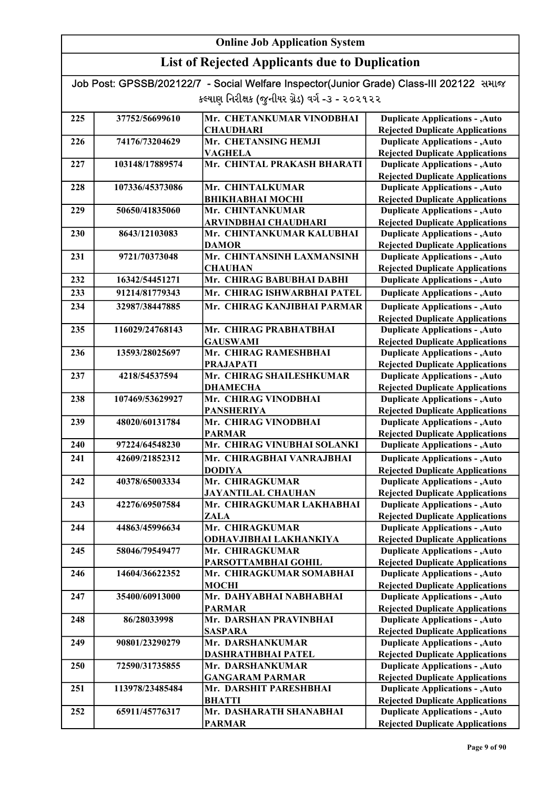| Job Post: GPSSB/202122/7 - Social Welfare Inspector(Junior Grade) Class-III 202122 समाल |  |
|-----------------------------------------------------------------------------------------|--|
| કલ્યાણ નિરીક્ષક (જુનીયર ગ્રેડ) વર્ગ -૩ - ૨૦૨૧૨૨                                         |  |

| 225 | 37752/56699610  | Mr. CHETANKUMAR VINODBHAI                     | <b>Duplicate Applications - , Auto</b>                                           |
|-----|-----------------|-----------------------------------------------|----------------------------------------------------------------------------------|
|     |                 | <b>CHAUDHARI</b>                              | <b>Rejected Duplicate Applications</b>                                           |
| 226 | 74176/73204629  | Mr. CHETANSING HEMJI                          | <b>Duplicate Applications - , Auto</b><br><b>Rejected Duplicate Applications</b> |
|     | 103148/17889574 | <b>VAGHELA</b><br>Mr. CHINTAL PRAKASH BHARATI |                                                                                  |
| 227 |                 |                                               | <b>Duplicate Applications - , Auto</b><br><b>Rejected Duplicate Applications</b> |
| 228 | 107336/45373086 | Mr. CHINTALKUMAR                              | <b>Duplicate Applications - , Auto</b>                                           |
|     |                 | ВНІКНАВНАІ МОСНІ                              |                                                                                  |
| 229 | 50650/41835060  | Mr. CHINTANKUMAR                              | <b>Rejected Duplicate Applications</b><br><b>Duplicate Applications - , Auto</b> |
|     |                 | ARVINDBHAI CHAUDHARI                          | <b>Rejected Duplicate Applications</b>                                           |
| 230 | 8643/12103083   | Mr. CHINTANKUMAR KALUBHAI                     | <b>Duplicate Applications - , Auto</b>                                           |
|     |                 | <b>DAMOR</b>                                  | <b>Rejected Duplicate Applications</b>                                           |
| 231 | 9721/70373048   | Mr. CHINTANSINH LAXMANSINH                    | <b>Duplicate Applications - , Auto</b>                                           |
|     |                 | <b>CHAUHAN</b>                                | <b>Rejected Duplicate Applications</b>                                           |
| 232 | 16342/54451271  | Mr. CHIRAG BABUBHAI DABHI                     | <b>Duplicate Applications - , Auto</b>                                           |
|     |                 |                                               |                                                                                  |
| 233 | 91214/81779343  | Mr. CHIRAG ISHWARBHAI PATEL                   | <b>Duplicate Applications - , Auto</b>                                           |
| 234 | 32987/38447885  | Mr. CHIRAG KANJIBHAI PARMAR                   | <b>Duplicate Applications - , Auto</b>                                           |
|     |                 |                                               | <b>Rejected Duplicate Applications</b>                                           |
| 235 | 116029/24768143 | Mr. CHIRAG PRABHATBHAI                        | <b>Duplicate Applications - , Auto</b>                                           |
|     |                 | <b>GAUSWAMI</b>                               | <b>Rejected Duplicate Applications</b>                                           |
| 236 | 13593/28025697  | Mr. CHIRAG RAMESHBHAI                         | <b>Duplicate Applications - , Auto</b>                                           |
|     |                 | <b>PRAJAPATI</b>                              | <b>Rejected Duplicate Applications</b>                                           |
| 237 | 4218/54537594   | Mr. CHIRAG SHAILESHKUMAR                      | <b>Duplicate Applications - , Auto</b>                                           |
|     |                 | <b>DHAMECHA</b>                               | <b>Rejected Duplicate Applications</b>                                           |
| 238 | 107469/53629927 | Mr. CHIRAG VINODBHAI                          | <b>Duplicate Applications - , Auto</b>                                           |
| 239 | 48020/60131784  | <b>PANSHERIYA</b><br>Mr. CHIRAG VINODBHAI     | <b>Rejected Duplicate Applications</b>                                           |
|     |                 |                                               | <b>Duplicate Applications - , Auto</b>                                           |
| 240 | 97224/64548230  | <b>PARMAR</b><br>Mr. CHIRAG VINUBHAI SOLANKI  | <b>Rejected Duplicate Applications</b><br><b>Duplicate Applications - , Auto</b> |
| 241 | 42609/21852312  | Mr. CHIRAGBHAI VANRAJBHAI                     | <b>Duplicate Applications - , Auto</b>                                           |
|     |                 | <b>DODIYA</b>                                 | <b>Rejected Duplicate Applications</b>                                           |
| 242 | 40378/65003334  | Mr. CHIRAGKUMAR                               | <b>Duplicate Applications - , Auto</b>                                           |
|     |                 | <b>JAYANTILAL CHAUHAN</b>                     | <b>Rejected Duplicate Applications</b>                                           |
| 243 | 42276/69507584  | Mr. CHIRAGKUMAR LAKHABHAI                     | <b>Duplicate Applications - , Auto</b>                                           |
|     |                 | <b>ZALA</b>                                   | <b>Rejected Duplicate Applications</b>                                           |
| 244 | 44863/45996634  | Mr. CHIRAGKUMAR                               | <b>Duplicate Applications - , Auto</b>                                           |
|     |                 | ODHAVJIBHAI LAKHANKIYA                        | <b>Rejected Duplicate Applications</b>                                           |
| 245 | 58046/79549477  | Mr. CHIRAGKUMAR                               | <b>Duplicate Applications - , Auto</b>                                           |
|     |                 | PARSOTTAMBHAI GOHIL                           | <b>Rejected Duplicate Applications</b>                                           |
| 246 | 14604/36622352  | Mr. CHIRAGKUMAR SOMABHAI                      | <b>Duplicate Applications - , Auto</b>                                           |
|     |                 | <b>MOCHI</b>                                  | <b>Rejected Duplicate Applications</b>                                           |
| 247 | 35400/60913000  | Mr. DAHYABHAI NABHABHAI                       | <b>Duplicate Applications - , Auto</b>                                           |
|     |                 | <b>PARMAR</b>                                 | <b>Rejected Duplicate Applications</b>                                           |
| 248 | 86/28033998     | Mr. DARSHAN PRAVINBHAI                        | <b>Duplicate Applications - , Auto</b>                                           |
|     |                 | <b>SASPARA</b>                                | <b>Rejected Duplicate Applications</b>                                           |
| 249 | 90801/23290279  | Mr. DARSHANKUMAR                              | <b>Duplicate Applications - , Auto</b>                                           |
|     |                 | DASHRATHBHAI PATEL                            | <b>Rejected Duplicate Applications</b>                                           |
| 250 | 72590/31735855  | Mr. DARSHANKUMAR                              | <b>Duplicate Applications - , Auto</b>                                           |
|     |                 | <b>GANGARAM PARMAR</b>                        | <b>Rejected Duplicate Applications</b>                                           |
| 251 | 113978/23485484 | Mr. DARSHIT PARESHBHAI                        | <b>Duplicate Applications - , Auto</b>                                           |
|     |                 | <b>BHATTI</b>                                 | <b>Rejected Duplicate Applications</b>                                           |
| 252 | 65911/45776317  | Mr. DASHARATH SHANABHAI                       | <b>Duplicate Applications - , Auto</b>                                           |
|     |                 | <b>PARMAR</b>                                 | <b>Rejected Duplicate Applications</b>                                           |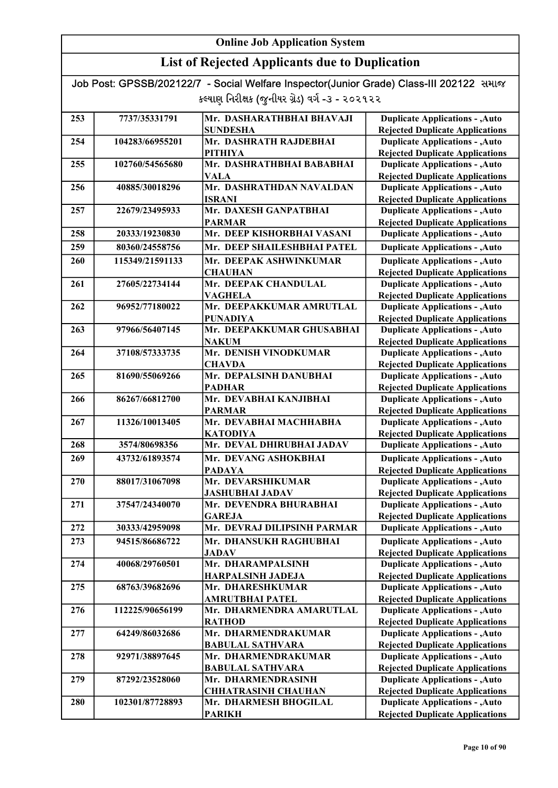| Job Post: GPSSB/202122/7 - Social Welfare Inspector(Junior Grade) Class-III 202122 समाल |  |
|-----------------------------------------------------------------------------------------|--|
| કલ્યાણ નિરીક્ષક (જુનીયર ગ્રેડ) વર્ગ -૩ - ૨૦૨૧૨૨                                         |  |

| 253 | 7737/35331791   | Mr. DASHARATHBHAI BHAVAJI   | <b>Duplicate Applications - , Auto</b> |
|-----|-----------------|-----------------------------|----------------------------------------|
|     |                 | <b>SUNDESHA</b>             | <b>Rejected Duplicate Applications</b> |
| 254 | 104283/66955201 | Mr. DASHRATH RAJDEBHAI      | <b>Duplicate Applications - , Auto</b> |
|     |                 | PITHIYA                     | <b>Rejected Duplicate Applications</b> |
| 255 | 102760/54565680 | Mr. DASHRATHBHAI BABABHAI   | <b>Duplicate Applications - , Auto</b> |
|     |                 | VALA                        | <b>Rejected Duplicate Applications</b> |
| 256 | 40885/30018296  | Mr. DASHRATHDAN NAVALDAN    | <b>Duplicate Applications - , Auto</b> |
|     |                 | <b>ISRANI</b>               | <b>Rejected Duplicate Applications</b> |
| 257 | 22679/23495933  | Mr. DAXESH GANPATBHAI       | <b>Duplicate Applications - , Auto</b> |
|     |                 | <b>PARMAR</b>               | <b>Rejected Duplicate Applications</b> |
| 258 | 20333/19230830  | Mr. DEEP KISHORBHAI VASANI  | <b>Duplicate Applications - , Auto</b> |
| 259 | 80360/24558756  | Mr. DEEP SHAILESHBHAI PATEL | <b>Duplicate Applications - , Auto</b> |
| 260 | 115349/21591133 | Mr. DEEPAK ASHWINKUMAR      | <b>Duplicate Applications - , Auto</b> |
|     |                 | <b>CHAUHAN</b>              | <b>Rejected Duplicate Applications</b> |
| 261 | 27605/22734144  | Mr. DEEPAK CHANDULAL        | <b>Duplicate Applications - , Auto</b> |
|     |                 | VAGHELA                     | <b>Rejected Duplicate Applications</b> |
| 262 | 96952/77180022  | Mr. DEEPAKKUMAR AMRUTLAL    | <b>Duplicate Applications - , Auto</b> |
|     |                 | <b>PUNADIYA</b>             | <b>Rejected Duplicate Applications</b> |
| 263 | 97966/56407145  | Mr. DEEPAKKUMAR GHUSABHAI   | <b>Duplicate Applications - , Auto</b> |
|     |                 | <b>NAKUM</b>                | <b>Rejected Duplicate Applications</b> |
| 264 | 37108/57333735  | Mr. DENISH VINODKUMAR       | <b>Duplicate Applications - , Auto</b> |
|     |                 | <b>CHAVDA</b>               | <b>Rejected Duplicate Applications</b> |
| 265 | 81690/55069266  | Mr. DEPALSINH DANUBHAI      | <b>Duplicate Applications - , Auto</b> |
|     |                 | <b>PADHAR</b>               | <b>Rejected Duplicate Applications</b> |
| 266 | 86267/66812700  | Mr. DEVABHAI KANJIBHAI      | <b>Duplicate Applications - , Auto</b> |
|     |                 | <b>PARMAR</b>               | <b>Rejected Duplicate Applications</b> |
| 267 | 11326/10013405  | Mr. DEVABHAI MACHHABHA      | <b>Duplicate Applications - , Auto</b> |
|     |                 | <b>KATODIYA</b>             | <b>Rejected Duplicate Applications</b> |
| 268 | 3574/80698356   | Mr. DEVAL DHIRUBHAI JADAV   | <b>Duplicate Applications - , Auto</b> |
| 269 | 43732/61893574  | Mr. DEVANG ASHOKBHAI        | <b>Duplicate Applications - , Auto</b> |
|     |                 | <b>PADAYA</b>               | <b>Rejected Duplicate Applications</b> |
| 270 | 88017/31067098  | Mr. DEVARSHIKUMAR           | <b>Duplicate Applications - , Auto</b> |
|     |                 | <b>JASHUBHAI JADAV</b>      | <b>Rejected Duplicate Applications</b> |
| 271 | 37547/24340070  | Mr. DEVENDRA BHURABHAI      | <b>Duplicate Applications - , Auto</b> |
|     |                 | <b>GAREJA</b>               | <b>Rejected Duplicate Applications</b> |
| 272 | 30333/42959098  | Mr. DEVRAJ DILIPSINH PARMAR | <b>Duplicate Applications - , Auto</b> |
| 273 | 94515/86686722  | Mr. DHANSUKH RAGHUBHAI      | <b>Duplicate Applications - , Auto</b> |
|     |                 | <b>JADAV</b>                | <b>Rejected Duplicate Applications</b> |
| 274 | 40068/29760501  | Mr. DHARAMPALSINH           | <b>Duplicate Applications - , Auto</b> |
|     |                 | <b>HARPALSINH JADEJA</b>    | <b>Rejected Duplicate Applications</b> |
| 275 | 68763/39682696  | Mr. DHARESHKUMAR            | <b>Duplicate Applications - , Auto</b> |
|     |                 | <b>AMRUTBHAI PATEL</b>      | <b>Rejected Duplicate Applications</b> |
| 276 | 112225/90656199 | Mr. DHARMENDRA AMARUTLAL    | <b>Duplicate Applications - , Auto</b> |
|     |                 | <b>RATHOD</b>               | <b>Rejected Duplicate Applications</b> |
| 277 | 64249/86032686  | Mr. DHARMENDRAKUMAR         | <b>Duplicate Applications - , Auto</b> |
|     |                 | <b>BABULAL SATHVARA</b>     | <b>Rejected Duplicate Applications</b> |
| 278 | 92971/38897645  | Mr. DHARMENDRAKUMAR         | <b>Duplicate Applications - , Auto</b> |
|     |                 | <b>BABULAL SATHVARA</b>     | <b>Rejected Duplicate Applications</b> |
| 279 | 87292/23528060  | Mr. DHARMENDRASINH          | <b>Duplicate Applications - , Auto</b> |
|     |                 | <b>CHHATRASINH CHAUHAN</b>  | <b>Rejected Duplicate Applications</b> |
| 280 | 102301/87728893 | Mr. DHARMESH BHOGILAL       | <b>Duplicate Applications - , Auto</b> |
|     |                 | <b>PARIKH</b>               | <b>Rejected Duplicate Applications</b> |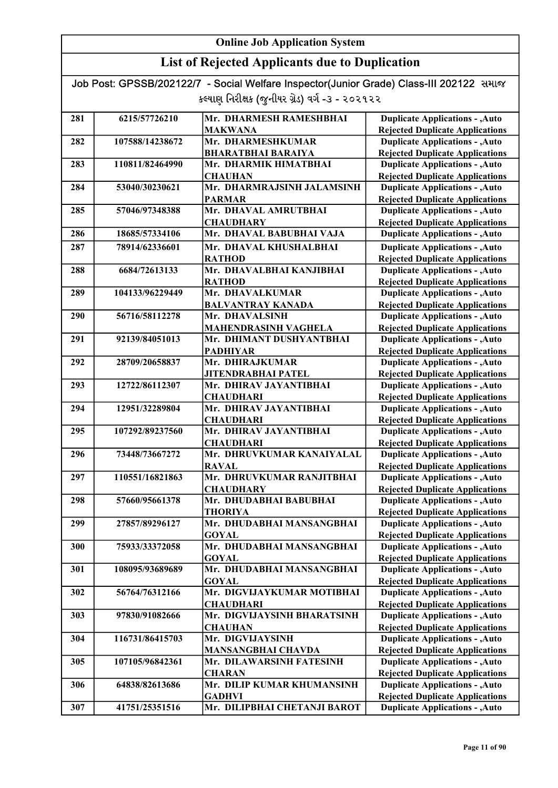### List of Rejected Applicants due to Duplication

Job Post: GPSSB/202122/7 - Social Welfare Inspector(Junior Grade) Class-III 202122 સમાજ કલ્યાણ નિરીક્ષક (જુનીયર ગ્રેડ) વર્ગ -૩ - ૨૦૨૧૨૨

| 281 | 6215/57726210   | Mr. DHARMESH RAMESHBHAI      | <b>Duplicate Applications - , Auto</b> |
|-----|-----------------|------------------------------|----------------------------------------|
|     |                 | <b>MAKWANA</b>               | <b>Rejected Duplicate Applications</b> |
| 282 | 107588/14238672 | Mr. DHARMESHKUMAR            | <b>Duplicate Applications - , Auto</b> |
|     |                 | <b>BHARATBHAI BARAIYA</b>    | <b>Rejected Duplicate Applications</b> |
| 283 | 110811/82464990 | Mr. DHARMIK HIMATBHAI        | <b>Duplicate Applications - , Auto</b> |
|     |                 | <b>CHAUHAN</b>               | <b>Rejected Duplicate Applications</b> |
| 284 | 53040/30230621  | Mr. DHARMRAJSINH JALAMSINH   | <b>Duplicate Applications - , Auto</b> |
|     |                 | <b>PARMAR</b>                | <b>Rejected Duplicate Applications</b> |
| 285 | 57046/97348388  | Mr. DHAVAL AMRUTBHAI         | <b>Duplicate Applications - , Auto</b> |
|     |                 | <b>CHAUDHARY</b>             | <b>Rejected Duplicate Applications</b> |
| 286 | 18685/57334106  | Mr. DHAVAL BABUBHAI VAJA     | <b>Duplicate Applications - , Auto</b> |
| 287 | 78914/62336601  | Mr. DHAVAL KHUSHALBHAI       | <b>Duplicate Applications - , Auto</b> |
|     |                 | <b>RATHOD</b>                | <b>Rejected Duplicate Applications</b> |
| 288 | 6684/72613133   | Mr. DHAVALBHAI KANJIBHAI     | <b>Duplicate Applications - , Auto</b> |
|     |                 | <b>RATHOD</b>                | <b>Rejected Duplicate Applications</b> |
| 289 | 104133/96229449 | Mr. DHAVALKUMAR              | <b>Duplicate Applications - , Auto</b> |
|     |                 | <b>BALVANTRAY KANADA</b>     | <b>Rejected Duplicate Applications</b> |
| 290 | 56716/58112278  | Mr. DHAVALSINH               | <b>Duplicate Applications - , Auto</b> |
|     |                 | <b>MAHENDRASINH VAGHELA</b>  | <b>Rejected Duplicate Applications</b> |
| 291 | 92139/84051013  | Mr. DHIMANT DUSHYANTBHAI     | <b>Duplicate Applications - , Auto</b> |
|     |                 | <b>PADHIYAR</b>              | <b>Rejected Duplicate Applications</b> |
| 292 | 28709/20658837  | Mr. DHIRAJKUMAR              | <b>Duplicate Applications - , Auto</b> |
|     |                 | <b>JITENDRABHAI PATEL</b>    | <b>Rejected Duplicate Applications</b> |
| 293 | 12722/86112307  | Mr. DHIRAV JAYANTIBHAI       | <b>Duplicate Applications - , Auto</b> |
|     |                 | <b>CHAUDHARI</b>             | <b>Rejected Duplicate Applications</b> |
| 294 | 12951/32289804  | Mr. DHIRAV JAYANTIBHAI       | <b>Duplicate Applications - , Auto</b> |
|     |                 | <b>CHAUDHARI</b>             | <b>Rejected Duplicate Applications</b> |
| 295 | 107292/89237560 | Mr. DHIRAV JAYANTIBHAI       | <b>Duplicate Applications - , Auto</b> |
|     |                 | <b>CHAUDHARI</b>             | <b>Rejected Duplicate Applications</b> |
| 296 | 73448/73667272  | Mr. DHRUVKUMAR KANAIYALAL    | <b>Duplicate Applications - , Auto</b> |
|     |                 | <b>RAVAL</b>                 | <b>Rejected Duplicate Applications</b> |
| 297 | 110551/16821863 | Mr. DHRUVKUMAR RANJITBHAI    | <b>Duplicate Applications - , Auto</b> |
|     |                 | <b>CHAUDHARY</b>             | <b>Rejected Duplicate Applications</b> |
| 298 | 57660/95661378  | Mr. DHUDABHAI BABUBHAI       | <b>Duplicate Applications - , Auto</b> |
|     |                 | <b>THORIYA</b>               | <b>Rejected Duplicate Applications</b> |
| 299 | 27857/89296127  | Mr. DHUDABHAI MANSANGBHAI    | <b>Duplicate Applications - , Auto</b> |
|     |                 | <b>GOYAL</b>                 | <b>Rejected Duplicate Applications</b> |
| 300 | 75933/33372058  | Mr. DHUDABHAI MANSANGBHAI    | <b>Duplicate Applications - , Auto</b> |
|     |                 | <b>GOYAL</b>                 | <b>Rejected Duplicate Applications</b> |
| 301 | 108095/93689689 | Mr. DHUDABHAI MANSANGBHAI    | <b>Duplicate Applications - , Auto</b> |
|     |                 | <b>GOYAL</b>                 | <b>Rejected Duplicate Applications</b> |
| 302 | 56764/76312166  | Mr. DIGVIJAYKUMAR MOTIBHAI   | <b>Duplicate Applications - , Auto</b> |
|     |                 | <b>CHAUDHARI</b>             | <b>Rejected Duplicate Applications</b> |
| 303 | 97830/91082666  | Mr. DIGVIJAYSINH BHARATSINH  | <b>Duplicate Applications - , Auto</b> |
|     |                 | <b>CHAUHAN</b>               | <b>Rejected Duplicate Applications</b> |
| 304 | 116731/86415703 | Mr. DIGVIJAYSINH             | <b>Duplicate Applications - , Auto</b> |
|     |                 | <b>MANSANGBHAI CHAVDA</b>    | <b>Rejected Duplicate Applications</b> |
| 305 | 107105/96842361 | Mr. DILAWARSINH FATESINH     | <b>Duplicate Applications - , Auto</b> |
|     |                 | <b>CHARAN</b>                | <b>Rejected Duplicate Applications</b> |
| 306 | 64838/82613686  | Mr. DILIP KUMAR KHUMANSINH   | <b>Duplicate Applications - , Auto</b> |
|     |                 | <b>GADHVI</b>                | <b>Rejected Duplicate Applications</b> |
| 307 | 41751/25351516  | Mr. DILIPBHAI CHETANJI BAROT | <b>Duplicate Applications - , Auto</b> |

Rejected Duplicate Applications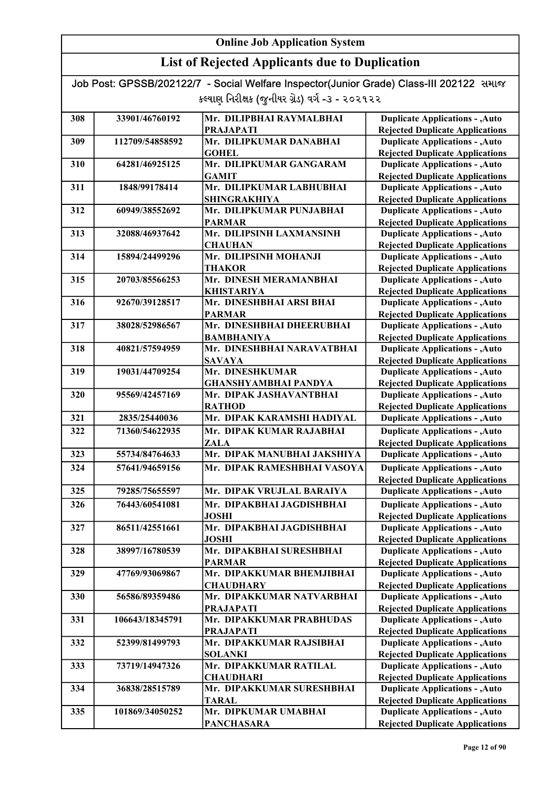### List of Rejected Applicants due to Duplication

| 308 | 33901/46760192  | Mr. DILIPBHAI RAYMALBHAI    | <b>Duplicate Applications - , Auto</b> |
|-----|-----------------|-----------------------------|----------------------------------------|
|     |                 | <b>PRAJAPATI</b>            | <b>Rejected Duplicate Applications</b> |
| 309 | 112709/54858592 | Mr. DILIPKUMAR DANABHAI     | <b>Duplicate Applications - , Auto</b> |
|     |                 | <b>GOHEL</b>                | <b>Rejected Duplicate Applications</b> |
| 310 | 64281/46925125  | Mr. DILIPKUMAR GANGARAM     | <b>Duplicate Applications - , Auto</b> |
|     |                 | <b>GAMIT</b>                | <b>Rejected Duplicate Applications</b> |
| 311 | 1848/99178414   | Mr. DILIPKUMAR LABHUBHAI    | <b>Duplicate Applications - , Auto</b> |
|     |                 | <b>SHINGRAKHIYA</b>         | <b>Rejected Duplicate Applications</b> |
| 312 | 60949/38552692  | Mr. DILIPKUMAR PUNJABHAI    | <b>Duplicate Applications - , Auto</b> |
|     |                 | <b>PARMAR</b>               | <b>Rejected Duplicate Applications</b> |
| 313 | 32088/46937642  | Mr. DILIPSINH LAXMANSINH    | <b>Duplicate Applications - , Auto</b> |
|     |                 | <b>CHAUHAN</b>              | <b>Rejected Duplicate Applications</b> |
| 314 | 15894/24499296  | Mr. DILIPSINH MOHANJI       | <b>Duplicate Applications - , Auto</b> |
|     |                 | <b>THAKOR</b>               | <b>Rejected Duplicate Applications</b> |
| 315 | 20703/85566253  | Mr. DINESH MERAMANBHAI      | <b>Duplicate Applications - , Auto</b> |
|     |                 | KHISTARIYA                  | <b>Rejected Duplicate Applications</b> |
| 316 | 92670/39128517  | Mr. DINESHBHAI ARSI BHAI    | <b>Duplicate Applications - , Auto</b> |
|     |                 | <b>PARMAR</b>               | <b>Rejected Duplicate Applications</b> |
| 317 | 38028/52986567  | Mr. DINESHBHAI DHEERUBHAI   | <b>Duplicate Applications - , Auto</b> |
|     |                 | <b>BAMBHANIYA</b>           | <b>Rejected Duplicate Applications</b> |
| 318 | 40821/57594959  | Mr. DINESHBHAI NARAVATBHAI  | <b>Duplicate Applications - , Auto</b> |
|     |                 | <b>SAVAYA</b>               | <b>Rejected Duplicate Applications</b> |
| 319 | 19031/44709254  | Mr. DINESHKUMAR             | <b>Duplicate Applications - , Auto</b> |
|     |                 | <b>GHANSHYAMBHAI PANDYA</b> | <b>Rejected Duplicate Applications</b> |
| 320 | 95569/42457169  | Mr. DIPAK JASHAVANTBHAI     | <b>Duplicate Applications - , Auto</b> |
|     |                 | <b>RATHOD</b>               | <b>Rejected Duplicate Applications</b> |
| 321 | 2835/25440036   | Mr. DIPAK KARAMSHI HADIYAL  | <b>Duplicate Applications - , Auto</b> |
| 322 | 71360/54622935  | Mr. DIPAK KUMAR RAJABHAI    | <b>Duplicate Applications - , Auto</b> |
|     |                 | <b>ZALA</b>                 | <b>Rejected Duplicate Applications</b> |
| 323 | 55734/84764633  | Mr. DIPAK MANUBHAI JAKSHIYA | <b>Duplicate Applications - , Auto</b> |
| 324 | 57641/94659156  | Mr. DIPAK RAMESHBHAI VASOYA | <b>Duplicate Applications - , Auto</b> |
|     |                 |                             | <b>Rejected Duplicate Applications</b> |
| 325 | 79285/75655597  | Mr. DIPAK VRUJLAL BARAIYA   | <b>Duplicate Applications - , Auto</b> |
| 326 | 76443/60541081  | Mr. DIPAKBHAI JAGDISHBHAI   | <b>Duplicate Applications - , Auto</b> |
|     |                 | <b>JOSHI</b>                | <b>Rejected Duplicate Applications</b> |
| 327 | 86511/42551661  | Mr. DIPAKBHAI JAGDISHBHAI   | <b>Duplicate Applications - , Auto</b> |
|     |                 | <b>JOSHI</b>                | <b>Rejected Duplicate Applications</b> |
| 328 | 38997/16780539  | Mr. DIPAKBHAI SURESHBHAI    | <b>Duplicate Applications - , Auto</b> |
|     |                 | <b>PARMAR</b>               | <b>Rejected Duplicate Applications</b> |
| 329 | 47769/93069867  | Mr. DIPAKKUMAR BHEMJIBHAI   | <b>Duplicate Applications - , Auto</b> |
|     |                 | <b>CHAUDHARY</b>            | <b>Rejected Duplicate Applications</b> |
| 330 | 56586/89359486  | Mr. DIPAKKUMAR NATVARBHAI   | <b>Duplicate Applications - , Auto</b> |
|     |                 | <b>PRAJAPATI</b>            | <b>Rejected Duplicate Applications</b> |
| 331 | 106643/18345791 | Mr. DIPAKKUMAR PRABHUDAS    | <b>Duplicate Applications - , Auto</b> |
|     |                 | <b>PRAJAPATI</b>            | <b>Rejected Duplicate Applications</b> |
| 332 | 52399/81499793  | Mr. DIPAKKUMAR RAJSIBHAI    | <b>Duplicate Applications - , Auto</b> |
|     |                 | <b>SOLANKI</b>              | <b>Rejected Duplicate Applications</b> |
| 333 | 73719/14947326  | Mr. DIPAKKUMAR RATILAL      | <b>Duplicate Applications - , Auto</b> |
|     |                 | <b>CHAUDHARI</b>            | <b>Rejected Duplicate Applications</b> |
| 334 | 36838/28515789  | Mr. DIPAKKUMAR SURESHBHAI   | <b>Duplicate Applications - , Auto</b> |
|     |                 | <b>TARAL</b>                | <b>Rejected Duplicate Applications</b> |
| 335 | 101869/34050252 | Mr. DIPKUMAR UMABHAI        | <b>Duplicate Applications - , Auto</b> |
|     |                 | <b>PANCHASARA</b>           | <b>Rejected Duplicate Applications</b> |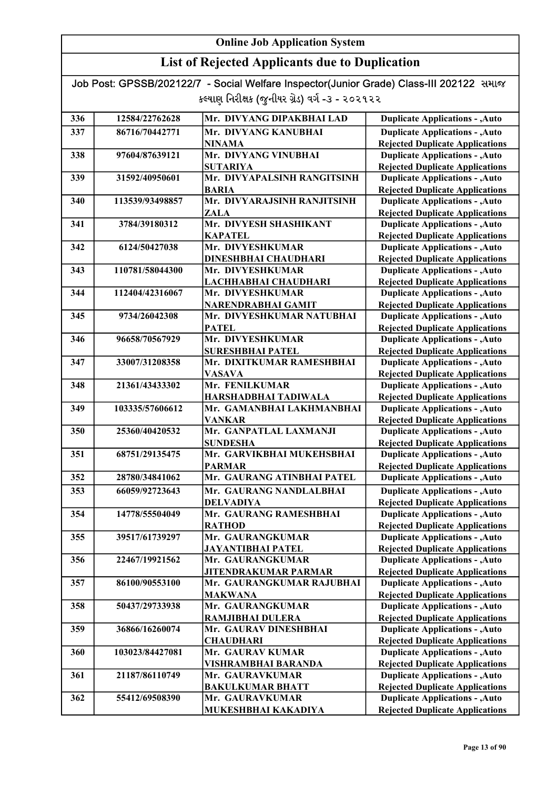### List of Rejected Applicants due to Duplication

| 336 | 12584/22762628  | Mr. DIVYANG DIPAKBHAI LAD                  | <b>Duplicate Applications - , Auto</b>                                           |
|-----|-----------------|--------------------------------------------|----------------------------------------------------------------------------------|
| 337 | 86716/70442771  | Mr. DIVYANG KANUBHAI                       | <b>Duplicate Applications - , Auto</b>                                           |
|     |                 | <b>NINAMA</b>                              | <b>Rejected Duplicate Applications</b>                                           |
| 338 | 97604/87639121  | Mr. DIVYANG VINUBHAI                       | <b>Duplicate Applications - , Auto</b>                                           |
|     |                 | <b>SUTARIYA</b>                            | <b>Rejected Duplicate Applications</b>                                           |
| 339 | 31592/40950601  | Mr. DIVYAPALSINH RANGITSINH                | <b>Duplicate Applications - , Auto</b>                                           |
|     |                 | <b>BARIA</b>                               | <b>Rejected Duplicate Applications</b>                                           |
| 340 | 113539/93498857 | Mr. DIVYARAJSINH RANJITSINH                | <b>Duplicate Applications - , Auto</b>                                           |
|     |                 | <b>ZALA</b>                                | <b>Rejected Duplicate Applications</b>                                           |
| 341 | 3784/39180312   | Mr. DIVYESH SHASHIKANT                     | <b>Duplicate Applications - , Auto</b>                                           |
|     |                 | <b>KAPATEL</b>                             | <b>Rejected Duplicate Applications</b>                                           |
| 342 | 6124/50427038   | Mr. DIVYESHKUMAR                           | <b>Duplicate Applications - , Auto</b>                                           |
|     |                 | <b>DINESHBHAI CHAUDHARI</b>                | <b>Rejected Duplicate Applications</b>                                           |
| 343 | 110781/58044300 | Mr. DIVYESHKUMAR                           | <b>Duplicate Applications - , Auto</b>                                           |
|     |                 | LACHHABHAI CHAUDHARI                       | <b>Rejected Duplicate Applications</b>                                           |
| 344 | 112404/42316067 | Mr. DIVYESHKUMAR                           | <b>Duplicate Applications - , Auto</b>                                           |
|     |                 | NARENDRABHAI GAMIT                         | <b>Rejected Duplicate Applications</b>                                           |
| 345 | 9734/26042308   | Mr. DIVYESHKUMAR NATUBHAI                  | <b>Duplicate Applications - , Auto</b>                                           |
|     |                 | <b>PATEL</b>                               | <b>Rejected Duplicate Applications</b>                                           |
| 346 | 96658/70567929  | Mr. DIVYESHKUMAR                           | <b>Duplicate Applications - , Auto</b>                                           |
|     |                 | <b>SURESHBHAI PATEL</b>                    | <b>Rejected Duplicate Applications</b>                                           |
| 347 | 33007/31208358  | Mr. DIXITKUMAR RAMESHBHAI                  | <b>Duplicate Applications - , Auto</b>                                           |
|     |                 | <b>VASAVA</b>                              | <b>Rejected Duplicate Applications</b>                                           |
| 348 | 21361/43433302  | Mr. FENILKUMAR                             | <b>Duplicate Applications - , Auto</b>                                           |
|     |                 | HARSHADBHAI TADIWALA                       | <b>Rejected Duplicate Applications</b>                                           |
| 349 | 103335/57606612 | Mr. GAMANBHAI LAKHMANBHAI                  | <b>Duplicate Applications - , Auto</b>                                           |
|     |                 | <b>VANKAR</b>                              | <b>Rejected Duplicate Applications</b>                                           |
| 350 | 25360/40420532  | Mr. GANPATLAL LAXMANJI                     | <b>Duplicate Applications - , Auto</b>                                           |
|     |                 | <b>SUNDESHA</b>                            | <b>Rejected Duplicate Applications</b>                                           |
| 351 | 68751/29135475  | Mr. GARVIKBHAI MUKEHSBHAI                  | <b>Duplicate Applications - , Auto</b>                                           |
|     |                 | <b>PARMAR</b>                              | <b>Rejected Duplicate Applications</b>                                           |
| 352 | 28780/34841062  | Mr. GAURANG ATINBHAI PATEL                 | <b>Duplicate Applications - , Auto</b>                                           |
| 353 | 66059/92723643  | Mr. GAURANG NANDLALBHAI                    | <b>Duplicate Applications - , Auto</b>                                           |
|     |                 | <b>DELVADIYA</b>                           | <b>Rejected Duplicate Applications</b>                                           |
| 354 | 14778/55504049  | Mr. GAURANG RAMESHBHAI                     | <b>Duplicate Applications - , Auto</b>                                           |
|     |                 | <b>RATHOD</b>                              | <b>Rejected Duplicate Applications</b>                                           |
| 355 | 39517/61739297  | Mr. GAURANGKUMAR                           | <b>Duplicate Applications - , Auto</b>                                           |
|     |                 | JAYANTIBHAI PATEL                          | <b>Rejected Duplicate Applications</b>                                           |
| 356 | 22467/19921562  | Mr. GAURANGKUMAR                           | <b>Duplicate Applications - , Auto</b>                                           |
|     |                 | JITENDRAKUMAR PARMAR                       | <b>Rejected Duplicate Applications</b>                                           |
| 357 | 86100/90553100  | Mr. GAURANGKUMAR RAJUBHAI                  | <b>Duplicate Applications - , Auto</b>                                           |
|     |                 | <b>MAKWANA</b>                             | <b>Rejected Duplicate Applications</b>                                           |
| 358 | 50437/29733938  | Mr. GAURANGKUMAR                           | <b>Duplicate Applications - , Auto</b>                                           |
|     |                 | RAMJIBHAI DULERA                           | <b>Rejected Duplicate Applications</b>                                           |
| 359 | 36866/16260074  | Mr. GAURAV DINESHBHAI                      | <b>Duplicate Applications - , Auto</b>                                           |
|     |                 | <b>CHAUDHARI</b>                           | <b>Rejected Duplicate Applications</b>                                           |
| 360 | 103023/84427081 | Mr. GAURAV KUMAR                           | <b>Duplicate Applications - , Auto</b>                                           |
| 361 | 21187/86110749  | VISHRAMBHAI BARANDA                        | <b>Rejected Duplicate Applications</b><br><b>Duplicate Applications - , Auto</b> |
|     |                 | Mr. GAURAVKUMAR                            | <b>Rejected Duplicate Applications</b>                                           |
| 362 | 55412/69508390  | <b>BAKULKUMAR BHATT</b><br>Mr. GAURAVKUMAR | <b>Duplicate Applications - , Auto</b>                                           |
|     |                 | MUKESHBHAI KAKADIYA                        | <b>Rejected Duplicate Applications</b>                                           |
|     |                 |                                            |                                                                                  |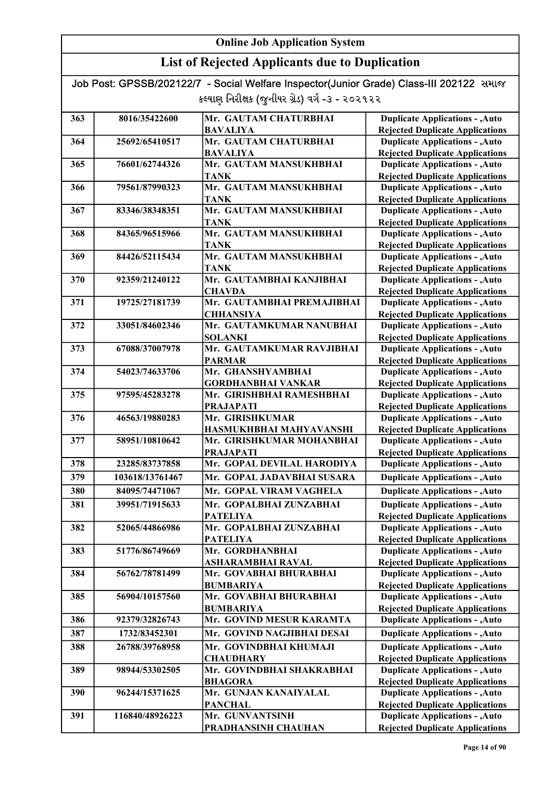| Job Post: GPSSB/202122/7 - Social Welfare Inspector(Junior Grade) Class-III 202122 समाल |  |
|-----------------------------------------------------------------------------------------|--|
| કલ્યાણ નિરીક્ષક (જુનીયર ગ્રેડ) વર્ગ -૩ - ૨૦૨૧૨૨                                         |  |

| 363 | 8016/35422600   | Mr. GAUTAM CHATURBHAI      | <b>Duplicate Applications - , Auto</b> |
|-----|-----------------|----------------------------|----------------------------------------|
|     |                 | <b>BAVALIYA</b>            | <b>Rejected Duplicate Applications</b> |
| 364 | 25692/65410517  | Mr. GAUTAM CHATURBHAI      | <b>Duplicate Applications - , Auto</b> |
|     |                 | <b>BAVALIYA</b>            | <b>Rejected Duplicate Applications</b> |
| 365 | 76601/62744326  | Mr. GAUTAM MANSUKHBHAI     | <b>Duplicate Applications - , Auto</b> |
|     |                 | TANK                       | <b>Rejected Duplicate Applications</b> |
| 366 | 79561/87990323  | Mr. GAUTAM MANSUKHBHAI     | <b>Duplicate Applications - , Auto</b> |
|     |                 | <b>TANK</b>                | <b>Rejected Duplicate Applications</b> |
| 367 | 83346/38348351  | Mr. GAUTAM MANSUKHBHAI     | <b>Duplicate Applications - , Auto</b> |
|     |                 | <b>TANK</b>                | <b>Rejected Duplicate Applications</b> |
| 368 | 84365/96515966  | Mr. GAUTAM MANSUKHBHAI     | <b>Duplicate Applications - , Auto</b> |
|     |                 | <b>TANK</b>                | <b>Rejected Duplicate Applications</b> |
| 369 | 84426/52115434  | Mr. GAUTAM MANSUKHBHAI     | <b>Duplicate Applications - , Auto</b> |
|     |                 | <b>TANK</b>                | <b>Rejected Duplicate Applications</b> |
| 370 | 92359/21240122  | Mr. GAUTAMBHAI KANJIBHAI   | <b>Duplicate Applications - , Auto</b> |
|     |                 | <b>CHAVDA</b>              | <b>Rejected Duplicate Applications</b> |
| 371 | 19725/27181739  | Mr. GAUTAMBHAI PREMAJIBHAI | <b>Duplicate Applications - , Auto</b> |
|     |                 | <b>CHHANSIYA</b>           | <b>Rejected Duplicate Applications</b> |
| 372 | 33051/84602346  | Mr. GAUTAMKUMAR NANUBHAI   | <b>Duplicate Applications - , Auto</b> |
|     |                 | <b>SOLANKI</b>             | <b>Rejected Duplicate Applications</b> |
| 373 | 67088/37007978  | Mr. GAUTAMKUMAR RAVJIBHAI  | <b>Duplicate Applications - , Auto</b> |
|     |                 | <b>PARMAR</b>              | <b>Rejected Duplicate Applications</b> |
| 374 | 54023/74633706  | Mr. GHANSHYAMBHAI          | <b>Duplicate Applications - , Auto</b> |
|     |                 | <b>GORDHANBHAI VANKAR</b>  | <b>Rejected Duplicate Applications</b> |
| 375 | 97595/45283278  | Mr. GIRISHBHAI RAMESHBHAI  | <b>Duplicate Applications - , Auto</b> |
|     |                 | <b>PRAJAPATI</b>           | <b>Rejected Duplicate Applications</b> |
| 376 | 46563/19880283  | Mr. GIRISHKUMAR            | <b>Duplicate Applications - , Auto</b> |
|     |                 | HASMUKHBHAI MAHYAVANSHI    | <b>Rejected Duplicate Applications</b> |
| 377 | 58951/10810642  | Mr. GIRISHKUMAR MOHANBHAI  | <b>Duplicate Applications - , Auto</b> |
|     |                 | <b>PRAJAPATI</b>           | <b>Rejected Duplicate Applications</b> |
| 378 | 23285/83737858  | Mr. GOPAL DEVILAL HARODIYA | <b>Duplicate Applications - , Auto</b> |
| 379 | 103618/13761467 | Mr. GOPAL JADAVBHAI SUSARA | <b>Duplicate Applications - , Auto</b> |
| 380 | 84095/74471067  | Mr. GOPAL VIRAM VAGHELA    | <b>Duplicate Applications - , Auto</b> |
| 381 | 39951/71915633  | Mr. GOPALBHAI ZUNZABHAI    | <b>Duplicate Applications - , Auto</b> |
|     |                 | <b>PATELIYA</b>            | <b>Rejected Duplicate Applications</b> |
| 382 | 52065/44866986  | Mr. GOPALBHAI ZUNZABHAI    | <b>Duplicate Applications - , Auto</b> |
|     |                 | <b>PATELIYA</b>            | <b>Rejected Duplicate Applications</b> |
| 383 | 51776/86749669  | Mr. GORDHANBHAI            | <b>Duplicate Applications - , Auto</b> |
|     |                 | <b>ASHARAMBHAI RAVAL</b>   | <b>Rejected Duplicate Applications</b> |
| 384 | 56762/78781499  | Mr. GOVABHAI BHURABHAI     | <b>Duplicate Applications - , Auto</b> |
|     |                 | <b>BUMBARIYA</b>           | <b>Rejected Duplicate Applications</b> |
| 385 | 56904/10157560  | Mr. GOVABHAI BHURABHAI     | <b>Duplicate Applications - , Auto</b> |
|     |                 | <b>BUMBARIYA</b>           | <b>Rejected Duplicate Applications</b> |
| 386 | 92379/32826743  | Mr. GOVIND MESUR KARAMTA   | <b>Duplicate Applications - , Auto</b> |
| 387 | 1732/83452301   | Mr. GOVIND NAGJIBHAI DESAI | <b>Duplicate Applications - , Auto</b> |
| 388 | 26788/39768958  | Mr. GOVINDBHAI KHUMAJI     | <b>Duplicate Applications - , Auto</b> |
|     |                 | <b>CHAUDHARY</b>           | <b>Rejected Duplicate Applications</b> |
| 389 | 98944/53302505  | Mr. GOVINDBHAI SHAKRABHAI  | <b>Duplicate Applications - , Auto</b> |
|     |                 | <b>BHAGORA</b>             | <b>Rejected Duplicate Applications</b> |
| 390 | 96244/15371625  | Mr. GUNJAN KANAIYALAL      | <b>Duplicate Applications - , Auto</b> |
|     |                 | <b>PANCHAL</b>             | <b>Rejected Duplicate Applications</b> |
| 391 | 116840/48926223 | Mr. GUNVANTSINH            | <b>Duplicate Applications - , Auto</b> |
|     |                 | PRADHANSINH CHAUHAN        | <b>Rejected Duplicate Applications</b> |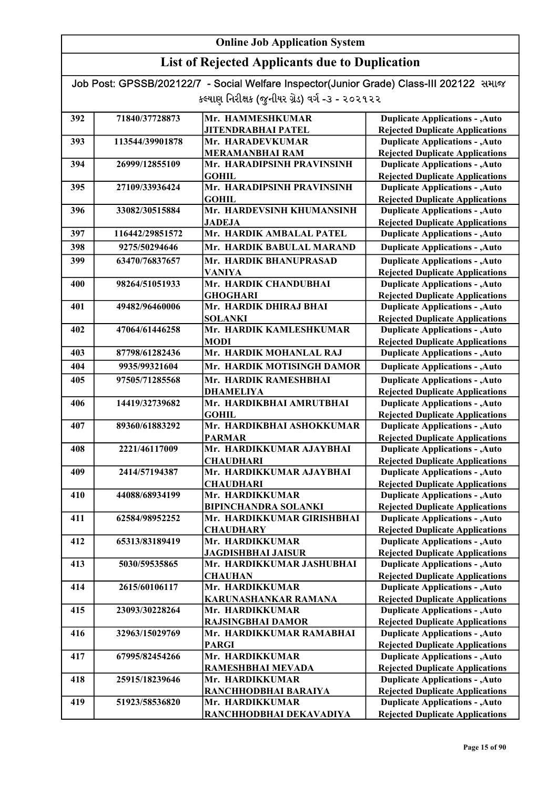### List of Rejected Applicants due to Duplication

| 392 | 71840/37728873  | Mr. HAMMESHKUMAR                             | <b>Duplicate Applications - , Auto</b>                                           |
|-----|-----------------|----------------------------------------------|----------------------------------------------------------------------------------|
|     |                 | <b>JITENDRABHAI PATEL</b>                    | <b>Rejected Duplicate Applications</b>                                           |
| 393 | 113544/39901878 | Mr. HARADEVKUMAR                             | <b>Duplicate Applications - , Auto</b>                                           |
|     |                 | <b>MERAMANBHAI RAM</b>                       | <b>Rejected Duplicate Applications</b>                                           |
| 394 | 26999/12855109  | Mr. HARADIPSINH PRAVINSINH                   | <b>Duplicate Applications - , Auto</b>                                           |
|     |                 | <b>GOHIL</b>                                 | <b>Rejected Duplicate Applications</b>                                           |
| 395 | 27109/33936424  | Mr. HARADIPSINH PRAVINSINH                   | <b>Duplicate Applications - , Auto</b>                                           |
|     |                 | <b>GOHIL</b>                                 | <b>Rejected Duplicate Applications</b>                                           |
| 396 | 33082/30515884  | Mr. HARDEVSINH KHUMANSINH                    | <b>Duplicate Applications - , Auto</b>                                           |
|     |                 | <b>JADEJA</b>                                | <b>Rejected Duplicate Applications</b>                                           |
| 397 | 116442/29851572 | Mr. HARDIK AMBALAL PATEL                     | <b>Duplicate Applications - , Auto</b>                                           |
| 398 | 9275/50294646   | Mr. HARDIK BABULAL MARAND                    | <b>Duplicate Applications - , Auto</b>                                           |
| 399 | 63470/76837657  | Mr. HARDIK BHANUPRASAD                       | <b>Duplicate Applications - , Auto</b>                                           |
|     |                 | <b>VANIYA</b>                                | <b>Rejected Duplicate Applications</b>                                           |
| 400 | 98264/51051933  | Mr. HARDIK CHANDUBHAI                        | <b>Duplicate Applications - , Auto</b>                                           |
|     |                 | <b>GHOGHARI</b>                              | <b>Rejected Duplicate Applications</b>                                           |
| 401 | 49482/96460006  | Mr. HARDIK DHIRAJ BHAI                       | <b>Duplicate Applications - , Auto</b>                                           |
|     |                 | <b>SOLANKI</b>                               | <b>Rejected Duplicate Applications</b>                                           |
| 402 | 47064/61446258  | Mr. HARDIK KAMLESHKUMAR                      | <b>Duplicate Applications - , Auto</b>                                           |
|     |                 | <b>MODI</b>                                  | <b>Rejected Duplicate Applications</b>                                           |
| 403 | 87798/61282436  | Mr. HARDIK MOHANLAL RAJ                      | <b>Duplicate Applications - , Auto</b>                                           |
| 404 | 9935/99321604   | Mr. HARDIK MOTISINGH DAMOR                   | <b>Duplicate Applications - , Auto</b>                                           |
| 405 | 97505/71285568  | Mr. HARDIK RAMESHBHAI                        | <b>Duplicate Applications - , Auto</b>                                           |
|     |                 | <b>DHAMELIYA</b>                             | <b>Rejected Duplicate Applications</b>                                           |
| 406 | 14419/32739682  | Mr. HARDIKBHAI AMRUTBHAI                     | <b>Duplicate Applications - , Auto</b>                                           |
|     |                 | <b>GOHIL</b>                                 | <b>Rejected Duplicate Applications</b>                                           |
| 407 | 89360/61883292  | Mr. HARDIKBHAI ASHOKKUMAR                    | <b>Duplicate Applications - , Auto</b>                                           |
|     |                 | <b>PARMAR</b>                                | <b>Rejected Duplicate Applications</b>                                           |
| 408 | 2221/46117009   | Mr. HARDIKKUMAR AJAYBHAI                     | <b>Duplicate Applications - , Auto</b>                                           |
| 409 | 2414/57194387   | <b>CHAUDHARI</b><br>Mr. HARDIKKUMAR AJAYBHAI | <b>Rejected Duplicate Applications</b><br><b>Duplicate Applications - , Auto</b> |
|     |                 | <b>CHAUDHARI</b>                             | <b>Rejected Duplicate Applications</b>                                           |
| 410 | 44088/68934199  | Mr. HARDIKKUMAR                              | <b>Duplicate Applications - , Auto</b>                                           |
|     |                 | <b>BIPINCHANDRA SOLANKI</b>                  | <b>Rejected Duplicate Applications</b>                                           |
| 411 | 62584/98952252  | Mr. HARDIKKUMAR GIRISHBHAI                   | <b>Duplicate Applications - , Auto</b>                                           |
|     |                 | <b>CHAUDHARY</b>                             | <b>Rejected Duplicate Applications</b>                                           |
| 412 | 65313/83189419  | Mr. HARDIKKUMAR                              | <b>Duplicate Applications - , Auto</b>                                           |
|     |                 | <b>JAGDISHBHAI JAISUR</b>                    | <b>Rejected Duplicate Applications</b>                                           |
| 413 | 5030/59535865   | Mr. HARDIKKUMAR JASHUBHAI                    | <b>Duplicate Applications - , Auto</b>                                           |
|     |                 | <b>CHAUHAN</b>                               | <b>Rejected Duplicate Applications</b>                                           |
| 414 | 2615/60106117   | Mr. HARDIKKUMAR                              | <b>Duplicate Applications - , Auto</b>                                           |
|     |                 | KARUNASHANKAR RAMANA                         | <b>Rejected Duplicate Applications</b>                                           |
| 415 | 23093/30228264  | Mr. HARDIKKUMAR                              | <b>Duplicate Applications - , Auto</b>                                           |
|     |                 | <b>RAJSINGBHAI DAMOR</b>                     | <b>Rejected Duplicate Applications</b>                                           |
| 416 | 32963/15029769  | Mr. HARDIKKUMAR RAMABHAI                     | <b>Duplicate Applications - , Auto</b>                                           |
|     |                 | <b>PARGI</b>                                 | <b>Rejected Duplicate Applications</b>                                           |
| 417 | 67995/82454266  | Mr. HARDIKKUMAR                              | <b>Duplicate Applications - , Auto</b>                                           |
|     |                 | RAMESHBHAI MEVADA                            | <b>Rejected Duplicate Applications</b>                                           |
| 418 | 25915/18239646  | Mr. HARDIKKUMAR                              | <b>Duplicate Applications - , Auto</b>                                           |
|     |                 | RANCHHODBHAI BARAIYA                         | <b>Rejected Duplicate Applications</b>                                           |
| 419 | 51923/58536820  | Mr. HARDIKKUMAR                              | <b>Duplicate Applications - , Auto</b>                                           |
|     |                 | RANCHHODBHAI DEKAVADIYA                      | <b>Rejected Duplicate Applications</b>                                           |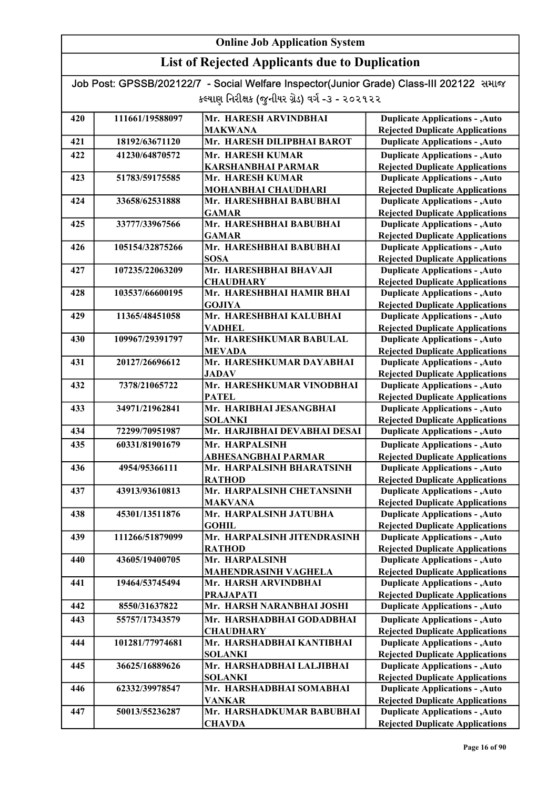### List of Rejected Applicants due to Duplication

| <b>Rejected Duplicate Applications</b><br><b>MAKWANA</b><br>Mr. HARESH DILIPBHAI BAROT<br><b>Duplicate Applications - , Auto</b><br>421<br>18192/63671120<br>Mr. HARESH KUMAR<br>422<br><b>Duplicate Applications - , Auto</b><br>41230/64870572<br><b>KARSHANBHAI PARMAR</b><br><b>Rejected Duplicate Applications</b><br>Mr. HARESH KUMAR<br>423<br><b>Duplicate Applications - , Auto</b><br>51783/59175585<br>MOHANBHAI CHAUDHARI<br><b>Rejected Duplicate Applications</b><br>424<br>Mr. HARESHBHAI BABUBHAI<br><b>Duplicate Applications - , Auto</b><br>33658/62531888<br><b>Rejected Duplicate Applications</b><br><b>GAMAR</b><br>425<br>Mr. HARESHBHAI BABUBHAI<br><b>Duplicate Applications - , Auto</b><br>33777/33967566<br><b>GAMAR</b><br><b>Rejected Duplicate Applications</b><br><b>Duplicate Applications - , Auto</b><br>426<br>105154/32875266<br>Mr. HARESHBHAI BABUBHAI<br><b>SOSA</b><br><b>Rejected Duplicate Applications</b><br>Mr. HARESHBHAI BHAVAJI<br><b>Duplicate Applications - , Auto</b><br>427<br>107235/22063209<br><b>Rejected Duplicate Applications</b><br><b>CHAUDHARY</b><br>Mr. HARESHBHAI HAMIR BHAI<br><b>Duplicate Applications - , Auto</b><br>428<br>103537/66600195<br><b>Rejected Duplicate Applications</b><br><b>GOJIYA</b><br>Mr. HARESHBHAI KALUBHAI<br><b>Duplicate Applications - , Auto</b><br>429<br>11365/48451058<br><b>VADHEL</b><br><b>Rejected Duplicate Applications</b><br>Mr. HARESHKUMAR BABULAL<br><b>Duplicate Applications - , Auto</b><br>430<br>109967/29391797<br><b>MEVADA</b><br><b>Rejected Duplicate Applications</b><br>20127/26696612<br>Mr. HARESHKUMAR DAYABHAI<br><b>Duplicate Applications - , Auto</b><br>431<br><b>JADAV</b><br><b>Rejected Duplicate Applications</b><br>Mr. HARESHKUMAR VINODBHAI<br><b>Duplicate Applications - , Auto</b><br>432<br>7378/21065722<br><b>PATEL</b><br><b>Rejected Duplicate Applications</b><br><b>Duplicate Applications - , Auto</b><br>433<br>34971/21962841<br>Mr. HARIBHAI JESANGBHAI<br><b>SOLANKI</b><br><b>Rejected Duplicate Applications</b><br>434<br>72299/70951987<br>Mr. HARJIBHAI DEVABHAI DESAI<br><b>Duplicate Applications - , Auto</b><br><b>Duplicate Applications - , Auto</b><br>435<br>60331/81901679<br>Mr. HARPALSINH<br><b>ABHESANGBHAI PARMAR</b><br><b>Rejected Duplicate Applications</b><br>Mr. HARPALSINH BHARATSINH<br><b>Duplicate Applications - , Auto</b><br>436<br>4954/95366111<br><b>RATHOD</b><br><b>Rejected Duplicate Applications</b><br>Mr. HARPALSINH CHETANSINH<br>43913/93610813<br><b>Duplicate Applications - , Auto</b><br>437<br><b>MAKVANA</b><br><b>Rejected Duplicate Applications</b><br>45301/13511876<br>Mr. HARPALSINH JATUBHA<br>438<br><b>Duplicate Applications - , Auto</b><br><b>Rejected Duplicate Applications</b><br><b>GOHIL</b><br>Mr. HARPALSINH JITENDRASINH<br>439<br>111266/51879099<br><b>Duplicate Applications - , Auto</b><br><b>RATHOD</b><br><b>Rejected Duplicate Applications</b><br>Mr. HARPALSINH<br><b>Duplicate Applications - , Auto</b><br>440<br>43605/19400705<br><b>Rejected Duplicate Applications</b><br><b>MAHENDRASINH VAGHELA</b><br><b>Duplicate Applications - , Auto</b><br>441<br>19464/53745494<br>Mr. HARSH ARVINDBHAI<br><b>PRAJAPATI</b><br>Mr. HARSH NARANBHAI JOSHI<br><b>Duplicate Applications - , Auto</b><br>442<br>8550/31637822<br><b>Duplicate Applications - , Auto</b><br>443<br>55757/17343579<br>Mr. HARSHADBHAI GODADBHAI<br><b>Rejected Duplicate Applications</b><br><b>CHAUDHARY</b> |     |                 |                       |                                        |
|-------------------------------------------------------------------------------------------------------------------------------------------------------------------------------------------------------------------------------------------------------------------------------------------------------------------------------------------------------------------------------------------------------------------------------------------------------------------------------------------------------------------------------------------------------------------------------------------------------------------------------------------------------------------------------------------------------------------------------------------------------------------------------------------------------------------------------------------------------------------------------------------------------------------------------------------------------------------------------------------------------------------------------------------------------------------------------------------------------------------------------------------------------------------------------------------------------------------------------------------------------------------------------------------------------------------------------------------------------------------------------------------------------------------------------------------------------------------------------------------------------------------------------------------------------------------------------------------------------------------------------------------------------------------------------------------------------------------------------------------------------------------------------------------------------------------------------------------------------------------------------------------------------------------------------------------------------------------------------------------------------------------------------------------------------------------------------------------------------------------------------------------------------------------------------------------------------------------------------------------------------------------------------------------------------------------------------------------------------------------------------------------------------------------------------------------------------------------------------------------------------------------------------------------------------------------------------------------------------------------------------------------------------------------------------------------------------------------------------------------------------------------------------------------------------------------------------------------------------------------------------------------------------------------------------------------------------------------------------------------------------------------------------------------------------------------------------------------------------------------------------------------------------------------------------------------------------------------------------------------------------------------------------------------------------------------------------------------------------------------------------------------------------------------------------------------------------------------------------------------------------------------------------------|-----|-----------------|-----------------------|----------------------------------------|
|                                                                                                                                                                                                                                                                                                                                                                                                                                                                                                                                                                                                                                                                                                                                                                                                                                                                                                                                                                                                                                                                                                                                                                                                                                                                                                                                                                                                                                                                                                                                                                                                                                                                                                                                                                                                                                                                                                                                                                                                                                                                                                                                                                                                                                                                                                                                                                                                                                                                                                                                                                                                                                                                                                                                                                                                                                                                                                                                                                                                                                                                                                                                                                                                                                                                                                                                                                                                                                                                                                                                     | 420 | 111661/19588097 | Mr. HARESH ARVINDBHAI | <b>Duplicate Applications - , Auto</b> |
|                                                                                                                                                                                                                                                                                                                                                                                                                                                                                                                                                                                                                                                                                                                                                                                                                                                                                                                                                                                                                                                                                                                                                                                                                                                                                                                                                                                                                                                                                                                                                                                                                                                                                                                                                                                                                                                                                                                                                                                                                                                                                                                                                                                                                                                                                                                                                                                                                                                                                                                                                                                                                                                                                                                                                                                                                                                                                                                                                                                                                                                                                                                                                                                                                                                                                                                                                                                                                                                                                                                                     |     |                 |                       |                                        |
|                                                                                                                                                                                                                                                                                                                                                                                                                                                                                                                                                                                                                                                                                                                                                                                                                                                                                                                                                                                                                                                                                                                                                                                                                                                                                                                                                                                                                                                                                                                                                                                                                                                                                                                                                                                                                                                                                                                                                                                                                                                                                                                                                                                                                                                                                                                                                                                                                                                                                                                                                                                                                                                                                                                                                                                                                                                                                                                                                                                                                                                                                                                                                                                                                                                                                                                                                                                                                                                                                                                                     |     |                 |                       |                                        |
|                                                                                                                                                                                                                                                                                                                                                                                                                                                                                                                                                                                                                                                                                                                                                                                                                                                                                                                                                                                                                                                                                                                                                                                                                                                                                                                                                                                                                                                                                                                                                                                                                                                                                                                                                                                                                                                                                                                                                                                                                                                                                                                                                                                                                                                                                                                                                                                                                                                                                                                                                                                                                                                                                                                                                                                                                                                                                                                                                                                                                                                                                                                                                                                                                                                                                                                                                                                                                                                                                                                                     |     |                 |                       |                                        |
|                                                                                                                                                                                                                                                                                                                                                                                                                                                                                                                                                                                                                                                                                                                                                                                                                                                                                                                                                                                                                                                                                                                                                                                                                                                                                                                                                                                                                                                                                                                                                                                                                                                                                                                                                                                                                                                                                                                                                                                                                                                                                                                                                                                                                                                                                                                                                                                                                                                                                                                                                                                                                                                                                                                                                                                                                                                                                                                                                                                                                                                                                                                                                                                                                                                                                                                                                                                                                                                                                                                                     |     |                 |                       |                                        |
|                                                                                                                                                                                                                                                                                                                                                                                                                                                                                                                                                                                                                                                                                                                                                                                                                                                                                                                                                                                                                                                                                                                                                                                                                                                                                                                                                                                                                                                                                                                                                                                                                                                                                                                                                                                                                                                                                                                                                                                                                                                                                                                                                                                                                                                                                                                                                                                                                                                                                                                                                                                                                                                                                                                                                                                                                                                                                                                                                                                                                                                                                                                                                                                                                                                                                                                                                                                                                                                                                                                                     |     |                 |                       |                                        |
|                                                                                                                                                                                                                                                                                                                                                                                                                                                                                                                                                                                                                                                                                                                                                                                                                                                                                                                                                                                                                                                                                                                                                                                                                                                                                                                                                                                                                                                                                                                                                                                                                                                                                                                                                                                                                                                                                                                                                                                                                                                                                                                                                                                                                                                                                                                                                                                                                                                                                                                                                                                                                                                                                                                                                                                                                                                                                                                                                                                                                                                                                                                                                                                                                                                                                                                                                                                                                                                                                                                                     |     |                 |                       |                                        |
|                                                                                                                                                                                                                                                                                                                                                                                                                                                                                                                                                                                                                                                                                                                                                                                                                                                                                                                                                                                                                                                                                                                                                                                                                                                                                                                                                                                                                                                                                                                                                                                                                                                                                                                                                                                                                                                                                                                                                                                                                                                                                                                                                                                                                                                                                                                                                                                                                                                                                                                                                                                                                                                                                                                                                                                                                                                                                                                                                                                                                                                                                                                                                                                                                                                                                                                                                                                                                                                                                                                                     |     |                 |                       |                                        |
|                                                                                                                                                                                                                                                                                                                                                                                                                                                                                                                                                                                                                                                                                                                                                                                                                                                                                                                                                                                                                                                                                                                                                                                                                                                                                                                                                                                                                                                                                                                                                                                                                                                                                                                                                                                                                                                                                                                                                                                                                                                                                                                                                                                                                                                                                                                                                                                                                                                                                                                                                                                                                                                                                                                                                                                                                                                                                                                                                                                                                                                                                                                                                                                                                                                                                                                                                                                                                                                                                                                                     |     |                 |                       |                                        |
|                                                                                                                                                                                                                                                                                                                                                                                                                                                                                                                                                                                                                                                                                                                                                                                                                                                                                                                                                                                                                                                                                                                                                                                                                                                                                                                                                                                                                                                                                                                                                                                                                                                                                                                                                                                                                                                                                                                                                                                                                                                                                                                                                                                                                                                                                                                                                                                                                                                                                                                                                                                                                                                                                                                                                                                                                                                                                                                                                                                                                                                                                                                                                                                                                                                                                                                                                                                                                                                                                                                                     |     |                 |                       |                                        |
|                                                                                                                                                                                                                                                                                                                                                                                                                                                                                                                                                                                                                                                                                                                                                                                                                                                                                                                                                                                                                                                                                                                                                                                                                                                                                                                                                                                                                                                                                                                                                                                                                                                                                                                                                                                                                                                                                                                                                                                                                                                                                                                                                                                                                                                                                                                                                                                                                                                                                                                                                                                                                                                                                                                                                                                                                                                                                                                                                                                                                                                                                                                                                                                                                                                                                                                                                                                                                                                                                                                                     |     |                 |                       |                                        |
|                                                                                                                                                                                                                                                                                                                                                                                                                                                                                                                                                                                                                                                                                                                                                                                                                                                                                                                                                                                                                                                                                                                                                                                                                                                                                                                                                                                                                                                                                                                                                                                                                                                                                                                                                                                                                                                                                                                                                                                                                                                                                                                                                                                                                                                                                                                                                                                                                                                                                                                                                                                                                                                                                                                                                                                                                                                                                                                                                                                                                                                                                                                                                                                                                                                                                                                                                                                                                                                                                                                                     |     |                 |                       |                                        |
|                                                                                                                                                                                                                                                                                                                                                                                                                                                                                                                                                                                                                                                                                                                                                                                                                                                                                                                                                                                                                                                                                                                                                                                                                                                                                                                                                                                                                                                                                                                                                                                                                                                                                                                                                                                                                                                                                                                                                                                                                                                                                                                                                                                                                                                                                                                                                                                                                                                                                                                                                                                                                                                                                                                                                                                                                                                                                                                                                                                                                                                                                                                                                                                                                                                                                                                                                                                                                                                                                                                                     |     |                 |                       |                                        |
|                                                                                                                                                                                                                                                                                                                                                                                                                                                                                                                                                                                                                                                                                                                                                                                                                                                                                                                                                                                                                                                                                                                                                                                                                                                                                                                                                                                                                                                                                                                                                                                                                                                                                                                                                                                                                                                                                                                                                                                                                                                                                                                                                                                                                                                                                                                                                                                                                                                                                                                                                                                                                                                                                                                                                                                                                                                                                                                                                                                                                                                                                                                                                                                                                                                                                                                                                                                                                                                                                                                                     |     |                 |                       |                                        |
|                                                                                                                                                                                                                                                                                                                                                                                                                                                                                                                                                                                                                                                                                                                                                                                                                                                                                                                                                                                                                                                                                                                                                                                                                                                                                                                                                                                                                                                                                                                                                                                                                                                                                                                                                                                                                                                                                                                                                                                                                                                                                                                                                                                                                                                                                                                                                                                                                                                                                                                                                                                                                                                                                                                                                                                                                                                                                                                                                                                                                                                                                                                                                                                                                                                                                                                                                                                                                                                                                                                                     |     |                 |                       |                                        |
|                                                                                                                                                                                                                                                                                                                                                                                                                                                                                                                                                                                                                                                                                                                                                                                                                                                                                                                                                                                                                                                                                                                                                                                                                                                                                                                                                                                                                                                                                                                                                                                                                                                                                                                                                                                                                                                                                                                                                                                                                                                                                                                                                                                                                                                                                                                                                                                                                                                                                                                                                                                                                                                                                                                                                                                                                                                                                                                                                                                                                                                                                                                                                                                                                                                                                                                                                                                                                                                                                                                                     |     |                 |                       |                                        |
|                                                                                                                                                                                                                                                                                                                                                                                                                                                                                                                                                                                                                                                                                                                                                                                                                                                                                                                                                                                                                                                                                                                                                                                                                                                                                                                                                                                                                                                                                                                                                                                                                                                                                                                                                                                                                                                                                                                                                                                                                                                                                                                                                                                                                                                                                                                                                                                                                                                                                                                                                                                                                                                                                                                                                                                                                                                                                                                                                                                                                                                                                                                                                                                                                                                                                                                                                                                                                                                                                                                                     |     |                 |                       |                                        |
|                                                                                                                                                                                                                                                                                                                                                                                                                                                                                                                                                                                                                                                                                                                                                                                                                                                                                                                                                                                                                                                                                                                                                                                                                                                                                                                                                                                                                                                                                                                                                                                                                                                                                                                                                                                                                                                                                                                                                                                                                                                                                                                                                                                                                                                                                                                                                                                                                                                                                                                                                                                                                                                                                                                                                                                                                                                                                                                                                                                                                                                                                                                                                                                                                                                                                                                                                                                                                                                                                                                                     |     |                 |                       |                                        |
|                                                                                                                                                                                                                                                                                                                                                                                                                                                                                                                                                                                                                                                                                                                                                                                                                                                                                                                                                                                                                                                                                                                                                                                                                                                                                                                                                                                                                                                                                                                                                                                                                                                                                                                                                                                                                                                                                                                                                                                                                                                                                                                                                                                                                                                                                                                                                                                                                                                                                                                                                                                                                                                                                                                                                                                                                                                                                                                                                                                                                                                                                                                                                                                                                                                                                                                                                                                                                                                                                                                                     |     |                 |                       |                                        |
|                                                                                                                                                                                                                                                                                                                                                                                                                                                                                                                                                                                                                                                                                                                                                                                                                                                                                                                                                                                                                                                                                                                                                                                                                                                                                                                                                                                                                                                                                                                                                                                                                                                                                                                                                                                                                                                                                                                                                                                                                                                                                                                                                                                                                                                                                                                                                                                                                                                                                                                                                                                                                                                                                                                                                                                                                                                                                                                                                                                                                                                                                                                                                                                                                                                                                                                                                                                                                                                                                                                                     |     |                 |                       |                                        |
|                                                                                                                                                                                                                                                                                                                                                                                                                                                                                                                                                                                                                                                                                                                                                                                                                                                                                                                                                                                                                                                                                                                                                                                                                                                                                                                                                                                                                                                                                                                                                                                                                                                                                                                                                                                                                                                                                                                                                                                                                                                                                                                                                                                                                                                                                                                                                                                                                                                                                                                                                                                                                                                                                                                                                                                                                                                                                                                                                                                                                                                                                                                                                                                                                                                                                                                                                                                                                                                                                                                                     |     |                 |                       |                                        |
|                                                                                                                                                                                                                                                                                                                                                                                                                                                                                                                                                                                                                                                                                                                                                                                                                                                                                                                                                                                                                                                                                                                                                                                                                                                                                                                                                                                                                                                                                                                                                                                                                                                                                                                                                                                                                                                                                                                                                                                                                                                                                                                                                                                                                                                                                                                                                                                                                                                                                                                                                                                                                                                                                                                                                                                                                                                                                                                                                                                                                                                                                                                                                                                                                                                                                                                                                                                                                                                                                                                                     |     |                 |                       |                                        |
|                                                                                                                                                                                                                                                                                                                                                                                                                                                                                                                                                                                                                                                                                                                                                                                                                                                                                                                                                                                                                                                                                                                                                                                                                                                                                                                                                                                                                                                                                                                                                                                                                                                                                                                                                                                                                                                                                                                                                                                                                                                                                                                                                                                                                                                                                                                                                                                                                                                                                                                                                                                                                                                                                                                                                                                                                                                                                                                                                                                                                                                                                                                                                                                                                                                                                                                                                                                                                                                                                                                                     |     |                 |                       |                                        |
|                                                                                                                                                                                                                                                                                                                                                                                                                                                                                                                                                                                                                                                                                                                                                                                                                                                                                                                                                                                                                                                                                                                                                                                                                                                                                                                                                                                                                                                                                                                                                                                                                                                                                                                                                                                                                                                                                                                                                                                                                                                                                                                                                                                                                                                                                                                                                                                                                                                                                                                                                                                                                                                                                                                                                                                                                                                                                                                                                                                                                                                                                                                                                                                                                                                                                                                                                                                                                                                                                                                                     |     |                 |                       |                                        |
|                                                                                                                                                                                                                                                                                                                                                                                                                                                                                                                                                                                                                                                                                                                                                                                                                                                                                                                                                                                                                                                                                                                                                                                                                                                                                                                                                                                                                                                                                                                                                                                                                                                                                                                                                                                                                                                                                                                                                                                                                                                                                                                                                                                                                                                                                                                                                                                                                                                                                                                                                                                                                                                                                                                                                                                                                                                                                                                                                                                                                                                                                                                                                                                                                                                                                                                                                                                                                                                                                                                                     |     |                 |                       |                                        |
|                                                                                                                                                                                                                                                                                                                                                                                                                                                                                                                                                                                                                                                                                                                                                                                                                                                                                                                                                                                                                                                                                                                                                                                                                                                                                                                                                                                                                                                                                                                                                                                                                                                                                                                                                                                                                                                                                                                                                                                                                                                                                                                                                                                                                                                                                                                                                                                                                                                                                                                                                                                                                                                                                                                                                                                                                                                                                                                                                                                                                                                                                                                                                                                                                                                                                                                                                                                                                                                                                                                                     |     |                 |                       |                                        |
|                                                                                                                                                                                                                                                                                                                                                                                                                                                                                                                                                                                                                                                                                                                                                                                                                                                                                                                                                                                                                                                                                                                                                                                                                                                                                                                                                                                                                                                                                                                                                                                                                                                                                                                                                                                                                                                                                                                                                                                                                                                                                                                                                                                                                                                                                                                                                                                                                                                                                                                                                                                                                                                                                                                                                                                                                                                                                                                                                                                                                                                                                                                                                                                                                                                                                                                                                                                                                                                                                                                                     |     |                 |                       |                                        |
|                                                                                                                                                                                                                                                                                                                                                                                                                                                                                                                                                                                                                                                                                                                                                                                                                                                                                                                                                                                                                                                                                                                                                                                                                                                                                                                                                                                                                                                                                                                                                                                                                                                                                                                                                                                                                                                                                                                                                                                                                                                                                                                                                                                                                                                                                                                                                                                                                                                                                                                                                                                                                                                                                                                                                                                                                                                                                                                                                                                                                                                                                                                                                                                                                                                                                                                                                                                                                                                                                                                                     |     |                 |                       |                                        |
|                                                                                                                                                                                                                                                                                                                                                                                                                                                                                                                                                                                                                                                                                                                                                                                                                                                                                                                                                                                                                                                                                                                                                                                                                                                                                                                                                                                                                                                                                                                                                                                                                                                                                                                                                                                                                                                                                                                                                                                                                                                                                                                                                                                                                                                                                                                                                                                                                                                                                                                                                                                                                                                                                                                                                                                                                                                                                                                                                                                                                                                                                                                                                                                                                                                                                                                                                                                                                                                                                                                                     |     |                 |                       |                                        |
|                                                                                                                                                                                                                                                                                                                                                                                                                                                                                                                                                                                                                                                                                                                                                                                                                                                                                                                                                                                                                                                                                                                                                                                                                                                                                                                                                                                                                                                                                                                                                                                                                                                                                                                                                                                                                                                                                                                                                                                                                                                                                                                                                                                                                                                                                                                                                                                                                                                                                                                                                                                                                                                                                                                                                                                                                                                                                                                                                                                                                                                                                                                                                                                                                                                                                                                                                                                                                                                                                                                                     |     |                 |                       |                                        |
|                                                                                                                                                                                                                                                                                                                                                                                                                                                                                                                                                                                                                                                                                                                                                                                                                                                                                                                                                                                                                                                                                                                                                                                                                                                                                                                                                                                                                                                                                                                                                                                                                                                                                                                                                                                                                                                                                                                                                                                                                                                                                                                                                                                                                                                                                                                                                                                                                                                                                                                                                                                                                                                                                                                                                                                                                                                                                                                                                                                                                                                                                                                                                                                                                                                                                                                                                                                                                                                                                                                                     |     |                 |                       |                                        |
|                                                                                                                                                                                                                                                                                                                                                                                                                                                                                                                                                                                                                                                                                                                                                                                                                                                                                                                                                                                                                                                                                                                                                                                                                                                                                                                                                                                                                                                                                                                                                                                                                                                                                                                                                                                                                                                                                                                                                                                                                                                                                                                                                                                                                                                                                                                                                                                                                                                                                                                                                                                                                                                                                                                                                                                                                                                                                                                                                                                                                                                                                                                                                                                                                                                                                                                                                                                                                                                                                                                                     |     |                 |                       |                                        |
|                                                                                                                                                                                                                                                                                                                                                                                                                                                                                                                                                                                                                                                                                                                                                                                                                                                                                                                                                                                                                                                                                                                                                                                                                                                                                                                                                                                                                                                                                                                                                                                                                                                                                                                                                                                                                                                                                                                                                                                                                                                                                                                                                                                                                                                                                                                                                                                                                                                                                                                                                                                                                                                                                                                                                                                                                                                                                                                                                                                                                                                                                                                                                                                                                                                                                                                                                                                                                                                                                                                                     |     |                 |                       |                                        |
|                                                                                                                                                                                                                                                                                                                                                                                                                                                                                                                                                                                                                                                                                                                                                                                                                                                                                                                                                                                                                                                                                                                                                                                                                                                                                                                                                                                                                                                                                                                                                                                                                                                                                                                                                                                                                                                                                                                                                                                                                                                                                                                                                                                                                                                                                                                                                                                                                                                                                                                                                                                                                                                                                                                                                                                                                                                                                                                                                                                                                                                                                                                                                                                                                                                                                                                                                                                                                                                                                                                                     |     |                 |                       |                                        |
|                                                                                                                                                                                                                                                                                                                                                                                                                                                                                                                                                                                                                                                                                                                                                                                                                                                                                                                                                                                                                                                                                                                                                                                                                                                                                                                                                                                                                                                                                                                                                                                                                                                                                                                                                                                                                                                                                                                                                                                                                                                                                                                                                                                                                                                                                                                                                                                                                                                                                                                                                                                                                                                                                                                                                                                                                                                                                                                                                                                                                                                                                                                                                                                                                                                                                                                                                                                                                                                                                                                                     |     |                 |                       |                                        |
|                                                                                                                                                                                                                                                                                                                                                                                                                                                                                                                                                                                                                                                                                                                                                                                                                                                                                                                                                                                                                                                                                                                                                                                                                                                                                                                                                                                                                                                                                                                                                                                                                                                                                                                                                                                                                                                                                                                                                                                                                                                                                                                                                                                                                                                                                                                                                                                                                                                                                                                                                                                                                                                                                                                                                                                                                                                                                                                                                                                                                                                                                                                                                                                                                                                                                                                                                                                                                                                                                                                                     |     |                 |                       |                                        |
|                                                                                                                                                                                                                                                                                                                                                                                                                                                                                                                                                                                                                                                                                                                                                                                                                                                                                                                                                                                                                                                                                                                                                                                                                                                                                                                                                                                                                                                                                                                                                                                                                                                                                                                                                                                                                                                                                                                                                                                                                                                                                                                                                                                                                                                                                                                                                                                                                                                                                                                                                                                                                                                                                                                                                                                                                                                                                                                                                                                                                                                                                                                                                                                                                                                                                                                                                                                                                                                                                                                                     |     |                 |                       |                                        |
|                                                                                                                                                                                                                                                                                                                                                                                                                                                                                                                                                                                                                                                                                                                                                                                                                                                                                                                                                                                                                                                                                                                                                                                                                                                                                                                                                                                                                                                                                                                                                                                                                                                                                                                                                                                                                                                                                                                                                                                                                                                                                                                                                                                                                                                                                                                                                                                                                                                                                                                                                                                                                                                                                                                                                                                                                                                                                                                                                                                                                                                                                                                                                                                                                                                                                                                                                                                                                                                                                                                                     |     |                 |                       |                                        |
|                                                                                                                                                                                                                                                                                                                                                                                                                                                                                                                                                                                                                                                                                                                                                                                                                                                                                                                                                                                                                                                                                                                                                                                                                                                                                                                                                                                                                                                                                                                                                                                                                                                                                                                                                                                                                                                                                                                                                                                                                                                                                                                                                                                                                                                                                                                                                                                                                                                                                                                                                                                                                                                                                                                                                                                                                                                                                                                                                                                                                                                                                                                                                                                                                                                                                                                                                                                                                                                                                                                                     |     |                 |                       |                                        |
|                                                                                                                                                                                                                                                                                                                                                                                                                                                                                                                                                                                                                                                                                                                                                                                                                                                                                                                                                                                                                                                                                                                                                                                                                                                                                                                                                                                                                                                                                                                                                                                                                                                                                                                                                                                                                                                                                                                                                                                                                                                                                                                                                                                                                                                                                                                                                                                                                                                                                                                                                                                                                                                                                                                                                                                                                                                                                                                                                                                                                                                                                                                                                                                                                                                                                                                                                                                                                                                                                                                                     |     |                 |                       |                                        |
|                                                                                                                                                                                                                                                                                                                                                                                                                                                                                                                                                                                                                                                                                                                                                                                                                                                                                                                                                                                                                                                                                                                                                                                                                                                                                                                                                                                                                                                                                                                                                                                                                                                                                                                                                                                                                                                                                                                                                                                                                                                                                                                                                                                                                                                                                                                                                                                                                                                                                                                                                                                                                                                                                                                                                                                                                                                                                                                                                                                                                                                                                                                                                                                                                                                                                                                                                                                                                                                                                                                                     |     |                 |                       | <b>Rejected Duplicate Applications</b> |
|                                                                                                                                                                                                                                                                                                                                                                                                                                                                                                                                                                                                                                                                                                                                                                                                                                                                                                                                                                                                                                                                                                                                                                                                                                                                                                                                                                                                                                                                                                                                                                                                                                                                                                                                                                                                                                                                                                                                                                                                                                                                                                                                                                                                                                                                                                                                                                                                                                                                                                                                                                                                                                                                                                                                                                                                                                                                                                                                                                                                                                                                                                                                                                                                                                                                                                                                                                                                                                                                                                                                     |     |                 |                       |                                        |
|                                                                                                                                                                                                                                                                                                                                                                                                                                                                                                                                                                                                                                                                                                                                                                                                                                                                                                                                                                                                                                                                                                                                                                                                                                                                                                                                                                                                                                                                                                                                                                                                                                                                                                                                                                                                                                                                                                                                                                                                                                                                                                                                                                                                                                                                                                                                                                                                                                                                                                                                                                                                                                                                                                                                                                                                                                                                                                                                                                                                                                                                                                                                                                                                                                                                                                                                                                                                                                                                                                                                     |     |                 |                       |                                        |
|                                                                                                                                                                                                                                                                                                                                                                                                                                                                                                                                                                                                                                                                                                                                                                                                                                                                                                                                                                                                                                                                                                                                                                                                                                                                                                                                                                                                                                                                                                                                                                                                                                                                                                                                                                                                                                                                                                                                                                                                                                                                                                                                                                                                                                                                                                                                                                                                                                                                                                                                                                                                                                                                                                                                                                                                                                                                                                                                                                                                                                                                                                                                                                                                                                                                                                                                                                                                                                                                                                                                     |     |                 |                       |                                        |
| Mr. HARSHADBHAI KANTIBHAI<br><b>Duplicate Applications - , Auto</b><br>444<br>101281/77974681                                                                                                                                                                                                                                                                                                                                                                                                                                                                                                                                                                                                                                                                                                                                                                                                                                                                                                                                                                                                                                                                                                                                                                                                                                                                                                                                                                                                                                                                                                                                                                                                                                                                                                                                                                                                                                                                                                                                                                                                                                                                                                                                                                                                                                                                                                                                                                                                                                                                                                                                                                                                                                                                                                                                                                                                                                                                                                                                                                                                                                                                                                                                                                                                                                                                                                                                                                                                                                       |     |                 |                       |                                        |
| <b>SOLANKI</b>                                                                                                                                                                                                                                                                                                                                                                                                                                                                                                                                                                                                                                                                                                                                                                                                                                                                                                                                                                                                                                                                                                                                                                                                                                                                                                                                                                                                                                                                                                                                                                                                                                                                                                                                                                                                                                                                                                                                                                                                                                                                                                                                                                                                                                                                                                                                                                                                                                                                                                                                                                                                                                                                                                                                                                                                                                                                                                                                                                                                                                                                                                                                                                                                                                                                                                                                                                                                                                                                                                                      |     |                 |                       | <b>Rejected Duplicate Applications</b> |
| Mr. HARSHADBHAI LALJIBHAI<br>445<br>36625/16889626<br><b>Duplicate Applications - , Auto</b>                                                                                                                                                                                                                                                                                                                                                                                                                                                                                                                                                                                                                                                                                                                                                                                                                                                                                                                                                                                                                                                                                                                                                                                                                                                                                                                                                                                                                                                                                                                                                                                                                                                                                                                                                                                                                                                                                                                                                                                                                                                                                                                                                                                                                                                                                                                                                                                                                                                                                                                                                                                                                                                                                                                                                                                                                                                                                                                                                                                                                                                                                                                                                                                                                                                                                                                                                                                                                                        |     |                 |                       |                                        |
| <b>SOLANKI</b>                                                                                                                                                                                                                                                                                                                                                                                                                                                                                                                                                                                                                                                                                                                                                                                                                                                                                                                                                                                                                                                                                                                                                                                                                                                                                                                                                                                                                                                                                                                                                                                                                                                                                                                                                                                                                                                                                                                                                                                                                                                                                                                                                                                                                                                                                                                                                                                                                                                                                                                                                                                                                                                                                                                                                                                                                                                                                                                                                                                                                                                                                                                                                                                                                                                                                                                                                                                                                                                                                                                      |     |                 |                       | <b>Rejected Duplicate Applications</b> |
| Mr. HARSHADBHAI SOMABHAI<br>446<br>62332/39978547<br><b>Duplicate Applications - , Auto</b>                                                                                                                                                                                                                                                                                                                                                                                                                                                                                                                                                                                                                                                                                                                                                                                                                                                                                                                                                                                                                                                                                                                                                                                                                                                                                                                                                                                                                                                                                                                                                                                                                                                                                                                                                                                                                                                                                                                                                                                                                                                                                                                                                                                                                                                                                                                                                                                                                                                                                                                                                                                                                                                                                                                                                                                                                                                                                                                                                                                                                                                                                                                                                                                                                                                                                                                                                                                                                                         |     |                 |                       |                                        |
| <b>VANKAR</b>                                                                                                                                                                                                                                                                                                                                                                                                                                                                                                                                                                                                                                                                                                                                                                                                                                                                                                                                                                                                                                                                                                                                                                                                                                                                                                                                                                                                                                                                                                                                                                                                                                                                                                                                                                                                                                                                                                                                                                                                                                                                                                                                                                                                                                                                                                                                                                                                                                                                                                                                                                                                                                                                                                                                                                                                                                                                                                                                                                                                                                                                                                                                                                                                                                                                                                                                                                                                                                                                                                                       |     |                 |                       | <b>Rejected Duplicate Applications</b> |
| <b>Duplicate Applications - , Auto</b><br>447<br>50013/55236287<br>Mr. HARSHADKUMAR BABUBHAI                                                                                                                                                                                                                                                                                                                                                                                                                                                                                                                                                                                                                                                                                                                                                                                                                                                                                                                                                                                                                                                                                                                                                                                                                                                                                                                                                                                                                                                                                                                                                                                                                                                                                                                                                                                                                                                                                                                                                                                                                                                                                                                                                                                                                                                                                                                                                                                                                                                                                                                                                                                                                                                                                                                                                                                                                                                                                                                                                                                                                                                                                                                                                                                                                                                                                                                                                                                                                                        |     |                 |                       |                                        |
| <b>CHAVDA</b>                                                                                                                                                                                                                                                                                                                                                                                                                                                                                                                                                                                                                                                                                                                                                                                                                                                                                                                                                                                                                                                                                                                                                                                                                                                                                                                                                                                                                                                                                                                                                                                                                                                                                                                                                                                                                                                                                                                                                                                                                                                                                                                                                                                                                                                                                                                                                                                                                                                                                                                                                                                                                                                                                                                                                                                                                                                                                                                                                                                                                                                                                                                                                                                                                                                                                                                                                                                                                                                                                                                       |     |                 |                       | <b>Rejected Duplicate Applications</b> |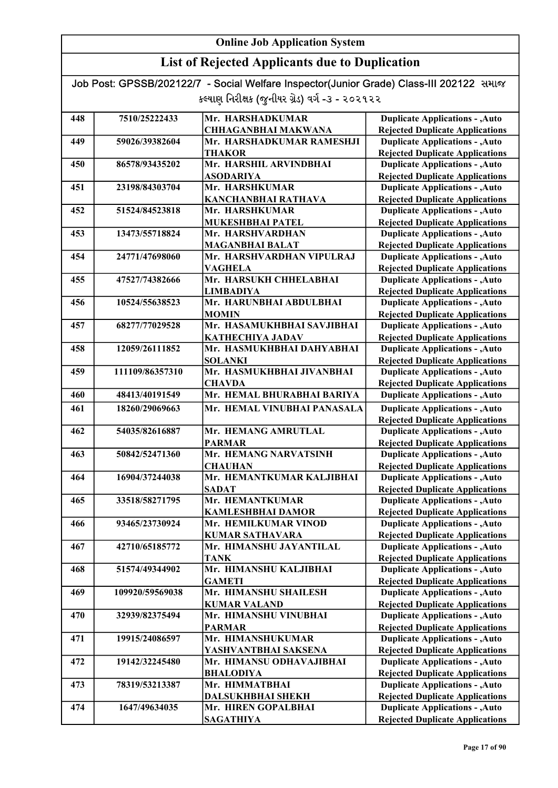### List of Rejected Applicants due to Duplication

| 448 | 7510/25222433   | Mr. HARSHADKUMAR                            | <b>Duplicate Applications - , Auto</b>                                           |
|-----|-----------------|---------------------------------------------|----------------------------------------------------------------------------------|
|     |                 | <b>CHHAGANBHAI MAKWANA</b>                  | <b>Rejected Duplicate Applications</b>                                           |
| 449 | 59026/39382604  | Mr. HARSHADKUMAR RAMESHJI                   | <b>Duplicate Applications - , Auto</b>                                           |
|     |                 | <b>THAKOR</b>                               | <b>Rejected Duplicate Applications</b>                                           |
| 450 | 86578/93435202  | Mr. HARSHIL ARVINDBHAI                      | <b>Duplicate Applications - , Auto</b>                                           |
|     |                 | <b>ASODARIYA</b>                            | <b>Rejected Duplicate Applications</b>                                           |
| 451 | 23198/84303704  | Mr. HARSHKUMAR                              | <b>Duplicate Applications - , Auto</b>                                           |
|     |                 | <b>KANCHANBHAI RATHAVA</b>                  | <b>Rejected Duplicate Applications</b>                                           |
| 452 | 51524/84523818  | Mr. HARSHKUMAR                              | <b>Duplicate Applications - , Auto</b>                                           |
|     |                 | <b>MUKESHBHAI PATEL</b>                     | <b>Rejected Duplicate Applications</b>                                           |
| 453 | 13473/55718824  | Mr. HARSHVARDHAN                            | <b>Duplicate Applications - , Auto</b>                                           |
|     |                 | <b>MAGANBHAI BALAT</b>                      | <b>Rejected Duplicate Applications</b>                                           |
| 454 | 24771/47698060  | Mr. HARSHVARDHAN VIPULRAJ                   | <b>Duplicate Applications - , Auto</b>                                           |
|     |                 | <b>VAGHELA</b>                              | <b>Rejected Duplicate Applications</b>                                           |
| 455 | 47527/74382666  | Mr. HARSUKH CHHELABHAI                      | <b>Duplicate Applications - , Auto</b>                                           |
|     |                 | <b>LIMBADIYA</b>                            | <b>Rejected Duplicate Applications</b>                                           |
| 456 | 10524/55638523  | Mr. HARUNBHAI ABDULBHAI                     | <b>Duplicate Applications - , Auto</b>                                           |
|     |                 | <b>MOMIN</b>                                | <b>Rejected Duplicate Applications</b>                                           |
| 457 | 68277/77029528  | Mr. HASAMUKHBHAI SAVJIBHAI                  | <b>Duplicate Applications - , Auto</b>                                           |
|     |                 | <b>KATHECHIYA JADAV</b>                     | <b>Rejected Duplicate Applications</b>                                           |
| 458 | 12059/26111852  | Mr. HASMUKHBHAI DAHYABHAI                   | <b>Duplicate Applications - , Auto</b>                                           |
| 459 | 111109/86357310 | <b>SOLANKI</b><br>Mr. HASMUKHBHAI JIVANBHAI | <b>Rejected Duplicate Applications</b><br><b>Duplicate Applications - , Auto</b> |
|     |                 | <b>CHAVDA</b>                               |                                                                                  |
| 460 | 48413/40191549  | Mr. HEMAL BHURABHAI BARIYA                  | <b>Rejected Duplicate Applications</b><br><b>Duplicate Applications - , Auto</b> |
|     |                 |                                             |                                                                                  |
| 461 | 18260/29069663  | Mr. HEMAL VINUBHAI PANASALA                 | <b>Duplicate Applications - , Auto</b>                                           |
|     |                 |                                             | <b>Rejected Duplicate Applications</b>                                           |
| 462 | 54035/82616887  | Mr. HEMANG AMRUTLAL                         | <b>Duplicate Applications - , Auto</b>                                           |
| 463 | 50842/52471360  | <b>PARMAR</b><br>Mr. HEMANG NARVATSINH      | <b>Rejected Duplicate Applications</b><br><b>Duplicate Applications - , Auto</b> |
|     |                 | <b>CHAUHAN</b>                              | <b>Rejected Duplicate Applications</b>                                           |
| 464 | 16904/37244038  | Mr. HEMANTKUMAR KALJIBHAI                   | <b>Duplicate Applications - , Auto</b>                                           |
|     |                 | <b>SADAT</b>                                | <b>Rejected Duplicate Applications</b>                                           |
| 465 | 33518/58271795  | Mr. HEMANTKUMAR                             | <b>Duplicate Applications - , Auto</b>                                           |
|     |                 | <b>KAMLESHBHAI DAMOR</b>                    | <b>Rejected Duplicate Applications</b>                                           |
| 466 | 93465/23730924  | Mr. HEMILKUMAR VINOD                        | <b>Duplicate Applications - , Auto</b>                                           |
|     |                 | <b>KUMAR SATHAVARA</b>                      | <b>Rejected Duplicate Applications</b>                                           |
| 467 | 42710/65185772  | Mr. HIMANSHU JAYANTILAL                     | <b>Duplicate Applications - , Auto</b>                                           |
|     |                 | <b>TANK</b>                                 | <b>Rejected Duplicate Applications</b>                                           |
| 468 | 51574/49344902  | Mr. HIMANSHU KALJIBHAI                      | <b>Duplicate Applications - , Auto</b>                                           |
|     |                 | <b>GAMETI</b>                               | <b>Rejected Duplicate Applications</b>                                           |
| 469 | 109920/59569038 | Mr. HIMANSHU SHAILESH                       | <b>Duplicate Applications - , Auto</b>                                           |
|     |                 | <b>KUMAR VALAND</b>                         | <b>Rejected Duplicate Applications</b>                                           |
| 470 | 32939/82375494  | Mr. HIMANSHU VINUBHAI                       | <b>Duplicate Applications - , Auto</b>                                           |
|     |                 | <b>PARMAR</b>                               | <b>Rejected Duplicate Applications</b>                                           |
| 471 | 19915/24086597  | Mr. HIMANSHUKUMAR                           | <b>Duplicate Applications - , Auto</b>                                           |
|     |                 | YASHVANTBHAI SAKSENA                        | <b>Rejected Duplicate Applications</b>                                           |
| 472 | 19142/32245480  | Mr. HIMANSU ODHAVAJIBHAI                    | <b>Duplicate Applications - , Auto</b>                                           |
|     |                 | <b>BHALODIYA</b>                            | <b>Rejected Duplicate Applications</b>                                           |
| 473 | 78319/53213387  | Mr. HIMMATBHAI                              | <b>Duplicate Applications - , Auto</b>                                           |
|     |                 | <b>DALSUKHBHAI SHEKH</b>                    | <b>Rejected Duplicate Applications</b>                                           |
| 474 | 1647/49634035   | Mr. HIREN GOPALBHAI                         | <b>Duplicate Applications - , Auto</b>                                           |
|     |                 | <b>SAGATHIYA</b>                            | <b>Rejected Duplicate Applications</b>                                           |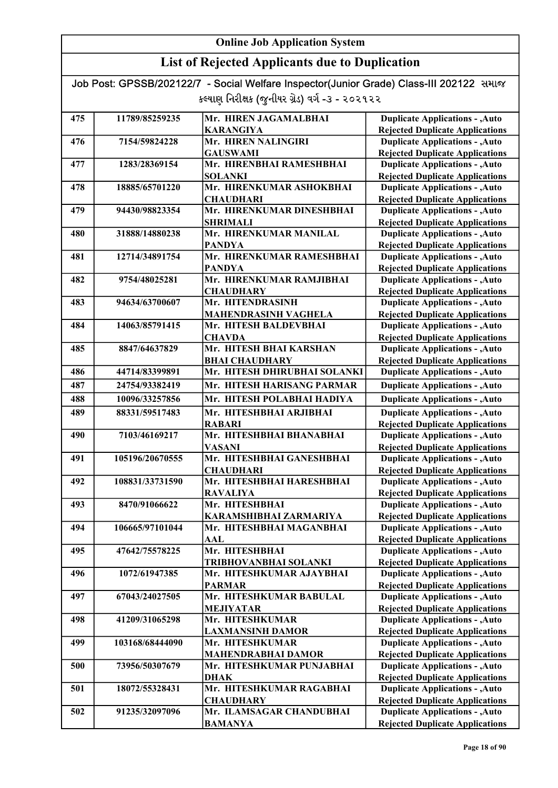### List of Rejected Applicants due to Duplication

| 475 | 11789/85259235  | Mr. HIREN JAGAMALBHAI                             | <b>Duplicate Applications - , Auto</b>                                           |
|-----|-----------------|---------------------------------------------------|----------------------------------------------------------------------------------|
|     |                 | <b>KARANGIYA</b>                                  | <b>Rejected Duplicate Applications</b>                                           |
| 476 | 7154/59824228   | Mr. HIREN NALINGIRI                               | <b>Duplicate Applications - , Auto</b>                                           |
|     |                 | <b>GAUSWAMI</b>                                   | <b>Rejected Duplicate Applications</b>                                           |
| 477 | 1283/28369154   | Mr. HIRENBHAI RAMESHBHAI                          | <b>Duplicate Applications - , Auto</b>                                           |
|     |                 | <b>SOLANKI</b>                                    | <b>Rejected Duplicate Applications</b>                                           |
| 478 | 18885/65701220  | Mr. HIRENKUMAR ASHOKBHAI                          | <b>Duplicate Applications - , Auto</b>                                           |
|     |                 | <b>CHAUDHARI</b>                                  | <b>Rejected Duplicate Applications</b>                                           |
| 479 | 94430/98823354  | Mr. HIRENKUMAR DINESHBHAI                         | <b>Duplicate Applications - , Auto</b>                                           |
|     |                 | <b>SHRIMALI</b>                                   | <b>Rejected Duplicate Applications</b>                                           |
| 480 | 31888/14880238  | Mr. HIRENKUMAR MANILAL                            | <b>Duplicate Applications - , Auto</b>                                           |
|     |                 | <b>PANDYA</b>                                     | <b>Rejected Duplicate Applications</b>                                           |
| 481 | 12714/34891754  | Mr. HIRENKUMAR RAMESHBHAI                         | <b>Duplicate Applications - , Auto</b>                                           |
|     |                 | <b>PANDYA</b>                                     | <b>Rejected Duplicate Applications</b>                                           |
| 482 | 9754/48025281   | Mr. HIRENKUMAR RAMJIBHAI                          | <b>Duplicate Applications - , Auto</b>                                           |
|     |                 | <b>CHAUDHARY</b>                                  | <b>Rejected Duplicate Applications</b>                                           |
| 483 | 94634/63700607  | Mr. HITENDRASINH                                  | <b>Duplicate Applications - , Auto</b>                                           |
| 484 |                 | MAHENDRASINH VAGHELA                              | <b>Rejected Duplicate Applications</b>                                           |
|     | 14063/85791415  | Mr. HITESH BALDEVBHAI                             | <b>Duplicate Applications - , Auto</b>                                           |
| 485 | 8847/64637829   | <b>CHAVDA</b><br>Mr. HITESH BHAI KARSHAN          | <b>Rejected Duplicate Applications</b><br><b>Duplicate Applications - , Auto</b> |
|     |                 | <b>BHAI CHAUDHARY</b>                             | <b>Rejected Duplicate Applications</b>                                           |
| 486 | 44714/83399891  | Mr. HITESH DHIRUBHAI SOLANKI                      | <b>Duplicate Applications - , Auto</b>                                           |
|     |                 |                                                   |                                                                                  |
| 487 | 24754/93382419  | Mr. HITESH HARISANG PARMAR                        | <b>Duplicate Applications - , Auto</b>                                           |
| 488 | 10096/33257856  | Mr. HITESH POLABHAI HADIYA                        | <b>Duplicate Applications - , Auto</b>                                           |
| 489 | 88331/59517483  | Mr. HITESHBHAI ARJIBHAI                           | <b>Duplicate Applications - , Auto</b>                                           |
|     |                 | <b>RABARI</b>                                     | <b>Rejected Duplicate Applications</b>                                           |
| 490 | 7103/46169217   | Mr. HITESHBHAI BHANABHAI                          | <b>Duplicate Applications - , Auto</b>                                           |
|     |                 | <b>VASANI</b>                                     | <b>Rejected Duplicate Applications</b>                                           |
| 491 | 105196/20670555 | Mr. HITESHBHAI GANESHBHAI                         | <b>Duplicate Applications - , Auto</b>                                           |
|     |                 | <b>CHAUDHARI</b>                                  | <b>Rejected Duplicate Applications</b>                                           |
| 492 | 108831/33731590 | Mr. HITESHBHAI HARESHBHAI                         | <b>Duplicate Applications - , Auto</b>                                           |
|     |                 | <b>RAVALIYA</b>                                   | <b>Rejected Duplicate Applications</b>                                           |
| 493 | 8470/91066622   | Mr. HITESHBHAI                                    | <b>Duplicate Applications - , Auto</b>                                           |
|     |                 | KARAMSHIBHAI ZARMARIYA                            | <b>Rejected Duplicate Applications</b>                                           |
| 494 | 106665/97101044 | Mr. HITESHBHAI MAGANBHAI                          | <b>Duplicate Applications - , Auto</b>                                           |
| 495 | 47642/75578225  | AAL<br>Mr. HITESHBHAI                             | <b>Rejected Duplicate Applications</b>                                           |
|     |                 |                                                   | <b>Duplicate Applications - , Auto</b><br><b>Rejected Duplicate Applications</b> |
| 496 | 1072/61947385   | TRIBHOVANBHAI SOLANKI<br>Mr. HITESHKUMAR AJAYBHAI | <b>Duplicate Applications - , Auto</b>                                           |
|     |                 | <b>PARMAR</b>                                     | <b>Rejected Duplicate Applications</b>                                           |
| 497 | 67043/24027505  | Mr. HITESHKUMAR BABULAL                           | <b>Duplicate Applications - , Auto</b>                                           |
|     |                 | <b>MEJIYATAR</b>                                  | <b>Rejected Duplicate Applications</b>                                           |
| 498 | 41209/31065298  | Mr. HITESHKUMAR                                   | <b>Duplicate Applications - , Auto</b>                                           |
|     |                 | <b>LAXMANSINH DAMOR</b>                           | <b>Rejected Duplicate Applications</b>                                           |
| 499 | 103168/68444090 | Mr. HITESHKUMAR                                   | <b>Duplicate Applications - , Auto</b>                                           |
|     |                 | <b>MAHENDRABHAI DAMOR</b>                         | <b>Rejected Duplicate Applications</b>                                           |
| 500 | 73956/50307679  | Mr. HITESHKUMAR PUNJABHAI                         | <b>Duplicate Applications - , Auto</b>                                           |
|     |                 | <b>DHAK</b>                                       | <b>Rejected Duplicate Applications</b>                                           |
| 501 | 18072/55328431  | Mr. HITESHKUMAR RAGABHAI                          | <b>Duplicate Applications - , Auto</b>                                           |
|     |                 | <b>CHAUDHARY</b>                                  | <b>Rejected Duplicate Applications</b>                                           |
| 502 | 91235/32097096  | Mr. ILAMSAGAR CHANDUBHAI                          | <b>Duplicate Applications - , Auto</b>                                           |
|     |                 | <b>BAMANYA</b>                                    | <b>Rejected Duplicate Applications</b>                                           |
|     |                 |                                                   |                                                                                  |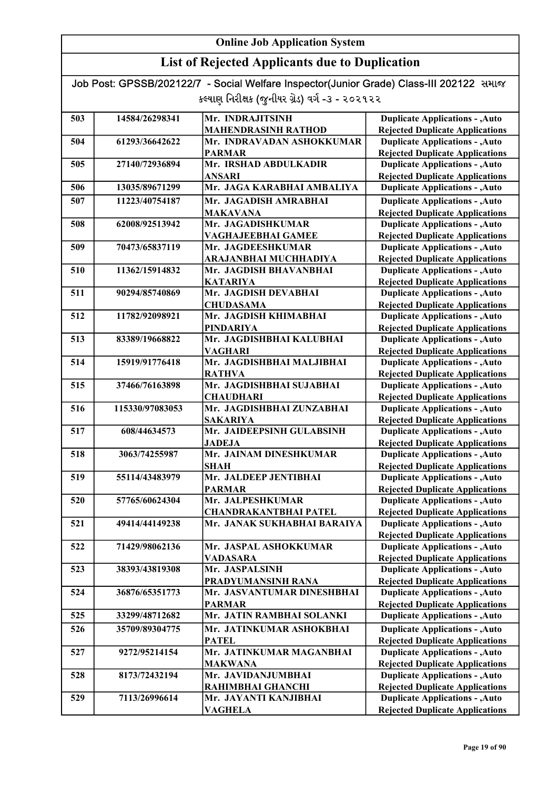### List of Rejected Applicants due to Duplication

| 503 | 14584/26298341  | Mr. INDRAJITSINH             | <b>Duplicate Applications - , Auto</b> |
|-----|-----------------|------------------------------|----------------------------------------|
|     |                 | <b>MAHENDRASINH RATHOD</b>   | <b>Rejected Duplicate Applications</b> |
| 504 | 61293/36642622  | Mr. INDRAVADAN ASHOKKUMAR    | <b>Duplicate Applications - , Auto</b> |
|     |                 | <b>PARMAR</b>                | <b>Rejected Duplicate Applications</b> |
| 505 | 27140/72936894  | Mr. IRSHAD ABDULKADIR        | <b>Duplicate Applications - , Auto</b> |
|     |                 | <b>ANSARI</b>                | <b>Rejected Duplicate Applications</b> |
| 506 | 13035/89671299  | Mr. JAGA KARABHAI AMBALIYA   | <b>Duplicate Applications - , Auto</b> |
| 507 | 11223/40754187  | Mr. JAGADISH AMRABHAI        | <b>Duplicate Applications - , Auto</b> |
|     |                 | <b>MAKAVANA</b>              | <b>Rejected Duplicate Applications</b> |
| 508 | 62008/92513942  | Mr. JAGADISHKUMAR            | <b>Duplicate Applications - , Auto</b> |
|     |                 | VAGHAJEEBHAI GAMEE           | <b>Rejected Duplicate Applications</b> |
| 509 | 70473/65837119  | Mr. JAGDEESHKUMAR            | <b>Duplicate Applications - , Auto</b> |
|     |                 | ARAJANBHAI MUCHHADIYA        | <b>Rejected Duplicate Applications</b> |
| 510 | 11362/15914832  | Mr. JAGDISH BHAVANBHAI       | <b>Duplicate Applications - , Auto</b> |
|     |                 | <b>KATARIYA</b>              | <b>Rejected Duplicate Applications</b> |
| 511 | 90294/85740869  | Mr. JAGDISH DEVABHAI         | <b>Duplicate Applications - , Auto</b> |
|     |                 | <b>CHUDASAMA</b>             | <b>Rejected Duplicate Applications</b> |
| 512 | 11782/92098921  | Mr. JAGDISH KHIMABHAI        | <b>Duplicate Applications - , Auto</b> |
|     |                 | <b>PINDARIYA</b>             | <b>Rejected Duplicate Applications</b> |
| 513 | 83389/19668822  | Mr. JAGDISHBHAI KALUBHAI     | <b>Duplicate Applications - , Auto</b> |
|     |                 | <b>VAGHARI</b>               | <b>Rejected Duplicate Applications</b> |
| 514 | 15919/91776418  | Mr. JAGDISHBHAI MALJIBHAI    | <b>Duplicate Applications - , Auto</b> |
|     |                 | <b>RATHVA</b>                | <b>Rejected Duplicate Applications</b> |
| 515 | 37466/76163898  | Mr. JAGDISHBHAI SUJABHAI     | <b>Duplicate Applications - , Auto</b> |
|     |                 | <b>CHAUDHARI</b>             | <b>Rejected Duplicate Applications</b> |
| 516 | 115330/97083053 | Mr. JAGDISHBHAI ZUNZABHAI    | <b>Duplicate Applications - , Auto</b> |
|     |                 | <b>SAKARIYA</b>              | <b>Rejected Duplicate Applications</b> |
| 517 | 608/44634573    | Mr. JAIDEEPSINH GULABSINH    | <b>Duplicate Applications - , Auto</b> |
|     |                 | <b>JADEJA</b>                | <b>Rejected Duplicate Applications</b> |
| 518 | 3063/74255987   | Mr. JAINAM DINESHKUMAR       | <b>Duplicate Applications - , Auto</b> |
|     |                 | <b>SHAH</b>                  | <b>Rejected Duplicate Applications</b> |
| 519 | 55114/43483979  | Mr. JALDEEP JENTIBHAI        | <b>Duplicate Applications - , Auto</b> |
|     |                 | <b>PARMAR</b>                | <b>Rejected Duplicate Applications</b> |
| 520 | 57765/60624304  | Mr. JALPESHKUMAR             | <b>Duplicate Applications - , Auto</b> |
|     |                 | <b>CHANDRAKANTBHAI PATEL</b> | <b>Rejected Duplicate Applications</b> |
| 521 | 49414/44149238  | Mr. JANAK SUKHABHAI BARAIYA  | <b>Duplicate Applications - , Auto</b> |
|     |                 |                              | <b>Rejected Duplicate Applications</b> |
| 522 | 71429/98062136  | Mr. JASPAL ASHOKKUMAR        | <b>Duplicate Applications - , Auto</b> |
|     |                 | <b>VADASARA</b>              | <b>Rejected Duplicate Applications</b> |
| 523 | 38393/43819308  | Mr. JASPALSINH               | <b>Duplicate Applications - , Auto</b> |
|     |                 | PRADYUMANSINH RANA           | <b>Rejected Duplicate Applications</b> |
| 524 | 36876/65351773  | Mr. JASVANTUMAR DINESHBHAI   | <b>Duplicate Applications - , Auto</b> |
|     |                 | <b>PARMAR</b>                | <b>Rejected Duplicate Applications</b> |
| 525 | 33299/48712682  | Mr. JATIN RAMBHAI SOLANKI    | <b>Duplicate Applications - , Auto</b> |
| 526 | 35709/89304775  | Mr. JATINKUMAR ASHOKBHAI     | <b>Duplicate Applications - , Auto</b> |
|     |                 | <b>PATEL</b>                 | <b>Rejected Duplicate Applications</b> |
| 527 | 9272/95214154   | Mr. JATINKUMAR MAGANBHAI     | <b>Duplicate Applications - , Auto</b> |
|     |                 | <b>MAKWANA</b>               | <b>Rejected Duplicate Applications</b> |
| 528 | 8173/72432194   | Mr. JAVIDANJUMBHAI           | <b>Duplicate Applications - , Auto</b> |
|     |                 | RAHIMBHAI GHANCHI            | <b>Rejected Duplicate Applications</b> |
| 529 | 7113/26996614   | Mr. JAYANTI KANJIBHAI        | <b>Duplicate Applications - , Auto</b> |
|     |                 | VAGHELA                      | <b>Rejected Duplicate Applications</b> |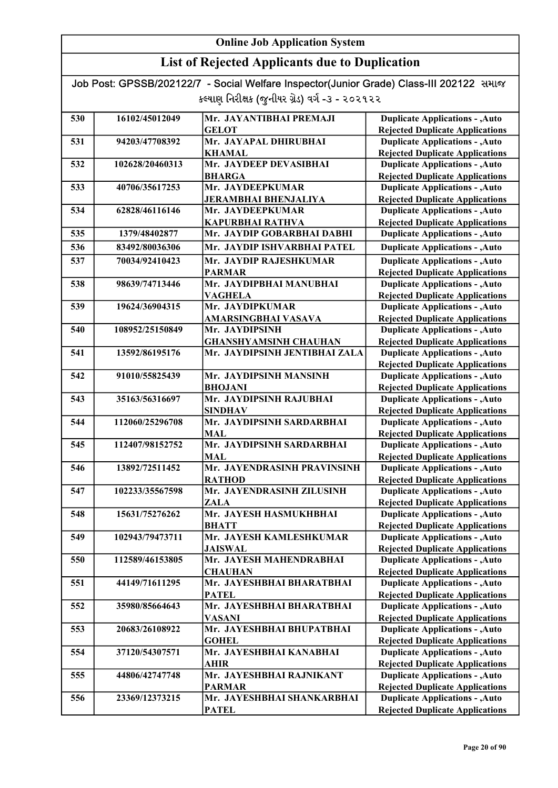### List of Rejected Applicants due to Duplication

| 530 | 16102/45012049  | Mr. JAYANTIBHAI PREMAJI       | <b>Duplicate Applications - , Auto</b> |
|-----|-----------------|-------------------------------|----------------------------------------|
|     |                 | <b>GELOT</b>                  | <b>Rejected Duplicate Applications</b> |
| 531 | 94203/47708392  | Mr. JAYAPAL DHIRUBHAI         | <b>Duplicate Applications - , Auto</b> |
|     |                 | <b>KHAMAL</b>                 | <b>Rejected Duplicate Applications</b> |
| 532 | 102628/20460313 | Mr. JAYDEEP DEVASIBHAI        | <b>Duplicate Applications - , Auto</b> |
|     |                 | <b>BHARGA</b>                 | <b>Rejected Duplicate Applications</b> |
| 533 | 40706/35617253  | Mr. JAYDEEPKUMAR              | <b>Duplicate Applications - , Auto</b> |
|     |                 | <b>JERAMBHAI BHENJALIYA</b>   | <b>Rejected Duplicate Applications</b> |
| 534 | 62828/46116146  | Mr. JAYDEEPKUMAR              | <b>Duplicate Applications - , Auto</b> |
|     |                 | <b>KAPURBHAI RATHVA</b>       | <b>Rejected Duplicate Applications</b> |
| 535 | 1379/48402877   | Mr. JAYDIP GOBARBHAI DABHI    | <b>Duplicate Applications - , Auto</b> |
| 536 | 83492/80036306  | Mr. JAYDIP ISHVARBHAI PATEL   | <b>Duplicate Applications - , Auto</b> |
| 537 | 70034/92410423  | Mr. JAYDIP RAJESHKUMAR        | <b>Duplicate Applications - , Auto</b> |
|     |                 | <b>PARMAR</b>                 | <b>Rejected Duplicate Applications</b> |
| 538 | 98639/74713446  | Mr. JAYDIPBHAI MANUBHAI       | <b>Duplicate Applications - , Auto</b> |
|     |                 | <b>VAGHELA</b>                | <b>Rejected Duplicate Applications</b> |
| 539 | 19624/36904315  | Mr. JAYDIPKUMAR               | <b>Duplicate Applications - , Auto</b> |
|     |                 | AMARSINGBHAI VASAVA           | <b>Rejected Duplicate Applications</b> |
| 540 | 108952/25150849 | Mr. JAYDIPSINH                | <b>Duplicate Applications - , Auto</b> |
|     |                 | <b>GHANSHYAMSINH CHAUHAN</b>  | <b>Rejected Duplicate Applications</b> |
| 541 | 13592/86195176  | Mr. JAYDIPSINH JENTIBHAI ZALA | <b>Duplicate Applications - , Auto</b> |
|     |                 |                               | <b>Rejected Duplicate Applications</b> |
| 542 | 91010/55825439  | Mr. JAYDIPSINH MANSINH        | <b>Duplicate Applications - , Auto</b> |
|     |                 | <b>BHOJANI</b>                | <b>Rejected Duplicate Applications</b> |
| 543 | 35163/56316697  | Mr. JAYDIPSINH RAJUBHAI       | <b>Duplicate Applications - , Auto</b> |
|     |                 | <b>SINDHAV</b>                | <b>Rejected Duplicate Applications</b> |
| 544 | 112060/25296708 | Mr. JAYDIPSINH SARDARBHAI     | <b>Duplicate Applications - , Auto</b> |
|     |                 | <b>MAL</b>                    | <b>Rejected Duplicate Applications</b> |
| 545 | 112407/98152752 | Mr. JAYDIPSINH SARDARBHAI     | <b>Duplicate Applications - , Auto</b> |
|     |                 | <b>MAL</b>                    | <b>Rejected Duplicate Applications</b> |
| 546 | 13892/72511452  | Mr. JAYENDRASINH PRAVINSINH   | <b>Duplicate Applications - , Auto</b> |
|     |                 | <b>RATHOD</b>                 | <b>Rejected Duplicate Applications</b> |
| 547 | 102233/35567598 | Mr. JAYENDRASINH ZILUSINH     | <b>Duplicate Applications - , Auto</b> |
|     |                 | <b>ZALA</b>                   | <b>Rejected Duplicate Applications</b> |
| 548 | 15631/75276262  | Mr. JAYESH HASMUKHBHAI        | <b>Duplicate Applications - , Auto</b> |
|     |                 | <b>BHATT</b>                  | <b>Rejected Duplicate Applications</b> |
| 549 | 102943/79473711 | Mr. JAYESH KAMLESHKUMAR       | <b>Duplicate Applications - , Auto</b> |
|     |                 | <b>JAISWAL</b>                | <b>Rejected Duplicate Applications</b> |
| 550 | 112589/46153805 | Mr. JAYESH MAHENDRABHAI       | <b>Duplicate Applications - , Auto</b> |
|     |                 | <b>CHAUHAN</b>                | <b>Rejected Duplicate Applications</b> |
| 551 | 44149/71611295  | Mr. JAYESHBHAI BHARATBHAI     | <b>Duplicate Applications - , Auto</b> |
|     |                 | <b>PATEL</b>                  | <b>Rejected Duplicate Applications</b> |
| 552 | 35980/85664643  | Mr. JAYESHBHAI BHARATBHAI     | <b>Duplicate Applications - , Auto</b> |
|     |                 | <b>VASANI</b>                 | <b>Rejected Duplicate Applications</b> |
| 553 | 20683/26108922  | Mr. JAYESHBHAI BHUPATBHAI     | <b>Duplicate Applications - , Auto</b> |
|     |                 | <b>GOHEL</b>                  | <b>Rejected Duplicate Applications</b> |
| 554 | 37120/54307571  | Mr. JAYESHBHAI KANABHAI       | <b>Duplicate Applications - , Auto</b> |
|     |                 | AHIR                          | <b>Rejected Duplicate Applications</b> |
| 555 | 44806/42747748  | Mr. JAYESHBHAI RAJNIKANT      | <b>Duplicate Applications - , Auto</b> |
|     |                 | <b>PARMAR</b>                 | <b>Rejected Duplicate Applications</b> |
| 556 | 23369/12373215  | Mr. JAYESHBHAI SHANKARBHAI    | <b>Duplicate Applications - , Auto</b> |
|     |                 | <b>PATEL</b>                  | <b>Rejected Duplicate Applications</b> |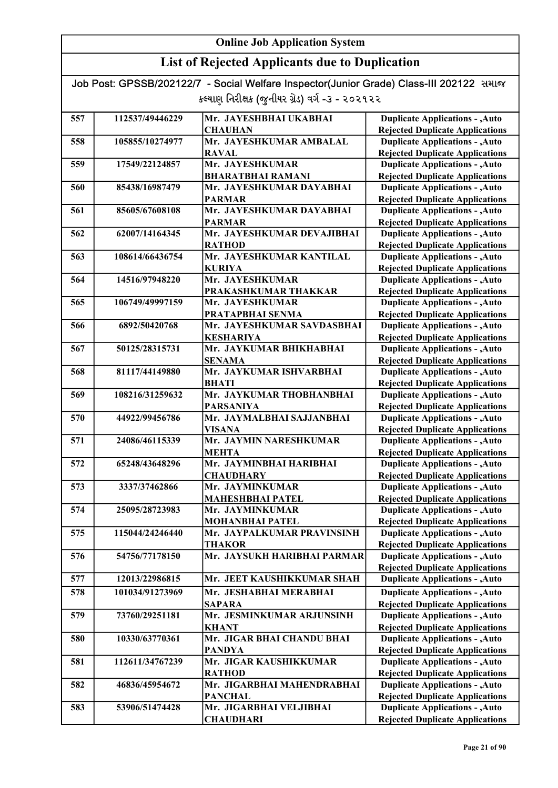| Job Post: GPSSB/202122/7 - Social Welfare Inspector(Junior Grade) Class-III 202122 समाल |  |
|-----------------------------------------------------------------------------------------|--|
| કલ્યાણ નિરીક્ષક (જુનીયર ગ્રેડ) વર્ગ -૩ - ૨૦૨૧૨૨                                         |  |

| 557 | 112537/49446229 | Mr. JAYESHBHAI UKABHAI                  | <b>Duplicate Applications - , Auto</b>                                           |
|-----|-----------------|-----------------------------------------|----------------------------------------------------------------------------------|
|     |                 | <b>CHAUHAN</b>                          | <b>Rejected Duplicate Applications</b>                                           |
| 558 | 105855/10274977 | Mr. JAYESHKUMAR AMBALAL                 | <b>Duplicate Applications - , Auto</b>                                           |
|     |                 | <b>RAVAL</b>                            | <b>Rejected Duplicate Applications</b>                                           |
| 559 | 17549/22124857  | Mr. JAYESHKUMAR                         | <b>Duplicate Applications - , Auto</b>                                           |
|     |                 | <b>BHARATBHAI RAMANI</b>                | <b>Rejected Duplicate Applications</b>                                           |
| 560 | 85438/16987479  | Mr. JAYESHKUMAR DAYABHAI                | <b>Duplicate Applications - , Auto</b>                                           |
|     |                 | <b>PARMAR</b>                           | <b>Rejected Duplicate Applications</b>                                           |
| 561 | 85605/67608108  | Mr. JAYESHKUMAR DAYABHAI                | <b>Duplicate Applications - , Auto</b>                                           |
|     |                 | <b>PARMAR</b>                           | <b>Rejected Duplicate Applications</b>                                           |
| 562 | 62007/14164345  | Mr. JAYESHKUMAR DEVAJIBHAI              | <b>Duplicate Applications - , Auto</b>                                           |
|     |                 | <b>RATHOD</b>                           | <b>Rejected Duplicate Applications</b>                                           |
| 563 | 108614/66436754 | Mr. JAYESHKUMAR KANTILAL                | <b>Duplicate Applications - , Auto</b>                                           |
|     |                 | <b>KURIYA</b>                           | <b>Rejected Duplicate Applications</b>                                           |
| 564 | 14516/97948220  | Mr. JAYESHKUMAR                         | <b>Duplicate Applications - , Auto</b>                                           |
|     |                 | PRAKASHKUMAR THAKKAR                    | <b>Rejected Duplicate Applications</b>                                           |
| 565 | 106749/49997159 | Mr. JAYESHKUMAR                         | <b>Duplicate Applications - , Auto</b>                                           |
|     |                 | PRATAPBHAI SENMA                        | <b>Rejected Duplicate Applications</b>                                           |
| 566 | 6892/50420768   | Mr. JAYESHKUMAR SAVDASBHAI              | <b>Duplicate Applications - , Auto</b>                                           |
|     |                 | <b>KESHARIYA</b>                        | <b>Rejected Duplicate Applications</b>                                           |
| 567 | 50125/28315731  | Mr. JAYKUMAR BHIKHABHAI                 | <b>Duplicate Applications - , Auto</b>                                           |
|     |                 | <b>SENAMA</b>                           | <b>Rejected Duplicate Applications</b>                                           |
| 568 | 81117/44149880  | Mr. JAYKUMAR ISHVARBHAI                 | <b>Duplicate Applications - , Auto</b>                                           |
|     |                 | <b>BHATI</b>                            | <b>Rejected Duplicate Applications</b>                                           |
| 569 | 108216/31259632 | Mr. JAYKUMAR THOBHANBHAI                | <b>Duplicate Applications - , Auto</b>                                           |
|     |                 | <b>PARSANIYA</b>                        | <b>Rejected Duplicate Applications</b>                                           |
| 570 | 44922/99456786  | Mr. JAYMALBHAI SAJJANBHAI               | <b>Duplicate Applications - , Auto</b>                                           |
|     |                 | <b>VISANA</b>                           | <b>Rejected Duplicate Applications</b>                                           |
| 571 | 24086/46115339  | Mr. JAYMIN NARESHKUMAR                  | <b>Duplicate Applications - , Auto</b>                                           |
| 572 | 65248/43648296  | <b>MEHTA</b><br>Mr. JAYMINBHAI HARIBHAI | <b>Rejected Duplicate Applications</b><br><b>Duplicate Applications - , Auto</b> |
|     |                 | <b>CHAUDHARY</b>                        |                                                                                  |
| 573 | 3337/37462866   | Mr. JAYMINKUMAR                         | <b>Rejected Duplicate Applications</b><br><b>Duplicate Applications - , Auto</b> |
|     |                 | <b>MAHESHBHAI PATEL</b>                 | <b>Rejected Duplicate Applications</b>                                           |
| 574 | 25095/28723983  | Mr. JAYMINKUMAR                         | <b>Duplicate Applications - , Auto</b>                                           |
|     |                 | <b>MOHANBHAI PATEL</b>                  | <b>Rejected Duplicate Applications</b>                                           |
| 575 | 115044/24246440 | Mr. JAYPALKUMAR PRAVINSINH              | <b>Duplicate Applications - , Auto</b>                                           |
|     |                 | <b>THAKOR</b>                           | <b>Rejected Duplicate Applications</b>                                           |
| 576 | 54756/77178150  | Mr. JAYSUKH HARIBHAI PARMAR             | <b>Duplicate Applications - , Auto</b>                                           |
|     |                 |                                         | <b>Rejected Duplicate Applications</b>                                           |
| 577 | 12013/22986815  | Mr. JEET KAUSHIKKUMAR SHAH              | <b>Duplicate Applications - , Auto</b>                                           |
| 578 | 101034/91273969 | Mr. JESHABHAI MERABHAI                  | <b>Duplicate Applications - , Auto</b>                                           |
|     |                 | <b>SAPARA</b>                           | <b>Rejected Duplicate Applications</b>                                           |
| 579 | 73760/29251181  | Mr. JESMINKUMAR ARJUNSINH               | <b>Duplicate Applications - , Auto</b>                                           |
|     |                 | KHANT                                   | <b>Rejected Duplicate Applications</b>                                           |
| 580 | 10330/63770361  | Mr. JIGAR BHAI CHANDU BHAI              | <b>Duplicate Applications - , Auto</b>                                           |
|     |                 | <b>PANDYA</b>                           | <b>Rejected Duplicate Applications</b>                                           |
| 581 | 112611/34767239 | Mr. JIGAR KAUSHIKKUMAR                  | <b>Duplicate Applications - , Auto</b>                                           |
|     |                 | <b>RATHOD</b>                           | <b>Rejected Duplicate Applications</b>                                           |
| 582 | 46836/45954672  | Mr. JIGARBHAI MAHENDRABHAI              | <b>Duplicate Applications - , Auto</b>                                           |
|     |                 | <b>PANCHAL</b>                          | <b>Rejected Duplicate Applications</b>                                           |
| 583 | 53906/51474428  | Mr. JIGARBHAI VELJIBHAI                 | <b>Duplicate Applications - , Auto</b>                                           |
|     |                 | <b>CHAUDHARI</b>                        | <b>Rejected Duplicate Applications</b>                                           |
|     |                 |                                         |                                                                                  |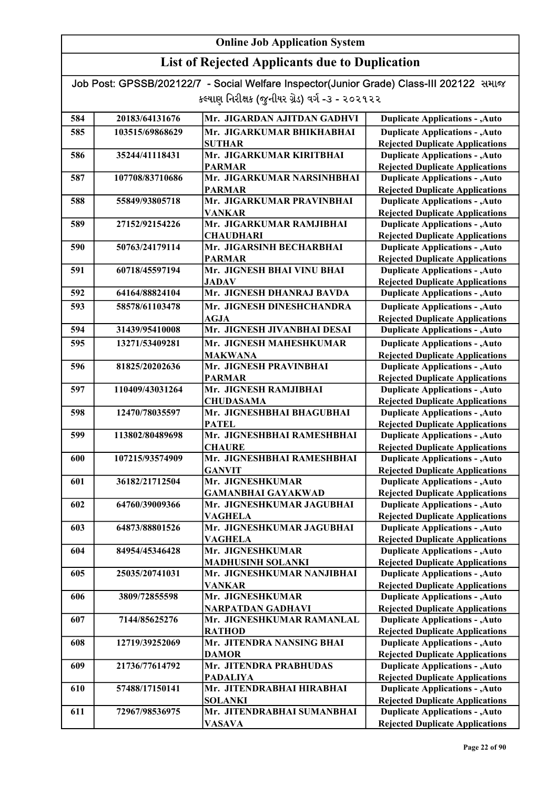| Job Post: GPSSB/202122/7 - Social Welfare Inspector(Junior Grade) Class-III 202122 समाल |  |
|-----------------------------------------------------------------------------------------|--|
| કલ્યાણ નિરીક્ષક (જુનીયર ગ્રેડ) વર્ગ -૩ - ૨૦૨૧૨૨                                         |  |

| 584 | 20183/64131676  | Mr. JIGARDAN AJITDAN GADHVI                  | <b>Duplicate Applications - , Auto</b>                                           |
|-----|-----------------|----------------------------------------------|----------------------------------------------------------------------------------|
| 585 | 103515/69868629 | Mr. JIGARKUMAR BHIKHABHAI                    | <b>Duplicate Applications - , Auto</b>                                           |
|     |                 | <b>SUTHAR</b>                                | <b>Rejected Duplicate Applications</b>                                           |
| 586 | 35244/41118431  | Mr. JIGARKUMAR KIRITBHAI                     | <b>Duplicate Applications - , Auto</b>                                           |
|     |                 | <b>PARMAR</b>                                | <b>Rejected Duplicate Applications</b>                                           |
| 587 | 107708/83710686 | Mr. JIGARKUMAR NARSINHBHAI                   | <b>Duplicate Applications - , Auto</b>                                           |
|     |                 | <b>PARMAR</b>                                | <b>Rejected Duplicate Applications</b>                                           |
| 588 | 55849/93805718  | Mr. JIGARKUMAR PRAVINBHAI                    | <b>Duplicate Applications - , Auto</b>                                           |
|     |                 | <b>VANKAR</b>                                | <b>Rejected Duplicate Applications</b>                                           |
| 589 | 27152/92154226  | Mr. JIGARKUMAR RAMJIBHAI                     | <b>Duplicate Applications - , Auto</b>                                           |
|     |                 | <b>CHAUDHARI</b>                             | <b>Rejected Duplicate Applications</b>                                           |
| 590 | 50763/24179114  | Mr. JIGARSINH BECHARBHAI                     | <b>Duplicate Applications - , Auto</b>                                           |
|     |                 | <b>PARMAR</b>                                | <b>Rejected Duplicate Applications</b>                                           |
| 591 | 60718/45597194  | Mr. JIGNESH BHAI VINU BHAI                   | <b>Duplicate Applications - , Auto</b>                                           |
|     |                 | <b>JADAV</b>                                 | <b>Rejected Duplicate Applications</b>                                           |
| 592 | 64164/88824104  | Mr. JIGNESH DHANRAJ BAVDA                    | <b>Duplicate Applications - , Auto</b>                                           |
| 593 | 58578/61103478  | Mr. JIGNESH DINESHCHANDRA                    | <b>Duplicate Applications - , Auto</b>                                           |
|     |                 | <b>AGJA</b>                                  | <b>Rejected Duplicate Applications</b>                                           |
| 594 | 31439/95410008  | Mr. JIGNESH JIVANBHAI DESAI                  | <b>Duplicate Applications - , Auto</b>                                           |
| 595 | 13271/53409281  | Mr. JIGNESH MAHESHKUMAR                      | <b>Duplicate Applications - , Auto</b>                                           |
|     |                 | <b>MAKWANA</b>                               | <b>Rejected Duplicate Applications</b>                                           |
| 596 | 81825/20202636  | Mr. JIGNESH PRAVINBHAI                       | <b>Duplicate Applications - , Auto</b>                                           |
|     |                 | <b>PARMAR</b>                                | <b>Rejected Duplicate Applications</b>                                           |
| 597 | 110409/43031264 | Mr. JIGNESH RAMJIBHAI                        | <b>Duplicate Applications - , Auto</b>                                           |
|     |                 | <b>CHUDASAMA</b>                             | <b>Rejected Duplicate Applications</b>                                           |
| 598 | 12470/78035597  | Mr. JIGNESHBHAI BHAGUBHAI                    | <b>Duplicate Applications - , Auto</b>                                           |
|     |                 | <b>PATEL</b>                                 | <b>Rejected Duplicate Applications</b>                                           |
| 599 | 113802/80489698 | Mr. JIGNESHBHAI RAMESHBHAI                   | <b>Duplicate Applications - , Auto</b>                                           |
|     |                 | <b>CHAURE</b>                                | <b>Rejected Duplicate Applications</b>                                           |
| 600 | 107215/93574909 | Mr. JIGNESHBHAI RAMESHBHAI                   | <b>Duplicate Applications - , Auto</b>                                           |
|     |                 | <b>GANVIT</b>                                | <b>Rejected Duplicate Applications</b>                                           |
| 601 | 36182/21712504  | Mr. JIGNESHKUMAR                             | <b>Duplicate Applications - , Auto</b>                                           |
|     |                 | <b>GAMANBHAI GAYAKWAD</b>                    | <b>Rejected Duplicate Applications</b>                                           |
| 602 | 64760/39009366  | Mr. JIGNESHKUMAR JAGUBHAI                    | <b>Duplicate Applications - , Auto</b>                                           |
|     |                 | <b>VAGHELA</b>                               | <b>Rejected Duplicate Applications</b>                                           |
| 603 | 64873/88801526  | Mr. JIGNESHKUMAR JAGUBHAI                    | <b>Duplicate Applications - , Auto</b>                                           |
|     |                 | <b>VAGHELA</b>                               | <b>Rejected Duplicate Applications</b>                                           |
| 604 | 84954/45346428  | Mr. JIGNESHKUMAR                             | <b>Duplicate Applications - , Auto</b>                                           |
|     |                 | <b>MADHUSINH SOLANKI</b>                     | <b>Rejected Duplicate Applications</b>                                           |
| 605 | 25035/20741031  | Mr. JIGNESHKUMAR NANJIBHAI                   | <b>Duplicate Applications - , Auto</b>                                           |
|     |                 | <b>VANKAR</b>                                | <b>Rejected Duplicate Applications</b>                                           |
| 606 | 3809/72855598   | Mr. JIGNESHKUMAR                             | <b>Duplicate Applications - , Auto</b>                                           |
|     |                 | <b>NARPATDAN GADHAVI</b>                     | <b>Rejected Duplicate Applications</b>                                           |
| 607 | 7144/85625276   | Mr. JIGNESHKUMAR RAMANLAL                    | <b>Duplicate Applications - , Auto</b>                                           |
|     |                 | <b>RATHOD</b>                                | <b>Rejected Duplicate Applications</b>                                           |
| 608 | 12719/39252069  | Mr. JITENDRA NANSING BHAI                    | <b>Duplicate Applications - , Auto</b>                                           |
|     |                 | <b>DAMOR</b><br>Mr. JITENDRA PRABHUDAS       | <b>Rejected Duplicate Applications</b>                                           |
| 609 | 21736/77614792  |                                              | <b>Duplicate Applications - , Auto</b>                                           |
| 610 | 57488/17150141  | <b>PADALIYA</b><br>Mr. JITENDRABHAI HIRABHAI | <b>Rejected Duplicate Applications</b>                                           |
|     |                 |                                              | <b>Duplicate Applications - , Auto</b>                                           |
| 611 | 72967/98536975  | <b>SOLANKI</b><br>Mr. JITENDRABHAI SUMANBHAI | <b>Rejected Duplicate Applications</b><br><b>Duplicate Applications - , Auto</b> |
|     |                 | <b>VASAVA</b>                                | <b>Rejected Duplicate Applications</b>                                           |
|     |                 |                                              |                                                                                  |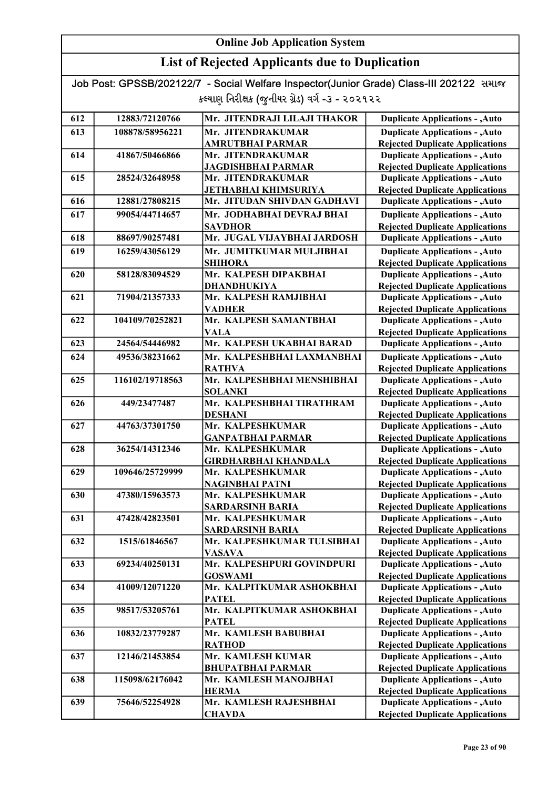### List of Rejected Applicants due to Duplication

| 612 | 12883/72120766  | Mr. JITENDRAJI LILAJI THAKOR                | <b>Duplicate Applications - , Auto</b>                                           |
|-----|-----------------|---------------------------------------------|----------------------------------------------------------------------------------|
| 613 | 108878/58956221 | Mr. JITENDRAKUMAR                           | <b>Duplicate Applications - , Auto</b>                                           |
|     |                 | <b>AMRUTBHAI PARMAR</b>                     | <b>Rejected Duplicate Applications</b>                                           |
| 614 | 41867/50466866  | Mr. JITENDRAKUMAR                           | <b>Duplicate Applications - , Auto</b>                                           |
|     |                 | <b>JAGDISHBHAI PARMAR</b>                   | <b>Rejected Duplicate Applications</b>                                           |
| 615 | 28524/32648958  | Mr. JITENDRAKUMAR                           | <b>Duplicate Applications - , Auto</b>                                           |
|     |                 | <b>JETHABHAI KHIMSURIYA</b>                 | <b>Rejected Duplicate Applications</b>                                           |
| 616 | 12881/27808215  | Mr. JITUDAN SHIVDAN GADHAVI                 | <b>Duplicate Applications - , Auto</b>                                           |
| 617 | 99054/44714657  | Mr. JODHABHAI DEVRAJ BHAI                   | <b>Duplicate Applications - , Auto</b>                                           |
|     |                 | <b>SAVDHOR</b>                              | <b>Rejected Duplicate Applications</b>                                           |
| 618 | 88697/90257481  | Mr. JUGAL VIJAYBHAI JARDOSH                 | <b>Duplicate Applications - , Auto</b>                                           |
| 619 | 16259/43056129  | Mr. JUMITKUMAR MULJIBHAI                    | <b>Duplicate Applications - , Auto</b>                                           |
|     |                 | <b>SHIHORA</b>                              | <b>Rejected Duplicate Applications</b>                                           |
| 620 | 58128/83094529  | Mr. KALPESH DIPAKBHAI                       | <b>Duplicate Applications - , Auto</b>                                           |
|     |                 | <b>DHANDHUKIYA</b>                          | <b>Rejected Duplicate Applications</b>                                           |
| 621 | 71904/21357333  | Mr. KALPESH RAMJIBHAI                       | <b>Duplicate Applications - , Auto</b>                                           |
|     |                 | <b>VADHER</b>                               | <b>Rejected Duplicate Applications</b>                                           |
| 622 | 104109/70252821 | Mr. KALPESH SAMANTBHAI                      | <b>Duplicate Applications - , Auto</b>                                           |
|     |                 | <b>VALA</b>                                 | <b>Rejected Duplicate Applications</b>                                           |
| 623 | 24564/54446982  | Mr. KALPESH UKABHAI BARAD                   | <b>Duplicate Applications - , Auto</b>                                           |
| 624 | 49536/38231662  | Mr. KALPESHBHAI LAXMANBHAI                  | <b>Duplicate Applications - , Auto</b>                                           |
|     |                 | <b>RATHVA</b>                               | <b>Rejected Duplicate Applications</b>                                           |
| 625 | 116102/19718563 | Mr. KALPESHBHAI MENSHIBHAI                  | <b>Duplicate Applications - , Auto</b>                                           |
|     |                 | <b>SOLANKI</b>                              | <b>Rejected Duplicate Applications</b>                                           |
| 626 | 449/23477487    | Mr. KALPESHBHAI TIRATHRAM                   | <b>Duplicate Applications - , Auto</b>                                           |
|     |                 | <b>DESHANI</b>                              | <b>Rejected Duplicate Applications</b>                                           |
| 627 | 44763/37301750  | Mr. KALPESHKUMAR                            | <b>Duplicate Applications - , Auto</b>                                           |
|     |                 | <b>GANPATBHAI PARMAR</b>                    | <b>Rejected Duplicate Applications</b>                                           |
| 628 | 36254/14312346  | Mr. KALPESHKUMAR                            | <b>Duplicate Applications - , Auto</b>                                           |
|     |                 | <b>GIRDHARBHAI KHANDALA</b>                 | <b>Rejected Duplicate Applications</b>                                           |
| 629 | 109646/25729999 | Mr. KALPESHKUMAR                            | <b>Duplicate Applications - , Auto</b>                                           |
|     |                 | <b>NAGINBHAI PATNI</b><br>Mr. KALPESHKUMAR  | <b>Rejected Duplicate Applications</b>                                           |
| 630 | 47380/15963573  |                                             | <b>Duplicate Applications - , Auto</b>                                           |
| 631 | 47428/42823501  | <b>SARDARSINH BARIA</b><br>Mr. KALPESHKUMAR | <b>Rejected Duplicate Applications</b>                                           |
|     |                 | <b>SARDARSINH BARIA</b>                     | <b>Duplicate Applications - , Auto</b><br><b>Rejected Duplicate Applications</b> |
| 632 | 1515/61846567   | Mr. KALPESHKUMAR TULSIBHAI                  | <b>Duplicate Applications - , Auto</b>                                           |
|     |                 | <b>VASAVA</b>                               | <b>Rejected Duplicate Applications</b>                                           |
| 633 | 69234/40250131  | Mr. KALPESHPURI GOVINDPURI                  | <b>Duplicate Applications - , Auto</b>                                           |
|     |                 | <b>GOSWAMI</b>                              | <b>Rejected Duplicate Applications</b>                                           |
| 634 | 41009/12071220  | Mr. KALPITKUMAR ASHOKBHAI                   | <b>Duplicate Applications - , Auto</b>                                           |
|     |                 | <b>PATEL</b>                                | <b>Rejected Duplicate Applications</b>                                           |
| 635 | 98517/53205761  | Mr. KALPITKUMAR ASHOKBHAI                   | <b>Duplicate Applications - , Auto</b>                                           |
|     |                 | <b>PATEL</b>                                | <b>Rejected Duplicate Applications</b>                                           |
| 636 | 10832/23779287  | Mr. KAMLESH BABUBHAI                        | <b>Duplicate Applications - , Auto</b>                                           |
|     |                 | <b>RATHOD</b>                               | <b>Rejected Duplicate Applications</b>                                           |
| 637 | 12146/21453854  | Mr. KAMLESH KUMAR                           | <b>Duplicate Applications - , Auto</b>                                           |
|     |                 | <b>BHUPATBHAI PARMAR</b>                    | <b>Rejected Duplicate Applications</b>                                           |
| 638 | 115098/62176042 | Mr. KAMLESH MANOJBHAI                       | <b>Duplicate Applications - , Auto</b>                                           |
|     |                 | <b>HERMA</b>                                | <b>Rejected Duplicate Applications</b>                                           |
| 639 | 75646/52254928  | Mr. KAMLESH RAJESHBHAI                      | <b>Duplicate Applications - , Auto</b>                                           |
|     |                 | <b>CHAVDA</b>                               | <b>Rejected Duplicate Applications</b>                                           |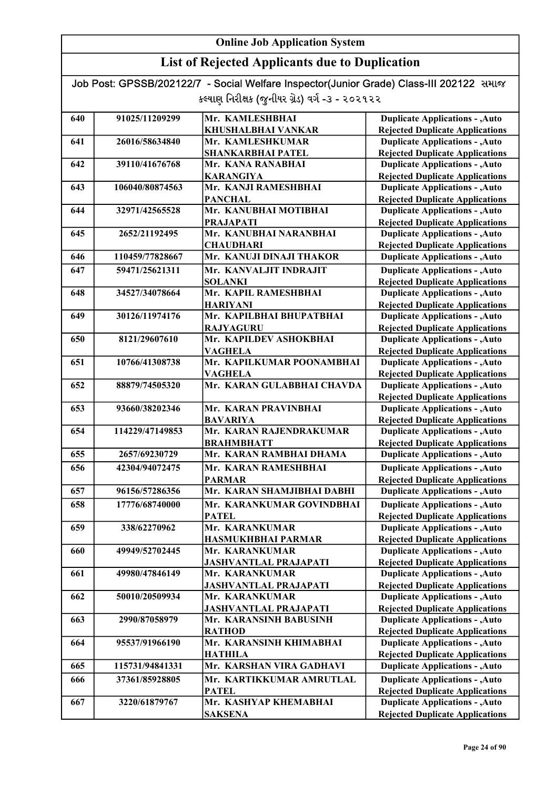### List of Rejected Applicants due to Duplication

| 640 | 91025/11209299  | Mr. KAMLESHBHAI              | <b>Duplicate Applications - , Auto</b> |
|-----|-----------------|------------------------------|----------------------------------------|
|     |                 | KHUSHALBHAI VANKAR           | <b>Rejected Duplicate Applications</b> |
| 641 | 26016/58634840  | Mr. KAMLESHKUMAR             | <b>Duplicate Applications - , Auto</b> |
|     |                 | <b>SHANKARBHAI PATEL</b>     | <b>Rejected Duplicate Applications</b> |
| 642 | 39110/41676768  | Mr. KANA RANABHAI            | <b>Duplicate Applications - , Auto</b> |
|     |                 | <b>KARANGIYA</b>             | <b>Rejected Duplicate Applications</b> |
| 643 | 106040/80874563 | Mr. KANJI RAMESHBHAI         | <b>Duplicate Applications - , Auto</b> |
|     |                 | <b>PANCHAL</b>               | <b>Rejected Duplicate Applications</b> |
| 644 | 32971/42565528  | Mr. KANUBHAI MOTIBHAI        | <b>Duplicate Applications - , Auto</b> |
|     |                 | <b>PRAJAPATI</b>             | <b>Rejected Duplicate Applications</b> |
| 645 | 2652/21192495   | Mr. KANUBHAI NARANBHAI       | <b>Duplicate Applications - , Auto</b> |
|     |                 | <b>CHAUDHARI</b>             | <b>Rejected Duplicate Applications</b> |
| 646 | 110459/77828667 | Mr. KANUJI DINAJI THAKOR     | <b>Duplicate Applications - , Auto</b> |
| 647 | 59471/25621311  | Mr. KANVALJIT INDRAJIT       | <b>Duplicate Applications - , Auto</b> |
|     |                 | <b>SOLANKI</b>               | <b>Rejected Duplicate Applications</b> |
| 648 | 34527/34078664  | Mr. KAPIL RAMESHBHAI         | <b>Duplicate Applications - , Auto</b> |
|     |                 | <b>HARIYANI</b>              | <b>Rejected Duplicate Applications</b> |
| 649 | 30126/11974176  | Mr. KAPILBHAI BHUPATBHAI     | <b>Duplicate Applications - , Auto</b> |
|     |                 | <b>RAJYAGURU</b>             | <b>Rejected Duplicate Applications</b> |
| 650 | 8121/29607610   | Mr. KAPILDEV ASHOKBHAI       | <b>Duplicate Applications - , Auto</b> |
|     |                 | VAGHELA                      | <b>Rejected Duplicate Applications</b> |
| 651 | 10766/41308738  | Mr. KAPILKUMAR POONAMBHAI    | <b>Duplicate Applications - , Auto</b> |
|     |                 | <b>VAGHELA</b>               | <b>Rejected Duplicate Applications</b> |
| 652 | 88879/74505320  | Mr. KARAN GULABBHAI CHAVDA   | <b>Duplicate Applications - , Auto</b> |
|     |                 |                              | <b>Rejected Duplicate Applications</b> |
| 653 | 93660/38202346  | Mr. KARAN PRAVINBHAI         | <b>Duplicate Applications - , Auto</b> |
|     |                 | <b>BAVARIYA</b>              | <b>Rejected Duplicate Applications</b> |
| 654 | 114229/47149853 | Mr. KARAN RAJENDRAKUMAR      | <b>Duplicate Applications - , Auto</b> |
|     |                 | <b>BRAHMBHATT</b>            | <b>Rejected Duplicate Applications</b> |
| 655 | 2657/69230729   | Mr. KARAN RAMBHAI DHAMA      | <b>Duplicate Applications - , Auto</b> |
| 656 | 42304/94072475  | Mr. KARAN RAMESHBHAI         | <b>Duplicate Applications - , Auto</b> |
|     |                 | <b>PARMAR</b>                | <b>Rejected Duplicate Applications</b> |
| 657 | 96156/57286356  | Mr. KARAN SHAMJIBHAI DABHI   | <b>Duplicate Applications - , Auto</b> |
| 658 | 17776/68740000  | Mr. KARANKUMAR GOVINDBHAI    | <b>Duplicate Applications - , Auto</b> |
|     |                 | <b>PATEL</b>                 | <b>Rejected Duplicate Applications</b> |
| 659 | 338/62270962    | Mr. KARANKUMAR               | <b>Duplicate Applications - , Auto</b> |
|     |                 | HASMUKHBHAI PARMAR           | <b>Rejected Duplicate Applications</b> |
| 660 | 49949/52702445  | Mr. KARANKUMAR               | <b>Duplicate Applications - , Auto</b> |
|     |                 | <b>JASHVANTLAL PRAJAPATI</b> | <b>Rejected Duplicate Applications</b> |
| 661 | 49980/47846149  | Mr. KARANKUMAR               | <b>Duplicate Applications - , Auto</b> |
|     |                 | JASHVANTLAL PRAJAPATI        | <b>Rejected Duplicate Applications</b> |
| 662 | 50010/20509934  | Mr. KARANKUMAR               | <b>Duplicate Applications - , Auto</b> |
|     |                 | <b>JASHVANTLAL PRAJAPATI</b> | <b>Rejected Duplicate Applications</b> |
| 663 | 2990/87058979   | Mr. KARANSINH BABUSINH       | <b>Duplicate Applications - , Auto</b> |
|     |                 | <b>RATHOD</b>                | <b>Rejected Duplicate Applications</b> |
| 664 | 95537/91966190  | Mr. KARANSINH KHIMABHAI      | <b>Duplicate Applications - , Auto</b> |
|     |                 | <b>HATHILA</b>               | <b>Rejected Duplicate Applications</b> |
| 665 | 115731/94841331 | Mr. KARSHAN VIRA GADHAVI     | <b>Duplicate Applications - , Auto</b> |
| 666 | 37361/85928805  | Mr. KARTIKKUMAR AMRUTLAL     | <b>Duplicate Applications - , Auto</b> |
|     |                 | <b>PATEL</b>                 | <b>Rejected Duplicate Applications</b> |
| 667 | 3220/61879767   | Mr. KASHYAP KHEMABHAI        | <b>Duplicate Applications - , Auto</b> |
|     |                 | <b>SAKSENA</b>               | <b>Rejected Duplicate Applications</b> |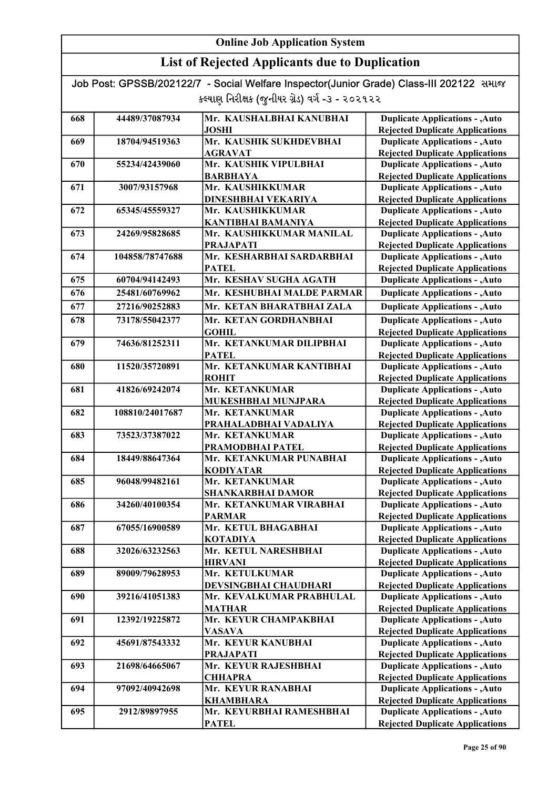| Job Post: GPSSB/202122/7 - Social Welfare Inspector(Junior Grade) Class-III 202122 समाल |  |
|-----------------------------------------------------------------------------------------|--|
| કલ્યાણ નિરીક્ષક (જુનીયર ગ્રેડ) વર્ગ -૩ - ૨૦૨૧૨૨                                         |  |

| 668 | 44489/37087934  | Mr. KAUSHALBHAI KANUBHAI                    | <b>Duplicate Applications - , Auto</b>                                           |
|-----|-----------------|---------------------------------------------|----------------------------------------------------------------------------------|
|     |                 | <b>JOSHI</b>                                | <b>Rejected Duplicate Applications</b>                                           |
| 669 | 18704/94519363  | Mr. KAUSHIK SUKHDEVBHAI                     | <b>Duplicate Applications - , Auto</b>                                           |
|     |                 | <b>AGRAVAT</b>                              | <b>Rejected Duplicate Applications</b>                                           |
| 670 | 55234/42439060  | Mr. KAUSHIK VIPULBHAI                       | <b>Duplicate Applications - , Auto</b>                                           |
|     |                 | <b>BARBHAYA</b>                             | <b>Rejected Duplicate Applications</b>                                           |
| 671 | 3007/93157968   | Mr. KAUSHIKKUMAR                            | <b>Duplicate Applications - , Auto</b>                                           |
|     |                 | DINESHBHAI VEKARIYA                         | <b>Rejected Duplicate Applications</b>                                           |
| 672 | 65345/45559327  | Mr. KAUSHIKKUMAR                            | <b>Duplicate Applications - , Auto</b>                                           |
|     |                 | <b>KANTIBHAI BAMANIYA</b>                   | <b>Rejected Duplicate Applications</b>                                           |
| 673 | 24269/95828685  | Mr. KAUSHIKKUMAR MANILAL                    | <b>Duplicate Applications - , Auto</b>                                           |
|     |                 | <b>PRAJAPATI</b>                            | <b>Rejected Duplicate Applications</b>                                           |
| 674 | 104858/78747688 | Mr. KESHARBHAI SARDARBHAI                   | <b>Duplicate Applications - , Auto</b>                                           |
|     |                 | <b>PATEL</b><br>Mr. KESHAV SUGHA AGATH      | <b>Rejected Duplicate Applications</b>                                           |
| 675 | 60704/94142493  |                                             | <b>Duplicate Applications - , Auto</b>                                           |
| 676 | 25481/60769962  | Mr. KESHUBHAI MALDE PARMAR                  | <b>Duplicate Applications - , Auto</b>                                           |
| 677 | 27216/90252883  | Mr. KETAN BHARATBHAI ZALA                   | <b>Duplicate Applications - , Auto</b>                                           |
| 678 | 73178/55042377  | Mr. KETAN GORDHANBHAI                       | <b>Duplicate Applications - , Auto</b>                                           |
|     |                 | <b>GOHIL</b>                                | <b>Rejected Duplicate Applications</b>                                           |
| 679 | 74636/81252311  | Mr. KETANKUMAR DILIPBHAI                    | <b>Duplicate Applications - , Auto</b>                                           |
|     |                 | <b>PATEL</b>                                | <b>Rejected Duplicate Applications</b>                                           |
| 680 | 11520/35720891  | Mr. KETANKUMAR KANTIBHAI                    | <b>Duplicate Applications - , Auto</b>                                           |
|     |                 | <b>ROHIT</b>                                | <b>Rejected Duplicate Applications</b>                                           |
| 681 | 41826/69242074  | Mr. KETANKUMAR                              | <b>Duplicate Applications - , Auto</b>                                           |
|     |                 | MUKESHBHAI MUNJPARA                         | <b>Rejected Duplicate Applications</b>                                           |
| 682 | 108810/24017687 | Mr. KETANKUMAR                              | <b>Duplicate Applications - , Auto</b>                                           |
|     |                 | PRAHALADBHAI VADALIYA                       | <b>Rejected Duplicate Applications</b>                                           |
| 683 | 73523/37387022  | Mr. KETANKUMAR                              | <b>Duplicate Applications - , Auto</b>                                           |
|     |                 | PRAMODBHAI PATEL                            | <b>Rejected Duplicate Applications</b>                                           |
| 684 | 18449/88647364  | Mr. KETANKUMAR PUNABHAI<br><b>KODIYATAR</b> | <b>Duplicate Applications - , Auto</b>                                           |
| 685 | 96048/99482161  | Mr. KETANKUMAR                              | <b>Rejected Duplicate Applications</b><br><b>Duplicate Applications - , Auto</b> |
|     |                 | <b>SHANKARBHAI DAMOR</b>                    | <b>Rejected Duplicate Applications</b>                                           |
| 686 | 34260/40100354  | Mr. KETANKUMAR VIRABHAI                     | <b>Duplicate Applications - , Auto</b>                                           |
|     |                 | <b>PARMAR</b>                               | <b>Rejected Duplicate Applications</b>                                           |
| 687 | 67055/16900589  | Mr. KETUL BHAGABHAI                         | <b>Duplicate Applications - , Auto</b>                                           |
|     |                 | <b>KOTADIYA</b>                             | <b>Rejected Duplicate Applications</b>                                           |
| 688 | 32026/63232563  | Mr. KETUL NARESHBHAI                        | <b>Duplicate Applications - , Auto</b>                                           |
|     |                 | <b>HIRVANI</b>                              | <b>Rejected Duplicate Applications</b>                                           |
| 689 | 89009/79628953  | Mr. KETULKUMAR                              | <b>Duplicate Applications - , Auto</b>                                           |
|     |                 | DEVSINGBHAI CHAUDHARI                       | <b>Rejected Duplicate Applications</b>                                           |
| 690 | 39216/41051383  | Mr. KEVALKUMAR PRABHULAL                    | <b>Duplicate Applications - , Auto</b>                                           |
|     |                 | <b>MATHAR</b>                               | <b>Rejected Duplicate Applications</b>                                           |
| 691 | 12392/19225872  | Mr. KEYUR CHAMPAKBHAI                       | <b>Duplicate Applications - , Auto</b>                                           |
|     |                 | <b>VASAVA</b>                               | <b>Rejected Duplicate Applications</b>                                           |
| 692 | 45691/87543332  | Mr. KEYUR KANUBHAI                          | <b>Duplicate Applications - , Auto</b>                                           |
|     |                 | <b>PRAJAPATI</b>                            | <b>Rejected Duplicate Applications</b>                                           |
| 693 | 21698/64665067  | Mr. KEYUR RAJESHBHAI                        | <b>Duplicate Applications - , Auto</b>                                           |
|     |                 | <b>CHHAPRA</b>                              | <b>Rejected Duplicate Applications</b>                                           |
| 694 | 97092/40942698  | Mr. KEYUR RANABHAI                          | <b>Duplicate Applications - , Auto</b>                                           |
|     |                 | <b>KHAMBHARA</b>                            | <b>Rejected Duplicate Applications</b>                                           |
| 695 | 2912/89897955   | Mr. KEYURBHAI RAMESHBHAI                    | <b>Duplicate Applications - , Auto</b>                                           |
|     |                 | <b>PATEL</b>                                | <b>Rejected Duplicate Applications</b>                                           |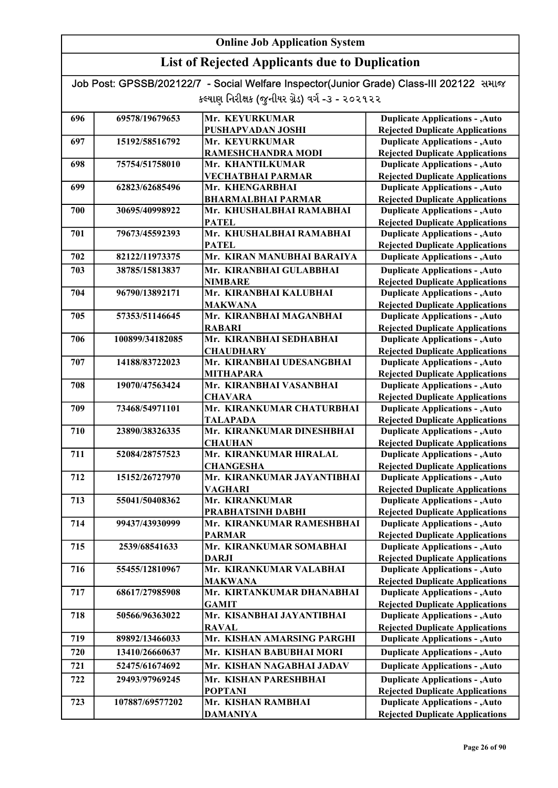### List of Rejected Applicants due to Duplication

| 696 | 69578/19679653  | Mr. KEYURKUMAR                               | <b>Duplicate Applications - , Auto</b>                                           |
|-----|-----------------|----------------------------------------------|----------------------------------------------------------------------------------|
|     |                 | PUSHAPVADAN JOSHI                            | <b>Rejected Duplicate Applications</b>                                           |
| 697 | 15192/58516792  | Mr. KEYURKUMAR                               | <b>Duplicate Applications - , Auto</b>                                           |
|     |                 | RAMESHCHANDRA MODI                           | <b>Rejected Duplicate Applications</b>                                           |
| 698 | 75754/51758010  | Mr. KHANTILKUMAR                             | <b>Duplicate Applications - , Auto</b>                                           |
|     |                 | <b>VECHATBHAI PARMAR</b>                     | <b>Rejected Duplicate Applications</b>                                           |
| 699 | 62823/62685496  | Mr. KHENGARBHAI                              | <b>Duplicate Applications - , Auto</b>                                           |
|     |                 | <b>BHARMALBHAI PARMAR</b>                    | <b>Rejected Duplicate Applications</b>                                           |
| 700 | 30695/40998922  | Mr. KHUSHALBHAI RAMABHAI                     | <b>Duplicate Applications - , Auto</b>                                           |
|     |                 | <b>PATEL</b>                                 | <b>Rejected Duplicate Applications</b>                                           |
| 701 | 79673/45592393  | Mr. KHUSHALBHAI RAMABHAI                     | <b>Duplicate Applications - , Auto</b>                                           |
|     |                 | <b>PATEL</b>                                 | <b>Rejected Duplicate Applications</b>                                           |
| 702 | 82122/11973375  | Mr. KIRAN MANUBHAI BARAIYA                   | <b>Duplicate Applications - , Auto</b>                                           |
| 703 | 38785/15813837  | Mr. KIRANBHAI GULABBHAI                      | <b>Duplicate Applications - , Auto</b>                                           |
|     |                 | <b>NIMBARE</b>                               | <b>Rejected Duplicate Applications</b>                                           |
| 704 | 96790/13892171  | Mr. KIRANBHAI KALUBHAI                       | <b>Duplicate Applications - , Auto</b>                                           |
|     |                 | <b>MAKWANA</b>                               | <b>Rejected Duplicate Applications</b>                                           |
| 705 | 57353/51146645  | Mr. KIRANBHAI MAGANBHAI                      | <b>Duplicate Applications - , Auto</b>                                           |
|     |                 | <b>RABARI</b>                                | <b>Rejected Duplicate Applications</b>                                           |
| 706 | 100899/34182085 | Mr. KIRANBHAI SEDHABHAI                      | <b>Duplicate Applications - , Auto</b>                                           |
|     |                 | <b>CHAUDHARY</b>                             | <b>Rejected Duplicate Applications</b>                                           |
| 707 | 14188/83722023  | Mr. KIRANBHAI UDESANGBHAI                    | <b>Duplicate Applications - , Auto</b>                                           |
|     |                 | <b>MITHAPARA</b>                             | <b>Rejected Duplicate Applications</b>                                           |
| 708 | 19070/47563424  | Mr. KIRANBHAI VASANBHAI                      | <b>Duplicate Applications - , Auto</b>                                           |
|     |                 | <b>CHAVARA</b>                               | <b>Rejected Duplicate Applications</b>                                           |
| 709 | 73468/54971101  | Mr. KIRANKUMAR CHATURBHAI                    | <b>Duplicate Applications - , Auto</b>                                           |
| 710 |                 | <b>TALAPADA</b><br>Mr. KIRANKUMAR DINESHBHAI | <b>Rejected Duplicate Applications</b>                                           |
|     | 23890/38326335  | <b>CHAUHAN</b>                               | <b>Duplicate Applications - , Auto</b>                                           |
| 711 | 52084/28757523  | Mr. KIRANKUMAR HIRALAL                       | <b>Rejected Duplicate Applications</b><br><b>Duplicate Applications - , Auto</b> |
|     |                 | <b>CHANGESHA</b>                             | <b>Rejected Duplicate Applications</b>                                           |
| 712 | 15152/26727970  | Mr. KIRANKUMAR JAYANTIBHAI                   | <b>Duplicate Applications - , Auto</b>                                           |
|     |                 | <b>VAGHARI</b>                               | <b>Rejected Duplicate Applications</b>                                           |
| 713 | 55041/50408362  | Mr. KIRANKUMAR                               | <b>Duplicate Applications - , Auto</b>                                           |
|     |                 | PRABHATSINH DABHI                            | <b>Rejected Duplicate Applications</b>                                           |
| 714 | 99437/43930999  | Mr. KIRANKUMAR RAMESHBHAI                    | <b>Duplicate Applications - , Auto</b>                                           |
|     |                 | <b>PARMAR</b>                                | <b>Rejected Duplicate Applications</b>                                           |
| 715 | 2539/68541633   | Mr. KIRANKUMAR SOMABHAI                      | <b>Duplicate Applications - , Auto</b>                                           |
|     |                 | <b>DARJI</b>                                 | <b>Rejected Duplicate Applications</b>                                           |
| 716 | 55455/12810967  | Mr. KIRANKUMAR VALABHAI                      | <b>Duplicate Applications - , Auto</b>                                           |
|     |                 | <b>MAKWANA</b>                               | <b>Rejected Duplicate Applications</b>                                           |
| 717 | 68617/27985908  | Mr. KIRTANKUMAR DHANABHAI                    | <b>Duplicate Applications - , Auto</b>                                           |
|     |                 | <b>GAMIT</b>                                 | <b>Rejected Duplicate Applications</b>                                           |
| 718 | 50566/96363022  | Mr. KISANBHAI JAYANTIBHAI                    | <b>Duplicate Applications - , Auto</b>                                           |
|     |                 | <b>RAVAL</b>                                 | <b>Rejected Duplicate Applications</b>                                           |
| 719 | 89892/13466033  | Mr. KISHAN AMARSING PARGHI                   | <b>Duplicate Applications - , Auto</b>                                           |
| 720 | 13410/26660637  | Mr. KISHAN BABUBHAI MORI                     | <b>Duplicate Applications - , Auto</b>                                           |
| 721 | 52475/61674692  | Mr. KISHAN NAGABHAI JADAV                    | <b>Duplicate Applications - , Auto</b>                                           |
| 722 | 29493/97969245  | Mr. KISHAN PARESHBHAI                        | <b>Duplicate Applications - , Auto</b>                                           |
|     |                 | <b>POPTANI</b>                               | <b>Rejected Duplicate Applications</b>                                           |
| 723 | 107887/69577202 | Mr. KISHAN RAMBHAI                           | <b>Duplicate Applications - , Auto</b>                                           |
|     |                 | <b>DAMANIYA</b>                              | <b>Rejected Duplicate Applications</b>                                           |
|     |                 |                                              |                                                                                  |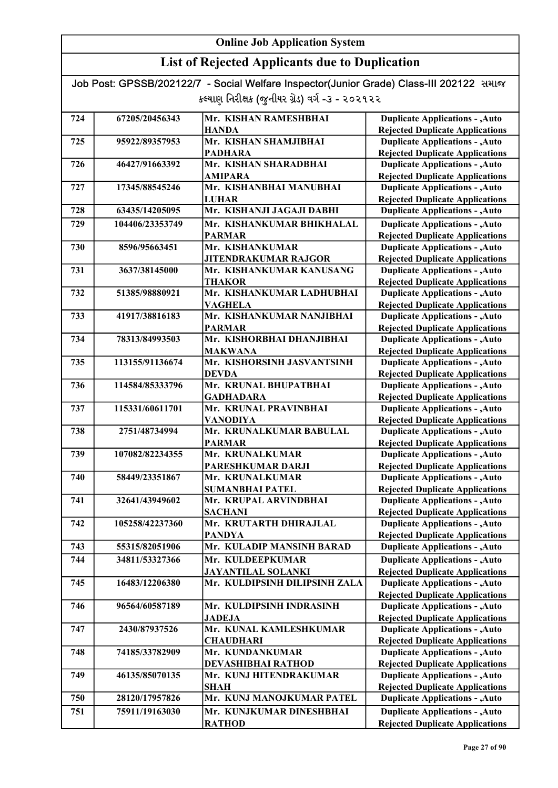| Job Post: GPSSB/202122/7 - Social Welfare Inspector(Junior Grade) Class-III 202122 समाल |  |
|-----------------------------------------------------------------------------------------|--|
| કલ્યાણ નિરીક્ષક (જુનીયર ગ્રેડ) વર્ગ -૩ - ૨૦૨૧૨૨                                         |  |

| 724 | 67205/20456343  | Mr. KISHAN RAMESHBHAI                    | <b>Duplicate Applications - , Auto</b>                                           |
|-----|-----------------|------------------------------------------|----------------------------------------------------------------------------------|
|     |                 | <b>HANDA</b>                             | <b>Rejected Duplicate Applications</b>                                           |
| 725 | 95922/89357953  | Mr. KISHAN SHAMJIBHAI                    | <b>Duplicate Applications - , Auto</b>                                           |
|     |                 | <b>PADHARA</b>                           | <b>Rejected Duplicate Applications</b>                                           |
| 726 | 46427/91663392  | Mr. KISHAN SHARADBHAI                    | <b>Duplicate Applications - , Auto</b>                                           |
|     |                 | <b>AMIPARA</b>                           | <b>Rejected Duplicate Applications</b>                                           |
| 727 | 17345/88545246  | Mr. KISHANBHAI MANUBHAI                  | <b>Duplicate Applications - , Auto</b>                                           |
|     |                 | <b>LUHAR</b>                             | <b>Rejected Duplicate Applications</b>                                           |
| 728 | 63435/14205095  | Mr. KISHANJI JAGAJI DABHI                | <b>Duplicate Applications - , Auto</b>                                           |
| 729 | 104406/23353749 | Mr. KISHANKUMAR BHIKHALAL                | <b>Duplicate Applications - , Auto</b>                                           |
|     |                 | <b>PARMAR</b>                            | <b>Rejected Duplicate Applications</b>                                           |
| 730 | 8596/95663451   | Mr. KISHANKUMAR                          | <b>Duplicate Applications - , Auto</b>                                           |
|     |                 | <b>JITENDRAKUMAR RAJGOR</b>              | <b>Rejected Duplicate Applications</b>                                           |
| 731 | 3637/38145000   | Mr. KISHANKUMAR KANUSANG                 | <b>Duplicate Applications - , Auto</b>                                           |
|     |                 | <b>THAKOR</b>                            | <b>Rejected Duplicate Applications</b>                                           |
| 732 | 51385/98880921  | Mr. KISHANKUMAR LADHUBHAI                | <b>Duplicate Applications - , Auto</b>                                           |
|     |                 | <b>VAGHELA</b>                           | <b>Rejected Duplicate Applications</b>                                           |
| 733 | 41917/38816183  | Mr. KISHANKUMAR NANJIBHAI                | <b>Duplicate Applications - , Auto</b>                                           |
|     |                 | <b>PARMAR</b>                            | <b>Rejected Duplicate Applications</b>                                           |
| 734 | 78313/84993503  | Mr. KISHORBHAI DHANJIBHAI                | <b>Duplicate Applications - , Auto</b>                                           |
|     |                 | <b>MAKWANA</b>                           | <b>Rejected Duplicate Applications</b>                                           |
| 735 | 113155/91136674 | Mr. KISHORSINH JASVANTSINH               | <b>Duplicate Applications - , Auto</b>                                           |
|     |                 | <b>DEVDA</b>                             | <b>Rejected Duplicate Applications</b>                                           |
| 736 | 114584/85333796 | Mr. KRUNAL BHUPATBHAI                    | <b>Duplicate Applications - , Auto</b>                                           |
|     |                 | <b>GADHADARA</b>                         | <b>Rejected Duplicate Applications</b>                                           |
| 737 | 115331/60611701 | Mr. KRUNAL PRAVINBHAI                    | <b>Duplicate Applications - , Auto</b>                                           |
|     |                 | <b>VANODIYA</b>                          | <b>Rejected Duplicate Applications</b>                                           |
| 738 | 2751/48734994   | Mr. KRUNALKUMAR BABULAL<br><b>PARMAR</b> | <b>Duplicate Applications - , Auto</b><br><b>Rejected Duplicate Applications</b> |
| 739 | 107082/82234355 | Mr. KRUNALKUMAR                          | <b>Duplicate Applications - , Auto</b>                                           |
|     |                 | PARESHKUMAR DARJI                        | <b>Rejected Duplicate Applications</b>                                           |
| 740 | 58449/23351867  | Mr. KRUNALKUMAR                          | <b>Duplicate Applications - , Auto</b>                                           |
|     |                 | <b>SUMANBHAI PATEL</b>                   | <b>Rejected Duplicate Applications</b>                                           |
| 741 | 32641/43949602  | Mr. KRUPAL ARVINDBHAI                    | <b>Duplicate Applications - , Auto</b>                                           |
|     |                 | <b>SACHANI</b>                           | <b>Rejected Duplicate Applications</b>                                           |
| 742 | 105258/42237360 | Mr. KRUTARTH DHIRAJLAL                   | <b>Duplicate Applications - , Auto</b>                                           |
|     |                 | <b>PANDYA</b>                            | <b>Rejected Duplicate Applications</b>                                           |
| 743 | 55315/82051906  | Mr. KULADIP MANSINH BARAD                | <b>Duplicate Applications - , Auto</b>                                           |
| 744 | 34811/53327366  | Mr. KULDEEPKUMAR                         | <b>Duplicate Applications - , Auto</b>                                           |
|     |                 | <b>JAYANTILAL SOLANKI</b>                | <b>Rejected Duplicate Applications</b>                                           |
| 745 | 16483/12206380  | Mr. KULDIPSINH DILIPSINH ZALA            | <b>Duplicate Applications - , Auto</b>                                           |
|     |                 |                                          | <b>Rejected Duplicate Applications</b>                                           |
| 746 | 96564/60587189  | Mr. KULDIPSINH INDRASINH                 | <b>Duplicate Applications - , Auto</b>                                           |
|     |                 | <b>JADEJA</b>                            | <b>Rejected Duplicate Applications</b>                                           |
| 747 | 2430/87937526   | Mr. KUNAL KAMLESHKUMAR                   | <b>Duplicate Applications - , Auto</b>                                           |
|     |                 | <b>CHAUDHARI</b>                         | <b>Rejected Duplicate Applications</b>                                           |
| 748 | 74185/33782909  | Mr. KUNDANKUMAR                          | <b>Duplicate Applications - , Auto</b>                                           |
|     |                 | DEVASHIBHAI RATHOD                       | <b>Rejected Duplicate Applications</b>                                           |
| 749 | 46135/85070135  | Mr. KUNJ HITENDRAKUMAR                   | <b>Duplicate Applications - , Auto</b>                                           |
|     |                 | <b>SHAH</b>                              | <b>Rejected Duplicate Applications</b>                                           |
| 750 | 28120/17957826  | Mr. KUNJ MANOJKUMAR PATEL                | <b>Duplicate Applications - , Auto</b>                                           |
| 751 | 75911/19163030  | Mr. KUNJKUMAR DINESHBHAI                 | <b>Duplicate Applications - , Auto</b>                                           |
|     |                 | <b>RATHOD</b>                            | <b>Rejected Duplicate Applications</b>                                           |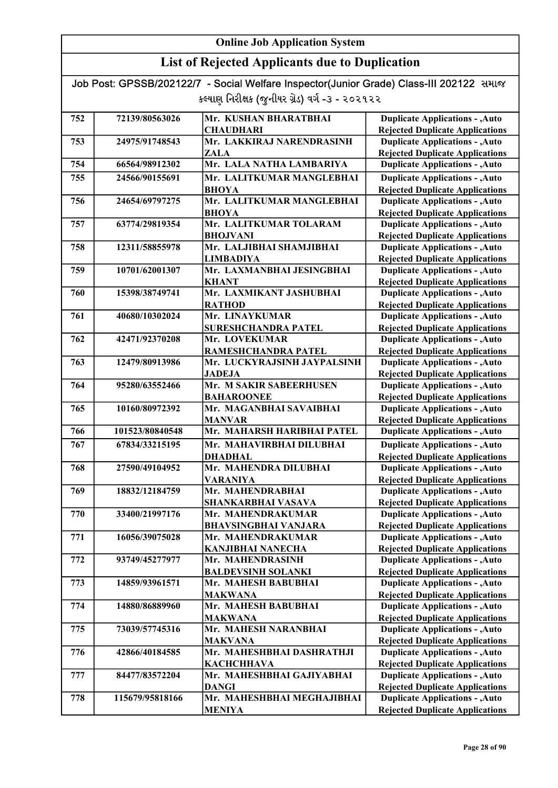### List of Rejected Applicants due to Duplication

| 752 | 72139/80563026  | Mr. KUSHAN BHARATBHAI                          | <b>Duplicate Applications - , Auto</b>                                           |
|-----|-----------------|------------------------------------------------|----------------------------------------------------------------------------------|
|     |                 | <b>CHAUDHARI</b>                               | <b>Rejected Duplicate Applications</b>                                           |
| 753 | 24975/91748543  | Mr. LAKKIRAJ NARENDRASINH                      | <b>Duplicate Applications - , Auto</b>                                           |
|     |                 | ZALA                                           | <b>Rejected Duplicate Applications</b>                                           |
| 754 | 66564/98912302  | Mr. LALA NATHA LAMBARIYA                       | <b>Duplicate Applications - , Auto</b>                                           |
| 755 | 24566/90155691  | Mr. LALITKUMAR MANGLEBHAI                      | <b>Duplicate Applications - , Auto</b>                                           |
|     |                 | <b>BHOYA</b>                                   | <b>Rejected Duplicate Applications</b>                                           |
| 756 | 24654/69797275  | Mr. LALITKUMAR MANGLEBHAI                      | <b>Duplicate Applications - , Auto</b>                                           |
|     |                 | <b>BHOYA</b>                                   | <b>Rejected Duplicate Applications</b>                                           |
| 757 | 63774/29819354  | Mr. LALITKUMAR TOLARAM                         | <b>Duplicate Applications - , Auto</b>                                           |
|     |                 | <b>BHOJVANI</b>                                | <b>Rejected Duplicate Applications</b>                                           |
| 758 | 12311/58855978  | Mr. LALJIBHAI SHAMJIBHAI                       | <b>Duplicate Applications - , Auto</b>                                           |
|     |                 | <b>LIMBADIYA</b>                               | <b>Rejected Duplicate Applications</b>                                           |
| 759 | 10701/62001307  | Mr. LAXMANBHAI JESINGBHAI                      | <b>Duplicate Applications - , Auto</b>                                           |
|     |                 | <b>KHANT</b>                                   | <b>Rejected Duplicate Applications</b>                                           |
| 760 | 15398/38749741  | Mr. LAXMIKANT JASHUBHAI                        | <b>Duplicate Applications - , Auto</b>                                           |
|     |                 | <b>RATHOD</b>                                  | <b>Rejected Duplicate Applications</b>                                           |
| 761 | 40680/10302024  | Mr. LINAYKUMAR                                 | <b>Duplicate Applications - , Auto</b>                                           |
|     |                 | <b>SURESHCHANDRA PATEL</b>                     | <b>Rejected Duplicate Applications</b>                                           |
| 762 | 42471/92370208  | Mr. LOVEKUMAR                                  | <b>Duplicate Applications - , Auto</b>                                           |
|     |                 | RAMESHCHANDRA PATEL                            | <b>Rejected Duplicate Applications</b>                                           |
| 763 | 12479/80913986  | Mr. LUCKYRAJSINH JAYPALSINH                    | <b>Duplicate Applications - , Auto</b>                                           |
|     |                 | <b>JADEJA</b>                                  | <b>Rejected Duplicate Applications</b>                                           |
| 764 | 95280/63552466  | Mr. M SAKIR SABEERHUSEN                        | <b>Duplicate Applications - , Auto</b>                                           |
|     |                 | <b>BAHAROONEE</b>                              | <b>Rejected Duplicate Applications</b>                                           |
| 765 | 10160/80972392  | Mr. MAGANBHAI SAVAIBHAI                        | <b>Duplicate Applications - , Auto</b>                                           |
|     |                 | <b>MANVAR</b>                                  | <b>Rejected Duplicate Applications</b>                                           |
| 766 | 101523/80840548 | Mr. MAHARSH HARIBHAI PATEL                     | <b>Duplicate Applications - , Auto</b>                                           |
| 767 | 67834/33215195  | Mr. MAHAVIRBHAI DILUBHAI                       | <b>Duplicate Applications - , Auto</b>                                           |
|     |                 | <b>DHADHAL</b>                                 | <b>Rejected Duplicate Applications</b>                                           |
| 768 | 27590/49104952  | Mr. MAHENDRA DILUBHAI                          | <b>Duplicate Applications - , Auto</b>                                           |
|     |                 | <b>VARANIYA</b>                                | <b>Rejected Duplicate Applications</b>                                           |
| 769 | 18832/12184759  | Mr. MAHENDRABHAI                               | <b>Duplicate Applications - , Auto</b>                                           |
| 770 | 33400/21997176  | <b>SHANKARBHAI VASAVA</b><br>Mr. MAHENDRAKUMAR | <b>Rejected Duplicate Applications</b>                                           |
|     |                 | <b>BHAVSINGBHAI VANJARA</b>                    | <b>Duplicate Applications - , Auto</b>                                           |
| 771 | 16056/39075028  | Mr. MAHENDRAKUMAR                              | <b>Rejected Duplicate Applications</b><br><b>Duplicate Applications - , Auto</b> |
|     |                 | <b>KANJIBHAI NANECHA</b>                       | <b>Rejected Duplicate Applications</b>                                           |
| 772 | 93749/45277977  | Mr. MAHENDRASINH                               | <b>Duplicate Applications - , Auto</b>                                           |
|     |                 | <b>BALDEVSINH SOLANKI</b>                      | <b>Rejected Duplicate Applications</b>                                           |
| 773 | 14859/93961571  | Mr. MAHESH BABUBHAI                            | <b>Duplicate Applications - , Auto</b>                                           |
|     |                 | <b>MAKWANA</b>                                 | <b>Rejected Duplicate Applications</b>                                           |
| 774 | 14880/86889960  | Mr. MAHESH BABUBHAI                            | <b>Duplicate Applications - , Auto</b>                                           |
|     |                 | <b>MAKWANA</b>                                 | <b>Rejected Duplicate Applications</b>                                           |
| 775 | 73039/57745316  | Mr. MAHESH NARANBHAI                           | <b>Duplicate Applications - , Auto</b>                                           |
|     |                 | <b>MAKVANA</b>                                 | <b>Rejected Duplicate Applications</b>                                           |
| 776 | 42866/40184585  | Mr. MAHESHBHAI DASHRATHJI                      | <b>Duplicate Applications - , Auto</b>                                           |
|     |                 | <b>КАСНСННАVA</b>                              | <b>Rejected Duplicate Applications</b>                                           |
| 777 | 84477/83572204  | Mr. MAHESHBHAI GAJIYABHAI                      | <b>Duplicate Applications - , Auto</b>                                           |
|     |                 | <b>DANGI</b>                                   | <b>Rejected Duplicate Applications</b>                                           |
| 778 | 115679/95818166 | Mr. MAHESHBHAI MEGHAJIBHAI                     | <b>Duplicate Applications - , Auto</b>                                           |
|     |                 | <b>MENIYA</b>                                  | <b>Rejected Duplicate Applications</b>                                           |
|     |                 |                                                |                                                                                  |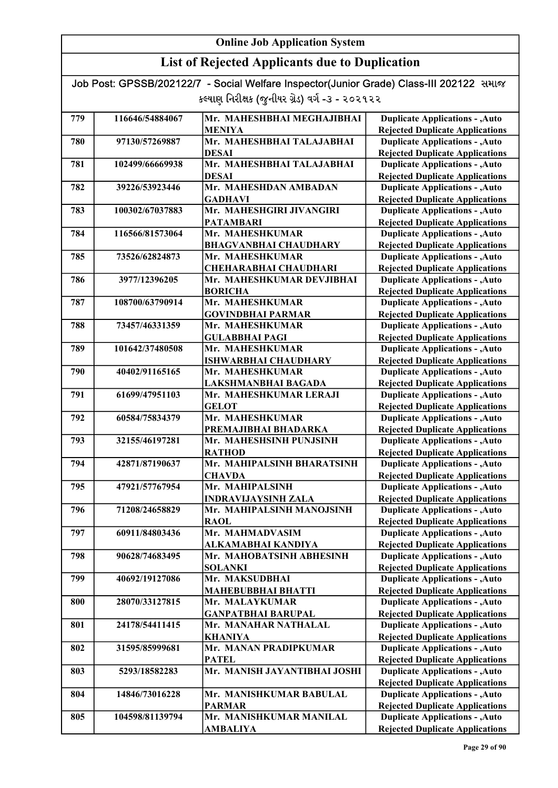| Job Post: GPSSB/202122/7 - Social Welfare Inspector(Junior Grade) Class-III 202122 समाल |  |
|-----------------------------------------------------------------------------------------|--|
| કલ્યાણ નિરીક્ષક (જુનીયર ગ્રેડ) વર્ગ -૩ - ૨૦૨૧૨૨                                         |  |

| 779 | 116646/54884067 | Mr. MAHESHBHAI MEGHAJIBHAI   | <b>Duplicate Applications - , Auto</b> |
|-----|-----------------|------------------------------|----------------------------------------|
|     |                 | <b>MENIYA</b>                | <b>Rejected Duplicate Applications</b> |
| 780 | 97130/57269887  | Mr. MAHESHBHAI TALAJABHAI    | <b>Duplicate Applications - , Auto</b> |
|     |                 | <b>DESAI</b>                 | <b>Rejected Duplicate Applications</b> |
| 781 | 102499/66669938 | Mr. MAHESHBHAI TALAJABHAI    | <b>Duplicate Applications - , Auto</b> |
|     |                 | <b>DESAI</b>                 | <b>Rejected Duplicate Applications</b> |
| 782 | 39226/53923446  | Mr. MAHESHDAN AMBADAN        | <b>Duplicate Applications - , Auto</b> |
|     |                 | <b>GADHAVI</b>               | <b>Rejected Duplicate Applications</b> |
| 783 | 100302/67037883 | Mr. MAHESHGIRI JIVANGIRI     | <b>Duplicate Applications - , Auto</b> |
|     |                 | <b>PATAMBARI</b>             | <b>Rejected Duplicate Applications</b> |
| 784 | 116566/81573064 | Mr. MAHESHKUMAR              | <b>Duplicate Applications - , Auto</b> |
|     |                 | <b>BHAGVANBHAI CHAUDHARY</b> | <b>Rejected Duplicate Applications</b> |
| 785 | 73526/62824873  | Mr. MAHESHKUMAR              | <b>Duplicate Applications - , Auto</b> |
|     |                 | <b>CHEHARABHAI CHAUDHARI</b> | <b>Rejected Duplicate Applications</b> |
| 786 | 3977/12396205   | Mr. MAHESHKUMAR DEVJIBHAI    | <b>Duplicate Applications - , Auto</b> |
|     |                 | <b>BORICHA</b>               | <b>Rejected Duplicate Applications</b> |
| 787 | 108700/63790914 | Mr. MAHESHKUMAR              | <b>Duplicate Applications - , Auto</b> |
|     |                 | <b>GOVINDBHAI PARMAR</b>     | <b>Rejected Duplicate Applications</b> |
| 788 | 73457/46331359  | Mr. MAHESHKUMAR              | <b>Duplicate Applications - , Auto</b> |
|     |                 | <b>GULABBHAI PAGI</b>        | <b>Rejected Duplicate Applications</b> |
| 789 | 101642/37480508 | Mr. MAHESHKUMAR              | <b>Duplicate Applications - , Auto</b> |
|     |                 | <b>ISHWARBHAI CHAUDHARY</b>  | <b>Rejected Duplicate Applications</b> |
| 790 | 40402/91165165  | Mr. MAHESHKUMAR              | <b>Duplicate Applications - , Auto</b> |
|     |                 | LAKSHMANBHAI BAGADA          | <b>Rejected Duplicate Applications</b> |
| 791 | 61699/47951103  | Mr. MAHESHKUMAR LERAJI       | <b>Duplicate Applications - , Auto</b> |
|     |                 | <b>GELOT</b>                 | <b>Rejected Duplicate Applications</b> |
| 792 | 60584/75834379  | Mr. MAHESHKUMAR              | <b>Duplicate Applications - , Auto</b> |
|     |                 | PREMAJIBHAI BHADARKA         | <b>Rejected Duplicate Applications</b> |
| 793 | 32155/46197281  | Mr. MAHESHSINH PUNJSINH      | <b>Duplicate Applications - , Auto</b> |
|     |                 | <b>RATHOD</b>                | <b>Rejected Duplicate Applications</b> |
| 794 | 42871/87190637  | Mr. MAHIPALSINH BHARATSINH   | <b>Duplicate Applications - , Auto</b> |
|     |                 | <b>CHAVDA</b>                | <b>Rejected Duplicate Applications</b> |
| 795 | 47921/57767954  | Mr. MAHIPALSINH              | <b>Duplicate Applications - , Auto</b> |
|     |                 | <b>INDRAVIJAYSINH ZALA</b>   | <b>Rejected Duplicate Applications</b> |
| 796 | 71208/24658829  | Mr. MAHIPALSINH MANOJSINH    | <b>Duplicate Applications - , Auto</b> |
|     |                 | <b>RAOL</b>                  | <b>Rejected Duplicate Applications</b> |
| 797 | 60911/84803436  | Mr. MAHMADVASIM              | <b>Duplicate Applications - , Auto</b> |
|     |                 | ALKAMABHAI KANDIYA           | <b>Rejected Duplicate Applications</b> |
| 798 | 90628/74683495  | Mr. MAHOBATSINH ABHESINH     | <b>Duplicate Applications - , Auto</b> |
|     |                 | <b>SOLANKI</b>               | <b>Rejected Duplicate Applications</b> |
| 799 | 40692/19127086  | Mr. MAKSUDBHAI               | <b>Duplicate Applications - , Auto</b> |
|     |                 | <b>MAHEBUBBHAI BHATTI</b>    | <b>Rejected Duplicate Applications</b> |
| 800 | 28070/33127815  | Mr. MALAYKUMAR               | <b>Duplicate Applications - , Auto</b> |
|     |                 | <b>GANPATBHAI BARUPAL</b>    | <b>Rejected Duplicate Applications</b> |
| 801 | 24178/54411415  | Mr. MANAHAR NATHALAL         | <b>Duplicate Applications - , Auto</b> |
|     |                 | <b>KHANIYA</b>               | <b>Rejected Duplicate Applications</b> |
| 802 | 31595/85999681  | Mr. MANAN PRADIPKUMAR        | <b>Duplicate Applications - , Auto</b> |
|     |                 | <b>PATEL</b>                 | <b>Rejected Duplicate Applications</b> |
| 803 | 5293/18582283   | Mr. MANISH JAYANTIBHAI JOSHI | <b>Duplicate Applications - , Auto</b> |
|     |                 |                              | <b>Rejected Duplicate Applications</b> |
| 804 | 14846/73016228  | Mr. MANISHKUMAR BABULAL      | <b>Duplicate Applications - , Auto</b> |
|     |                 | <b>PARMAR</b>                | <b>Rejected Duplicate Applications</b> |
| 805 | 104598/81139794 | Mr. MANISHKUMAR MANILAL      | <b>Duplicate Applications - , Auto</b> |
|     |                 | <b>AMBALIYA</b>              | <b>Rejected Duplicate Applications</b> |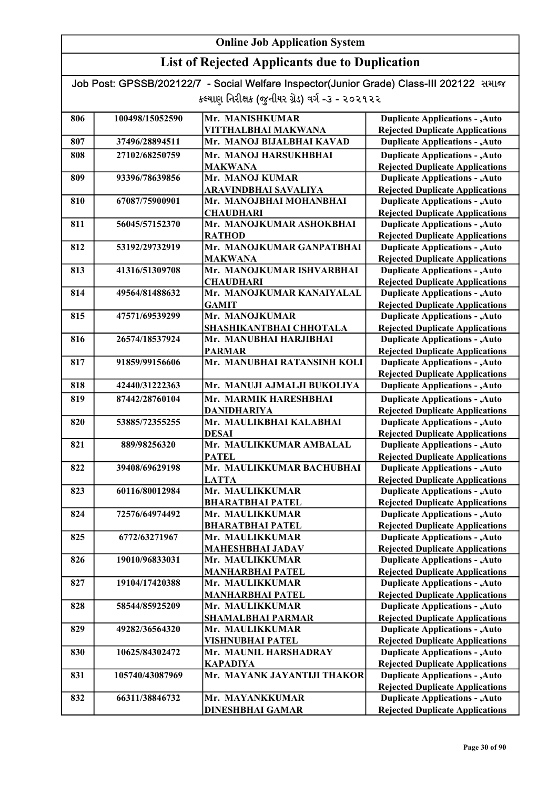### List of Rejected Applicants due to Duplication

| 806 | 100498/15052590 | Mr. MANISHKUMAR                             | <b>Duplicate Applications - , Auto</b>                                           |
|-----|-----------------|---------------------------------------------|----------------------------------------------------------------------------------|
|     |                 | VITTHALBHAI MAKWANA                         | <b>Rejected Duplicate Applications</b>                                           |
| 807 | 37496/28894511  | Mr. MANOJ BIJALBHAI KAVAD                   | <b>Duplicate Applications - , Auto</b>                                           |
| 808 | 27102/68250759  | Mr. MANOJ HARSUKHBHAI                       | <b>Duplicate Applications - , Auto</b>                                           |
|     |                 | <b>MAKWANA</b>                              | <b>Rejected Duplicate Applications</b>                                           |
| 809 | 93396/78639856  | Mr. MANOJ KUMAR                             | <b>Duplicate Applications - , Auto</b>                                           |
|     |                 | ARAVINDBHAI SAVALIYA                        | <b>Rejected Duplicate Applications</b>                                           |
| 810 | 67087/75900901  | Mr. MANOJBHAI MOHANBHAI                     | <b>Duplicate Applications - , Auto</b>                                           |
|     |                 | <b>CHAUDHARI</b>                            | <b>Rejected Duplicate Applications</b>                                           |
| 811 | 56045/57152370  | Mr. MANOJKUMAR ASHOKBHAI                    | <b>Duplicate Applications - , Auto</b>                                           |
|     |                 | <b>RATHOD</b><br>Mr. MANOJKUMAR GANPATBHAI  | <b>Rejected Duplicate Applications</b>                                           |
| 812 | 53192/29732919  |                                             | <b>Duplicate Applications - , Auto</b>                                           |
| 813 | 41316/51309708  | <b>MAKWANA</b><br>Mr. MANOJKUMAR ISHVARBHAI | <b>Rejected Duplicate Applications</b><br><b>Duplicate Applications - , Auto</b> |
|     |                 | <b>CHAUDHARI</b>                            | <b>Rejected Duplicate Applications</b>                                           |
| 814 | 49564/81488632  | Mr. MANOJKUMAR KANAIYALAL                   | <b>Duplicate Applications - , Auto</b>                                           |
|     |                 | <b>GAMIT</b>                                | <b>Rejected Duplicate Applications</b>                                           |
| 815 | 47571/69539299  | Mr. MANOJKUMAR                              | <b>Duplicate Applications - , Auto</b>                                           |
|     |                 | SHASHIKANTBHAI CHHOTALA                     | <b>Rejected Duplicate Applications</b>                                           |
| 816 | 26574/18537924  | Mr. MANUBHAI HARJIBHAI                      | <b>Duplicate Applications - , Auto</b>                                           |
|     |                 | <b>PARMAR</b>                               | <b>Rejected Duplicate Applications</b>                                           |
| 817 | 91859/99156606  | Mr. MANUBHAI RATANSINH KOLI                 | <b>Duplicate Applications - , Auto</b>                                           |
|     |                 |                                             | <b>Rejected Duplicate Applications</b>                                           |
| 818 | 42440/31222363  | Mr. MANUJI AJMALJI BUKOLIYA                 | <b>Duplicate Applications - , Auto</b>                                           |
| 819 | 87442/28760104  | Mr. MARMIK HARESHBHAI                       | <b>Duplicate Applications - , Auto</b>                                           |
|     |                 | <b>DANIDHARIYA</b>                          | <b>Rejected Duplicate Applications</b>                                           |
| 820 | 53885/72355255  | Mr. MAULIKBHAI KALABHAI                     | <b>Duplicate Applications - , Auto</b>                                           |
|     |                 | <b>DESAI</b>                                | <b>Rejected Duplicate Applications</b>                                           |
| 821 | 889/98256320    | Mr. MAULIKKUMAR AMBALAL                     | <b>Duplicate Applications - , Auto</b>                                           |
|     |                 | <b>PATEL</b>                                | <b>Rejected Duplicate Applications</b>                                           |
| 822 | 39408/69629198  | Mr. MAULIKKUMAR BACHUBHAI                   | <b>Duplicate Applications - , Auto</b>                                           |
|     |                 | <b>LATTA</b>                                | <b>Rejected Duplicate Applications</b>                                           |
| 823 | 60116/80012984  | Mr. MAULIKKUMAR                             | <b>Duplicate Applications - , Auto</b>                                           |
|     |                 | <b>BHARATBHAI PATEL</b>                     | <b>Rejected Duplicate Applications</b>                                           |
| 824 | 72576/64974492  | Mr. MAULIKKUMAR                             | <b>Duplicate Applications - , Auto</b>                                           |
|     |                 | <b>BHARATBHAI PATEL</b>                     | <b>Rejected Duplicate Applications</b>                                           |
| 825 | 6772/63271967   | Mr. MAULIKKUMAR                             | <b>Duplicate Applications - , Auto</b>                                           |
|     |                 | <b>MAHESHBHAI JADAV</b>                     | <b>Rejected Duplicate Applications</b>                                           |
| 826 | 19010/96833031  | Mr. MAULIKKUMAR                             | <b>Duplicate Applications - , Auto</b>                                           |
| 827 | 19104/17420388  | <b>MANHARBHAI PATEL</b><br>Mr. MAULIKKUMAR  | <b>Rejected Duplicate Applications</b><br><b>Duplicate Applications - , Auto</b> |
|     |                 | <b>MANHARBHAI PATEL</b>                     | <b>Rejected Duplicate Applications</b>                                           |
| 828 | 58544/85925209  | Mr. MAULIKKUMAR                             | <b>Duplicate Applications - , Auto</b>                                           |
|     |                 | <b>SHAMALBHAI PARMAR</b>                    | <b>Rejected Duplicate Applications</b>                                           |
| 829 | 49282/36564320  | Mr. MAULIKKUMAR                             | <b>Duplicate Applications - , Auto</b>                                           |
|     |                 | <b>VISHNUBHAI PATEL</b>                     | <b>Rejected Duplicate Applications</b>                                           |
| 830 | 10625/84302472  | Mr. MAUNIL HARSHADRAY                       | <b>Duplicate Applications - , Auto</b>                                           |
|     |                 | KAPADIYA                                    | <b>Rejected Duplicate Applications</b>                                           |
| 831 | 105740/43087969 | Mr. MAYANK JAYANTIJI THAKOR                 | <b>Duplicate Applications - , Auto</b>                                           |
|     |                 |                                             | <b>Rejected Duplicate Applications</b>                                           |
| 832 | 66311/38846732  | Mr. MAYANKKUMAR                             | <b>Duplicate Applications - , Auto</b>                                           |
|     |                 | <b>DINESHBHAI GAMAR</b>                     | <b>Rejected Duplicate Applications</b>                                           |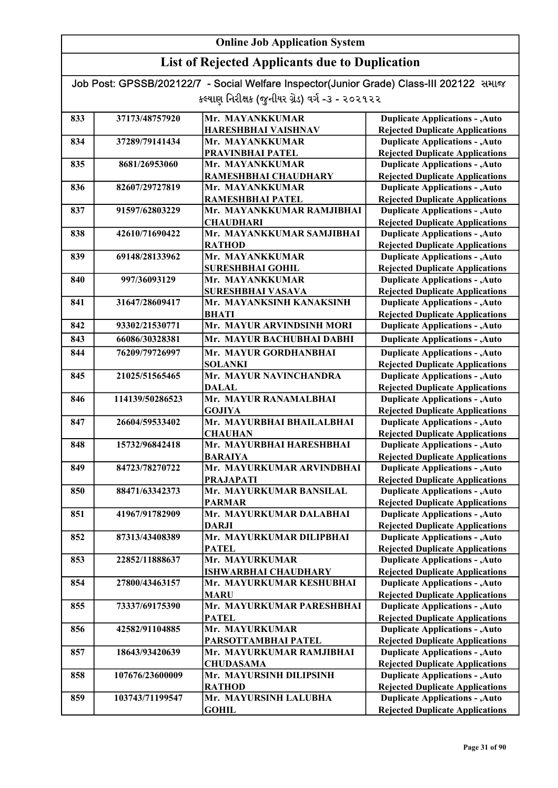### List of Rejected Applicants due to Duplication

| 833 | 37173/48757920  | Mr. MAYANKKUMAR                                 | <b>Duplicate Applications - , Auto</b>                                           |
|-----|-----------------|-------------------------------------------------|----------------------------------------------------------------------------------|
|     |                 | HARESHBHAI VAISHNAV                             | <b>Rejected Duplicate Applications</b>                                           |
| 834 | 37289/79141434  | Mr. MAYANKKUMAR                                 | <b>Duplicate Applications - , Auto</b>                                           |
|     |                 | PRAVINBHAI PATEL                                | <b>Rejected Duplicate Applications</b>                                           |
| 835 | 8681/26953060   | Mr. MAYANKKUMAR                                 | <b>Duplicate Applications - , Auto</b>                                           |
|     |                 | RAMESHBHAI CHAUDHARY                            | <b>Rejected Duplicate Applications</b>                                           |
| 836 | 82607/29727819  | Mr. MAYANKKUMAR                                 | <b>Duplicate Applications - , Auto</b>                                           |
|     |                 | RAMESHBHAI PATEL                                | <b>Rejected Duplicate Applications</b>                                           |
| 837 | 91597/62803229  | Mr. MAYANKKUMAR RAMJIBHAI                       | <b>Duplicate Applications - , Auto</b>                                           |
|     |                 | <b>CHAUDHARI</b>                                | <b>Rejected Duplicate Applications</b>                                           |
| 838 | 42610/71690422  | Mr. MAYANKKUMAR SAMJIBHAI                       | <b>Duplicate Applications - , Auto</b>                                           |
|     |                 | <b>RATHOD</b>                                   | <b>Rejected Duplicate Applications</b>                                           |
| 839 | 69148/28133962  | Mr. MAYANKKUMAR                                 | <b>Duplicate Applications - , Auto</b>                                           |
|     |                 | <b>SURESHBHAI GOHIL</b>                         | <b>Rejected Duplicate Applications</b>                                           |
| 840 | 997/36093129    | Mr. MAYANKKUMAR                                 | <b>Duplicate Applications - , Auto</b>                                           |
|     |                 | <b>SURESHBHAI VASAVA</b>                        | <b>Rejected Duplicate Applications</b>                                           |
| 841 | 31647/28609417  | Mr. MAYANKSINH KANAKSINH                        | <b>Duplicate Applications - , Auto</b>                                           |
|     |                 | <b>BHATI</b>                                    | <b>Rejected Duplicate Applications</b>                                           |
| 842 | 93302/21530771  | Mr. MAYUR ARVINDSINH MORI                       | <b>Duplicate Applications - , Auto</b>                                           |
| 843 | 66086/30328381  | Mr.  MAYUR BACHUBHAI DABHI                      | <b>Duplicate Applications - , Auto</b>                                           |
| 844 | 76209/79726997  | Mr. MAYUR GORDHANBHAI                           | <b>Duplicate Applications - , Auto</b>                                           |
|     |                 | <b>SOLANKI</b>                                  | <b>Rejected Duplicate Applications</b>                                           |
| 845 | 21025/51565465  | Mr. MAYUR NAVINCHANDRA                          | <b>Duplicate Applications - , Auto</b>                                           |
|     |                 | <b>DALAL</b>                                    | <b>Rejected Duplicate Applications</b>                                           |
| 846 | 114139/50286523 | Mr. MAYUR RANAMALBHAI                           | <b>Duplicate Applications - , Auto</b>                                           |
|     |                 | <b>GOJIYA</b>                                   | <b>Rejected Duplicate Applications</b>                                           |
| 847 | 26604/59533402  | Mr. MAYURBHAI BHAILALBHAI                       | <b>Duplicate Applications - , Auto</b>                                           |
|     |                 | <b>CHAUHAN</b>                                  | <b>Rejected Duplicate Applications</b>                                           |
| 848 | 15732/96842418  | Mr. MAYURBHAI HARESHBHAI                        | <b>Duplicate Applications - , Auto</b>                                           |
|     |                 | <b>BARAIYA</b>                                  | <b>Rejected Duplicate Applications</b>                                           |
| 849 | 84723/78270722  | Mr. MAYURKUMAR ARVINDBHAI                       | <b>Duplicate Applications - , Auto</b>                                           |
|     |                 | <b>PRAJAPATI</b>                                | <b>Rejected Duplicate Applications</b>                                           |
| 850 | 88471/63342373  | Mr. MAYURKUMAR BANSILAL                         | <b>Duplicate Applications - , Auto</b>                                           |
|     |                 | <b>PARMAR</b>                                   | <b>Rejected Duplicate Applications</b>                                           |
| 851 | 41967/91782909  | Mr. MAYURKUMAR DALABHAI                         | <b>Duplicate Applications - , Auto</b>                                           |
|     |                 | DARJI                                           | <b>Rejected Duplicate Applications</b>                                           |
| 852 | 87313/43408389  | Mr. MAYURKUMAR DILIPBHAI                        | <b>Duplicate Applications - , Auto</b>                                           |
|     |                 | <b>PATEL</b>                                    | <b>Rejected Duplicate Applications</b>                                           |
| 853 | 22852/11888637  | Mr. MAYURKUMAR                                  | <b>Duplicate Applications - , Auto</b>                                           |
|     |                 | <b>ISHWARBHAI CHAUDHARY</b>                     | <b>Rejected Duplicate Applications</b>                                           |
| 854 | 27800/43463157  | Mr. MAYURKUMAR KESHUBHAI                        | <b>Duplicate Applications - , Auto</b>                                           |
|     |                 | <b>MARU</b>                                     | <b>Rejected Duplicate Applications</b>                                           |
| 855 | 73337/69175390  | Mr. MAYURKUMAR PARESHBHAI                       | <b>Duplicate Applications - , Auto</b>                                           |
|     |                 | PATEL                                           | <b>Rejected Duplicate Applications</b>                                           |
| 856 | 42582/91104885  | Mr. MAYURKUMAR                                  | <b>Duplicate Applications - , Auto</b>                                           |
| 857 | 18643/93420639  | PARSOTTAMBHAI PATEL<br>Mr. MAYURKUMAR RAMJIBHAI | <b>Rejected Duplicate Applications</b>                                           |
|     |                 |                                                 | <b>Duplicate Applications - , Auto</b>                                           |
| 858 | 107676/23600009 | <b>CHUDASAMA</b><br>Mr. MAYURSINH DILIPSINH     | <b>Rejected Duplicate Applications</b><br><b>Duplicate Applications - , Auto</b> |
|     |                 | <b>RATHOD</b>                                   | <b>Rejected Duplicate Applications</b>                                           |
| 859 | 103743/71199547 | Mr. MAYURSINH LALUBHA                           | <b>Duplicate Applications - , Auto</b>                                           |
|     |                 | <b>GOHIL</b>                                    | <b>Rejected Duplicate Applications</b>                                           |
|     |                 |                                                 |                                                                                  |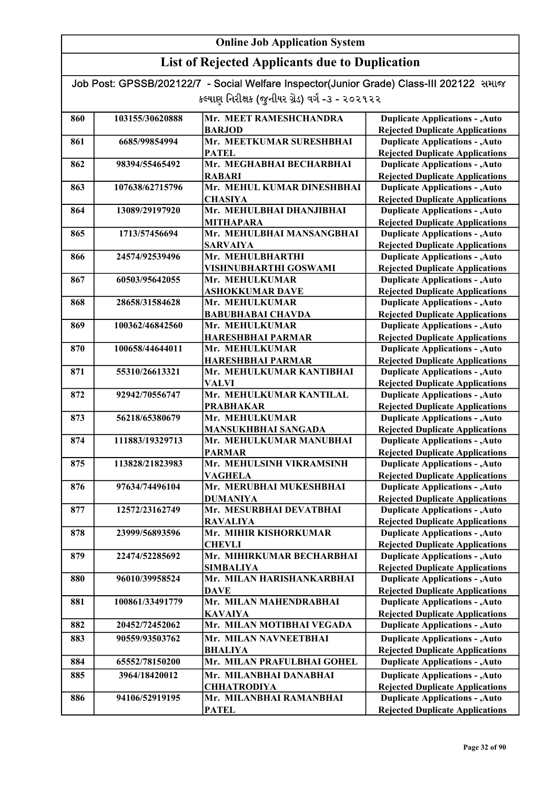| <b>List of Rejected Applicants due to Duplication</b>                                   |                 |                                                 |                                        |
|-----------------------------------------------------------------------------------------|-----------------|-------------------------------------------------|----------------------------------------|
| Job Post: GPSSB/202122/7 - Social Welfare Inspector(Junior Grade) Class-III 202122 સમાજ |                 |                                                 |                                        |
|                                                                                         |                 | કલ્યાણ નિરીક્ષક (જુનીયર ગ્રેડ) વર્ગ -૩ - ૨૦૨૧૨૨ |                                        |
| 860                                                                                     | 103155/30620888 | Mr. MEET RAMESHCHANDRA                          | <b>Duplicate Applications - , Auto</b> |
|                                                                                         |                 | <b>BARJOD</b>                                   | <b>Rejected Duplicate Applications</b> |
| 861                                                                                     | 6685/99854994   | Mr. MEETKUMAR SURESHBHAI                        | <b>Duplicate Applications - , Auto</b> |
|                                                                                         |                 | <b>PATEL</b>                                    | <b>Rejected Duplicate Applications</b> |
| 862                                                                                     | 98394/55465492  | Mr. MEGHABHAI BECHARBHAI                        | <b>Duplicate Applications - , Auto</b> |
|                                                                                         |                 | <b>RABARI</b>                                   | <b>Rejected Duplicate Applications</b> |
| 863                                                                                     | 107638/62715796 | Mr. MEHUL KUMAR DINESHBHAI                      | <b>Duplicate Applications - , Auto</b> |
|                                                                                         |                 | <b>CHASIYA</b>                                  | <b>Rejected Duplicate Applications</b> |
| 864                                                                                     | 13089/29197920  | Mr. MEHULBHAI DHANJIBHAI                        | <b>Duplicate Applications - , Auto</b> |
|                                                                                         |                 | <b>MITHAPARA</b>                                | <b>Rejected Duplicate Applications</b> |
| 865                                                                                     | 1713/57456694   | Mr. MEHULBHAI MANSANGBHAI                       | <b>Duplicate Applications - , Auto</b> |
|                                                                                         |                 | <b>SARVAIYA</b>                                 | <b>Rejected Duplicate Applications</b> |
| 866                                                                                     | 24574/92539496  | Mr. MEHULBHARTHI                                | <b>Duplicate Applications - , Auto</b> |
|                                                                                         |                 | VISHNUBHARTHI GOSWAMI                           | <b>Rejected Duplicate Applications</b> |
| 867                                                                                     | 60503/95642055  | Mr. MEHULKUMAR                                  | <b>Duplicate Applications - , Auto</b> |
|                                                                                         |                 | <b>ASHOKKUMAR DAVE</b>                          | <b>Rejected Duplicate Applications</b> |
| 868                                                                                     | 28658/31584628  | Mr. MEHULKUMAR                                  | <b>Duplicate Applications - , Auto</b> |
|                                                                                         |                 | <b>BABUBHABAI CHAVDA</b>                        | <b>Rejected Duplicate Applications</b> |
| 869                                                                                     | 100362/46842560 | Mr. MEHULKUMAR                                  | <b>Duplicate Applications - , Auto</b> |
|                                                                                         |                 | <b>HARESHBHAI PARMAR</b>                        | <b>Rejected Duplicate Applications</b> |
| 870                                                                                     | 100658/44644011 | Mr. MEHULKUMAR                                  | <b>Duplicate Applications - , Auto</b> |
|                                                                                         |                 | <b>HARESHBHAI PARMAR</b>                        | <b>Rejected Duplicate Applications</b> |
| 871                                                                                     | 55310/26613321  | Mr. MEHULKUMAR KANTIBHAI                        | <b>Duplicate Applications - , Auto</b> |
|                                                                                         |                 | <b>VALVI</b>                                    | <b>Rejected Duplicate Applications</b> |
| 872                                                                                     | 92942/70556747  | Mr. MEHULKUMAR KANTILAL                         | <b>Duplicate Applications - , Auto</b> |
|                                                                                         |                 | <b>PRABHAKAR</b>                                | <b>Rejected Duplicate Applications</b> |
| 873                                                                                     | 56218/65380679  | Mr. MEHULKUMAR                                  | <b>Duplicate Applications - , Auto</b> |
|                                                                                         |                 | <b>MANSUKHBHAI SANGADA</b>                      | <b>Rejected Duplicate Applications</b> |
| 874                                                                                     | 111883/19329713 | Mr. MEHULKUMAR MANUBHAI                         | <b>Duplicate Applications - , Auto</b> |
|                                                                                         |                 | <b>PARMAR</b>                                   | <b>Rejected Duplicate Applications</b> |
| 875                                                                                     | 113828/21823983 | Mr. MEHULSINH VIKRAMSINH                        | <b>Duplicate Applications - , Auto</b> |
|                                                                                         |                 | <b>VAGHELA</b>                                  | <b>Rejected Duplicate Applications</b> |
| 876                                                                                     | 97634/74496104  | Mr. MERUBHAI MUKESHBHAI                         | <b>Duplicate Applications - , Auto</b> |
|                                                                                         |                 | <b>DUMANIYA</b>                                 | <b>Rejected Duplicate Applications</b> |
| 877                                                                                     | 12572/23162749  | Mr. MESURBHAI DEVATBHAI                         | <b>Duplicate Applications - , Auto</b> |
|                                                                                         |                 | <b>RAVALIYA</b>                                 | <b>Rejected Duplicate Applications</b> |

878 23999/56893596 Mr. MIHIR KISHORKUMAR

**CHEVLI** 879 | 22474/52285692 | Mr. MIHIRKUMAR BECHARBHAI

880 96010/39958524 Mr. MILAN HARISHANKARBHAI DAVE 881 100861/33491779 Mr. MILAN MAHENDRABHAI

882 20452/72452062 Mr. MILAN MOTIBHAI VEGADA 883 90559/93503762 Mr. MILAN NAVNEETBHAI

886 94106/52919195 Mr. MILANBHAI RAMANBHAI PATEL

SIMBALIYA

KAVAIYA

BHALIYA 884 65552/78150200 Mr. MILAN PRAFULBHAI GOHEL 885 3964/18420012 Mr. MILANBHAI DANABHAI

**CHHATRODIYA** 

Duplicate Applications - ,Auto **Duplicate Applications - ,Auto** Rejected Duplicate Applications Duplicate Applications - ,Auto Rejected Duplicate Applications

Duplicate Applications - ,Auto Rejected Duplicate Applications Duplicate Applications - ,Auto Rejected Duplicate Applications Duplicate Applications - ,Auto Rejected Duplicate Applications Duplicate Applications - ,Auto Rejected Duplicate Applications Duplicate Applications - ,Auto **Duplicate Applications - ,Auto** Rejected Duplicate Applications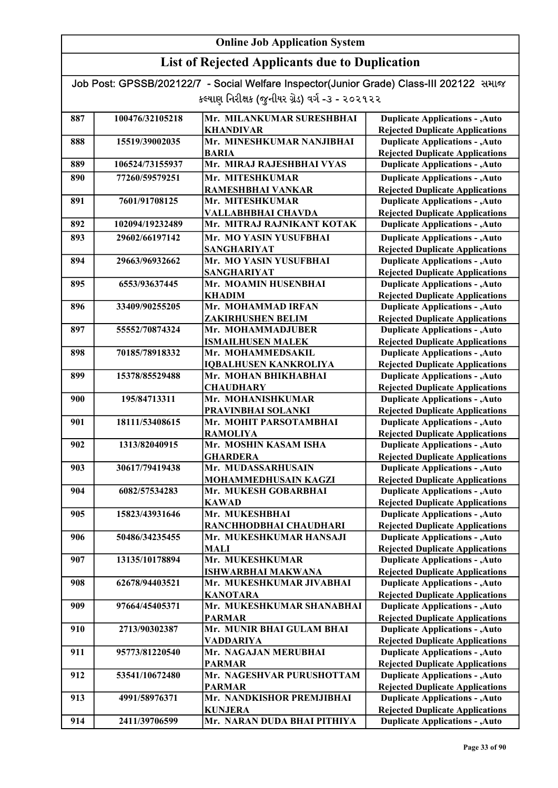### List of Rejected Applicants due to Duplication

| 887 | 100476/32105218 | Mr. MILANKUMAR SURESHBHAI                 | <b>Duplicate Applications - , Auto</b>                                           |
|-----|-----------------|-------------------------------------------|----------------------------------------------------------------------------------|
|     |                 | <b>KHANDIVAR</b>                          | <b>Rejected Duplicate Applications</b>                                           |
| 888 | 15519/39002035  | Mr. MINESHKUMAR NANJIBHAI                 | <b>Duplicate Applications - , Auto</b>                                           |
|     |                 | <b>BARIA</b>                              | <b>Rejected Duplicate Applications</b>                                           |
| 889 | 106524/73155937 | Mr. MIRAJ RAJESHBHAI VYAS                 | <b>Duplicate Applications - , Auto</b>                                           |
| 890 | 77260/59579251  | Mr. MITESHKUMAR                           | <b>Duplicate Applications - , Auto</b>                                           |
|     |                 | RAMESHBHAI VANKAR                         | <b>Rejected Duplicate Applications</b>                                           |
| 891 | 7601/91708125   | Mr. MITESHKUMAR                           | <b>Duplicate Applications - , Auto</b>                                           |
|     |                 | VALLABHBHAI CHAVDA                        | <b>Rejected Duplicate Applications</b>                                           |
| 892 | 102094/19232489 | Mr. MITRAJ RAJNIKANT KOTAK                | <b>Duplicate Applications - , Auto</b>                                           |
| 893 | 29602/66197142  | Mr. MO YASIN YUSUFBHAI                    | <b>Duplicate Applications - , Auto</b>                                           |
|     |                 | <b>SANGHARIYAT</b>                        | <b>Rejected Duplicate Applications</b>                                           |
| 894 | 29663/96932662  | Mr. MO YASIN YUSUFBHAI                    | <b>Duplicate Applications - , Auto</b>                                           |
|     |                 | <b>SANGHARIYAT</b>                        | <b>Rejected Duplicate Applications</b>                                           |
| 895 | 6553/93637445   | Mr. MOAMIN HUSENBHAI                      | <b>Duplicate Applications - , Auto</b>                                           |
|     |                 | KHADIM                                    | <b>Rejected Duplicate Applications</b>                                           |
| 896 | 33409/90255205  | Mr. MOHAMMAD IRFAN                        | <b>Duplicate Applications - , Auto</b>                                           |
|     |                 | ZAKIRHUSHEN BELIM                         | <b>Rejected Duplicate Applications</b>                                           |
| 897 | 55552/70874324  | Mr. MOHAMMADJUBER                         | <b>Duplicate Applications - , Auto</b>                                           |
|     |                 | <b>ISMAILHUSEN MALEK</b>                  | <b>Rejected Duplicate Applications</b>                                           |
| 898 | 70185/78918332  | Mr. MOHAMMEDSAKIL                         | <b>Duplicate Applications - , Auto</b>                                           |
|     |                 | <b>IQBALHUSEN KANKROLIYA</b>              | <b>Rejected Duplicate Applications</b>                                           |
| 899 | 15378/85529488  | Mr. MOHAN BHIKHABHAI                      | <b>Duplicate Applications - , Auto</b>                                           |
|     |                 | <b>CHAUDHARY</b>                          | <b>Rejected Duplicate Applications</b>                                           |
| 900 | 195/84713311    | Mr. MOHANISHKUMAR                         | <b>Duplicate Applications - , Auto</b>                                           |
|     |                 | PRAVINBHAI SOLANKI                        | <b>Rejected Duplicate Applications</b>                                           |
| 901 | 18111/53408615  | Mr. MOHIT PARSOTAMBHAI<br><b>RAMOLIYA</b> | <b>Duplicate Applications - , Auto</b>                                           |
| 902 | 1313/82040915   | Mr. MOSHIN KASAM ISHA                     | <b>Rejected Duplicate Applications</b><br><b>Duplicate Applications - , Auto</b> |
|     |                 | <b>GHARDERA</b>                           | <b>Rejected Duplicate Applications</b>                                           |
| 903 | 30617/79419438  | Mr. MUDASSARHUSAIN                        | <b>Duplicate Applications - , Auto</b>                                           |
|     |                 | MOHAMMEDHUSAIN KAGZI                      | <b>Rejected Duplicate Applications</b>                                           |
| 904 | 6082/57534283   | Mr. MUKESH GOBARBHAI                      | <b>Duplicate Applications - , Auto</b>                                           |
|     |                 | <b>KAWAD</b>                              | <b>Rejected Duplicate Applications</b>                                           |
| 905 | 15823/43931646  | Mr. MUKESHBHAI                            | <b>Duplicate Applications - , Auto</b>                                           |
|     |                 | RANCHHODBHAI CHAUDHARI                    | <b>Rejected Duplicate Applications</b>                                           |
| 906 | 50486/34235455  | Mr. MUKESHKUMAR HANSAJI                   | <b>Duplicate Applications - , Auto</b>                                           |
|     |                 | MALI                                      | <b>Rejected Duplicate Applications</b>                                           |
| 907 | 13135/10178894  | Mr. MUKESHKUMAR                           | <b>Duplicate Applications - , Auto</b>                                           |
|     |                 | ISHWARBHAI MAKWANA                        | <b>Rejected Duplicate Applications</b>                                           |
| 908 | 62678/94403521  | Mr. MUKESHKUMAR JIVABHAI                  | <b>Duplicate Applications - , Auto</b>                                           |
|     |                 | <b>KANOTARA</b>                           | <b>Rejected Duplicate Applications</b>                                           |
| 909 | 97664/45405371  | Mr. MUKESHKUMAR SHANABHAI                 | <b>Duplicate Applications - , Auto</b>                                           |
|     |                 | <b>PARMAR</b>                             | <b>Rejected Duplicate Applications</b>                                           |
| 910 | 2713/90302387   | Mr. MUNIR BHAI GULAM BHAI                 | <b>Duplicate Applications - , Auto</b>                                           |
|     |                 | <b>VADDARIYA</b>                          | <b>Rejected Duplicate Applications</b>                                           |
| 911 | 95773/81220540  | Mr. NAGAJAN MERUBHAI                      | <b>Duplicate Applications - , Auto</b>                                           |
|     |                 | <b>PARMAR</b>                             | <b>Rejected Duplicate Applications</b>                                           |
| 912 | 53541/10672480  | Mr. NAGESHVAR PURUSHOTTAM                 | <b>Duplicate Applications - , Auto</b>                                           |
|     |                 | <b>PARMAR</b>                             | <b>Rejected Duplicate Applications</b>                                           |
| 913 | 4991/58976371   | Mr. NANDKISHOR PREMJIBHAI                 | <b>Duplicate Applications - , Auto</b>                                           |
|     |                 | <b>KUNJERA</b>                            | <b>Rejected Duplicate Applications</b>                                           |
| 914 | 2411/39706599   | Mr. NARAN DUDA BHAI PITHIYA               | <b>Duplicate Applications - , Auto</b>                                           |
|     |                 |                                           |                                                                                  |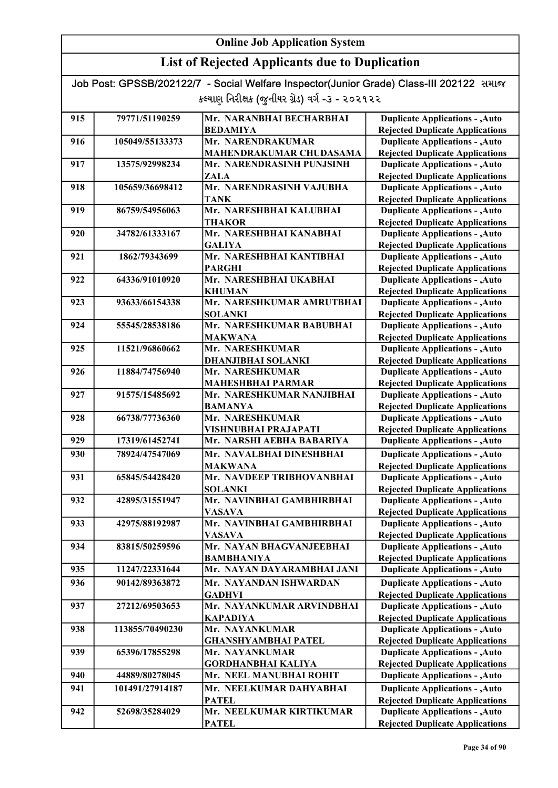### List of Rejected Applicants due to Duplication

| 915 | 79771/51190259  | Mr. NARANBHAI BECHARBHAI                          |                                                                                  |
|-----|-----------------|---------------------------------------------------|----------------------------------------------------------------------------------|
|     |                 | <b>BEDAMIYA</b>                                   | <b>Duplicate Applications - , Auto</b><br><b>Rejected Duplicate Applications</b> |
| 916 | 105049/55133373 | Mr. NARENDRAKUMAR                                 | <b>Duplicate Applications - , Auto</b>                                           |
|     |                 | MAHENDRAKUMAR CHUDASAMA                           | <b>Rejected Duplicate Applications</b>                                           |
| 917 | 13575/92998234  | Mr. NARENDRASINH PUNJSINH                         | <b>Duplicate Applications - , Auto</b>                                           |
|     |                 | <b>ZALA</b>                                       | <b>Rejected Duplicate Applications</b>                                           |
| 918 | 105659/36698412 | Mr. NARENDRASINH VAJUBHA                          | <b>Duplicate Applications - , Auto</b>                                           |
|     |                 | <b>TANK</b>                                       | <b>Rejected Duplicate Applications</b>                                           |
| 919 | 86759/54956063  | Mr. NARESHBHAI KALUBHAI                           | <b>Duplicate Applications - , Auto</b>                                           |
|     |                 | <b>THAKOR</b>                                     | <b>Rejected Duplicate Applications</b>                                           |
| 920 | 34782/61333167  | Mr. NARESHBHAI KANABHAI                           | <b>Duplicate Applications - , Auto</b>                                           |
|     |                 | <b>GALIYA</b>                                     | <b>Rejected Duplicate Applications</b>                                           |
| 921 | 1862/79343699   | Mr. NARESHBHAI KANTIBHAI                          | <b>Duplicate Applications - , Auto</b>                                           |
|     |                 | <b>PARGHI</b>                                     | <b>Rejected Duplicate Applications</b>                                           |
| 922 | 64336/91010920  | Mr. NARESHBHAI UKABHAI                            | <b>Duplicate Applications - , Auto</b>                                           |
|     |                 | <b>KHUMAN</b>                                     | <b>Rejected Duplicate Applications</b>                                           |
| 923 | 93633/66154338  | Mr. NARESHKUMAR AMRUTBHAI                         | <b>Duplicate Applications - , Auto</b>                                           |
|     |                 | <b>SOLANKI</b>                                    | <b>Rejected Duplicate Applications</b>                                           |
| 924 | 55545/28538186  | Mr. NARESHKUMAR BABUBHAI                          | <b>Duplicate Applications - , Auto</b>                                           |
|     |                 | <b>MAKWANA</b>                                    | <b>Rejected Duplicate Applications</b>                                           |
| 925 | 11521/96860662  | Mr. NARESHKUMAR                                   | <b>Duplicate Applications - , Auto</b>                                           |
|     |                 | DHANJIBHAI SOLANKI                                | <b>Rejected Duplicate Applications</b>                                           |
| 926 | 11884/74756940  | Mr. NARESHKUMAR                                   | <b>Duplicate Applications - , Auto</b>                                           |
|     |                 | <b>MAHESHBHAI PARMAR</b>                          | <b>Rejected Duplicate Applications</b>                                           |
| 927 | 91575/15485692  | Mr. NARESHKUMAR NANJIBHAI                         | <b>Duplicate Applications - , Auto</b>                                           |
|     |                 | <b>BAMANYA</b>                                    | <b>Rejected Duplicate Applications</b>                                           |
| 928 | 66738/77736360  | Mr. NARESHKUMAR                                   | <b>Duplicate Applications - , Auto</b>                                           |
| 929 | 17319/61452741  | VISHNUBHAI PRAJAPATI<br>Mr. NARSHI AEBHA BABARIYA | <b>Rejected Duplicate Applications</b><br><b>Duplicate Applications - , Auto</b> |
|     |                 |                                                   |                                                                                  |
| 930 | 78924/47547069  | Mr. NAVALBHAI DINESHBHAI                          | <b>Duplicate Applications - , Auto</b>                                           |
| 931 | 65845/54428420  | <b>MAKWANA</b><br>Mr. NAVDEEP TRIBHOVANBHAI       | <b>Rejected Duplicate Applications</b><br><b>Duplicate Applications - , Auto</b> |
|     |                 | <b>SOLANKI</b>                                    | <b>Rejected Duplicate Applications</b>                                           |
| 932 | 42895/31551947  | Mr. NAVINBHAI GAMBHIRBHAI                         | <b>Duplicate Applications - , Auto</b>                                           |
|     |                 | <b>VASAVA</b>                                     | <b>Rejected Duplicate Applications</b>                                           |
| 933 | 42975/88192987  | Mr. NAVINBHAI GAMBHIRBHAI                         | <b>Duplicate Applications - , Auto</b>                                           |
|     |                 | <b>VASAVA</b>                                     | <b>Rejected Duplicate Applications</b>                                           |
| 934 | 83815/50259596  | Mr. NAYAN BHAGVANJEEBHAI                          | <b>Duplicate Applications - , Auto</b>                                           |
|     |                 | <b>BAMBHANIYA</b>                                 | <b>Rejected Duplicate Applications</b>                                           |
| 935 | 11247/22331644  | Mr. NAYAN DAYARAMBHAI JANI                        | <b>Duplicate Applications - , Auto</b>                                           |
| 936 | 90142/89363872  | Mr. NAYANDAN ISHWARDAN                            | <b>Duplicate Applications - , Auto</b>                                           |
|     |                 | <b>GADHVI</b>                                     | <b>Rejected Duplicate Applications</b>                                           |
| 937 | 27212/69503653  | Mr. NAYANKUMAR ARVINDBHAI                         | <b>Duplicate Applications - , Auto</b>                                           |
|     |                 | <b>KAPADIYA</b>                                   | <b>Rejected Duplicate Applications</b>                                           |
| 938 | 113855/70490230 | Mr. NAYANKUMAR                                    | <b>Duplicate Applications - , Auto</b>                                           |
|     |                 | <b>GHANSHYAMBHAI PATEL</b>                        | <b>Rejected Duplicate Applications</b>                                           |
| 939 | 65396/17855298  | Mr. NAYANKUMAR                                    | <b>Duplicate Applications - , Auto</b>                                           |
|     |                 | <b>GORDHANBHAI KALIYA</b>                         | <b>Rejected Duplicate Applications</b>                                           |
| 940 | 44889/80278045  | Mr. NEEL MANUBHAI ROHIT                           | <b>Duplicate Applications - , Auto</b>                                           |
| 941 | 101491/27914187 | Mr. NEELKUMAR DAHYABHAI                           | <b>Duplicate Applications - , Auto</b>                                           |
|     |                 | <b>PATEL</b>                                      | <b>Rejected Duplicate Applications</b>                                           |
| 942 | 52698/35284029  | Mr. NEELKUMAR KIRTIKUMAR                          | <b>Duplicate Applications - , Auto</b>                                           |
|     |                 | <b>PATEL</b>                                      | <b>Rejected Duplicate Applications</b>                                           |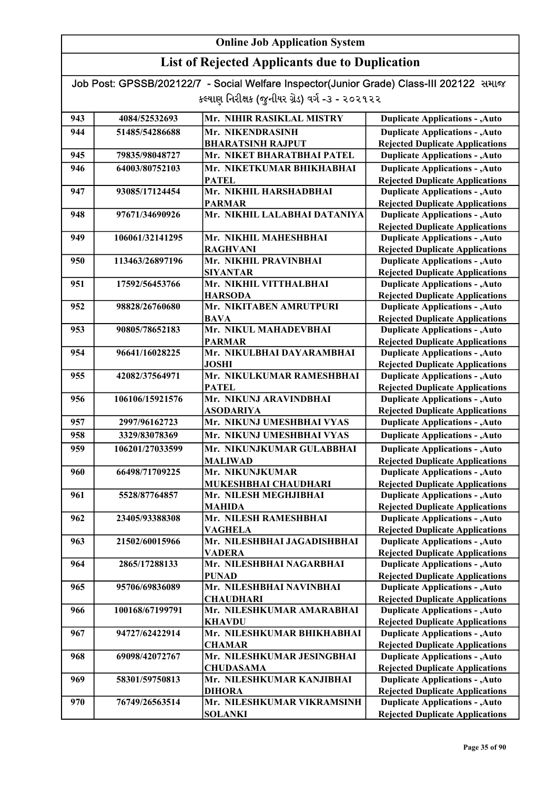### List of Rejected Applicants due to Duplication

| 943 | 4084/52532693   | Mr. NIHIR RASIKLAL MISTRY                     | <b>Duplicate Applications - , Auto</b>                                           |
|-----|-----------------|-----------------------------------------------|----------------------------------------------------------------------------------|
|     |                 |                                               |                                                                                  |
| 944 | 51485/54286688  | Mr. NIKENDRASINH                              | <b>Duplicate Applications - , Auto</b>                                           |
|     |                 | <b>BHARATSINH RAJPUT</b>                      | <b>Rejected Duplicate Applications</b>                                           |
| 945 | 79835/98048727  | Mr. NIKET BHARATBHAI PATEL                    | <b>Duplicate Applications - , Auto</b>                                           |
| 946 | 64003/80752103  | Mr. NIKETKUMAR BHIKHABHAI                     | <b>Duplicate Applications - , Auto</b>                                           |
|     |                 | <b>PATEL</b>                                  | <b>Rejected Duplicate Applications</b>                                           |
| 947 | 93085/17124454  | Mr. NIKHIL HARSHADBHAI                        | <b>Duplicate Applications - , Auto</b>                                           |
|     |                 | <b>PARMAR</b>                                 | <b>Rejected Duplicate Applications</b>                                           |
| 948 | 97671/34690926  | Mr. NIKHIL LALABHAI DATANIYA                  | <b>Duplicate Applications - , Auto</b>                                           |
|     |                 |                                               | <b>Rejected Duplicate Applications</b>                                           |
| 949 | 106061/32141295 | Mr. NIKHIL MAHESHBHAI                         | <b>Duplicate Applications - , Auto</b>                                           |
| 950 | 113463/26897196 | <b>RAGHVANI</b><br>Mr. NIKHIL PRAVINBHAI      | <b>Rejected Duplicate Applications</b>                                           |
|     |                 |                                               | <b>Duplicate Applications - , Auto</b>                                           |
| 951 | 17592/56453766  | <b>SIYANTAR</b><br>Mr. NIKHIL VITTHALBHAI     | <b>Rejected Duplicate Applications</b><br><b>Duplicate Applications - , Auto</b> |
|     |                 | <b>HARSODA</b>                                | <b>Rejected Duplicate Applications</b>                                           |
| 952 | 98828/26760680  | Mr. NIKITABEN AMRUTPURI                       | <b>Duplicate Applications - , Auto</b>                                           |
|     |                 | <b>BAVA</b>                                   | <b>Rejected Duplicate Applications</b>                                           |
| 953 | 90805/78652183  | Mr. NIKUL MAHADEVBHAI                         | <b>Duplicate Applications - , Auto</b>                                           |
|     |                 | <b>PARMAR</b>                                 | <b>Rejected Duplicate Applications</b>                                           |
| 954 | 96641/16028225  | Mr. NIKULBHAI DAYARAMBHAI                     | <b>Duplicate Applications - , Auto</b>                                           |
|     |                 | <b>JOSHI</b>                                  | <b>Rejected Duplicate Applications</b>                                           |
| 955 | 42082/37564971  | Mr. NIKULKUMAR RAMESHBHAI                     | <b>Duplicate Applications - , Auto</b>                                           |
|     |                 | <b>PATEL</b>                                  | <b>Rejected Duplicate Applications</b>                                           |
| 956 | 106106/15921576 | Mr. NIKUNJ ARAVINDBHAI                        | <b>Duplicate Applications - , Auto</b>                                           |
|     |                 | <b>ASODARIYA</b>                              | <b>Rejected Duplicate Applications</b>                                           |
| 957 | 2997/96162723   | Mr. NIKUNJ UMESHBHAI VYAS                     | <b>Duplicate Applications - , Auto</b>                                           |
| 958 | 3329/83078369   | Mr. NIKUNJ UMESHBHAI VYAS                     | <b>Duplicate Applications - , Auto</b>                                           |
| 959 | 106201/27033599 | Mr. NIKUNJKUMAR GULABBHAI                     | <b>Duplicate Applications - , Auto</b>                                           |
|     |                 | <b>MALIWAD</b>                                | <b>Rejected Duplicate Applications</b>                                           |
| 960 | 66498/71709225  | Mr. NIKUNJKUMAR                               | <b>Duplicate Applications - , Auto</b>                                           |
|     |                 | MUKESHBHAI CHAUDHARI                          | <b>Rejected Duplicate Applications</b>                                           |
| 961 | 5528/87764857   | Mr. NILESH MEGHJIBHAI                         | <b>Duplicate Applications - , Auto</b>                                           |
|     |                 | <b>MAHIDA</b>                                 | <b>Rejected Duplicate Applications</b>                                           |
| 962 | 23405/93388308  | Mr. NILESH RAMESHBHAI                         | <b>Duplicate Applications - , Auto</b>                                           |
|     |                 | <b>VAGHELA</b>                                | <b>Rejected Duplicate Applications</b>                                           |
| 963 | 21502/60015966  | Mr. NILESHBHAI JAGADISHBHAI                   | <b>Duplicate Applications - , Auto</b>                                           |
|     |                 | <b>VADERA</b>                                 | <b>Rejected Duplicate Applications</b>                                           |
| 964 | 2865/17288133   | Mr. NILESHBHAI NAGARBHAI                      | <b>Duplicate Applications - , Auto</b>                                           |
|     |                 | <b>PUNAD</b>                                  | <b>Rejected Duplicate Applications</b>                                           |
| 965 | 95706/69836089  | Mr. NILESHBHAI NAVINBHAI                      | <b>Duplicate Applications - , Auto</b>                                           |
|     |                 | <b>CHAUDHARI</b>                              | <b>Rejected Duplicate Applications</b>                                           |
| 966 | 100168/67199791 | Mr. NILESHKUMAR AMARABHAI                     | <b>Duplicate Applications - , Auto</b>                                           |
|     |                 | <b>KHAVDU</b>                                 | <b>Rejected Duplicate Applications</b>                                           |
| 967 | 94727/62422914  | Mr. NILESHKUMAR BHIKHABHAI                    | <b>Duplicate Applications - , Auto</b>                                           |
| 968 | 69098/42072767  | <b>CHAMAR</b><br>Mr. NILESHKUMAR JESINGBHAI   | <b>Rejected Duplicate Applications</b>                                           |
|     |                 |                                               | <b>Duplicate Applications - , Auto</b>                                           |
| 969 | 58301/59750813  | <b>CHUDASAMA</b><br>Mr. NILESHKUMAR KANJIBHAI | <b>Rejected Duplicate Applications</b><br><b>Duplicate Applications - , Auto</b> |
|     |                 | <b>DIHORA</b>                                 | <b>Rejected Duplicate Applications</b>                                           |
| 970 | 76749/26563514  | Mr. NILESHKUMAR VIKRAMSINH                    | <b>Duplicate Applications - , Auto</b>                                           |
|     |                 | <b>SOLANKI</b>                                | <b>Rejected Duplicate Applications</b>                                           |
|     |                 |                                               |                                                                                  |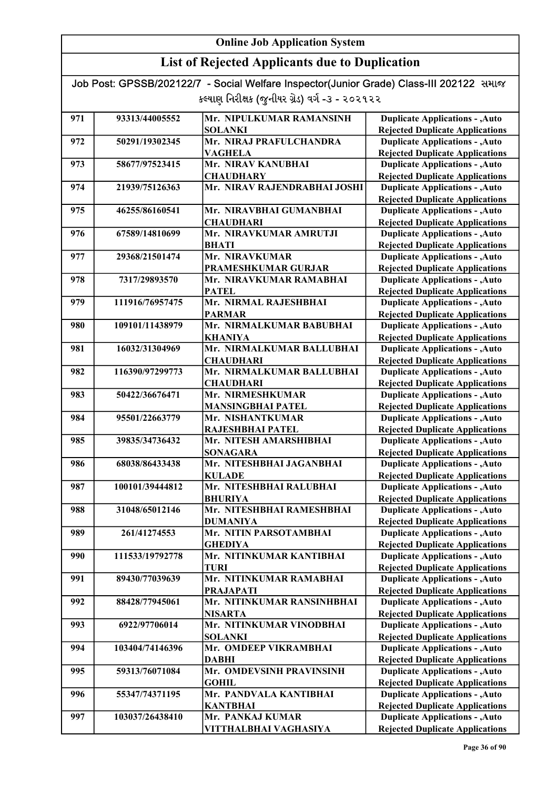| Job Post: GPSSB/202122/7 - Social Welfare Inspector(Junior Grade) Class-III 202122 समाळ |  |
|-----------------------------------------------------------------------------------------|--|
| કલ્યાણ નિરીક્ષક (જુનીયર ગ્રેડ) વર્ગ -૩ - ૨૦૨૧૨૨                                         |  |

| 971 | 93313/44005552  | Mr. NIPULKUMAR RAMANSINH                    | <b>Duplicate Applications - , Auto</b>                                           |
|-----|-----------------|---------------------------------------------|----------------------------------------------------------------------------------|
|     |                 | <b>SOLANKI</b>                              | <b>Rejected Duplicate Applications</b>                                           |
| 972 | 50291/19302345  | Mr. NIRAJ PRAFULCHANDRA                     | <b>Duplicate Applications - , Auto</b>                                           |
|     |                 | <b>VAGHELA</b>                              | <b>Rejected Duplicate Applications</b>                                           |
| 973 | 58677/97523415  | Mr. NIRAV KANUBHAI                          | <b>Duplicate Applications - , Auto</b>                                           |
|     |                 | <b>CHAUDHARY</b>                            | <b>Rejected Duplicate Applications</b>                                           |
| 974 | 21939/75126363  | Mr. NIRAV RAJENDRABHAI JOSHI                | <b>Duplicate Applications - , Auto</b>                                           |
|     |                 |                                             | <b>Rejected Duplicate Applications</b>                                           |
| 975 | 46255/86160541  | Mr. NIRAVBHAI GUMANBHAI                     | <b>Duplicate Applications - , Auto</b>                                           |
|     |                 | <b>CHAUDHARI</b>                            | <b>Rejected Duplicate Applications</b>                                           |
| 976 | 67589/14810699  | Mr. NIRAVKUMAR AMRUTJI                      | <b>Duplicate Applications - , Auto</b>                                           |
|     |                 | <b>BHATI</b>                                | <b>Rejected Duplicate Applications</b>                                           |
| 977 | 29368/21501474  | Mr. NIRAVKUMAR                              | <b>Duplicate Applications - , Auto</b>                                           |
|     |                 | PRAMESHKUMAR GURJAR                         | <b>Rejected Duplicate Applications</b>                                           |
| 978 | 7317/29893570   | Mr. NIRAVKUMAR RAMABHAI                     | <b>Duplicate Applications - , Auto</b>                                           |
|     |                 | <b>PATEL</b>                                | <b>Rejected Duplicate Applications</b>                                           |
| 979 | 111916/76957475 | Mr. NIRMAL RAJESHBHAI                       | <b>Duplicate Applications - , Auto</b>                                           |
|     | 109101/11438979 | <b>PARMAR</b>                               | <b>Rejected Duplicate Applications</b>                                           |
| 980 |                 | Mr. NIRMALKUMAR BABUBHAI                    | <b>Duplicate Applications - , Auto</b>                                           |
| 981 | 16032/31304969  | <b>KHANIYA</b><br>Mr. NIRMALKUMAR BALLUBHAI | <b>Rejected Duplicate Applications</b>                                           |
|     |                 | <b>CHAUDHARI</b>                            | <b>Duplicate Applications - , Auto</b><br><b>Rejected Duplicate Applications</b> |
| 982 | 116390/97299773 | Mr. NIRMALKUMAR BALLUBHAI                   | <b>Duplicate Applications - , Auto</b>                                           |
|     |                 | <b>CHAUDHARI</b>                            | <b>Rejected Duplicate Applications</b>                                           |
| 983 | 50422/36676471  | Mr. NIRMESHKUMAR                            | <b>Duplicate Applications - , Auto</b>                                           |
|     |                 | <b>MANSINGBHAI PATEL</b>                    | <b>Rejected Duplicate Applications</b>                                           |
| 984 | 95501/22663779  | Mr. NISHANTKUMAR                            | <b>Duplicate Applications - , Auto</b>                                           |
|     |                 | RAJESHBHAI PATEL                            | <b>Rejected Duplicate Applications</b>                                           |
| 985 | 39835/34736432  | Mr. NITESH AMARSHIBHAI                      | <b>Duplicate Applications - , Auto</b>                                           |
|     |                 | <b>SONAGARA</b>                             | <b>Rejected Duplicate Applications</b>                                           |
| 986 | 68038/86433438  | Mr. NITESHBHAI JAGANBHAI                    | <b>Duplicate Applications - , Auto</b>                                           |
|     |                 | <b>KULADE</b>                               | <b>Rejected Duplicate Applications</b>                                           |
| 987 | 100101/39444812 | Mr. NITESHBHAI RALUBHAI                     | <b>Duplicate Applications - , Auto</b>                                           |
|     |                 | <b>BHURIYA</b>                              | <b>Rejected Duplicate Applications</b>                                           |
| 988 | 31048/65012146  | Mr. NITESHBHAI RAMESHBHAI                   | <b>Duplicate Applications - , Auto</b>                                           |
|     |                 | <b>DUMANIYA</b>                             | <b>Rejected Duplicate Applications</b>                                           |
| 989 | 261/41274553    | Mr. NITIN PARSOTAMBHAI                      | <b>Duplicate Applications - , Auto</b>                                           |
|     |                 | <b>GHEDIYA</b>                              | <b>Rejected Duplicate Applications</b>                                           |
| 990 | 111533/19792778 | Mr. NITINKUMAR KANTIBHAI                    | <b>Duplicate Applications - , Auto</b>                                           |
|     |                 | <b>TURI</b>                                 | <b>Rejected Duplicate Applications</b>                                           |
| 991 | 89430/77039639  | Mr. NITINKUMAR RAMABHAI                     | <b>Duplicate Applications - , Auto</b>                                           |
|     |                 | <b>PRAJAPATI</b>                            | <b>Rejected Duplicate Applications</b>                                           |
| 992 | 88428/77945061  | Mr. NITINKUMAR RANSINHBHAI                  | <b>Duplicate Applications - , Auto</b>                                           |
|     |                 | <b>NISARTA</b>                              | <b>Rejected Duplicate Applications</b>                                           |
| 993 | 6922/97706014   | Mr. NITINKUMAR VINODBHAI                    | <b>Duplicate Applications - , Auto</b>                                           |
|     |                 | <b>SOLANKI</b>                              | <b>Rejected Duplicate Applications</b>                                           |
| 994 | 103404/74146396 | Mr. OMDEEP VIKRAMBHAI                       | <b>Duplicate Applications - , Auto</b>                                           |
|     |                 | <b>DABHI</b>                                | <b>Rejected Duplicate Applications</b>                                           |
| 995 | 59313/76071084  | Mr. OMDEVSINH PRAVINSINH                    | <b>Duplicate Applications - , Auto</b>                                           |
|     |                 | <b>GOHIL</b>                                | <b>Rejected Duplicate Applications</b>                                           |
| 996 | 55347/74371195  | Mr. PANDVALA KANTIBHAI                      | <b>Duplicate Applications - , Auto</b>                                           |
|     |                 | <b>KANTBHAI</b>                             | <b>Rejected Duplicate Applications</b>                                           |
| 997 | 103037/26438410 | Mr. PANKAJ KUMAR                            | <b>Duplicate Applications - , Auto</b>                                           |
|     |                 | VITTHALBHAI VAGHASIYA                       | <b>Rejected Duplicate Applications</b>                                           |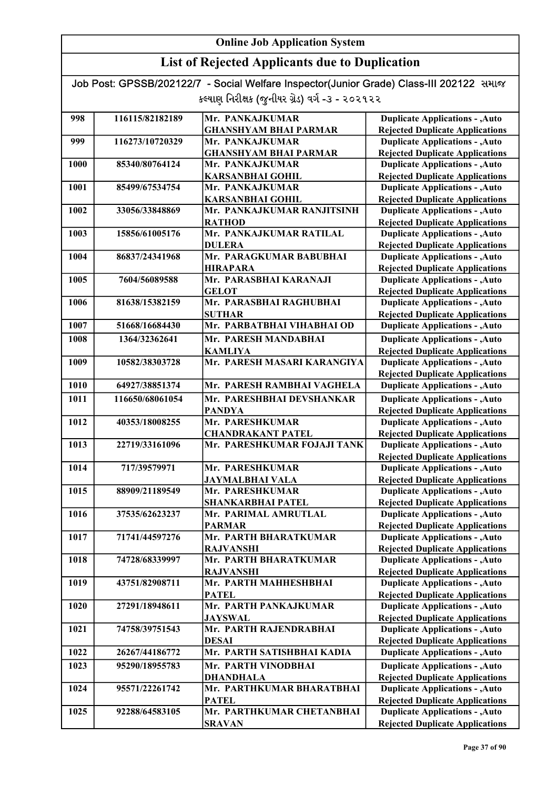## List of Rejected Applicants due to Duplication

| 998  | 116115/82182189 | Mr. PANKAJKUMAR              | <b>Duplicate Applications - , Auto</b> |
|------|-----------------|------------------------------|----------------------------------------|
|      |                 | <b>GHANSHYAM BHAI PARMAR</b> | <b>Rejected Duplicate Applications</b> |
| 999  | 116273/10720329 | Mr. PANKAJKUMAR              | <b>Duplicate Applications - , Auto</b> |
|      |                 | <b>GHANSHYAM BHAI PARMAR</b> | <b>Rejected Duplicate Applications</b> |
| 1000 | 85340/80764124  | Mr. PANKAJKUMAR              | <b>Duplicate Applications - , Auto</b> |
|      |                 | <b>KARSANBHAI GOHIL</b>      | <b>Rejected Duplicate Applications</b> |
| 1001 | 85499/67534754  | Mr. PANKAJKUMAR              | <b>Duplicate Applications - , Auto</b> |
|      |                 | <b>KARSANBHAI GOHIL</b>      | <b>Rejected Duplicate Applications</b> |
| 1002 | 33056/33848869  | Mr. PANKAJKUMAR RANJITSINH   | <b>Duplicate Applications - , Auto</b> |
|      |                 | <b>RATHOD</b>                | <b>Rejected Duplicate Applications</b> |
| 1003 | 15856/61005176  | Mr. PANKAJKUMAR RATILAL      | <b>Duplicate Applications - , Auto</b> |
|      |                 | <b>DULERA</b>                | <b>Rejected Duplicate Applications</b> |
| 1004 | 86837/24341968  | Mr. PARAGKUMAR BABUBHAI      | <b>Duplicate Applications - , Auto</b> |
|      |                 | <b>HIRAPARA</b>              | <b>Rejected Duplicate Applications</b> |
| 1005 | 7604/56089588   | Mr. PARASBHAI KARANAJI       | <b>Duplicate Applications - , Auto</b> |
|      |                 | <b>GELOT</b>                 | <b>Rejected Duplicate Applications</b> |
| 1006 | 81638/15382159  | Mr. PARASBHAI RAGHUBHAI      | <b>Duplicate Applications - , Auto</b> |
|      |                 | <b>SUTHAR</b>                | <b>Rejected Duplicate Applications</b> |
| 1007 | 51668/16684430  | Mr. PARBATBHAI VIHABHAI OD   | <b>Duplicate Applications - , Auto</b> |
| 1008 | 1364/32362641   | Mr. PARESH MANDABHAI         | <b>Duplicate Applications - , Auto</b> |
|      |                 | <b>KAMLIYA</b>               | <b>Rejected Duplicate Applications</b> |
| 1009 | 10582/38303728  | Mr. PARESH MASARI KARANGIYA  | <b>Duplicate Applications - , Auto</b> |
|      |                 |                              | <b>Rejected Duplicate Applications</b> |
| 1010 | 64927/38851374  | Mr. PARESH RAMBHAI VAGHELA   | <b>Duplicate Applications - , Auto</b> |
| 1011 | 116650/68061054 | Mr. PARESHBHAI DEVSHANKAR    | <b>Duplicate Applications - , Auto</b> |
|      |                 | <b>PANDYA</b>                | <b>Rejected Duplicate Applications</b> |
| 1012 | 40353/18008255  | Mr. PARESHKUMAR              | <b>Duplicate Applications - , Auto</b> |
|      |                 | <b>CHANDRAKANT PATEL</b>     | <b>Rejected Duplicate Applications</b> |
| 1013 | 22719/33161096  | Mr. PARESHKUMAR FOJAJI TANK  | <b>Duplicate Applications - , Auto</b> |
|      |                 |                              | <b>Rejected Duplicate Applications</b> |
| 1014 | 717/39579971    | Mr. PARESHKUMAR              | <b>Duplicate Applications - , Auto</b> |
|      |                 | <b>JAYMALBHAI VALA</b>       | <b>Rejected Duplicate Applications</b> |
| 1015 | 88909/21189549  | Mr. PARESHKUMAR              | <b>Duplicate Applications - , Auto</b> |
|      |                 | <b>SHANKARBHAI PATEL</b>     | <b>Rejected Duplicate Applications</b> |
| 1016 | 37535/62623237  | Mr. PARIMAL AMRUTLAL         | <b>Duplicate Applications - , Auto</b> |
|      |                 | <b>PARMAR</b>                | <b>Rejected Duplicate Applications</b> |
| 1017 | 71741/44597276  | Mr. PARTH BHARATKUMAR        | <b>Duplicate Applications - , Auto</b> |
|      |                 | <b>RAJVANSHI</b>             | <b>Rejected Duplicate Applications</b> |
| 1018 | 74728/68339997  | Mr. PARTH BHARATKUMAR        | <b>Duplicate Applications - , Auto</b> |
|      |                 | <b>RAJVANSHI</b>             | <b>Rejected Duplicate Applications</b> |
| 1019 | 43751/82908711  | Mr. PARTH MAHHESHBHAI        | <b>Duplicate Applications - , Auto</b> |
|      |                 | <b>PATEL</b>                 | <b>Rejected Duplicate Applications</b> |
| 1020 | 27291/18948611  | Mr. PARTH PANKAJKUMAR        | <b>Duplicate Applications - , Auto</b> |
|      |                 | <b>JAYSWAL</b>               | <b>Rejected Duplicate Applications</b> |
| 1021 | 74758/39751543  | Mr. PARTH RAJENDRABHAI       | <b>Duplicate Applications - , Auto</b> |
|      |                 | <b>DESAI</b>                 | <b>Rejected Duplicate Applications</b> |
| 1022 | 26267/44186772  | Mr. PARTH SATISHBHAI KADIA   | <b>Duplicate Applications - , Auto</b> |
| 1023 | 95290/18955783  | Mr. PARTH VINODBHAI          | <b>Duplicate Applications - , Auto</b> |
|      |                 | <b>DHANDHALA</b>             | <b>Rejected Duplicate Applications</b> |
| 1024 | 95571/22261742  | Mr. PARTHKUMAR BHARATBHAI    | <b>Duplicate Applications - , Auto</b> |
|      |                 | <b>PATEL</b>                 | <b>Rejected Duplicate Applications</b> |
| 1025 | 92288/64583105  | Mr. PARTHKUMAR CHETANBHAI    | <b>Duplicate Applications - , Auto</b> |
|      |                 |                              |                                        |
|      |                 | <b>SRAVAN</b>                | <b>Rejected Duplicate Applications</b> |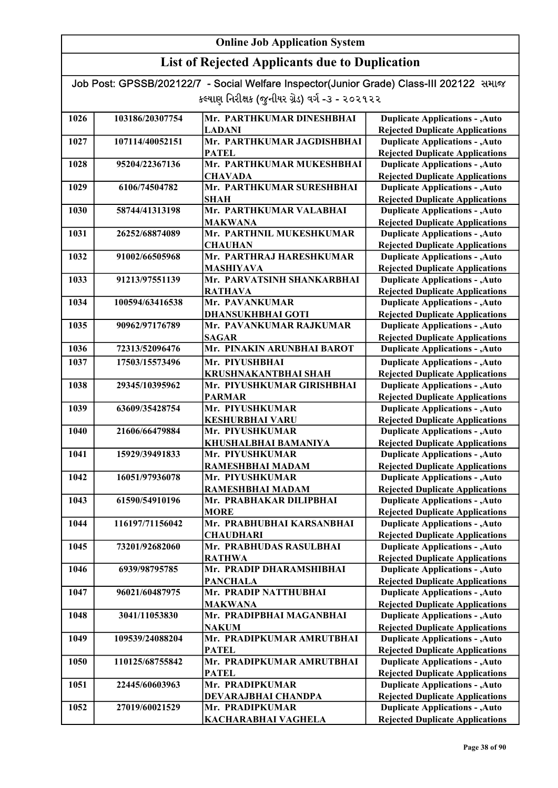| Job Post: GPSSB/202122/7 - Social Welfare Inspector(Junior Grade) Class-III 202122 समाल |  |
|-----------------------------------------------------------------------------------------|--|
| કલ્યાણ નિરીક્ષક (જુનીયર ગ્રેડ) વર્ગ -૩ - ૨૦૨૧૨૨                                         |  |

| 1026 | 103186/20307754 | Mr. PARTHKUMAR DINESHBHAI                 | <b>Duplicate Applications - , Auto</b>                                           |
|------|-----------------|-------------------------------------------|----------------------------------------------------------------------------------|
|      |                 | <b>LADANI</b>                             | <b>Rejected Duplicate Applications</b>                                           |
| 1027 | 107114/40052151 | Mr. PARTHKUMAR JAGDISHBHAI                | <b>Duplicate Applications - , Auto</b>                                           |
|      |                 | <b>PATEL</b>                              | <b>Rejected Duplicate Applications</b>                                           |
| 1028 | 95204/22367136  | Mr. PARTHKUMAR MUKESHBHAI                 | <b>Duplicate Applications - , Auto</b>                                           |
|      |                 | <b>CHAVADA</b>                            | <b>Rejected Duplicate Applications</b>                                           |
| 1029 | 6106/74504782   | Mr. PARTHKUMAR SURESHBHAI                 | <b>Duplicate Applications - , Auto</b>                                           |
|      |                 | <b>SHAH</b>                               | <b>Rejected Duplicate Applications</b>                                           |
| 1030 | 58744/41313198  | Mr. PARTHKUMAR VALABHAI                   | <b>Duplicate Applications - , Auto</b>                                           |
|      |                 | <b>MAKWANA</b>                            | <b>Rejected Duplicate Applications</b>                                           |
| 1031 | 26252/68874089  | Mr. PARTHNIL MUKESHKUMAR                  | <b>Duplicate Applications - , Auto</b>                                           |
|      |                 | <b>CHAUHAN</b>                            | <b>Rejected Duplicate Applications</b>                                           |
| 1032 | 91002/66505968  | Mr. PARTHRAJ HARESHKUMAR                  | <b>Duplicate Applications - , Auto</b>                                           |
|      |                 | <b>MASHIYAVA</b>                          | <b>Rejected Duplicate Applications</b>                                           |
| 1033 | 91213/97551139  | Mr. PARVATSINH SHANKARBHAI                | <b>Duplicate Applications - , Auto</b>                                           |
|      |                 | <b>RATHAVA</b>                            | <b>Rejected Duplicate Applications</b>                                           |
| 1034 | 100594/63416538 | Mr. PAVANKUMAR                            | <b>Duplicate Applications - , Auto</b>                                           |
|      |                 | <b>DHANSUKHBHAI GOTI</b>                  | <b>Rejected Duplicate Applications</b>                                           |
| 1035 | 90962/97176789  | Mr. PAVANKUMAR RAJKUMAR                   | <b>Duplicate Applications - , Auto</b>                                           |
|      | 72313/52096476  | <b>SAGAR</b>                              | <b>Rejected Duplicate Applications</b>                                           |
| 1036 |                 | Mr. PINAKIN ARUNBHAI BAROT                | <b>Duplicate Applications - , Auto</b>                                           |
| 1037 | 17503/15573496  | Mr. PIYUSHBHAI                            | <b>Duplicate Applications - , Auto</b>                                           |
|      |                 | <b>KRUSHNAKANTBHAI SHAH</b>               | <b>Rejected Duplicate Applications</b>                                           |
| 1038 | 29345/10395962  | Mr. PIYUSHKUMAR GIRISHBHAI                | <b>Duplicate Applications - , Auto</b>                                           |
|      |                 | <b>PARMAR</b>                             | <b>Rejected Duplicate Applications</b>                                           |
| 1039 | 63609/35428754  | Mr. PIYUSHKUMAR                           | <b>Duplicate Applications - , Auto</b>                                           |
| 1040 | 21606/66479884  | <b>KESHURBHAI VARU</b><br>Mr. PIYUSHKUMAR | <b>Rejected Duplicate Applications</b><br><b>Duplicate Applications - , Auto</b> |
|      |                 | KHUSHALBHAI BAMANIYA                      | <b>Rejected Duplicate Applications</b>                                           |
| 1041 | 15929/39491833  | Mr. PIYUSHKUMAR                           | <b>Duplicate Applications - , Auto</b>                                           |
|      |                 | RAMESHBHAI MADAM                          | <b>Rejected Duplicate Applications</b>                                           |
| 1042 | 16051/97936078  | Mr. PIYUSHKUMAR                           | <b>Duplicate Applications - , Auto</b>                                           |
|      |                 | RAMESHBHAI MADAM                          | <b>Rejected Duplicate Applications</b>                                           |
| 1043 | 61590/54910196  | Mr. PRABHAKAR DILIPBHAI                   | <b>Duplicate Applications - , Auto</b>                                           |
|      |                 | <b>MORE</b>                               | <b>Rejected Duplicate Applications</b>                                           |
| 1044 | 116197/71156042 | Mr. PRABHUBHAI KARSANBHAI                 | <b>Duplicate Applications - , Auto</b>                                           |
|      |                 | <b>CHAUDHARI</b>                          | <b>Rejected Duplicate Applications</b>                                           |
| 1045 | 73201/92682060  | Mr. PRABHUDAS RASULBHAI                   | <b>Duplicate Applications - , Auto</b>                                           |
|      |                 | <b>RATHWA</b>                             | <b>Rejected Duplicate Applications</b>                                           |
| 1046 | 6939/98795785   | Mr. PRADIP DHARAMSHIBHAI                  | <b>Duplicate Applications - , Auto</b>                                           |
|      |                 | <b>PANCHALA</b>                           | <b>Rejected Duplicate Applications</b>                                           |
| 1047 | 96021/60487975  | Mr. PRADIP NATTHUBHAI                     | <b>Duplicate Applications - , Auto</b>                                           |
|      |                 | <b>MAKWANA</b>                            | <b>Rejected Duplicate Applications</b>                                           |
| 1048 | 3041/11053830   | Mr. PRADIPBHAI MAGANBHAI                  | <b>Duplicate Applications - , Auto</b>                                           |
|      |                 | <b>NAKUM</b>                              | <b>Rejected Duplicate Applications</b>                                           |
| 1049 | 109539/24088204 | Mr. PRADIPKUMAR AMRUTBHAI                 | <b>Duplicate Applications - , Auto</b>                                           |
|      |                 | <b>PATEL</b>                              | <b>Rejected Duplicate Applications</b>                                           |
| 1050 | 110125/68755842 | Mr. PRADIPKUMAR AMRUTBHAI                 | <b>Duplicate Applications - , Auto</b>                                           |
|      |                 | <b>PATEL</b>                              | <b>Rejected Duplicate Applications</b>                                           |
| 1051 | 22445/60603963  | Mr. PRADIPKUMAR                           | <b>Duplicate Applications - , Auto</b><br><b>Rejected Duplicate Applications</b> |
| 1052 | 27019/60021529  | DEVARAJBHAI CHANDPA<br>Mr. PRADIPKUMAR    | <b>Duplicate Applications - , Auto</b>                                           |
|      |                 | KACHARABHAI VAGHELA                       | <b>Rejected Duplicate Applications</b>                                           |
|      |                 |                                           |                                                                                  |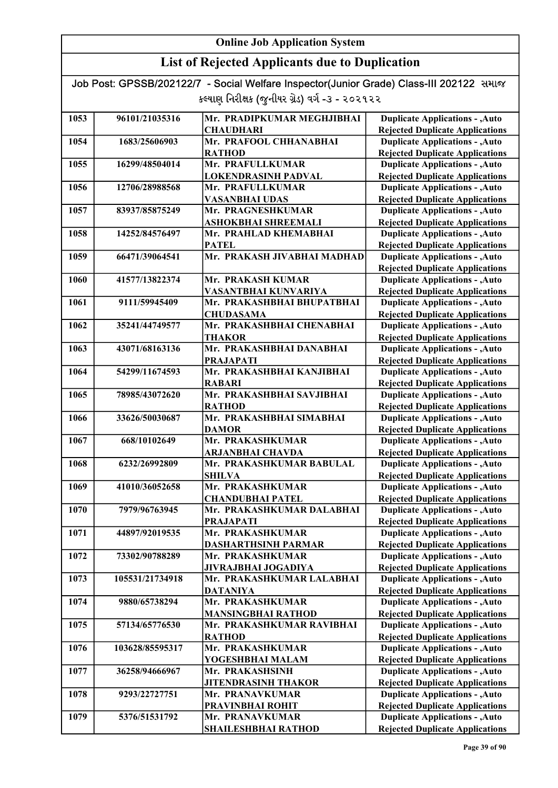## List of Rejected Applicants due to Duplication

| 1053 | 96101/21035316  | Mr. PRADIPKUMAR MEGHJIBHAI                         | <b>Duplicate Applications - , Auto</b>                                           |
|------|-----------------|----------------------------------------------------|----------------------------------------------------------------------------------|
|      |                 | <b>CHAUDHARI</b>                                   | <b>Rejected Duplicate Applications</b>                                           |
| 1054 | 1683/25606903   | Mr. PRAFOOL CHHANABHAI                             | <b>Duplicate Applications - , Auto</b>                                           |
|      |                 | <b>RATHOD</b>                                      | <b>Rejected Duplicate Applications</b>                                           |
| 1055 | 16299/48504014  | Mr. PRAFULLKUMAR                                   | <b>Duplicate Applications - , Auto</b>                                           |
|      |                 | <b>LOKENDRASINH PADVAL</b>                         | <b>Rejected Duplicate Applications</b>                                           |
| 1056 | 12706/28988568  | Mr. PRAFULLKUMAR                                   | <b>Duplicate Applications - , Auto</b>                                           |
|      |                 | <b>VASANBHAI UDAS</b>                              | <b>Rejected Duplicate Applications</b>                                           |
| 1057 | 83937/85875249  | Mr. PRAGNESHKUMAR                                  | <b>Duplicate Applications - , Auto</b>                                           |
|      |                 | <b>ASHOKBHAI SHREEMALI</b>                         | <b>Rejected Duplicate Applications</b>                                           |
| 1058 | 14252/84576497  | Mr. PRAHLAD KHEMABHAI                              | <b>Duplicate Applications - , Auto</b>                                           |
|      |                 | <b>PATEL</b>                                       | <b>Rejected Duplicate Applications</b>                                           |
| 1059 | 66471/39064541  | Mr. PRAKASH JIVABHAI MADHAD                        | <b>Duplicate Applications - , Auto</b>                                           |
|      |                 |                                                    | <b>Rejected Duplicate Applications</b>                                           |
| 1060 | 41577/13822374  | Mr. PRAKASH KUMAR                                  | <b>Duplicate Applications - , Auto</b>                                           |
| 1061 | 9111/59945409   | VASANTBHAI KUNVARIYA<br>Mr. PRAKASHBHAI BHUPATBHAI | <b>Rejected Duplicate Applications</b>                                           |
|      |                 | <b>CHUDASAMA</b>                                   | <b>Duplicate Applications - , Auto</b><br><b>Rejected Duplicate Applications</b> |
| 1062 | 35241/44749577  | Mr. PRAKASHBHAI CHENABHAI                          | <b>Duplicate Applications - , Auto</b>                                           |
|      |                 | <b>THAKOR</b>                                      | <b>Rejected Duplicate Applications</b>                                           |
| 1063 | 43071/68163136  | Mr. PRAKASHBHAI DANABHAI                           | <b>Duplicate Applications - , Auto</b>                                           |
|      |                 | <b>PRAJAPATI</b>                                   | <b>Rejected Duplicate Applications</b>                                           |
| 1064 | 54299/11674593  | Mr. PRAKASHBHAI KANJIBHAI                          | <b>Duplicate Applications - , Auto</b>                                           |
|      |                 | <b>RABARI</b>                                      | <b>Rejected Duplicate Applications</b>                                           |
| 1065 | 78985/43072620  | Mr. PRAKASHBHAI SAVJIBHAI                          | <b>Duplicate Applications - , Auto</b>                                           |
|      |                 | <b>RATHOD</b>                                      | <b>Rejected Duplicate Applications</b>                                           |
| 1066 | 33626/50030687  | Mr. PRAKASHBHAI SIMABHAI                           | <b>Duplicate Applications - , Auto</b>                                           |
|      |                 | <b>DAMOR</b>                                       | <b>Rejected Duplicate Applications</b>                                           |
| 1067 | 668/10102649    | Mr. PRAKASHKUMAR                                   | <b>Duplicate Applications - , Auto</b>                                           |
|      |                 | <b>ARJANBHAI CHAVDA</b>                            | <b>Rejected Duplicate Applications</b>                                           |
| 1068 | 6232/26992809   | Mr. PRAKASHKUMAR BABULAL                           | <b>Duplicate Applications - , Auto</b>                                           |
|      |                 | <b>SHILVA</b>                                      | <b>Rejected Duplicate Applications</b>                                           |
| 1069 | 41010/36052658  | Mr. PRAKASHKUMAR                                   | <b>Duplicate Applications - , Auto</b>                                           |
|      |                 | <b>CHANDUBHAI PATEL</b>                            | <b>Rejected Duplicate Applications</b>                                           |
| 1070 | 7979/96763945   | Mr. PRAKASHKUMAR DALABHAI                          | <b>Duplicate Applications - , Auto</b>                                           |
|      |                 | <b>PRAJAPATI</b>                                   | <b>Rejected Duplicate Applications</b>                                           |
| 1071 | 44897/92019535  | Mr. PRAKASHKUMAR                                   | <b>Duplicate Applications - , Auto</b>                                           |
|      |                 | <b>DASHARTHSINH PARMAR</b>                         | <b>Rejected Duplicate Applications</b>                                           |
| 1072 | 73302/90788289  | Mr. PRAKASHKUMAR                                   | <b>Duplicate Applications - , Auto</b>                                           |
|      |                 | JIVRAJBHAI JOGADIYA                                | <b>Rejected Duplicate Applications</b>                                           |
| 1073 | 105531/21734918 | Mr. PRAKASHKUMAR LALABHAI                          | <b>Duplicate Applications - , Auto</b>                                           |
|      |                 | <b>DATANIYA</b>                                    | <b>Rejected Duplicate Applications</b>                                           |
| 1074 | 9880/65738294   | Mr. PRAKASHKUMAR                                   | <b>Duplicate Applications - , Auto</b>                                           |
|      |                 | <b>MANSINGBHAI RATHOD</b>                          | <b>Rejected Duplicate Applications</b>                                           |
| 1075 | 57134/65776530  | Mr. PRAKASHKUMAR RAVIBHAI                          | <b>Duplicate Applications - , Auto</b>                                           |
| 1076 | 103628/85595317 | <b>RATHOD</b><br>Mr. PRAKASHKUMAR                  | <b>Rejected Duplicate Applications</b><br><b>Duplicate Applications - , Auto</b> |
|      |                 | YOGESHBHAI MALAM                                   | <b>Rejected Duplicate Applications</b>                                           |
| 1077 | 36258/94666967  | Mr. PRAKASHSINH                                    | <b>Duplicate Applications - , Auto</b>                                           |
|      |                 | <b>JITENDRASINH THAKOR</b>                         | <b>Rejected Duplicate Applications</b>                                           |
| 1078 | 9293/22727751   | Mr. PRANAVKUMAR                                    | <b>Duplicate Applications - , Auto</b>                                           |
|      |                 | PRAVINBHAI ROHIT                                   | <b>Rejected Duplicate Applications</b>                                           |
| 1079 | 5376/51531792   | Mr. PRANAVKUMAR                                    | <b>Duplicate Applications - , Auto</b>                                           |
|      |                 | SHAILESHBHAI RATHOD                                | <b>Rejected Duplicate Applications</b>                                           |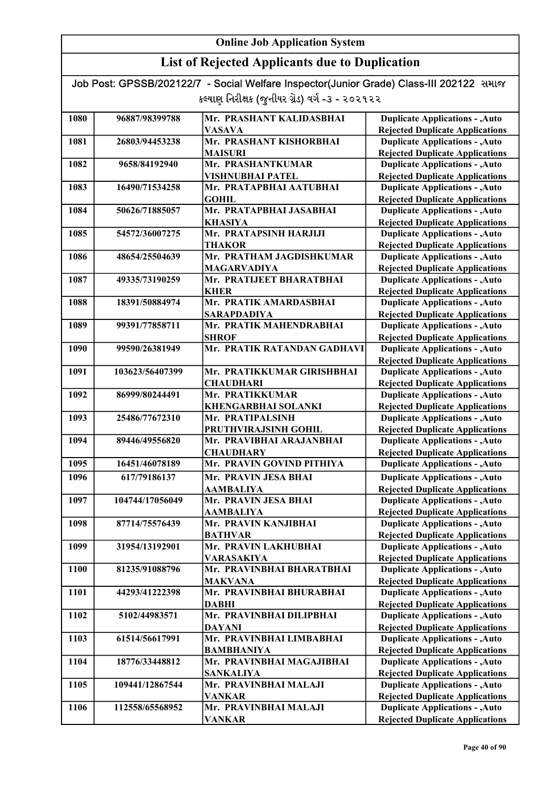| Job Post: GPSSB/202122/7 - Social Welfare Inspector(Junior Grade) Class-III 202122 समाल |  |
|-----------------------------------------------------------------------------------------|--|
| કલ્યાણ નિરીક્ષક (જુનીયર ગ્રેડ) વર્ગ -૩ - ૨૦૨૧૨૨                                         |  |

| 1080 | 96887/98399788  | Mr. PRASHANT KALIDASBHAI    | <b>Duplicate Applications - , Auto</b> |
|------|-----------------|-----------------------------|----------------------------------------|
|      |                 | <b>VASAVA</b>               | <b>Rejected Duplicate Applications</b> |
| 1081 | 26803/94453238  | Mr. PRASHANT KISHORBHAI     | <b>Duplicate Applications - , Auto</b> |
|      |                 | <b>MAISURI</b>              | <b>Rejected Duplicate Applications</b> |
| 1082 | 9658/84192940   | Mr. PRASHANTKUMAR           | <b>Duplicate Applications - , Auto</b> |
|      |                 | <b>VISHNUBHAI PATEL</b>     | <b>Rejected Duplicate Applications</b> |
| 1083 | 16490/71534258  | Mr. PRATAPBHAI AATUBHAI     | <b>Duplicate Applications - , Auto</b> |
|      |                 | <b>GOHIL</b>                | <b>Rejected Duplicate Applications</b> |
| 1084 | 50626/71885057  | Mr. PRATAPBHAI JASABHAI     | <b>Duplicate Applications - , Auto</b> |
|      |                 | <b>KHASIYA</b>              | <b>Rejected Duplicate Applications</b> |
| 1085 | 54572/36007275  | Mr. PRATAPSINH HARJIJI      | <b>Duplicate Applications - , Auto</b> |
|      |                 | <b>THAKOR</b>               | <b>Rejected Duplicate Applications</b> |
| 1086 | 48654/25504639  | Mr. PRATHAM JAGDISHKUMAR    | <b>Duplicate Applications - , Auto</b> |
|      |                 | <b>MAGARVADIYA</b>          | <b>Rejected Duplicate Applications</b> |
| 1087 | 49335/73190259  | Mr. PRATIJEET BHARATBHAI    | <b>Duplicate Applications - , Auto</b> |
|      |                 | <b>KHER</b>                 | <b>Rejected Duplicate Applications</b> |
| 1088 | 18391/50884974  | Mr. PRATIK AMARDASBHAI      | <b>Duplicate Applications - , Auto</b> |
|      |                 | <b>SARAPDADIYA</b>          | <b>Rejected Duplicate Applications</b> |
| 1089 | 99391/77858711  | Mr. PRATIK MAHENDRABHAI     | <b>Duplicate Applications - , Auto</b> |
|      |                 | <b>SHROF</b>                | <b>Rejected Duplicate Applications</b> |
| 1090 | 99590/26381949  | Mr. PRATIK RATANDAN GADHAVI | <b>Duplicate Applications - , Auto</b> |
|      |                 |                             | <b>Rejected Duplicate Applications</b> |
| 1091 | 103623/56407399 | Mr. PRATIKKUMAR GIRISHBHAI  | <b>Duplicate Applications - , Auto</b> |
|      |                 | <b>CHAUDHARI</b>            | <b>Rejected Duplicate Applications</b> |
| 1092 | 86999/80244491  | Mr. PRATIKKUMAR             | <b>Duplicate Applications - , Auto</b> |
|      |                 | <b>KHENGARBHAI SOLANKI</b>  | <b>Rejected Duplicate Applications</b> |
| 1093 | 25486/77672310  | Mr. PRATIPALSINH            | <b>Duplicate Applications - , Auto</b> |
|      |                 | PRUTHVIRAJSINH GOHIL        | <b>Rejected Duplicate Applications</b> |
| 1094 | 89446/49556820  | Mr. PRAVIBHAI ARAJANBHAI    | <b>Duplicate Applications - , Auto</b> |
|      |                 | <b>CHAUDHARY</b>            | <b>Rejected Duplicate Applications</b> |
| 1095 | 16451/46078189  | Mr. PRAVIN GOVIND PITHIYA   | <b>Duplicate Applications - , Auto</b> |
| 1096 | 617/79186137    | Mr. PRAVIN JESA BHAI        | <b>Duplicate Applications - , Auto</b> |
|      |                 | <b>AAMBALIYA</b>            | <b>Rejected Duplicate Applications</b> |
| 1097 | 104744/17056049 | Mr. PRAVIN JESA BHAI        | <b>Duplicate Applications - , Auto</b> |
|      |                 | <b>AAMBALIYA</b>            | <b>Rejected Duplicate Applications</b> |
| 1098 | 87714/75576439  | Mr. PRAVIN KANJIBHAI        | <b>Duplicate Applications - , Auto</b> |
|      |                 | <b>BATHVAR</b>              | <b>Rejected Duplicate Applications</b> |
| 1099 | 31954/13192901  | Mr. PRAVIN LAKHUBHAI        | <b>Duplicate Applications - , Auto</b> |
|      |                 | <b>VARASAKIYA</b>           | <b>Rejected Duplicate Applications</b> |
| 1100 | 81235/91088796  | Mr. PRAVINBHAI BHARATBHAI   | <b>Duplicate Applications - , Auto</b> |
|      |                 | <b>MAKVANA</b>              | <b>Rejected Duplicate Applications</b> |
| 1101 | 44293/41222398  | Mr. PRAVINBHAI BHURABHAI    | <b>Duplicate Applications - , Auto</b> |
|      |                 | <b>DABHI</b>                | <b>Rejected Duplicate Applications</b> |
| 1102 | 5102/44983571   | Mr. PRAVINBHAI DILIPBHAI    | <b>Duplicate Applications - , Auto</b> |
|      |                 | <b>DAYANI</b>               | <b>Rejected Duplicate Applications</b> |
| 1103 | 61514/56617991  | Mr. PRAVINBHAI LIMBABHAI    | <b>Duplicate Applications - , Auto</b> |
|      |                 | <b>BAMBHANIYA</b>           | <b>Rejected Duplicate Applications</b> |
| 1104 | 18776/33448812  | Mr. PRAVINBHAI MAGAJIBHAI   | <b>Duplicate Applications - , Auto</b> |
|      |                 | <b>SANKALIYA</b>            | <b>Rejected Duplicate Applications</b> |
| 1105 | 109441/12867544 | Mr. PRAVINBHAI MALAJI       | <b>Duplicate Applications - , Auto</b> |
|      |                 | <b>VANKAR</b>               | <b>Rejected Duplicate Applications</b> |
| 1106 | 112558/65568952 | Mr. PRAVINBHAI MALAJI       | <b>Duplicate Applications - , Auto</b> |
|      |                 | <b>VANKAR</b>               | <b>Rejected Duplicate Applications</b> |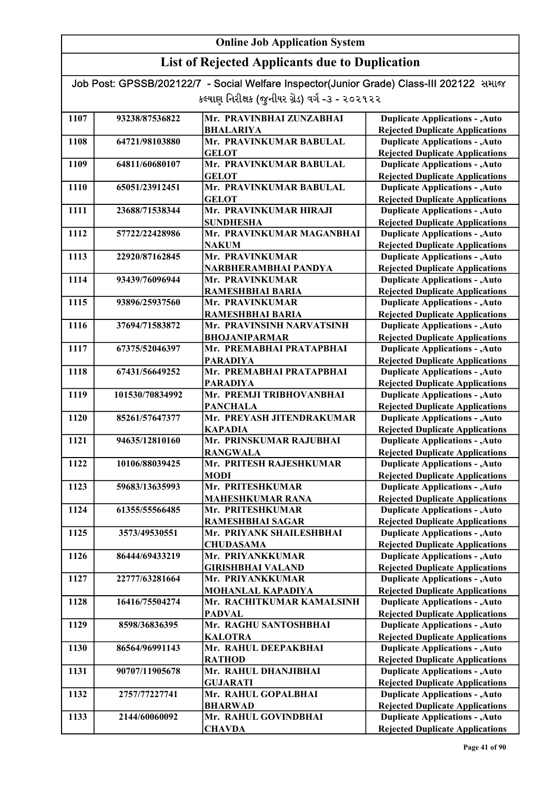## List of Rejected Applicants due to Duplication

| 1107 | 93238/87536822  | Mr. PRAVINBHAI ZUNZABHAI                     | <b>Duplicate Applications - , Auto</b>                                           |
|------|-----------------|----------------------------------------------|----------------------------------------------------------------------------------|
|      |                 | <b>BHALARIYA</b>                             | <b>Rejected Duplicate Applications</b>                                           |
| 1108 | 64721/98103880  | Mr. PRAVINKUMAR BABULAL                      | <b>Duplicate Applications - , Auto</b>                                           |
|      |                 | <b>GELOT</b>                                 | <b>Rejected Duplicate Applications</b>                                           |
| 1109 | 64811/60680107  | Mr. PRAVINKUMAR BABULAL                      | <b>Duplicate Applications - , Auto</b>                                           |
|      |                 | <b>GELOT</b>                                 | <b>Rejected Duplicate Applications</b>                                           |
| 1110 | 65051/23912451  | Mr. PRAVINKUMAR BABULAL                      | <b>Duplicate Applications - , Auto</b>                                           |
|      |                 | <b>GELOT</b>                                 | <b>Rejected Duplicate Applications</b>                                           |
| 1111 | 23688/71538344  | Mr. PRAVINKUMAR HIRAJI                       | <b>Duplicate Applications - , Auto</b>                                           |
|      |                 | <b>SUNDHESHA</b>                             | <b>Rejected Duplicate Applications</b>                                           |
| 1112 | 57722/22428986  | Mr. PRAVINKUMAR MAGANBHAI                    | <b>Duplicate Applications - , Auto</b>                                           |
|      |                 | <b>NAKUM</b>                                 | <b>Rejected Duplicate Applications</b>                                           |
| 1113 | 22920/87162845  | Mr. PRAVINKUMAR                              | <b>Duplicate Applications - , Auto</b>                                           |
|      |                 | NARBHERAMBHAI PANDYA                         | <b>Rejected Duplicate Applications</b>                                           |
| 1114 | 93439/76096944  | Mr. PRAVINKUMAR                              | <b>Duplicate Applications - , Auto</b>                                           |
|      |                 | RAMESHBHAI BARIA                             | <b>Rejected Duplicate Applications</b>                                           |
| 1115 | 93896/25937560  | Mr. PRAVINKUMAR                              | <b>Duplicate Applications - , Auto</b>                                           |
|      |                 | <b>RAMESHBHAI BARIA</b>                      | <b>Rejected Duplicate Applications</b>                                           |
| 1116 | 37694/71583872  | Mr. PRAVINSINH NARVATSINH                    | <b>Duplicate Applications - , Auto</b>                                           |
|      |                 | <b>BHOJANIPARMAR</b>                         | <b>Rejected Duplicate Applications</b>                                           |
| 1117 | 67375/52046397  | Mr. PREMABHAI PRATAPBHAI                     | <b>Duplicate Applications - , Auto</b>                                           |
|      |                 | <b>PARADIYA</b>                              | <b>Rejected Duplicate Applications</b>                                           |
| 1118 | 67431/56649252  | Mr. PREMABHAI PRATAPBHAI                     | <b>Duplicate Applications - , Auto</b>                                           |
|      |                 | <b>PARADIYA</b>                              | <b>Rejected Duplicate Applications</b>                                           |
| 1119 | 101530/70834992 | Mr. PREMJI TRIBHOVANBHAI                     | <b>Duplicate Applications - , Auto</b>                                           |
|      |                 | <b>PANCHALA</b><br>Mr. PREYASH JITENDRAKUMAR | <b>Rejected Duplicate Applications</b>                                           |
| 1120 | 85261/57647377  |                                              | <b>Duplicate Applications - , Auto</b>                                           |
| 1121 | 94635/12810160  | <b>KAPADIA</b><br>Mr. PRINSKUMAR RAJUBHAI    | <b>Rejected Duplicate Applications</b><br><b>Duplicate Applications - , Auto</b> |
|      |                 | <b>RANGWALA</b>                              | <b>Rejected Duplicate Applications</b>                                           |
| 1122 | 10106/88039425  | Mr. PRITESH RAJESHKUMAR                      | <b>Duplicate Applications - , Auto</b>                                           |
|      |                 | <b>MODI</b>                                  | <b>Rejected Duplicate Applications</b>                                           |
| 1123 | 59683/13635993  | Mr. PRITESHKUMAR                             | <b>Duplicate Applications - , Auto</b>                                           |
|      |                 | <b>MAHESHKUMAR RANA</b>                      | <b>Rejected Duplicate Applications</b>                                           |
| 1124 | 61355/55566485  | Mr. PRITESHKUMAR                             | <b>Duplicate Applications - , Auto</b>                                           |
|      |                 | <b>RAMESHBHAI SAGAR</b>                      | <b>Rejected Duplicate Applications</b>                                           |
| 1125 | 3573/49530551   | Mr. PRIYANK SHAILESHBHAI                     | <b>Duplicate Applications - , Auto</b>                                           |
|      |                 | <b>CHUDASAMA</b>                             | <b>Rejected Duplicate Applications</b>                                           |
| 1126 | 86444/69433219  | Mr. PRIYANKKUMAR                             | <b>Duplicate Applications - , Auto</b>                                           |
|      |                 | <b>GIRISHBHAI VALAND</b>                     | <b>Rejected Duplicate Applications</b>                                           |
| 1127 | 22777/63281664  | Mr. PRIYANKKUMAR                             | <b>Duplicate Applications - , Auto</b>                                           |
|      |                 | <b>MOHANLAL KAPADIYA</b>                     | <b>Rejected Duplicate Applications</b>                                           |
| 1128 | 16416/75504274  | Mr. RACHITKUMAR KAMALSINH                    | <b>Duplicate Applications - , Auto</b>                                           |
|      |                 | <b>PADVAL</b>                                | <b>Rejected Duplicate Applications</b>                                           |
| 1129 | 8598/36836395   | Mr. RAGHU SANTOSHBHAI                        | <b>Duplicate Applications - , Auto</b>                                           |
|      |                 | <b>KALOTRA</b>                               | <b>Rejected Duplicate Applications</b>                                           |
| 1130 | 86564/96991143  | Mr. RAHUL DEEPAKBHAI                         | <b>Duplicate Applications - , Auto</b>                                           |
|      |                 | <b>RATHOD</b>                                | <b>Rejected Duplicate Applications</b>                                           |
| 1131 | 90707/11905678  | Mr. RAHUL DHANJIBHAI                         | <b>Duplicate Applications - , Auto</b>                                           |
|      |                 | <b>GUJARATI</b>                              | <b>Rejected Duplicate Applications</b>                                           |
| 1132 | 2757/77227741   | Mr. RAHUL GOPALBHAI                          | <b>Duplicate Applications - , Auto</b>                                           |
|      |                 | <b>BHARWAD</b>                               | <b>Rejected Duplicate Applications</b>                                           |
| 1133 | 2144/60060092   | Mr. RAHUL GOVINDBHAI                         | <b>Duplicate Applications - , Auto</b>                                           |
|      |                 | <b>CHAVDA</b>                                | <b>Rejected Duplicate Applications</b>                                           |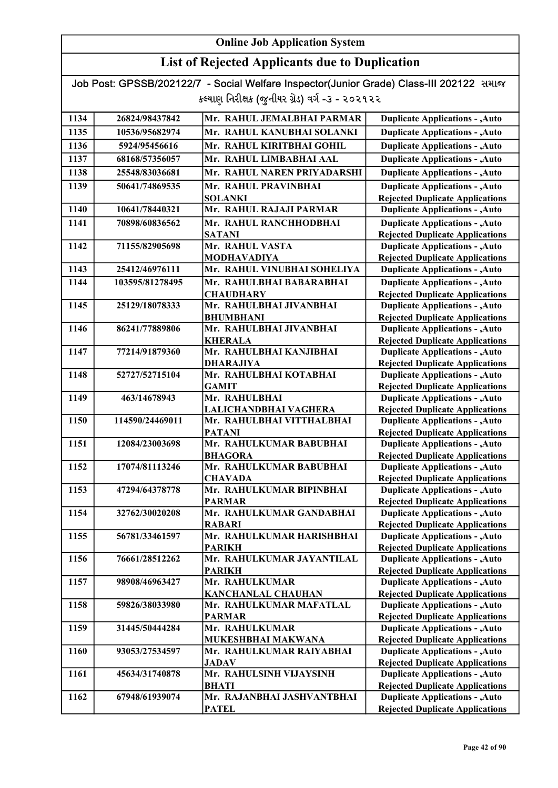## List of Rejected Applicants due to Duplication

| 1134 | 26824/98437842  | Mr. RAHUL JEMALBHAI PARMAR                 | <b>Duplicate Applications - , Auto</b>                                           |
|------|-----------------|--------------------------------------------|----------------------------------------------------------------------------------|
| 1135 | 10536/95682974  | Mr. RAHUL KANUBHAI SOLANKI                 | <b>Duplicate Applications - , Auto</b>                                           |
| 1136 | 5924/95456616   | Mr. RAHUL KIRITBHAI GOHIL                  | <b>Duplicate Applications - , Auto</b>                                           |
| 1137 | 68168/57356057  | Mr. RAHUL LIMBABHAI AAL                    | <b>Duplicate Applications - , Auto</b>                                           |
| 1138 | 25548/83036681  | Mr. RAHUL NAREN PRIYADARSHI                | <b>Duplicate Applications - , Auto</b>                                           |
| 1139 | 50641/74869535  | Mr. RAHUL PRAVINBHAI                       | <b>Duplicate Applications - , Auto</b>                                           |
|      |                 | <b>SOLANKI</b>                             | <b>Rejected Duplicate Applications</b>                                           |
| 1140 | 10641/78440321  | Mr. RAHUL RAJAJI PARMAR                    | <b>Duplicate Applications - , Auto</b>                                           |
| 1141 | 70898/60836562  | Mr. RAHUL RANCHHODBHAI                     | <b>Duplicate Applications - , Auto</b>                                           |
|      |                 | <b>SATANI</b>                              | <b>Rejected Duplicate Applications</b>                                           |
| 1142 | 71155/82905698  | Mr. RAHUL VASTA                            | <b>Duplicate Applications - , Auto</b>                                           |
|      |                 | <b>MODHAVADIYA</b>                         | <b>Rejected Duplicate Applications</b>                                           |
| 1143 | 25412/46976111  | Mr. RAHUL VINUBHAI SOHELIYA                | <b>Duplicate Applications - , Auto</b>                                           |
| 1144 | 103595/81278495 | Mr. RAHULBHAI BABARABHAI                   | <b>Duplicate Applications - , Auto</b>                                           |
|      |                 | <b>CHAUDHARY</b>                           | <b>Rejected Duplicate Applications</b>                                           |
| 1145 | 25129/18078333  | Mr. RAHULBHAI JIVANBHAI                    | <b>Duplicate Applications - , Auto</b>                                           |
|      |                 | <b>BHUMBHANI</b>                           | <b>Rejected Duplicate Applications</b>                                           |
| 1146 | 86241/77889806  | Mr. RAHULBHAI JIVANBHAI                    | <b>Duplicate Applications - , Auto</b>                                           |
|      |                 | <b>KHERALA</b>                             | <b>Rejected Duplicate Applications</b>                                           |
| 1147 | 77214/91879360  | Mr. RAHULBHAI KANJIBHAI                    | <b>Duplicate Applications - , Auto</b>                                           |
|      |                 | <b>DHARAJIYA</b>                           | <b>Rejected Duplicate Applications</b>                                           |
| 1148 | 52727/52715104  | Mr. RAHULBHAI KOTABHAI                     | <b>Duplicate Applications - , Auto</b>                                           |
|      |                 | <b>GAMIT</b>                               | <b>Rejected Duplicate Applications</b>                                           |
| 1149 | 463/14678943    | Mr. RAHULBHAI                              | <b>Duplicate Applications - , Auto</b>                                           |
|      |                 | LALICHANDBHAI VAGHERA                      | <b>Rejected Duplicate Applications</b>                                           |
| 1150 | 114590/24469011 | Mr. RAHULBHAI VITTHALBHAI                  | <b>Duplicate Applications - , Auto</b>                                           |
|      |                 | <b>PATANI</b><br>Mr. RAHULKUMAR BABUBHAI   | <b>Rejected Duplicate Applications</b>                                           |
| 1151 | 12084/23003698  | <b>BHAGORA</b>                             | <b>Duplicate Applications - , Auto</b><br><b>Rejected Duplicate Applications</b> |
| 1152 | 17074/81113246  | Mr. RAHULKUMAR BABUBHAI                    | <b>Duplicate Applications - , Auto</b>                                           |
|      |                 | <b>CHAVADA</b>                             | <b>Rejected Duplicate Applications</b>                                           |
| 1153 | 47294/64378778  | Mr. RAHULKUMAR BIPINBHAI                   | <b>Duplicate Applications - , Auto</b>                                           |
|      |                 | <b>PARMAR</b>                              | <b>Rejected Duplicate Applications</b>                                           |
| 1154 | 32762/30020208  | Mr. RAHULKUMAR GANDABHAI                   | <b>Duplicate Applications - , Auto</b>                                           |
|      |                 | <b>RABARI</b>                              | <b>Rejected Duplicate Applications</b>                                           |
| 1155 | 56781/33461597  | Mr. RAHULKUMAR HARISHBHAI                  | <b>Duplicate Applications - , Auto</b>                                           |
|      |                 | <b>PARIKH</b>                              | <b>Rejected Duplicate Applications</b>                                           |
| 1156 | 76661/28512262  | Mr. RAHULKUMAR JAYANTILAL                  | <b>Duplicate Applications - , Auto</b>                                           |
|      |                 | <b>PARIKH</b>                              | <b>Rejected Duplicate Applications</b>                                           |
| 1157 | 98908/46963427  | Mr. RAHULKUMAR                             | <b>Duplicate Applications - , Auto</b>                                           |
|      |                 | <b>KANCHANLAL CHAUHAN</b>                  | <b>Rejected Duplicate Applications</b>                                           |
| 1158 | 59826/38033980  | Mr. RAHULKUMAR MAFATLAL                    | <b>Duplicate Applications - , Auto</b>                                           |
|      |                 | <b>PARMAR</b>                              | <b>Rejected Duplicate Applications</b>                                           |
| 1159 | 31445/50444284  | Mr. RAHULKUMAR                             | <b>Duplicate Applications - , Auto</b>                                           |
|      |                 | MUKESHBHAI MAKWANA                         | <b>Rejected Duplicate Applications</b>                                           |
| 1160 | 93053/27534597  | Mr. RAHULKUMAR RAIYABHAI                   | <b>Duplicate Applications - , Auto</b>                                           |
|      | 45634/31740878  | <b>JADAV</b><br>Mr. RAHULSINH VIJAYSINH    | <b>Rejected Duplicate Applications</b>                                           |
| 1161 |                 |                                            | <b>Duplicate Applications - , Auto</b>                                           |
| 1162 | 67948/61939074  | <b>BHATI</b><br>Mr. RAJANBHAI JASHVANTBHAI | <b>Rejected Duplicate Applications</b><br><b>Duplicate Applications - , Auto</b> |
|      |                 | <b>PATEL</b>                               | <b>Rejected Duplicate Applications</b>                                           |
|      |                 |                                            |                                                                                  |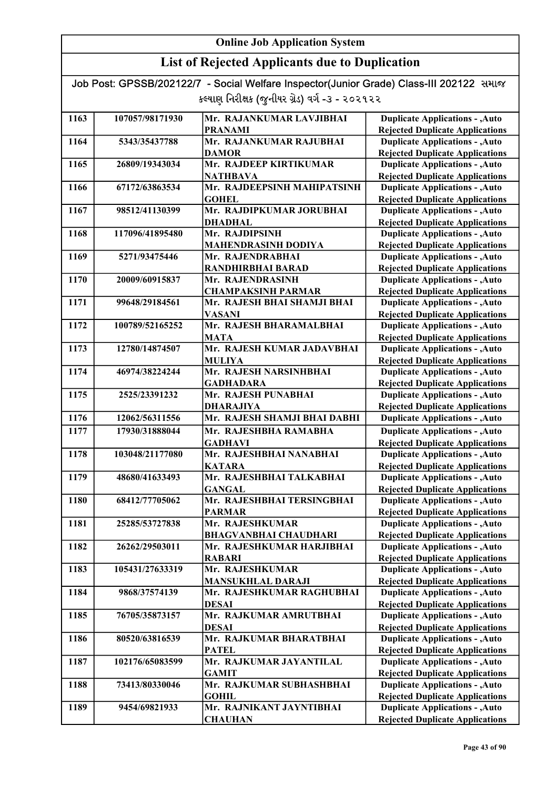## List of Rejected Applicants due to Duplication

| 1163 | 107057/98171930 | Mr. RAJANKUMAR LAVJIBHAI                 | <b>Duplicate Applications - , Auto</b>                                           |
|------|-----------------|------------------------------------------|----------------------------------------------------------------------------------|
|      |                 | <b>PRANAMI</b>                           | <b>Rejected Duplicate Applications</b>                                           |
| 1164 | 5343/35437788   | Mr. RAJANKUMAR RAJUBHAI                  | <b>Duplicate Applications - , Auto</b>                                           |
|      |                 | <b>DAMOR</b>                             | <b>Rejected Duplicate Applications</b>                                           |
| 1165 | 26809/19343034  | Mr. RAJDEEP KIRTIKUMAR                   | <b>Duplicate Applications - , Auto</b>                                           |
|      |                 | <b>NATHBAVA</b>                          | <b>Rejected Duplicate Applications</b>                                           |
| 1166 | 67172/63863534  | Mr. RAJDEEPSINH MAHIPATSINH              | <b>Duplicate Applications - , Auto</b>                                           |
|      |                 | <b>GOHEL</b>                             | <b>Rejected Duplicate Applications</b>                                           |
| 1167 | 98512/41130399  | Mr. RAJDIPKUMAR JORUBHAI                 | <b>Duplicate Applications - , Auto</b>                                           |
|      |                 | <b>DHADHAL</b>                           | <b>Rejected Duplicate Applications</b>                                           |
| 1168 | 117096/41895480 | Mr. RAJDIPSINH                           | <b>Duplicate Applications - , Auto</b>                                           |
|      |                 | <b>MAHENDRASINH DODIYA</b>               | <b>Rejected Duplicate Applications</b>                                           |
| 1169 | 5271/93475446   | Mr. RAJENDRABHAI                         | <b>Duplicate Applications - , Auto</b>                                           |
|      |                 | RANDHIRBHAI BARAD                        | <b>Rejected Duplicate Applications</b>                                           |
| 1170 | 20009/60915837  | Mr. RAJENDRASINH                         | <b>Duplicate Applications - , Auto</b>                                           |
|      |                 | <b>CHAMPAKSINH PARMAR</b>                | <b>Rejected Duplicate Applications</b>                                           |
| 1171 | 99648/29184561  | Mr. RAJESH BHAI SHAMJI BHAI              | <b>Duplicate Applications - , Auto</b>                                           |
|      |                 | <b>VASANI</b>                            | <b>Rejected Duplicate Applications</b>                                           |
| 1172 | 100789/52165252 | Mr. RAJESH BHARAMALBHAI                  | <b>Duplicate Applications - , Auto</b>                                           |
|      |                 | <b>MATA</b>                              | <b>Rejected Duplicate Applications</b>                                           |
| 1173 | 12780/14874507  | Mr. RAJESH KUMAR JADAVBHAI               | <b>Duplicate Applications - , Auto</b>                                           |
|      |                 | <b>MULIYA</b>                            | <b>Rejected Duplicate Applications</b>                                           |
| 1174 | 46974/38224244  | Mr. RAJESH NARSINHBHAI                   | <b>Duplicate Applications - , Auto</b>                                           |
|      |                 | <b>GADHADARA</b>                         | <b>Rejected Duplicate Applications</b>                                           |
| 1175 | 2525/23391232   | Mr. RAJESH PUNABHAI                      | <b>Duplicate Applications - , Auto</b>                                           |
|      |                 | <b>DHARAJIYA</b>                         | <b>Rejected Duplicate Applications</b>                                           |
| 1176 | 12062/56311556  | Mr. RAJESH SHAMJI BHAI DABHI             | <b>Duplicate Applications - , Auto</b>                                           |
| 1177 | 17930/31888044  | Mr. RAJESHBHA RAMABHA                    | <b>Duplicate Applications - , Auto</b>                                           |
|      |                 | <b>GADHAVI</b>                           | <b>Rejected Duplicate Applications</b>                                           |
| 1178 | 103048/21177080 | Mr. RAJESHBHAI NANABHAI                  | <b>Duplicate Applications - , Auto</b>                                           |
|      |                 | <b>KATARA</b>                            | <b>Rejected Duplicate Applications</b>                                           |
| 1179 | 48680/41633493  | Mr. RAJESHBHAI TALKABHAI                 | <b>Duplicate Applications - , Auto</b>                                           |
|      |                 | <b>GANGAL</b>                            | <b>Rejected Duplicate Applications</b>                                           |
| 1180 | 68412/77705062  | Mr. RAJESHBHAI TERSINGBHAI               | <b>Duplicate Applications - , Auto</b>                                           |
|      |                 | <b>PARMAR</b>                            | <b>Rejected Duplicate Applications</b>                                           |
| 1181 | 25285/53727838  | Mr. RAJESHKUMAR                          | <b>Duplicate Applications - , Auto</b>                                           |
|      |                 | <b>BHAGVANBHAI CHAUDHARI</b>             | <b>Rejected Duplicate Applications</b>                                           |
| 1182 | 26262/29503011  | Mr. RAJESHKUMAR HARJIBHAI                | <b>Duplicate Applications - , Auto</b>                                           |
|      |                 | <b>RABARI</b>                            | <b>Rejected Duplicate Applications</b>                                           |
| 1183 | 105431/27633319 | Mr. RAJESHKUMAR                          | <b>Duplicate Applications - , Auto</b>                                           |
|      |                 | <b>MANSUKHLAL DARAJI</b>                 | <b>Rejected Duplicate Applications</b>                                           |
| 1184 | 9868/37574139   | Mr. RAJESHKUMAR RAGHUBHAI                | <b>Duplicate Applications - , Auto</b>                                           |
|      |                 | <b>DESAI</b>                             | <b>Rejected Duplicate Applications</b>                                           |
| 1185 | 76705/35873157  | Mr. RAJKUMAR AMRUTBHAI                   | <b>Duplicate Applications - , Auto</b>                                           |
|      |                 | <b>DESAI</b>                             | <b>Rejected Duplicate Applications</b>                                           |
| 1186 | 80520/63816539  | Mr. RAJKUMAR BHARATBHAI                  | <b>Duplicate Applications - , Auto</b>                                           |
|      |                 | <b>PATEL</b>                             | <b>Rejected Duplicate Applications</b>                                           |
| 1187 | 102176/65083599 | Mr. RAJKUMAR JAYANTILAL                  | <b>Duplicate Applications - , Auto</b>                                           |
|      |                 | <b>GAMIT</b>                             | <b>Rejected Duplicate Applications</b>                                           |
| 1188 | 73413/80330046  | Mr. RAJKUMAR SUBHASHBHAI                 | <b>Duplicate Applications - , Auto</b>                                           |
|      | 9454/69821933   | <b>GOHIL</b><br>Mr. RAJNIKANT JAYNTIBHAI | <b>Rejected Duplicate Applications</b>                                           |
| 1189 |                 |                                          | <b>Duplicate Applications - , Auto</b><br><b>Rejected Duplicate Applications</b> |
|      |                 | <b>CHAUHAN</b>                           |                                                                                  |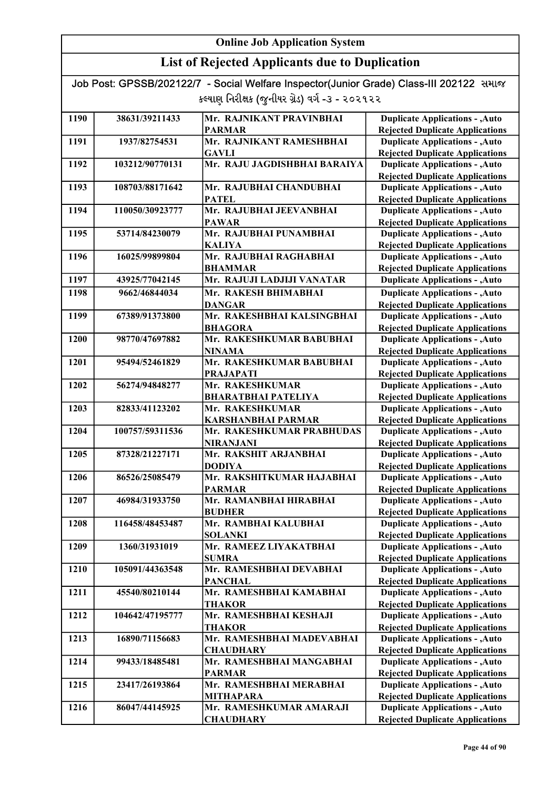| Job Post: GPSSB/202122/7 - Social Welfare Inspector(Junior Grade) Class-III 202122 समाल |  |
|-----------------------------------------------------------------------------------------|--|
| કલ્યાણ નિરીક્ષક (જુનીયર ગ્રેડ) વર્ગ -૩ - ૨૦૨૧૨૨                                         |  |

| 1190 | 38631/39211433  | Mr. RAJNIKANT PRAVINBHAI                 | <b>Duplicate Applications - , Auto</b>                                           |
|------|-----------------|------------------------------------------|----------------------------------------------------------------------------------|
|      |                 | <b>PARMAR</b>                            | <b>Rejected Duplicate Applications</b>                                           |
| 1191 | 1937/82754531   | Mr. RAJNIKANT RAMESHBHAI                 | <b>Duplicate Applications - , Auto</b>                                           |
|      |                 | <b>GAVLI</b>                             | <b>Rejected Duplicate Applications</b>                                           |
| 1192 | 103212/90770131 | Mr. RAJU JAGDISHBHAI BARAIYA             | <b>Duplicate Applications - , Auto</b>                                           |
|      |                 |                                          | <b>Rejected Duplicate Applications</b>                                           |
| 1193 | 108703/88171642 | Mr. RAJUBHAI CHANDUBHAI                  | <b>Duplicate Applications - , Auto</b>                                           |
|      |                 | <b>PATEL</b>                             | <b>Rejected Duplicate Applications</b>                                           |
| 1194 | 110050/30923777 | Mr. RAJUBHAI JEEVANBHAI                  | <b>Duplicate Applications - , Auto</b>                                           |
|      |                 | <b>PAWAR</b>                             | <b>Rejected Duplicate Applications</b>                                           |
| 1195 | 53714/84230079  | Mr. RAJUBHAI PUNAMBHAI                   | <b>Duplicate Applications - , Auto</b>                                           |
|      |                 | <b>KALIYA</b>                            | <b>Rejected Duplicate Applications</b>                                           |
| 1196 | 16025/99899804  | Mr. RAJUBHAI RAGHABHAI                   | <b>Duplicate Applications - , Auto</b>                                           |
|      |                 | <b>BHAMMAR</b>                           | <b>Rejected Duplicate Applications</b>                                           |
| 1197 | 43925/77042145  | Mr. RAJUJI LADJIJI VANATAR               | <b>Duplicate Applications - , Auto</b>                                           |
| 1198 | 9662/46844034   | Mr. RAKESH BHIMABHAI                     | <b>Duplicate Applications - , Auto</b>                                           |
|      |                 | <b>DANGAR</b>                            | <b>Rejected Duplicate Applications</b>                                           |
| 1199 | 67389/91373800  | Mr. RAKESHBHAI KALSINGBHAI               | <b>Duplicate Applications - , Auto</b>                                           |
|      |                 | <b>BHAGORA</b>                           | <b>Rejected Duplicate Applications</b>                                           |
| 1200 | 98770/47697882  | Mr. RAKESHKUMAR BABUBHAI                 | <b>Duplicate Applications - , Auto</b>                                           |
|      |                 | <b>NINAMA</b>                            | <b>Rejected Duplicate Applications</b>                                           |
| 1201 | 95494/52461829  | Mr. RAKESHKUMAR BABUBHAI                 | <b>Duplicate Applications - , Auto</b>                                           |
|      |                 | <b>PRAJAPATI</b>                         | <b>Rejected Duplicate Applications</b>                                           |
| 1202 | 56274/94848277  | Mr. RAKESHKUMAR                          | <b>Duplicate Applications - , Auto</b>                                           |
|      |                 | <b>BHARATBHAI PATELIYA</b>               | <b>Rejected Duplicate Applications</b>                                           |
| 1203 | 82833/41123202  | Mr. RAKESHKUMAR                          | <b>Duplicate Applications - , Auto</b>                                           |
|      |                 | <b>KARSHANBHAI PARMAR</b>                | <b>Rejected Duplicate Applications</b>                                           |
| 1204 | 100757/59311536 | Mr. RAKESHKUMAR PRABHUDAS                | <b>Duplicate Applications - , Auto</b>                                           |
|      |                 | <b>NIRANJANI</b>                         | <b>Rejected Duplicate Applications</b>                                           |
| 1205 | 87328/21227171  | Mr. RAKSHIT ARJANBHAI                    | <b>Duplicate Applications - , Auto</b>                                           |
|      |                 | <b>DODIYA</b>                            | <b>Rejected Duplicate Applications</b>                                           |
| 1206 | 86526/25085479  | Mr. RAKSHITKUMAR HAJABHAI                | <b>Duplicate Applications - , Auto</b>                                           |
|      |                 | <b>PARMAR</b>                            | <b>Rejected Duplicate Applications</b>                                           |
| 1207 | 46984/31933750  | Mr. RAMANBHAI HIRABHAI                   | <b>Duplicate Applications - , Auto</b>                                           |
|      |                 | <b>BUDHER</b>                            | <b>Rejected Duplicate Applications</b>                                           |
| 1208 | 116458/48453487 | Mr. RAMBHAI KALUBHAI                     | <b>Duplicate Applications - , Auto</b>                                           |
| 1209 | 1360/31931019   | <b>SOLANKI</b><br>Mr. RAMEEZ LIYAKATBHAI | <b>Rejected Duplicate Applications</b><br><b>Duplicate Applications - , Auto</b> |
|      |                 | <b>SUMRA</b>                             | <b>Rejected Duplicate Applications</b>                                           |
| 1210 | 105091/44363548 | Mr. RAMESHBHAI DEVABHAI                  | <b>Duplicate Applications - , Auto</b>                                           |
|      |                 | <b>PANCHAL</b>                           | <b>Rejected Duplicate Applications</b>                                           |
| 1211 | 45540/80210144  | Mr. RAMESHBHAI KAMABHAI                  | <b>Duplicate Applications - , Auto</b>                                           |
|      |                 | <b>THAKOR</b>                            | <b>Rejected Duplicate Applications</b>                                           |
| 1212 | 104642/47195777 | Mr. RAMESHBHAI KESHAJI                   | <b>Duplicate Applications - , Auto</b>                                           |
|      |                 | <b>THAKOR</b>                            | <b>Rejected Duplicate Applications</b>                                           |
| 1213 | 16890/71156683  | Mr. RAMESHBHAI MADEVABHAI                | <b>Duplicate Applications - , Auto</b>                                           |
|      |                 | <b>CHAUDHARY</b>                         | <b>Rejected Duplicate Applications</b>                                           |
| 1214 | 99433/18485481  | Mr. RAMESHBHAI MANGABHAI                 | <b>Duplicate Applications - , Auto</b>                                           |
|      |                 | <b>PARMAR</b>                            | <b>Rejected Duplicate Applications</b>                                           |
| 1215 | 23417/26193864  | Mr. RAMESHBHAI MERABHAI                  | <b>Duplicate Applications - , Auto</b>                                           |
|      |                 | <b>MITHAPARA</b>                         | <b>Rejected Duplicate Applications</b>                                           |
| 1216 | 86047/44145925  | Mr. RAMESHKUMAR AMARAJI                  | <b>Duplicate Applications - , Auto</b>                                           |
|      |                 | <b>CHAUDHARY</b>                         | <b>Rejected Duplicate Applications</b>                                           |
|      |                 |                                          |                                                                                  |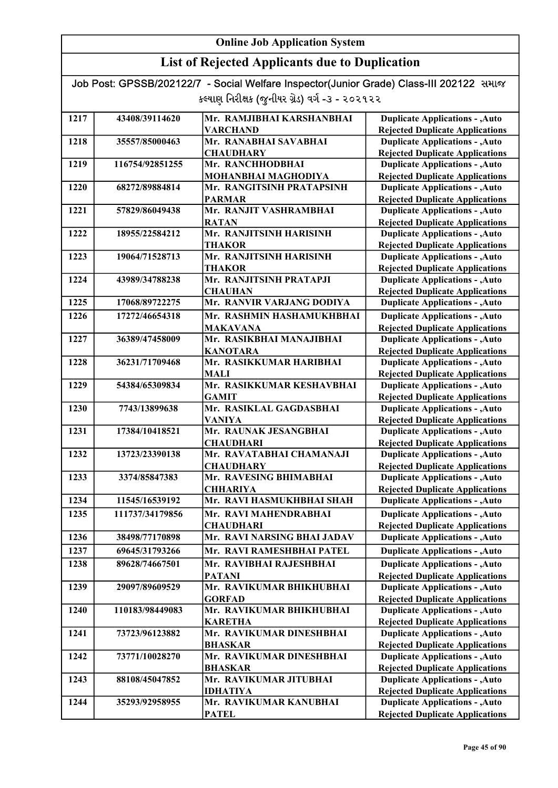## List of Rejected Applicants due to Duplication

| 1217 | 43408/39114620  | Mr. RAMJIBHAI KARSHANBHAI                  | <b>Duplicate Applications - , Auto</b>                                           |
|------|-----------------|--------------------------------------------|----------------------------------------------------------------------------------|
|      |                 | <b>VARCHAND</b>                            | <b>Rejected Duplicate Applications</b>                                           |
| 1218 | 35557/85000463  | Mr. RANABHAI SAVABHAI                      | <b>Duplicate Applications - , Auto</b>                                           |
|      |                 | <b>CHAUDHARY</b>                           | <b>Rejected Duplicate Applications</b>                                           |
| 1219 | 116754/92851255 | Mr. RANCHHODBHAI                           | <b>Duplicate Applications - , Auto</b>                                           |
|      |                 | MOHANBHAI MAGHODIYA                        | <b>Rejected Duplicate Applications</b>                                           |
| 1220 | 68272/89884814  | Mr. RANGITSINH PRATAPSINH                  | <b>Duplicate Applications - , Auto</b>                                           |
|      |                 | <b>PARMAR</b>                              | <b>Rejected Duplicate Applications</b>                                           |
| 1221 | 57829/86049438  | Mr. RANJIT VASHRAMBHAI                     | <b>Duplicate Applications - , Auto</b>                                           |
|      |                 | <b>RATAN</b>                               | <b>Rejected Duplicate Applications</b>                                           |
| 1222 | 18955/22584212  | Mr. RANJITSINH HARISINH                    | <b>Duplicate Applications - , Auto</b>                                           |
|      |                 | <b>THAKOR</b>                              | <b>Rejected Duplicate Applications</b>                                           |
| 1223 | 19064/71528713  | Mr. RANJITSINH HARISINH                    | <b>Duplicate Applications - , Auto</b>                                           |
|      |                 | <b>THAKOR</b><br>Mr. RANJITSINH PRATAPJI   | <b>Rejected Duplicate Applications</b>                                           |
| 1224 | 43989/34788238  | <b>CHAUHAN</b>                             | <b>Duplicate Applications - , Auto</b>                                           |
| 1225 | 17068/89722275  | Mr. RANVIR VARJANG DODIYA                  | <b>Rejected Duplicate Applications</b><br><b>Duplicate Applications - , Auto</b> |
|      |                 |                                            |                                                                                  |
| 1226 | 17272/46654318  | Mr. RASHMIN HASHAMUKHBHAI                  | <b>Duplicate Applications - , Auto</b>                                           |
|      |                 | <b>MAKAVANA</b>                            | <b>Rejected Duplicate Applications</b>                                           |
| 1227 | 36389/47458009  | Mr. RASIKBHAI MANAJIBHAI                   | <b>Duplicate Applications - , Auto</b>                                           |
|      |                 | <b>KANOTARA</b><br>Mr. RASIKKUMAR HARIBHAI | <b>Rejected Duplicate Applications</b>                                           |
| 1228 | 36231/71709468  |                                            | <b>Duplicate Applications - , Auto</b>                                           |
| 1229 | 54384/65309834  | <b>MALI</b><br>Mr. RASIKKUMAR KESHAVBHAI   | <b>Rejected Duplicate Applications</b>                                           |
|      |                 | <b>GAMIT</b>                               | <b>Duplicate Applications - , Auto</b>                                           |
| 1230 | 7743/13899638   | Mr. RASIKLAL GAGDASBHAI                    | <b>Rejected Duplicate Applications</b><br><b>Duplicate Applications - , Auto</b> |
|      |                 | <b>VANIYA</b>                              | <b>Rejected Duplicate Applications</b>                                           |
| 1231 | 17384/10418521  | Mr. RAUNAK JESANGBHAI                      | <b>Duplicate Applications - , Auto</b>                                           |
|      |                 | <b>CHAUDHARI</b>                           | <b>Rejected Duplicate Applications</b>                                           |
| 1232 | 13723/23390138  | Mr. RAVATABHAI CHAMANAJI                   | <b>Duplicate Applications - , Auto</b>                                           |
|      |                 | <b>CHAUDHARY</b>                           | <b>Rejected Duplicate Applications</b>                                           |
| 1233 | 3374/85847383   | Mr. RAVESING BHIMABHAI                     | <b>Duplicate Applications - , Auto</b>                                           |
|      |                 | <b>CHHARIYA</b>                            | <b>Rejected Duplicate Applications</b>                                           |
| 1234 | 11545/16539192  | Mr. RAVI HASMUKHBHAI SHAH                  | <b>Duplicate Applications - , Auto</b>                                           |
| 1235 | 111737/34179856 | Mr. RAVI MAHENDRABHAI                      | <b>Duplicate Applications - , Auto</b>                                           |
|      |                 | <b>CHAUDHARI</b>                           | <b>Rejected Duplicate Applications</b>                                           |
| 1236 | 38498/77170898  | Mr. RAVI NARSING BHAI JADAV                | <b>Duplicate Applications - , Auto</b>                                           |
| 1237 | 69645/31793266  | Mr. RAVI RAMESHBHAI PATEL                  | <b>Duplicate Applications - , Auto</b>                                           |
| 1238 | 89628/74667501  | Mr. RAVIBHAI RAJESHBHAI                    | <b>Duplicate Applications - , Auto</b>                                           |
|      |                 | <b>PATANI</b>                              | <b>Rejected Duplicate Applications</b>                                           |
| 1239 | 29097/89609529  | Mr. RAVIKUMAR BHIKHUBHAI                   | <b>Duplicate Applications - , Auto</b>                                           |
|      |                 | <b>GORFAD</b>                              | <b>Rejected Duplicate Applications</b>                                           |
| 1240 | 110183/98449083 | Mr. RAVIKUMAR BHIKHUBHAI                   | <b>Duplicate Applications - , Auto</b>                                           |
|      |                 | <b>KARETHA</b>                             | <b>Rejected Duplicate Applications</b>                                           |
| 1241 | 73723/96123882  | Mr. RAVIKUMAR DINESHBHAI                   | <b>Duplicate Applications - , Auto</b>                                           |
|      |                 | <b>BHASKAR</b>                             | <b>Rejected Duplicate Applications</b>                                           |
| 1242 | 73771/10028270  | Mr. RAVIKUMAR DINESHBHAI                   | <b>Duplicate Applications - , Auto</b>                                           |
|      |                 | <b>BHASKAR</b>                             | <b>Rejected Duplicate Applications</b>                                           |
| 1243 | 88108/45047852  | Mr. RAVIKUMAR JITUBHAI                     | <b>Duplicate Applications - , Auto</b>                                           |
|      |                 | <b>IDHATIYA</b>                            | <b>Rejected Duplicate Applications</b>                                           |
| 1244 | 35293/92958955  | Mr. RAVIKUMAR KANUBHAI                     | <b>Duplicate Applications - , Auto</b>                                           |
|      |                 | <b>PATEL</b>                               | <b>Rejected Duplicate Applications</b>                                           |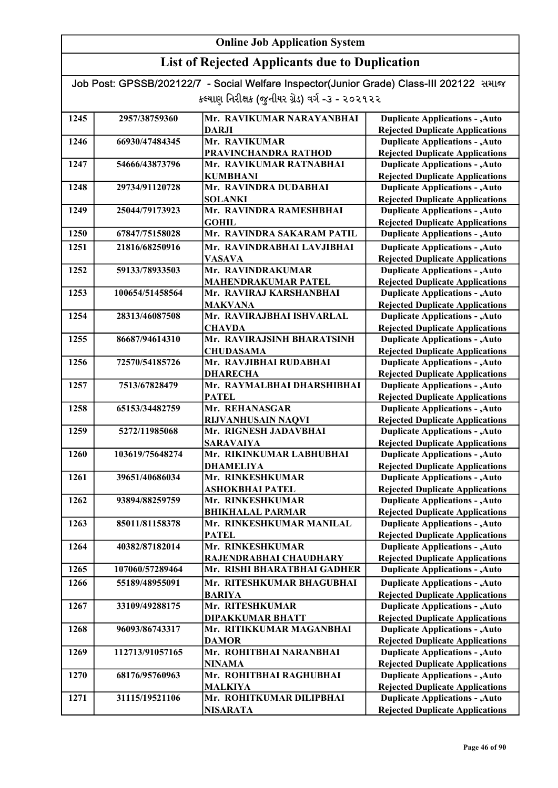## List of Rejected Applicants due to Duplication

| 1245 | 2957/38759360   | Mr. RAVIKUMAR NARAYANBHAI   | <b>Duplicate Applications - , Auto</b> |
|------|-----------------|-----------------------------|----------------------------------------|
|      |                 | <b>DARJI</b>                | <b>Rejected Duplicate Applications</b> |
| 1246 | 66930/47484345  | Mr. RAVIKUMAR               | <b>Duplicate Applications - , Auto</b> |
|      |                 | PRAVINCHANDRA RATHOD        | <b>Rejected Duplicate Applications</b> |
| 1247 | 54666/43873796  | Mr. RAVIKUMAR RATNABHAI     | <b>Duplicate Applications - , Auto</b> |
|      |                 | <b>KUMBHANI</b>             | <b>Rejected Duplicate Applications</b> |
| 1248 | 29734/91120728  | Mr. RAVINDRA DUDABHAI       | <b>Duplicate Applications - , Auto</b> |
|      |                 | <b>SOLANKI</b>              | <b>Rejected Duplicate Applications</b> |
| 1249 | 25044/79173923  | Mr. RAVINDRA RAMESHBHAI     | <b>Duplicate Applications - , Auto</b> |
|      |                 | <b>GOHIL</b>                | <b>Rejected Duplicate Applications</b> |
| 1250 | 67847/75158028  | Mr. RAVINDRA SAKARAM PATIL  | <b>Duplicate Applications - , Auto</b> |
| 1251 | 21816/68250916  | Mr. RAVINDRABHAI LAVJIBHAI  | <b>Duplicate Applications - , Auto</b> |
|      |                 | <b>VASAVA</b>               | <b>Rejected Duplicate Applications</b> |
| 1252 | 59133/78933503  | Mr. RAVINDRAKUMAR           | <b>Duplicate Applications - , Auto</b> |
|      |                 | <b>MAHENDRAKUMAR PATEL</b>  | <b>Rejected Duplicate Applications</b> |
| 1253 | 100654/51458564 | Mr. RAVIRAJ KARSHANBHAI     | <b>Duplicate Applications - , Auto</b> |
|      |                 | <b>MAKVANA</b>              | <b>Rejected Duplicate Applications</b> |
| 1254 | 28313/46087508  | Mr. RAVIRAJBHAI ISHVARLAL   | <b>Duplicate Applications - , Auto</b> |
|      |                 | <b>CHAVDA</b>               | <b>Rejected Duplicate Applications</b> |
| 1255 | 86687/94614310  | Mr. RAVIRAJSINH BHARATSINH  | <b>Duplicate Applications - , Auto</b> |
|      |                 | <b>CHUDASAMA</b>            | <b>Rejected Duplicate Applications</b> |
| 1256 | 72570/54185726  | Mr. RAVJIBHAI RUDABHAI      | <b>Duplicate Applications - , Auto</b> |
|      |                 | <b>DHARECHA</b>             | <b>Rejected Duplicate Applications</b> |
| 1257 | 7513/67828479   | Mr. RAYMALBHAI DHARSHIBHAI  | <b>Duplicate Applications - , Auto</b> |
|      |                 | <b>PATEL</b>                | <b>Rejected Duplicate Applications</b> |
| 1258 | 65153/34482759  | Mr. REHANASGAR              | <b>Duplicate Applications - , Auto</b> |
|      |                 | RIJVANHUSAIN NAQVI          | <b>Rejected Duplicate Applications</b> |
| 1259 | 5272/11985068   | Mr. RIGNESH JADAVBHAI       | <b>Duplicate Applications - , Auto</b> |
|      |                 | <b>SARAVAIYA</b>            | <b>Rejected Duplicate Applications</b> |
| 1260 | 103619/75648274 | Mr. RIKINKUMAR LABHUBHAI    | <b>Duplicate Applications - , Auto</b> |
|      |                 | <b>DHAMELIYA</b>            | <b>Rejected Duplicate Applications</b> |
| 1261 | 39651/40686034  | Mr. RINKESHKUMAR            | <b>Duplicate Applications - , Auto</b> |
|      |                 | <b>ASHOKBHAI PATEL</b>      | <b>Rejected Duplicate Applications</b> |
| 1262 | 93894/88259759  | Mr. RINKESHKUMAR            | <b>Duplicate Applications - , Auto</b> |
|      |                 | <b>BHIKHALAL PARMAR</b>     | <b>Rejected Duplicate Applications</b> |
| 1263 | 85011/81158378  | Mr. RINKESHKUMAR MANILAL    | <b>Duplicate Applications - , Auto</b> |
|      |                 | <b>PATEL</b>                | <b>Rejected Duplicate Applications</b> |
| 1264 | 40382/87182014  | Mr. RINKESHKUMAR            | <b>Duplicate Applications - , Auto</b> |
|      |                 | RAJENDRABHAI CHAUDHARY      | <b>Rejected Duplicate Applications</b> |
| 1265 | 107060/57289464 | Mr. RISHI BHARATBHAI GADHER | <b>Duplicate Applications - , Auto</b> |
| 1266 | 55189/48955091  | Mr. RITESHKUMAR BHAGUBHAI   | <b>Duplicate Applications - , Auto</b> |
|      |                 | <b>BARIYA</b>               | <b>Rejected Duplicate Applications</b> |
| 1267 | 33109/49288175  | Mr. RITESHKUMAR             | <b>Duplicate Applications - , Auto</b> |
|      |                 | <b>DIPAKKUMAR BHATT</b>     | <b>Rejected Duplicate Applications</b> |
| 1268 | 96093/86743317  | Mr. RITIKKUMAR MAGANBHAI    | <b>Duplicate Applications - , Auto</b> |
|      |                 | <b>DAMOR</b>                | <b>Rejected Duplicate Applications</b> |
| 1269 | 112713/91057165 | Mr. ROHITBHAI NARANBHAI     | <b>Duplicate Applications - , Auto</b> |
|      |                 | <b>NINAMA</b>               | <b>Rejected Duplicate Applications</b> |
| 1270 | 68176/95760963  | Mr. ROHITBHAI RAGHUBHAI     | <b>Duplicate Applications - , Auto</b> |
|      |                 | <b>MALKIYA</b>              | <b>Rejected Duplicate Applications</b> |
| 1271 | 31115/19521106  | Mr. ROHITKUMAR DILIPBHAI    | <b>Duplicate Applications - , Auto</b> |
|      |                 | <b>NISARATA</b>             | <b>Rejected Duplicate Applications</b> |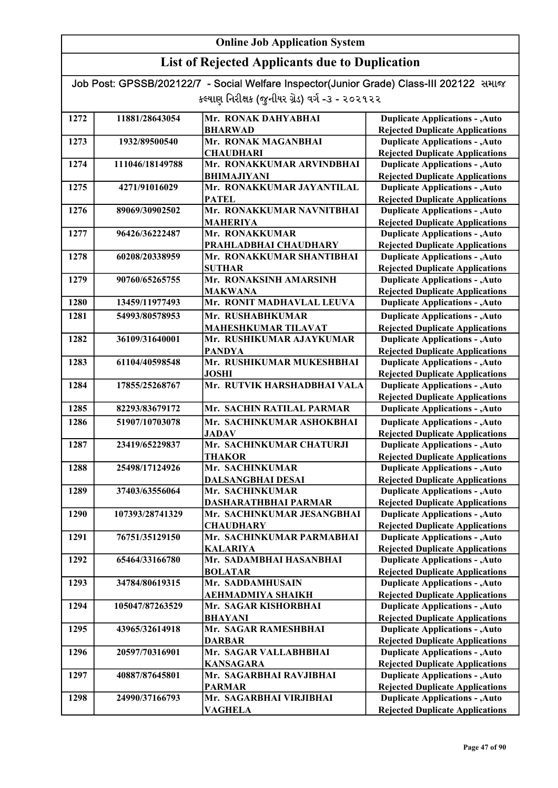## List of Rejected Applicants due to Duplication

| 1272 | 11881/28643054  | Mr. RONAK DAHYABHAI         | <b>Duplicate Applications - , Auto</b> |
|------|-----------------|-----------------------------|----------------------------------------|
|      |                 | <b>BHARWAD</b>              | <b>Rejected Duplicate Applications</b> |
| 1273 | 1932/89500540   | Mr. RONAK MAGANBHAI         | <b>Duplicate Applications - , Auto</b> |
|      |                 | <b>CHAUDHARI</b>            | <b>Rejected Duplicate Applications</b> |
| 1274 | 111046/18149788 | Mr. RONAKKUMAR ARVINDBHAI   | <b>Duplicate Applications - , Auto</b> |
|      |                 | <b>BHIMAJIYANI</b>          | <b>Rejected Duplicate Applications</b> |
| 1275 | 4271/91016029   | Mr. RONAKKUMAR JAYANTILAL   | <b>Duplicate Applications - , Auto</b> |
|      |                 | <b>PATEL</b>                | <b>Rejected Duplicate Applications</b> |
| 1276 | 89069/30902502  | Mr. RONAKKUMAR NAVNITBHAI   | <b>Duplicate Applications - , Auto</b> |
|      |                 | <b>MAHERIYA</b>             | <b>Rejected Duplicate Applications</b> |
| 1277 | 96426/36222487  | Mr. RONAKKUMAR              | <b>Duplicate Applications - , Auto</b> |
|      |                 | PRAHLADBHAI CHAUDHARY       | <b>Rejected Duplicate Applications</b> |
| 1278 | 60208/20338959  | Mr. RONAKKUMAR SHANTIBHAI   | <b>Duplicate Applications - , Auto</b> |
|      |                 | <b>SUTHAR</b>               | <b>Rejected Duplicate Applications</b> |
| 1279 | 90760/65265755  | Mr. RONAKSINH AMARSINH      | <b>Duplicate Applications - , Auto</b> |
|      |                 | <b>MAKWANA</b>              | <b>Rejected Duplicate Applications</b> |
| 1280 | 13459/11977493  | Mr. RONIT MADHAVLAL LEUVA   | <b>Duplicate Applications - , Auto</b> |
| 1281 | 54993/80578953  | Mr. RUSHABHKUMAR            | <b>Duplicate Applications - , Auto</b> |
|      |                 | <b>MAHESHKUMAR TILAVAT</b>  | <b>Rejected Duplicate Applications</b> |
| 1282 | 36109/31640001  | Mr. RUSHIKUMAR AJAYKUMAR    | <b>Duplicate Applications - , Auto</b> |
|      |                 | <b>PANDYA</b>               | <b>Rejected Duplicate Applications</b> |
| 1283 | 61104/40598548  | Mr. RUSHIKUMAR MUKESHBHAI   | <b>Duplicate Applications - , Auto</b> |
|      |                 | <b>JOSHI</b>                | <b>Rejected Duplicate Applications</b> |
| 1284 | 17855/25268767  | Mr. RUTVIK HARSHADBHAI VALA | <b>Duplicate Applications - , Auto</b> |
|      |                 |                             | <b>Rejected Duplicate Applications</b> |
| 1285 | 82293/83679172  | Mr. SACHIN RATILAL PARMAR   | <b>Duplicate Applications - , Auto</b> |
| 1286 | 51907/10703078  | Mr. SACHINKUMAR ASHOKBHAI   | <b>Duplicate Applications - , Auto</b> |
|      |                 | <b>JADAV</b>                | <b>Rejected Duplicate Applications</b> |
| 1287 | 23419/65229837  | Mr. SACHINKUMAR CHATURJI    | <b>Duplicate Applications - , Auto</b> |
|      |                 | <b>THAKOR</b>               | <b>Rejected Duplicate Applications</b> |
| 1288 | 25498/17124926  | Mr. SACHINKUMAR             | <b>Duplicate Applications - , Auto</b> |
|      |                 | <b>DALSANGBHAI DESAI</b>    | <b>Rejected Duplicate Applications</b> |
| 1289 | 37403/63556064  | Mr. SACHINKUMAR             | <b>Duplicate Applications - , Auto</b> |
|      |                 | DASHARATHBHAI PARMAR        | <b>Rejected Duplicate Applications</b> |
| 1290 | 107393/28741329 | Mr. SACHINKUMAR JESANGBHAI  | <b>Duplicate Applications - , Auto</b> |
|      |                 | <b>CHAUDHARY</b>            | <b>Rejected Duplicate Applications</b> |
| 1291 | 76751/35129150  | Mr. SACHINKUMAR PARMABHAI   | <b>Duplicate Applications - , Auto</b> |
|      |                 | <b>KALARIYA</b>             | <b>Rejected Duplicate Applications</b> |
| 1292 | 65464/33166780  | Mr. SADAMBHAI HASANBHAI     | <b>Duplicate Applications - , Auto</b> |
|      |                 | <b>BOLATAR</b>              | <b>Rejected Duplicate Applications</b> |
| 1293 | 34784/80619315  | Mr. SADDAMHUSAIN            | <b>Duplicate Applications - , Auto</b> |
|      |                 | AEHMADMIYA SHAIKH           | <b>Rejected Duplicate Applications</b> |
| 1294 | 105047/87263529 | Mr. SAGAR KISHORBHAI        | <b>Duplicate Applications - , Auto</b> |
|      |                 | <b>BHAYANI</b>              | <b>Rejected Duplicate Applications</b> |
| 1295 | 43965/32614918  | Mr. SAGAR RAMESHBHAI        | <b>Duplicate Applications - , Auto</b> |
|      |                 | <b>DARBAR</b>               | <b>Rejected Duplicate Applications</b> |
| 1296 | 20597/70316901  | Mr. SAGAR VALLABHBHAI       | <b>Duplicate Applications - , Auto</b> |
|      |                 | <b>KANSAGARA</b>            | <b>Rejected Duplicate Applications</b> |
| 1297 | 40887/87645801  | Mr. SAGARBHAI RAVJIBHAI     | <b>Duplicate Applications - , Auto</b> |
|      |                 | <b>PARMAR</b>               | <b>Rejected Duplicate Applications</b> |
| 1298 | 24990/37166793  | Mr. SAGARBHAI VIRJIBHAI     | <b>Duplicate Applications - , Auto</b> |
|      |                 | <b>VAGHELA</b>              | <b>Rejected Duplicate Applications</b> |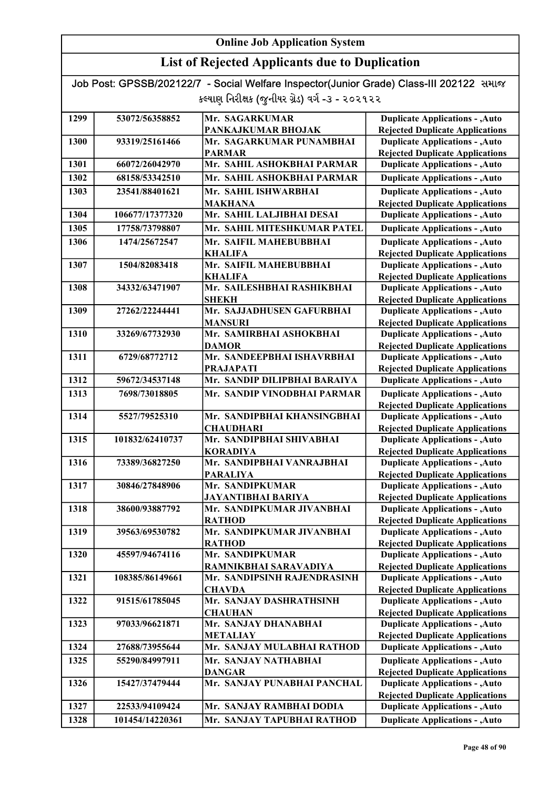## List of Rejected Applicants due to Duplication

| 1299 | 53072/56358852  | Mr. SAGARKUMAR                               | <b>Duplicate Applications - , Auto</b>                                           |
|------|-----------------|----------------------------------------------|----------------------------------------------------------------------------------|
|      |                 | PANKAJKUMAR BHOJAK                           | <b>Rejected Duplicate Applications</b>                                           |
| 1300 | 93319/25161466  | Mr. SAGARKUMAR PUNAMBHAI                     | <b>Duplicate Applications - , Auto</b>                                           |
|      |                 | <b>PARMAR</b>                                | <b>Rejected Duplicate Applications</b>                                           |
| 1301 | 66072/26042970  | Mr. SAHIL ASHOKBHAI PARMAR                   | <b>Duplicate Applications - , Auto</b>                                           |
| 1302 | 68158/53342510  | Mr. SAHIL ASHOKBHAI PARMAR                   | <b>Duplicate Applications - , Auto</b>                                           |
| 1303 | 23541/88401621  | Mr. SAHIL ISHWARBHAI                         | <b>Duplicate Applications - , Auto</b>                                           |
|      |                 | <b>MAKHANA</b>                               | <b>Rejected Duplicate Applications</b>                                           |
| 1304 | 106677/17377320 | Mr. SAHIL LALJIBHAI DESAI                    | <b>Duplicate Applications - , Auto</b>                                           |
| 1305 | 17758/73798807  | Mr. SAHIL MITESHKUMAR PATEL                  | <b>Duplicate Applications - , Auto</b>                                           |
| 1306 | 1474/25672547   | Mr. SAIFIL MAHEBUBBHAI                       | <b>Duplicate Applications - , Auto</b>                                           |
|      |                 | <b>KHALIFA</b>                               | <b>Rejected Duplicate Applications</b>                                           |
| 1307 | 1504/82083418   | Mr. SAIFIL MAHEBUBBHAI                       | <b>Duplicate Applications - , Auto</b>                                           |
|      |                 | <b>KHALIFA</b>                               | <b>Rejected Duplicate Applications</b>                                           |
| 1308 | 34332/63471907  | Mr. SAILESHBHAI RASHIKBHAI                   | <b>Duplicate Applications - , Auto</b>                                           |
|      |                 | <b>SHEKH</b>                                 | <b>Rejected Duplicate Applications</b>                                           |
| 1309 | 27262/22244441  | Mr. SAJJADHUSEN GAFURBHAI                    | <b>Duplicate Applications - , Auto</b>                                           |
|      |                 | <b>MANSURI</b>                               | <b>Rejected Duplicate Applications</b>                                           |
| 1310 | 33269/67732930  | Mr. SAMIRBHAI ASHOKBHAI                      | <b>Duplicate Applications - , Auto</b>                                           |
|      |                 | <b>DAMOR</b>                                 | <b>Rejected Duplicate Applications</b>                                           |
| 1311 | 6729/68772712   | Mr. SANDEEPBHAI ISHAVRBHAI                   | <b>Duplicate Applications - , Auto</b>                                           |
|      |                 | <b>PRAJAPATI</b>                             | <b>Rejected Duplicate Applications</b>                                           |
| 1312 | 59672/34537148  | Mr. SANDIP DILIPBHAI BARAIYA                 | <b>Duplicate Applications - , Auto</b>                                           |
| 1313 | 7698/73018805   | Mr. SANDIP VINODBHAI PARMAR                  | <b>Duplicate Applications - , Auto</b>                                           |
|      |                 |                                              | <b>Rejected Duplicate Applications</b>                                           |
| 1314 | 5527/79525310   | Mr. SANDIPBHAI KHANSINGBHAI                  | <b>Duplicate Applications - , Auto</b>                                           |
|      |                 | <b>CHAUDHARI</b>                             | <b>Rejected Duplicate Applications</b>                                           |
| 1315 | 101832/62410737 | Mr. SANDIPBHAI SHIVABHAI                     | <b>Duplicate Applications - , Auto</b>                                           |
|      |                 | <b>KORADIYA</b>                              | <b>Rejected Duplicate Applications</b>                                           |
| 1316 | 73389/36827250  | Mr. SANDIPBHAI VANRAJBHAI<br><b>PARALIYA</b> | <b>Duplicate Applications - , Auto</b><br><b>Rejected Duplicate Applications</b> |
| 1317 | 30846/27848906  | Mr. SANDIPKUMAR                              | <b>Duplicate Applications - , Auto</b>                                           |
|      |                 | <b>JAYANTIBHAI BARIYA</b>                    | <b>Rejected Duplicate Applications</b>                                           |
| 1318 | 38600/93887792  | Mr. SANDIPKUMAR JIVANBHAI                    | <b>Duplicate Applications - , Auto</b>                                           |
|      |                 | <b>RATHOD</b>                                | <b>Rejected Duplicate Applications</b>                                           |
| 1319 | 39563/69530782  | Mr. SANDIPKUMAR JIVANBHAI                    | <b>Duplicate Applications - , Auto</b>                                           |
|      |                 | <b>RATHOD</b>                                | <b>Rejected Duplicate Applications</b>                                           |
| 1320 | 45597/94674116  | Mr. SANDIPKUMAR                              | <b>Duplicate Applications - , Auto</b>                                           |
|      |                 | RAMNIKBHAI SARAVADIYA                        | <b>Rejected Duplicate Applications</b>                                           |
| 1321 | 108385/86149661 | Mr. SANDIPSINH RAJENDRASINH                  | <b>Duplicate Applications - , Auto</b>                                           |
|      |                 | <b>CHAVDA</b>                                | <b>Rejected Duplicate Applications</b>                                           |
| 1322 | 91515/61785045  | Mr. SANJAY DASHRATHSINH                      | <b>Duplicate Applications - , Auto</b>                                           |
|      |                 | <b>CHAUHAN</b>                               | <b>Rejected Duplicate Applications</b>                                           |
| 1323 | 97033/96621871  | Mr. SANJAY DHANABHAI                         | <b>Duplicate Applications - , Auto</b>                                           |
|      |                 | <b>METALIAY</b>                              | <b>Rejected Duplicate Applications</b>                                           |
| 1324 | 27688/73955644  | Mr. SANJAY MULABHAI RATHOD                   | <b>Duplicate Applications - , Auto</b>                                           |
| 1325 | 55290/84997911  | Mr. SANJAY NATHABHAI                         | <b>Duplicate Applications - , Auto</b>                                           |
|      |                 | <b>DANGAR</b>                                | <b>Rejected Duplicate Applications</b>                                           |
| 1326 | 15427/37479444  | Mr. SANJAY PUNABHAI PANCHAL                  | <b>Duplicate Applications - , Auto</b>                                           |
|      |                 |                                              | <b>Rejected Duplicate Applications</b>                                           |
| 1327 | 22533/94109424  | Mr. SANJAY RAMBHAI DODIA                     | <b>Duplicate Applications - , Auto</b>                                           |
| 1328 | 101454/14220361 | Mr. SANJAY TAPUBHAI RATHOD                   | <b>Duplicate Applications - , Auto</b>                                           |
|      |                 |                                              |                                                                                  |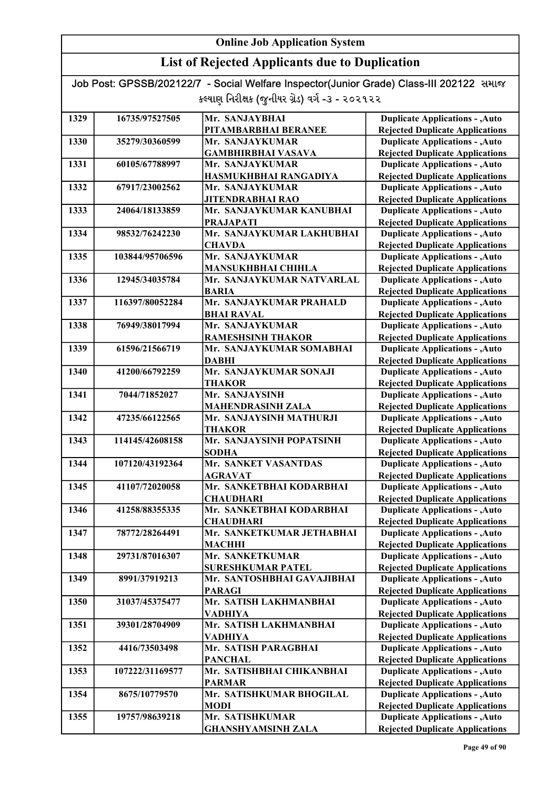## List of Rejected Applicants due to Duplication

| 1329 | 16735/97527505  | Mr. SANJAYBHAI                             | <b>Duplicate Applications - , Auto</b>                                           |
|------|-----------------|--------------------------------------------|----------------------------------------------------------------------------------|
|      |                 | PITAMBARBHAI BERANEE                       | <b>Rejected Duplicate Applications</b>                                           |
| 1330 | 35279/30360599  | Mr. SANJAYKUMAR                            | <b>Duplicate Applications - , Auto</b>                                           |
|      |                 | <b>GAMBHIRBHAI VASAVA</b>                  | <b>Rejected Duplicate Applications</b>                                           |
| 1331 | 60105/67788997  | Mr. SANJAYKUMAR                            | <b>Duplicate Applications - , Auto</b>                                           |
|      |                 | HASMUKHBHAI RANGADIYA                      | <b>Rejected Duplicate Applications</b>                                           |
| 1332 | 67917/23002562  | Mr. SANJAYKUMAR                            | <b>Duplicate Applications - , Auto</b>                                           |
|      |                 | <b>JITENDRABHAI RAO</b>                    | <b>Rejected Duplicate Applications</b>                                           |
| 1333 | 24064/18133859  | Mr. SANJAYKUMAR KANUBHAI                   | <b>Duplicate Applications - , Auto</b>                                           |
|      |                 | <b>PRAJAPATI</b>                           | <b>Rejected Duplicate Applications</b>                                           |
| 1334 | 98532/76242230  | Mr. SANJAYKUMAR LAKHUBHAI                  | <b>Duplicate Applications - , Auto</b>                                           |
|      |                 | <b>CHAVDA</b>                              | <b>Rejected Duplicate Applications</b>                                           |
| 1335 | 103844/95706596 | Mr. SANJAYKUMAR                            | <b>Duplicate Applications - , Auto</b>                                           |
|      |                 | <b>MANSUKHBHAI CHIHLA</b>                  | <b>Rejected Duplicate Applications</b>                                           |
| 1336 | 12945/34035784  | Mr. SANJAYKUMAR NATVARLAL                  | <b>Duplicate Applications - , Auto</b>                                           |
|      |                 | <b>BARIA</b>                               | <b>Rejected Duplicate Applications</b>                                           |
| 1337 | 116397/80052284 | Mr. SANJAYKUMAR PRAHALD                    | <b>Duplicate Applications - , Auto</b>                                           |
|      |                 | <b>BHAI RAVAL</b>                          | <b>Rejected Duplicate Applications</b>                                           |
| 1338 | 76949/38017994  | Mr. SANJAYKUMAR                            | <b>Duplicate Applications - , Auto</b>                                           |
|      |                 | <b>RAMESHSINH THAKOR</b>                   | <b>Rejected Duplicate Applications</b>                                           |
| 1339 | 61596/21566719  | Mr. SANJAYKUMAR SOMABHAI                   | <b>Duplicate Applications - , Auto</b>                                           |
|      |                 | <b>DABHI</b>                               | <b>Rejected Duplicate Applications</b>                                           |
| 1340 | 41200/66792259  | Mr. SANJAYKUMAR SONAJI                     | <b>Duplicate Applications - , Auto</b>                                           |
|      |                 | <b>THAKOR</b>                              | <b>Rejected Duplicate Applications</b>                                           |
| 1341 | 7044/71852027   | Mr. SANJAYSINH                             | <b>Duplicate Applications - , Auto</b>                                           |
|      |                 | <b>MAHENDRASINH ZALA</b>                   | <b>Rejected Duplicate Applications</b>                                           |
| 1342 | 47235/66122565  | Mr. SANJAYSINH MATHURJI                    | <b>Duplicate Applications - , Auto</b>                                           |
|      |                 | <b>THAKOR</b>                              | <b>Rejected Duplicate Applications</b>                                           |
| 1343 | 114145/42608158 | Mr. SANJAYSINH POPATSINH                   | <b>Duplicate Applications - , Auto</b>                                           |
|      |                 | <b>SODHA</b><br>Mr. SANKET VASANTDAS       | <b>Rejected Duplicate Applications</b>                                           |
| 1344 | 107120/43192364 |                                            | <b>Duplicate Applications - , Auto</b>                                           |
| 1345 | 41107/72020058  | <b>AGRAVAT</b><br>Mr. SANKETBHAI KODARBHAI | <b>Rejected Duplicate Applications</b><br><b>Duplicate Applications - , Auto</b> |
|      |                 | <b>CHAUDHARI</b>                           | <b>Rejected Duplicate Applications</b>                                           |
| 1346 | 41258/88355335  | Mr. SANKETBHAI KODARBHAI                   | <b>Duplicate Applications - , Auto</b>                                           |
|      |                 | <b>CHAUDHARI</b>                           | <b>Rejected Duplicate Applications</b>                                           |
| 1347 | 78772/28264491  | Mr. SANKETKUMAR JETHABHAI                  | <b>Duplicate Applications - , Auto</b>                                           |
|      |                 | <b>MACHHI</b>                              | <b>Rejected Duplicate Applications</b>                                           |
| 1348 | 29731/87016307  | Mr. SANKETKUMAR                            | <b>Duplicate Applications - , Auto</b>                                           |
|      |                 | <b>SURESHKUMAR PATEL</b>                   | <b>Rejected Duplicate Applications</b>                                           |
| 1349 | 8991/37919213   | Mr. SANTOSHBHAI GAVAJIBHAI                 | <b>Duplicate Applications - , Auto</b>                                           |
|      |                 | <b>PARAGI</b>                              | <b>Rejected Duplicate Applications</b>                                           |
| 1350 | 31037/45375477  | Mr. SATISH LAKHMANBHAI                     | <b>Duplicate Applications - , Auto</b>                                           |
|      |                 | <b>VADHIYA</b>                             | <b>Rejected Duplicate Applications</b>                                           |
| 1351 | 39301/28704909  | Mr. SATISH LAKHMANBHAI                     | <b>Duplicate Applications - , Auto</b>                                           |
|      |                 | <b>VADHIYA</b>                             | <b>Rejected Duplicate Applications</b>                                           |
| 1352 | 4416/73503498   | Mr. SATISH PARAGBHAI                       | <b>Duplicate Applications - , Auto</b>                                           |
|      |                 | <b>PANCHAL</b>                             | <b>Rejected Duplicate Applications</b>                                           |
| 1353 | 107222/31169577 | Mr. SATISHBHAI CHIKANBHAI                  | <b>Duplicate Applications - , Auto</b>                                           |
|      |                 | <b>PARMAR</b>                              | <b>Rejected Duplicate Applications</b>                                           |
| 1354 | 8675/10779570   | Mr. SATISHKUMAR BHOGILAL                   | <b>Duplicate Applications - , Auto</b>                                           |
|      |                 | <b>MODI</b>                                | <b>Rejected Duplicate Applications</b>                                           |
| 1355 | 19757/98639218  | Mr. SATISHKUMAR                            | <b>Duplicate Applications - , Auto</b>                                           |
|      |                 | <b>GHANSHYAMSINH ZALA</b>                  | <b>Rejected Duplicate Applications</b>                                           |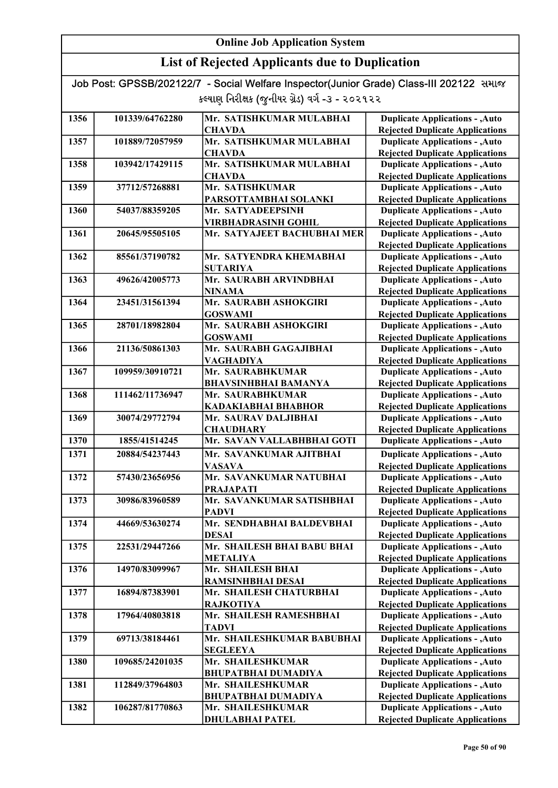| Job Post: GPSSB/202122/7 - Social Welfare Inspector(Junior Grade) Class-III 202122 समाळ |  |
|-----------------------------------------------------------------------------------------|--|
| કલ્યાણ નિરીક્ષક (જુનીયર ગ્રેડ) વર્ગ -૩ - ૨૦૨૧૨૨                                         |  |

| 1356<br>101339/64762280<br>Mr. SATISHKUMAR MULABHAI<br><b>Duplicate Applications - , Auto</b><br><b>Rejected Duplicate Applications</b><br><b>CHAVDA</b><br>Mr. SATISHKUMAR MULABHAI<br><b>Duplicate Applications - , Auto</b><br>1357<br>101889/72057959<br><b>Rejected Duplicate Applications</b><br><b>CHAVDA</b><br>Mr. SATISHKUMAR MULABHAI<br><b>Duplicate Applications - , Auto</b><br>1358<br>103942/17429115<br><b>Rejected Duplicate Applications</b><br><b>CHAVDA</b><br>Mr. SATISHKUMAR<br><b>Duplicate Applications - , Auto</b><br>1359<br>37712/57268881<br>PARSOTTAMBHAI SOLANKI<br><b>Rejected Duplicate Applications</b><br><b>Duplicate Applications - , Auto</b><br>1360<br>54037/88359205<br>Mr. SATYADEEPSINH<br><b>Rejected Duplicate Applications</b><br><b>VIRBHADRASINH GOHIL</b><br><b>Duplicate Applications - , Auto</b><br>1361<br>20645/95505105<br>Mr. SATYAJEET BACHUBHAI MER<br><b>Rejected Duplicate Applications</b><br>Mr. SATYENDRA KHEMABHAI<br><b>Duplicate Applications - , Auto</b><br>1362<br>85561/37190782<br><b>Rejected Duplicate Applications</b><br><b>SUTARIYA</b><br>Mr. SAURABH ARVINDBHAI<br><b>Duplicate Applications - , Auto</b><br>1363<br>49626/42005773<br><b>NINAMA</b><br><b>Rejected Duplicate Applications</b><br>23451/31561394<br>Mr. SAURABH ASHOKGIRI<br>1364<br><b>Duplicate Applications - , Auto</b> |  |
|----------------------------------------------------------------------------------------------------------------------------------------------------------------------------------------------------------------------------------------------------------------------------------------------------------------------------------------------------------------------------------------------------------------------------------------------------------------------------------------------------------------------------------------------------------------------------------------------------------------------------------------------------------------------------------------------------------------------------------------------------------------------------------------------------------------------------------------------------------------------------------------------------------------------------------------------------------------------------------------------------------------------------------------------------------------------------------------------------------------------------------------------------------------------------------------------------------------------------------------------------------------------------------------------------------------------------------------------------------------------------|--|
|                                                                                                                                                                                                                                                                                                                                                                                                                                                                                                                                                                                                                                                                                                                                                                                                                                                                                                                                                                                                                                                                                                                                                                                                                                                                                                                                                                            |  |
|                                                                                                                                                                                                                                                                                                                                                                                                                                                                                                                                                                                                                                                                                                                                                                                                                                                                                                                                                                                                                                                                                                                                                                                                                                                                                                                                                                            |  |
|                                                                                                                                                                                                                                                                                                                                                                                                                                                                                                                                                                                                                                                                                                                                                                                                                                                                                                                                                                                                                                                                                                                                                                                                                                                                                                                                                                            |  |
|                                                                                                                                                                                                                                                                                                                                                                                                                                                                                                                                                                                                                                                                                                                                                                                                                                                                                                                                                                                                                                                                                                                                                                                                                                                                                                                                                                            |  |
|                                                                                                                                                                                                                                                                                                                                                                                                                                                                                                                                                                                                                                                                                                                                                                                                                                                                                                                                                                                                                                                                                                                                                                                                                                                                                                                                                                            |  |
|                                                                                                                                                                                                                                                                                                                                                                                                                                                                                                                                                                                                                                                                                                                                                                                                                                                                                                                                                                                                                                                                                                                                                                                                                                                                                                                                                                            |  |
|                                                                                                                                                                                                                                                                                                                                                                                                                                                                                                                                                                                                                                                                                                                                                                                                                                                                                                                                                                                                                                                                                                                                                                                                                                                                                                                                                                            |  |
|                                                                                                                                                                                                                                                                                                                                                                                                                                                                                                                                                                                                                                                                                                                                                                                                                                                                                                                                                                                                                                                                                                                                                                                                                                                                                                                                                                            |  |
|                                                                                                                                                                                                                                                                                                                                                                                                                                                                                                                                                                                                                                                                                                                                                                                                                                                                                                                                                                                                                                                                                                                                                                                                                                                                                                                                                                            |  |
|                                                                                                                                                                                                                                                                                                                                                                                                                                                                                                                                                                                                                                                                                                                                                                                                                                                                                                                                                                                                                                                                                                                                                                                                                                                                                                                                                                            |  |
|                                                                                                                                                                                                                                                                                                                                                                                                                                                                                                                                                                                                                                                                                                                                                                                                                                                                                                                                                                                                                                                                                                                                                                                                                                                                                                                                                                            |  |
|                                                                                                                                                                                                                                                                                                                                                                                                                                                                                                                                                                                                                                                                                                                                                                                                                                                                                                                                                                                                                                                                                                                                                                                                                                                                                                                                                                            |  |
|                                                                                                                                                                                                                                                                                                                                                                                                                                                                                                                                                                                                                                                                                                                                                                                                                                                                                                                                                                                                                                                                                                                                                                                                                                                                                                                                                                            |  |
|                                                                                                                                                                                                                                                                                                                                                                                                                                                                                                                                                                                                                                                                                                                                                                                                                                                                                                                                                                                                                                                                                                                                                                                                                                                                                                                                                                            |  |
|                                                                                                                                                                                                                                                                                                                                                                                                                                                                                                                                                                                                                                                                                                                                                                                                                                                                                                                                                                                                                                                                                                                                                                                                                                                                                                                                                                            |  |
|                                                                                                                                                                                                                                                                                                                                                                                                                                                                                                                                                                                                                                                                                                                                                                                                                                                                                                                                                                                                                                                                                                                                                                                                                                                                                                                                                                            |  |
|                                                                                                                                                                                                                                                                                                                                                                                                                                                                                                                                                                                                                                                                                                                                                                                                                                                                                                                                                                                                                                                                                                                                                                                                                                                                                                                                                                            |  |
| <b>GOSWAMI</b><br><b>Rejected Duplicate Applications</b>                                                                                                                                                                                                                                                                                                                                                                                                                                                                                                                                                                                                                                                                                                                                                                                                                                                                                                                                                                                                                                                                                                                                                                                                                                                                                                                   |  |
| Mr. SAURABH ASHOKGIRI<br>1365<br>28701/18982804<br><b>Duplicate Applications - , Auto</b>                                                                                                                                                                                                                                                                                                                                                                                                                                                                                                                                                                                                                                                                                                                                                                                                                                                                                                                                                                                                                                                                                                                                                                                                                                                                                  |  |
| <b>GOSWAMI</b><br><b>Rejected Duplicate Applications</b>                                                                                                                                                                                                                                                                                                                                                                                                                                                                                                                                                                                                                                                                                                                                                                                                                                                                                                                                                                                                                                                                                                                                                                                                                                                                                                                   |  |
| Mr. SAURABH GAGAJIBHAI<br><b>Duplicate Applications - , Auto</b><br>1366<br>21136/50861303                                                                                                                                                                                                                                                                                                                                                                                                                                                                                                                                                                                                                                                                                                                                                                                                                                                                                                                                                                                                                                                                                                                                                                                                                                                                                 |  |
| <b>Rejected Duplicate Applications</b><br><b>VAGHADIYA</b><br>Mr. SAURABHKUMAR                                                                                                                                                                                                                                                                                                                                                                                                                                                                                                                                                                                                                                                                                                                                                                                                                                                                                                                                                                                                                                                                                                                                                                                                                                                                                             |  |
| 1367<br>109959/30910721<br><b>Duplicate Applications - , Auto</b>                                                                                                                                                                                                                                                                                                                                                                                                                                                                                                                                                                                                                                                                                                                                                                                                                                                                                                                                                                                                                                                                                                                                                                                                                                                                                                          |  |
| <b>Rejected Duplicate Applications</b><br><b>BHAVSINHBHAI BAMANYA</b>                                                                                                                                                                                                                                                                                                                                                                                                                                                                                                                                                                                                                                                                                                                                                                                                                                                                                                                                                                                                                                                                                                                                                                                                                                                                                                      |  |
| <b>Duplicate Applications - , Auto</b><br>1368<br>111462/11736947<br>Mr. SAURABHKUMAR                                                                                                                                                                                                                                                                                                                                                                                                                                                                                                                                                                                                                                                                                                                                                                                                                                                                                                                                                                                                                                                                                                                                                                                                                                                                                      |  |
| <b>Rejected Duplicate Applications</b><br><b>KADAKIABHAI BHABHOR</b>                                                                                                                                                                                                                                                                                                                                                                                                                                                                                                                                                                                                                                                                                                                                                                                                                                                                                                                                                                                                                                                                                                                                                                                                                                                                                                       |  |
| 1369<br><b>Duplicate Applications - , Auto</b><br>30074/29772794<br>Mr. SAURAV DALJIBHAI                                                                                                                                                                                                                                                                                                                                                                                                                                                                                                                                                                                                                                                                                                                                                                                                                                                                                                                                                                                                                                                                                                                                                                                                                                                                                   |  |
| <b>Rejected Duplicate Applications</b><br><b>CHAUDHARY</b><br>1370<br>Mr. SAVAN VALLABHBHAI GOTI<br><b>Duplicate Applications - , Auto</b><br>1855/41514245                                                                                                                                                                                                                                                                                                                                                                                                                                                                                                                                                                                                                                                                                                                                                                                                                                                                                                                                                                                                                                                                                                                                                                                                                |  |
|                                                                                                                                                                                                                                                                                                                                                                                                                                                                                                                                                                                                                                                                                                                                                                                                                                                                                                                                                                                                                                                                                                                                                                                                                                                                                                                                                                            |  |
| 1371<br>Mr. SAVANKUMAR AJITBHAI<br><b>Duplicate Applications - , Auto</b><br>20884/54237443<br><b>Rejected Duplicate Applications</b><br><b>VASAVA</b>                                                                                                                                                                                                                                                                                                                                                                                                                                                                                                                                                                                                                                                                                                                                                                                                                                                                                                                                                                                                                                                                                                                                                                                                                     |  |
| 1372<br>Mr. SAVANKUMAR NATUBHAI<br><b>Duplicate Applications - , Auto</b><br>57430/23656956                                                                                                                                                                                                                                                                                                                                                                                                                                                                                                                                                                                                                                                                                                                                                                                                                                                                                                                                                                                                                                                                                                                                                                                                                                                                                |  |
| <b>Rejected Duplicate Applications</b><br><b>PRAJAPATI</b>                                                                                                                                                                                                                                                                                                                                                                                                                                                                                                                                                                                                                                                                                                                                                                                                                                                                                                                                                                                                                                                                                                                                                                                                                                                                                                                 |  |
| <b>Duplicate Applications - , Auto</b><br>1373<br>30986/83960589<br>Mr. SAVANKUMAR SATISHBHAI                                                                                                                                                                                                                                                                                                                                                                                                                                                                                                                                                                                                                                                                                                                                                                                                                                                                                                                                                                                                                                                                                                                                                                                                                                                                              |  |
| <b>Rejected Duplicate Applications</b><br><b>PADVI</b>                                                                                                                                                                                                                                                                                                                                                                                                                                                                                                                                                                                                                                                                                                                                                                                                                                                                                                                                                                                                                                                                                                                                                                                                                                                                                                                     |  |
| Mr. SENDHABHAI BALDEVBHAI<br><b>Duplicate Applications - , Auto</b><br>1374<br>44669/53630274                                                                                                                                                                                                                                                                                                                                                                                                                                                                                                                                                                                                                                                                                                                                                                                                                                                                                                                                                                                                                                                                                                                                                                                                                                                                              |  |
| <b>DESAI</b><br><b>Rejected Duplicate Applications</b>                                                                                                                                                                                                                                                                                                                                                                                                                                                                                                                                                                                                                                                                                                                                                                                                                                                                                                                                                                                                                                                                                                                                                                                                                                                                                                                     |  |
| <b>Duplicate Applications - , Auto</b><br>1375<br>22531/29447266<br>Mr. SHAILESH BHAI BABU BHAI                                                                                                                                                                                                                                                                                                                                                                                                                                                                                                                                                                                                                                                                                                                                                                                                                                                                                                                                                                                                                                                                                                                                                                                                                                                                            |  |
| <b>METALIYA</b><br><b>Rejected Duplicate Applications</b>                                                                                                                                                                                                                                                                                                                                                                                                                                                                                                                                                                                                                                                                                                                                                                                                                                                                                                                                                                                                                                                                                                                                                                                                                                                                                                                  |  |
| 1376<br>14970/83099967<br>Mr. SHAILESH BHAI<br><b>Duplicate Applications - , Auto</b>                                                                                                                                                                                                                                                                                                                                                                                                                                                                                                                                                                                                                                                                                                                                                                                                                                                                                                                                                                                                                                                                                                                                                                                                                                                                                      |  |
| <b>Rejected Duplicate Applications</b><br><b>RAMSINHBHAI DESAI</b>                                                                                                                                                                                                                                                                                                                                                                                                                                                                                                                                                                                                                                                                                                                                                                                                                                                                                                                                                                                                                                                                                                                                                                                                                                                                                                         |  |
| 1377<br><b>Duplicate Applications - , Auto</b><br>16894/87383901<br>Mr. SHAILESH CHATURBHAI                                                                                                                                                                                                                                                                                                                                                                                                                                                                                                                                                                                                                                                                                                                                                                                                                                                                                                                                                                                                                                                                                                                                                                                                                                                                                |  |
| <b>RAJKOTIYA</b><br><b>Rejected Duplicate Applications</b>                                                                                                                                                                                                                                                                                                                                                                                                                                                                                                                                                                                                                                                                                                                                                                                                                                                                                                                                                                                                                                                                                                                                                                                                                                                                                                                 |  |
| 1378<br>17964/40803818<br>Mr. SHAILESH RAMESHBHAI<br><b>Duplicate Applications - , Auto</b>                                                                                                                                                                                                                                                                                                                                                                                                                                                                                                                                                                                                                                                                                                                                                                                                                                                                                                                                                                                                                                                                                                                                                                                                                                                                                |  |
| <b>TADVI</b><br><b>Rejected Duplicate Applications</b>                                                                                                                                                                                                                                                                                                                                                                                                                                                                                                                                                                                                                                                                                                                                                                                                                                                                                                                                                                                                                                                                                                                                                                                                                                                                                                                     |  |
| Mr. SHAILESHKUMAR BABUBHAI<br>1379<br>69713/38184461<br><b>Duplicate Applications - , Auto</b>                                                                                                                                                                                                                                                                                                                                                                                                                                                                                                                                                                                                                                                                                                                                                                                                                                                                                                                                                                                                                                                                                                                                                                                                                                                                             |  |
| <b>Rejected Duplicate Applications</b><br><b>SEGLEEYA</b>                                                                                                                                                                                                                                                                                                                                                                                                                                                                                                                                                                                                                                                                                                                                                                                                                                                                                                                                                                                                                                                                                                                                                                                                                                                                                                                  |  |
| Mr. SHAILESHKUMAR<br><b>Duplicate Applications - , Auto</b><br>1380<br>109685/24201035                                                                                                                                                                                                                                                                                                                                                                                                                                                                                                                                                                                                                                                                                                                                                                                                                                                                                                                                                                                                                                                                                                                                                                                                                                                                                     |  |
| <b>BHUPATBHAI DUMADIYA</b><br><b>Rejected Duplicate Applications</b>                                                                                                                                                                                                                                                                                                                                                                                                                                                                                                                                                                                                                                                                                                                                                                                                                                                                                                                                                                                                                                                                                                                                                                                                                                                                                                       |  |
| 1381<br>112849/37964803<br>Mr. SHAILESHKUMAR<br><b>Duplicate Applications - , Auto</b>                                                                                                                                                                                                                                                                                                                                                                                                                                                                                                                                                                                                                                                                                                                                                                                                                                                                                                                                                                                                                                                                                                                                                                                                                                                                                     |  |
| <b>BHUPATBHAI DUMADIYA</b><br><b>Rejected Duplicate Applications</b>                                                                                                                                                                                                                                                                                                                                                                                                                                                                                                                                                                                                                                                                                                                                                                                                                                                                                                                                                                                                                                                                                                                                                                                                                                                                                                       |  |
| <b>Duplicate Applications - , Auto</b><br>1382<br>106287/81770863<br>Mr. SHAILESHKUMAR                                                                                                                                                                                                                                                                                                                                                                                                                                                                                                                                                                                                                                                                                                                                                                                                                                                                                                                                                                                                                                                                                                                                                                                                                                                                                     |  |
| <b>DHULABHAI PATEL</b><br><b>Rejected Duplicate Applications</b>                                                                                                                                                                                                                                                                                                                                                                                                                                                                                                                                                                                                                                                                                                                                                                                                                                                                                                                                                                                                                                                                                                                                                                                                                                                                                                           |  |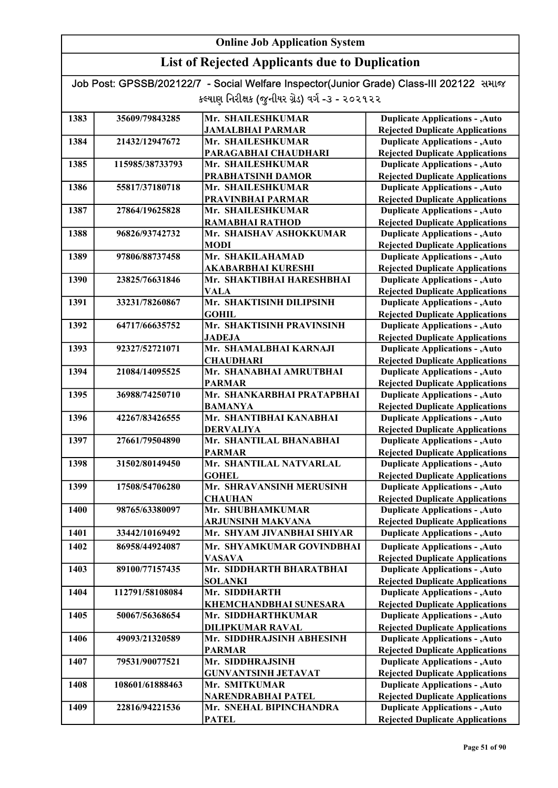## List of Rejected Applicants due to Duplication

| 1383 | 35609/79843285  | Mr. SHAILESHKUMAR          | <b>Duplicate Applications - , Auto</b> |
|------|-----------------|----------------------------|----------------------------------------|
|      |                 | <b>JAMALBHAI PARMAR</b>    | <b>Rejected Duplicate Applications</b> |
| 1384 | 21432/12947672  | Mr. SHAILESHKUMAR          | <b>Duplicate Applications - , Auto</b> |
|      |                 | PARAGABHAI CHAUDHARI       | <b>Rejected Duplicate Applications</b> |
| 1385 | 115985/38733793 | Mr. SHAILESHKUMAR          | <b>Duplicate Applications - , Auto</b> |
|      |                 | PRABHATSINH DAMOR          | <b>Rejected Duplicate Applications</b> |
| 1386 | 55817/37180718  | Mr. SHAILESHKUMAR          | <b>Duplicate Applications - , Auto</b> |
|      |                 | PRAVINBHAI PARMAR          | <b>Rejected Duplicate Applications</b> |
| 1387 | 27864/19625828  | Mr. SHAILESHKUMAR          | <b>Duplicate Applications - , Auto</b> |
|      |                 | <b>RAMABHAI RATHOD</b>     | <b>Rejected Duplicate Applications</b> |
| 1388 | 96826/93742732  | Mr. SHAISHAV ASHOKKUMAR    | <b>Duplicate Applications - , Auto</b> |
|      |                 | <b>MODI</b>                | <b>Rejected Duplicate Applications</b> |
| 1389 | 97806/88737458  | Mr. SHAKILAHAMAD           | <b>Duplicate Applications - , Auto</b> |
|      |                 | <b>AKABARBHAI KURESHI</b>  | <b>Rejected Duplicate Applications</b> |
| 1390 | 23825/76631846  | Mr. SHAKTIBHAI HARESHBHAI  | <b>Duplicate Applications - , Auto</b> |
|      |                 | <b>VALA</b>                | <b>Rejected Duplicate Applications</b> |
| 1391 | 33231/78260867  | Mr. SHAKTISINH DILIPSINH   | <b>Duplicate Applications - , Auto</b> |
|      |                 | <b>GOHIL</b>               | <b>Rejected Duplicate Applications</b> |
| 1392 | 64717/66635752  | Mr. SHAKTISINH PRAVINSINH  | <b>Duplicate Applications - , Auto</b> |
|      |                 | <b>JADEJA</b>              | <b>Rejected Duplicate Applications</b> |
| 1393 | 92327/52721071  | Mr. SHAMALBHAI KARNAJI     | <b>Duplicate Applications - , Auto</b> |
|      |                 | <b>CHAUDHARI</b>           | <b>Rejected Duplicate Applications</b> |
| 1394 | 21084/14095525  | Mr. SHANABHAI AMRUTBHAI    | <b>Duplicate Applications - , Auto</b> |
|      |                 | <b>PARMAR</b>              | <b>Rejected Duplicate Applications</b> |
| 1395 | 36988/74250710  | Mr. SHANKARBHAI PRATAPBHAI | <b>Duplicate Applications - , Auto</b> |
|      |                 | <b>BAMANYA</b>             | <b>Rejected Duplicate Applications</b> |
| 1396 | 42267/83426555  | Mr. SHANTIBHAI KANABHAI    | <b>Duplicate Applications - , Auto</b> |
|      |                 | <b>DERVALIYA</b>           | <b>Rejected Duplicate Applications</b> |
| 1397 | 27661/79504890  | Mr. SHANTILAL BHANABHAI    | <b>Duplicate Applications - , Auto</b> |
|      |                 | <b>PARMAR</b>              | <b>Rejected Duplicate Applications</b> |
| 1398 | 31502/80149450  | Mr. SHANTILAL NATVARLAL    | <b>Duplicate Applications - , Auto</b> |
|      |                 | <b>GOHEL</b>               | <b>Rejected Duplicate Applications</b> |
| 1399 | 17508/54706280  | Mr. SHRAVANSINH MERUSINH   | <b>Duplicate Applications - , Auto</b> |
|      |                 | <b>CHAUHAN</b>             | <b>Rejected Duplicate Applications</b> |
| 1400 | 98765/63380097  | Mr. SHUBHAMKUMAR           | <b>Duplicate Applications - , Auto</b> |
|      |                 | <b>ARJUNSINH MAKVANA</b>   | <b>Rejected Duplicate Applications</b> |
| 1401 | 33442/10169492  | Mr. SHYAM JIVANBHAI SHIYAR | <b>Duplicate Applications - , Auto</b> |
| 1402 | 86958/44924087  | Mr. SHYAMKUMAR GOVINDBHAI  | <b>Duplicate Applications - , Auto</b> |
|      |                 | <b>VASAVA</b>              | <b>Rejected Duplicate Applications</b> |
| 1403 | 89100/77157435  | Mr. SIDDHARTH BHARATBHAI   | <b>Duplicate Applications - , Auto</b> |
|      |                 | <b>SOLANKI</b>             | <b>Rejected Duplicate Applications</b> |
| 1404 | 112791/58108084 | Mr. SIDDHARTH              | <b>Duplicate Applications - , Auto</b> |
|      |                 | KHEMCHANDBHAI SUNESARA     | <b>Rejected Duplicate Applications</b> |
| 1405 | 50067/56368654  | Mr. SIDDHARTHKUMAR         | <b>Duplicate Applications - , Auto</b> |
|      |                 | <b>DILIPKUMAR RAVAL</b>    | <b>Rejected Duplicate Applications</b> |
| 1406 | 49093/21320589  | Mr. SIDDHRAJSINH ABHESINH  | <b>Duplicate Applications - , Auto</b> |
|      |                 | <b>PARMAR</b>              | <b>Rejected Duplicate Applications</b> |
| 1407 | 79531/90077521  | Mr. SIDDHRAJSINH           | <b>Duplicate Applications - , Auto</b> |
|      |                 | <b>GUNVANTSINH JETAVAT</b> | <b>Rejected Duplicate Applications</b> |
| 1408 | 108601/61888463 | Mr. SMITKUMAR              | <b>Duplicate Applications - , Auto</b> |
|      |                 | NARENDRABHAI PATEL         | <b>Rejected Duplicate Applications</b> |
| 1409 | 22816/94221536  | Mr. SNEHAL BIPINCHANDRA    | <b>Duplicate Applications - , Auto</b> |
|      |                 | <b>PATEL</b>               | <b>Rejected Duplicate Applications</b> |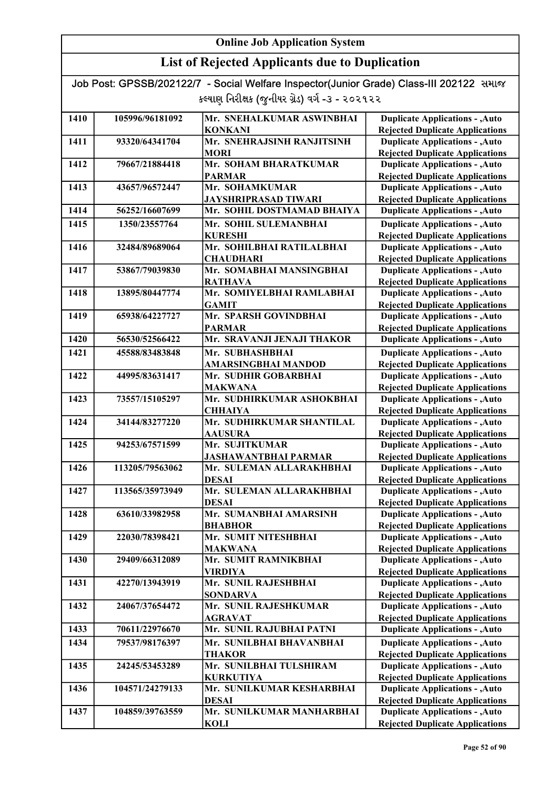| Job Post: GPSSB/202122/7 - Social Welfare Inspector(Junior Grade) Class-III 202122 समाल |  |
|-----------------------------------------------------------------------------------------|--|
| કલ્યાણ નિરીક્ષક (જુનીયર ગ્રેડ) વર્ગ -૩ - ૨૦૨૧૨૨                                         |  |

| 1410 | 105996/96181092 | Mr. SNEHALKUMAR ASWINBHAI   | <b>Duplicate Applications - , Auto</b> |
|------|-----------------|-----------------------------|----------------------------------------|
|      |                 | <b>KONKANI</b>              | <b>Rejected Duplicate Applications</b> |
| 1411 | 93320/64341704  | Mr. SNEHRAJSINH RANJITSINH  | <b>Duplicate Applications - , Auto</b> |
|      |                 | <b>MORI</b>                 | <b>Rejected Duplicate Applications</b> |
| 1412 | 79667/21884418  | Mr. SOHAM BHARATKUMAR       | <b>Duplicate Applications - , Auto</b> |
|      |                 | <b>PARMAR</b>               | <b>Rejected Duplicate Applications</b> |
| 1413 | 43657/96572447  | Mr. SOHAMKUMAR              | <b>Duplicate Applications - , Auto</b> |
|      |                 | <b>JAYSHRIPRASAD TIWARI</b> | <b>Rejected Duplicate Applications</b> |
| 1414 | 56252/16607699  | Mr. SOHIL DOSTMAMAD BHAIYA  | <b>Duplicate Applications - , Auto</b> |
| 1415 | 1350/23557764   | Mr. SOHIL SULEMANBHAI       | <b>Duplicate Applications - , Auto</b> |
|      |                 | <b>KURESHI</b>              | <b>Rejected Duplicate Applications</b> |
| 1416 | 32484/89689064  | Mr. SOHILBHAI RATILALBHAI   | <b>Duplicate Applications - , Auto</b> |
|      |                 | <b>CHAUDHARI</b>            | <b>Rejected Duplicate Applications</b> |
| 1417 | 53867/79039830  | Mr. SOMABHAI MANSINGBHAI    | <b>Duplicate Applications - , Auto</b> |
|      |                 | <b>RATHAVA</b>              | <b>Rejected Duplicate Applications</b> |
| 1418 | 13895/80447774  | Mr. SOMIYELBHAI RAMLABHAI   | <b>Duplicate Applications - , Auto</b> |
|      |                 | <b>GAMIT</b>                | <b>Rejected Duplicate Applications</b> |
| 1419 | 65938/64227727  | Mr. SPARSH GOVINDBHAI       | <b>Duplicate Applications - , Auto</b> |
|      |                 | <b>PARMAR</b>               | <b>Rejected Duplicate Applications</b> |
| 1420 | 56530/52566422  | Mr. SRAVANJI JENAJI THAKOR  | <b>Duplicate Applications - , Auto</b> |
| 1421 | 45588/83483848  | Mr. SUBHASHBHAI             | <b>Duplicate Applications - , Auto</b> |
|      |                 | <b>AMARSINGBHAI MANDOD</b>  | <b>Rejected Duplicate Applications</b> |
| 1422 | 44995/83631417  | Mr. SUDHIR GOBARBHAI        | <b>Duplicate Applications - , Auto</b> |
|      |                 | <b>MAKWANA</b>              | <b>Rejected Duplicate Applications</b> |
| 1423 | 73557/15105297  | Mr. SUDHIRKUMAR ASHOKBHAI   | <b>Duplicate Applications - , Auto</b> |
|      |                 | <b>CHHAIYA</b>              | <b>Rejected Duplicate Applications</b> |
| 1424 | 34144/83277220  | Mr. SUDHIRKUMAR SHANTILAL   | <b>Duplicate Applications - , Auto</b> |
|      |                 | <b>AAUSURA</b>              | <b>Rejected Duplicate Applications</b> |
| 1425 | 94253/67571599  | Mr. SUJITKUMAR              | <b>Duplicate Applications - , Auto</b> |
|      |                 | <b>JASHAWANTBHAI PARMAR</b> | <b>Rejected Duplicate Applications</b> |
| 1426 | 113205/79563062 | Mr. SULEMAN ALLARAKHBHAI    | <b>Duplicate Applications - , Auto</b> |
|      |                 | <b>DESAI</b>                | <b>Rejected Duplicate Applications</b> |
| 1427 | 113565/35973949 | Mr. SULEMAN ALLARAKHBHAI    | <b>Duplicate Applications - , Auto</b> |
|      |                 | <b>DESAI</b>                | <b>Rejected Duplicate Applications</b> |
| 1428 | 63610/33982958  | Mr. SUMANBHAI AMARSINH      | <b>Duplicate Applications - , Auto</b> |
|      |                 | <b>BHABHOR</b>              | <b>Rejected Duplicate Applications</b> |
| 1429 | 22030/78398421  | Mr. SUMIT NITESHBHAI        | <b>Duplicate Applications - , Auto</b> |
|      |                 | <b>MAKWANA</b>              | <b>Rejected Duplicate Applications</b> |
| 1430 | 29409/66312089  | Mr. SUMIT RAMNIKBHAI        | <b>Duplicate Applications - , Auto</b> |
|      |                 | <b>VIRDIYA</b>              | <b>Rejected Duplicate Applications</b> |
| 1431 | 42270/13943919  | Mr. SUNIL RAJESHBHAI        | <b>Duplicate Applications - , Auto</b> |
|      |                 | <b>SONDARVA</b>             | <b>Rejected Duplicate Applications</b> |
| 1432 | 24067/37654472  | Mr. SUNIL RAJESHKUMAR       | <b>Duplicate Applications - , Auto</b> |
|      |                 | AGRAVAT                     | <b>Rejected Duplicate Applications</b> |
| 1433 | 70611/22976670  | Mr. SUNIL RAJUBHAI PATNI    | <b>Duplicate Applications - , Auto</b> |
| 1434 | 79537/98176397  | Mr. SUNILBHAI BHAVANBHAI    | <b>Duplicate Applications - , Auto</b> |
|      |                 | <b>THAKOR</b>               | <b>Rejected Duplicate Applications</b> |
| 1435 | 24245/53453289  | Mr. SUNILBHAI TULSHIRAM     | <b>Duplicate Applications - , Auto</b> |
|      |                 | <b>KURKUTIYA</b>            | <b>Rejected Duplicate Applications</b> |
| 1436 | 104571/24279133 | Mr. SUNILKUMAR KESHARBHAI   | <b>Duplicate Applications - , Auto</b> |
|      |                 | <b>DESAI</b>                | <b>Rejected Duplicate Applications</b> |
| 1437 | 104859/39763559 | Mr. SUNILKUMAR MANHARBHAI   | <b>Duplicate Applications - , Auto</b> |
|      |                 | <b>KOLI</b>                 | <b>Rejected Duplicate Applications</b> |
|      |                 |                             |                                        |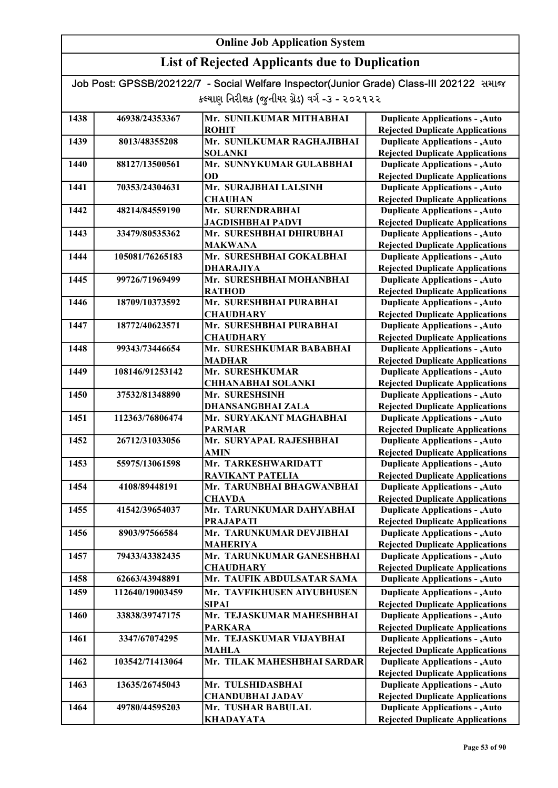| Job Post: GPSSB/202122/7 - Social Welfare Inspector(Junior Grade) Class-III 202122 समाल |  |
|-----------------------------------------------------------------------------------------|--|
| કલ્યાણ નિરીક્ષક (જુનીયર ગ્રેડ) વર્ગ -૩ - ૨૦૨૧૨૨                                         |  |

| 1438 | 46938/24353367  | Mr. SUNILKUMAR MITHABHAI    | <b>Duplicate Applications - , Auto</b> |
|------|-----------------|-----------------------------|----------------------------------------|
|      |                 | <b>ROHIT</b>                | <b>Rejected Duplicate Applications</b> |
| 1439 | 8013/48355208   | Mr. SUNILKUMAR RAGHAJIBHAI  | <b>Duplicate Applications - , Auto</b> |
|      |                 | <b>SOLANKI</b>              | <b>Rejected Duplicate Applications</b> |
| 1440 | 88127/13500561  | Mr. SUNNYKUMAR GULABBHAI    | <b>Duplicate Applications - , Auto</b> |
|      |                 | OD                          | <b>Rejected Duplicate Applications</b> |
| 1441 | 70353/24304631  | Mr. SURAJBHAI LALSINH       | <b>Duplicate Applications - , Auto</b> |
|      |                 | <b>CHAUHAN</b>              | <b>Rejected Duplicate Applications</b> |
| 1442 | 48214/84559190  | Mr. SURENDRABHAI            | <b>Duplicate Applications - , Auto</b> |
|      |                 | <b>JAGDISHBHAI PADVI</b>    | <b>Rejected Duplicate Applications</b> |
| 1443 | 33479/80535362  | Mr. SURESHBHAI DHIRUBHAI    | <b>Duplicate Applications - , Auto</b> |
|      |                 | <b>MAKWANA</b>              | <b>Rejected Duplicate Applications</b> |
| 1444 | 105081/76265183 | Mr. SURESHBHAI GOKALBHAI    | <b>Duplicate Applications - , Auto</b> |
|      |                 | <b>DHARAJIYA</b>            | <b>Rejected Duplicate Applications</b> |
| 1445 | 99726/71969499  | Mr. SURESHBHAI MOHANBHAI    | <b>Duplicate Applications - , Auto</b> |
|      |                 | <b>RATHOD</b>               | <b>Rejected Duplicate Applications</b> |
| 1446 | 18709/10373592  | Mr. SURESHBHAI PURABHAI     | <b>Duplicate Applications - , Auto</b> |
|      |                 | <b>CHAUDHARY</b>            | <b>Rejected Duplicate Applications</b> |
| 1447 | 18772/40623571  | Mr. SURESHBHAI PURABHAI     | <b>Duplicate Applications - , Auto</b> |
|      |                 | <b>CHAUDHARY</b>            | <b>Rejected Duplicate Applications</b> |
| 1448 | 99343/73446654  | Mr. SURESHKUMAR BABABHAI    | <b>Duplicate Applications - , Auto</b> |
|      |                 | <b>MADHAR</b>               | <b>Rejected Duplicate Applications</b> |
| 1449 | 108146/91253142 | Mr. SURESHKUMAR             | <b>Duplicate Applications - , Auto</b> |
|      |                 | <b>CHHANABHAI SOLANKI</b>   | <b>Rejected Duplicate Applications</b> |
| 1450 | 37532/81348890  | Mr. SURESHSINH              | <b>Duplicate Applications - , Auto</b> |
|      |                 | DHANSANGBHAI ZALA           | <b>Rejected Duplicate Applications</b> |
| 1451 | 112363/76806474 | Mr. SURYAKANT MAGHABHAI     | <b>Duplicate Applications - , Auto</b> |
|      |                 | <b>PARMAR</b>               | <b>Rejected Duplicate Applications</b> |
| 1452 | 26712/31033056  | Mr. SURYAPAL RAJESHBHAI     | <b>Duplicate Applications - , Auto</b> |
|      |                 | <b>AMIN</b>                 | <b>Rejected Duplicate Applications</b> |
| 1453 | 55975/13061598  | Mr. TARKESHWARIDATT         | <b>Duplicate Applications - , Auto</b> |
|      |                 | <b>RAVIKANT PATELIA</b>     | <b>Rejected Duplicate Applications</b> |
| 1454 | 4108/89448191   | Mr. TARUNBHAI BHAGWANBHAI   | <b>Duplicate Applications - , Auto</b> |
|      |                 | <b>CHAVDA</b>               | <b>Rejected Duplicate Applications</b> |
| 1455 | 41542/39654037  | Mr. TARUNKUMAR DAHYABHAI    | <b>Duplicate Applications - , Auto</b> |
|      |                 | <b>PRAJAPATI</b>            | <b>Rejected Duplicate Applications</b> |
| 1456 | 8903/97566584   | Mr. TARUNKUMAR DEVJIBHAI    | <b>Duplicate Applications - , Auto</b> |
|      |                 | <b>MAHERIYA</b>             | <b>Rejected Duplicate Applications</b> |
| 1457 | 79433/43382435  | Mr. TARUNKUMAR GANESHBHAI   | <b>Duplicate Applications - , Auto</b> |
|      |                 | <b>CHAUDHARY</b>            | <b>Rejected Duplicate Applications</b> |
| 1458 | 62663/43948891  | Mr. TAUFIK ABDULSATAR SAMA  | <b>Duplicate Applications - , Auto</b> |
| 1459 | 112640/19003459 | Mr. TAVFIKHUSEN AIYUBHUSEN  | <b>Duplicate Applications - , Auto</b> |
|      |                 | <b>SIPAI</b>                | <b>Rejected Duplicate Applications</b> |
| 1460 | 33838/39747175  | Mr. TEJASKUMAR MAHESHBHAI   | <b>Duplicate Applications - , Auto</b> |
|      |                 | <b>PARKARA</b>              | <b>Rejected Duplicate Applications</b> |
|      |                 |                             |                                        |
| 1461 | 3347/67074295   | Mr. TEJASKUMAR VIJAYBHAI    | <b>Duplicate Applications - , Auto</b> |
|      |                 | <b>MAHLA</b>                | <b>Rejected Duplicate Applications</b> |
| 1462 | 103542/71413064 | Mr. TILAK MAHESHBHAI SARDAR | <b>Duplicate Applications - , Auto</b> |
|      |                 |                             | <b>Rejected Duplicate Applications</b> |
| 1463 | 13635/26745043  | Mr. TULSHIDASBHAI           | <b>Duplicate Applications - , Auto</b> |
|      |                 | <b>CHANDUBHAI JADAV</b>     | <b>Rejected Duplicate Applications</b> |
| 1464 | 49780/44595203  | Mr. TUSHAR BABULAL          | <b>Duplicate Applications - , Auto</b> |
|      |                 | <b>KHADAYATA</b>            | <b>Rejected Duplicate Applications</b> |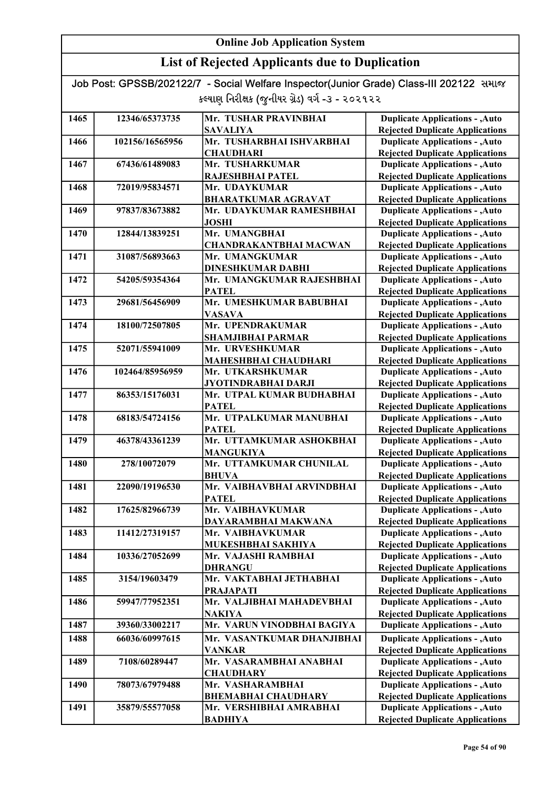## List of Rejected Applicants due to Duplication

| 1465 | 12346/65373735  | Mr. TUSHAR PRAVINBHAI                         | <b>Duplicate Applications - , Auto</b>                                           |
|------|-----------------|-----------------------------------------------|----------------------------------------------------------------------------------|
|      |                 | <b>SAVALIYA</b>                               | <b>Rejected Duplicate Applications</b>                                           |
| 1466 | 102156/16565956 | Mr. TUSHARBHAI ISHVARBHAI                     | <b>Duplicate Applications - , Auto</b>                                           |
|      |                 | <b>CHAUDHARI</b>                              | <b>Rejected Duplicate Applications</b>                                           |
| 1467 | 67436/61489083  | Mr. TUSHARKUMAR                               | <b>Duplicate Applications - , Auto</b>                                           |
|      |                 | RAJESHBHAI PATEL                              | <b>Rejected Duplicate Applications</b>                                           |
| 1468 | 72019/95834571  | Mr. UDAYKUMAR                                 | <b>Duplicate Applications - , Auto</b>                                           |
|      |                 | <b>BHARATKUMAR AGRAVAT</b>                    | <b>Rejected Duplicate Applications</b>                                           |
| 1469 | 97837/83673882  | Mr. UDAYKUMAR RAMESHBHAI                      | <b>Duplicate Applications - , Auto</b>                                           |
|      |                 | <b>JOSHI</b>                                  | <b>Rejected Duplicate Applications</b>                                           |
| 1470 | 12844/13839251  | Mr. UMANGBHAI                                 | <b>Duplicate Applications - , Auto</b>                                           |
|      |                 | <b>CHANDRAKANTBHAI MACWAN</b>                 | <b>Rejected Duplicate Applications</b>                                           |
| 1471 | 31087/56893663  | Mr. UMANGKUMAR                                | <b>Duplicate Applications - , Auto</b>                                           |
|      |                 | <b>DINESHKUMAR DABHI</b>                      | <b>Rejected Duplicate Applications</b>                                           |
| 1472 | 54205/59354364  | Mr. UMANGKUMAR RAJESHBHAI                     | <b>Duplicate Applications - , Auto</b>                                           |
|      |                 | <b>PATEL</b>                                  | <b>Rejected Duplicate Applications</b>                                           |
| 1473 | 29681/56456909  | Mr. UMESHKUMAR BABUBHAI                       | <b>Duplicate Applications - , Auto</b>                                           |
|      |                 | <b>VASAVA</b>                                 | <b>Rejected Duplicate Applications</b>                                           |
| 1474 | 18100/72507805  | Mr. UPENDRAKUMAR                              | <b>Duplicate Applications - , Auto</b>                                           |
|      |                 | <b>SHAMJIBHAI PARMAR</b>                      | <b>Rejected Duplicate Applications</b>                                           |
| 1475 | 52071/55941009  | Mr. URVESHKUMAR                               | <b>Duplicate Applications - , Auto</b>                                           |
|      |                 | MAHESHBHAI CHAUDHARI                          | <b>Rejected Duplicate Applications</b>                                           |
| 1476 | 102464/85956959 | Mr. UTKARSHKUMAR                              | <b>Duplicate Applications - , Auto</b>                                           |
|      |                 | JYOTINDRABHAI DARJI                           | <b>Rejected Duplicate Applications</b>                                           |
| 1477 | 86353/15176031  | Mr. UTPAL KUMAR BUDHABHAI                     | <b>Duplicate Applications - , Auto</b>                                           |
|      |                 | <b>PATEL</b>                                  | <b>Rejected Duplicate Applications</b>                                           |
| 1478 | 68183/54724156  | Mr. UTPALKUMAR MANUBHAI                       | <b>Duplicate Applications - , Auto</b>                                           |
|      |                 | <b>PATEL</b>                                  | <b>Rejected Duplicate Applications</b>                                           |
| 1479 | 46378/43361239  | Mr. UTTAMKUMAR ASHOKBHAI                      | <b>Duplicate Applications - , Auto</b>                                           |
|      |                 | <b>MANGUKIYA</b>                              | <b>Rejected Duplicate Applications</b>                                           |
| 1480 | 278/10072079    | Mr. UTTAMKUMAR CHUNILAL                       | <b>Duplicate Applications - , Auto</b>                                           |
|      |                 | <b>BHUVA</b>                                  | <b>Rejected Duplicate Applications</b>                                           |
| 1481 | 22090/19196530  | Mr. VAIBHAVBHAI ARVINDBHAI                    | <b>Duplicate Applications - , Auto</b>                                           |
|      |                 | <b>PATEL</b>                                  | <b>Rejected Duplicate Applications</b>                                           |
| 1482 | 17625/82966739  | Mr. VAIBHAVKUMAR                              | <b>Duplicate Applications - , Auto</b>                                           |
|      |                 | DAYARAMBHAI MAKWANA                           | <b>Rejected Duplicate Applications</b>                                           |
| 1483 | 11412/27319157  | Mr. VAIBHAVKUMAR                              | <b>Duplicate Applications - , Auto</b>                                           |
|      |                 | MUKESHBHAI SAKHIYA                            | <b>Rejected Duplicate Applications</b>                                           |
| 1484 | 10336/27052699  | Mr. VAJASHI RAMBHAI                           | <b>Duplicate Applications - , Auto</b>                                           |
|      | 3154/19603479   | <b>DHRANGU</b><br>Mr. VAKTABHAI JETHABHAI     | <b>Rejected Duplicate Applications</b><br><b>Duplicate Applications - , Auto</b> |
| 1485 |                 |                                               |                                                                                  |
|      | 59947/77952351  | <b>PRAJAPATI</b><br>Mr. VALJIBHAI MAHADEVBHAI | <b>Rejected Duplicate Applications</b><br><b>Duplicate Applications - , Auto</b> |
| 1486 |                 | <b>NAKIYA</b>                                 | <b>Rejected Duplicate Applications</b>                                           |
| 1487 | 39360/33002217  | Mr. VARUN VINODBHAI BAGIYA                    | <b>Duplicate Applications - , Auto</b>                                           |
|      |                 |                                               |                                                                                  |
| 1488 | 66036/60997615  | Mr. VASANTKUMAR DHANJIBHAI                    | <b>Duplicate Applications - , Auto</b>                                           |
|      |                 | <b>VANKAR</b>                                 | <b>Rejected Duplicate Applications</b>                                           |
| 1489 | 7108/60289447   | Mr. VASARAMBHAI ANABHAI                       | <b>Duplicate Applications - , Auto</b>                                           |
|      |                 | <b>CHAUDHARY</b>                              | <b>Rejected Duplicate Applications</b>                                           |
| 1490 | 78073/67979488  | Mr. VASHARAMBHAI                              | <b>Duplicate Applications - , Auto</b>                                           |
|      |                 | <b>BHEMABHAI CHAUDHARY</b>                    | <b>Rejected Duplicate Applications</b>                                           |
| 1491 | 35879/55577058  | Mr. VERSHIBHAI AMRABHAI                       | <b>Duplicate Applications - , Auto</b>                                           |
|      |                 | <b>BADHIYA</b>                                | <b>Rejected Duplicate Applications</b>                                           |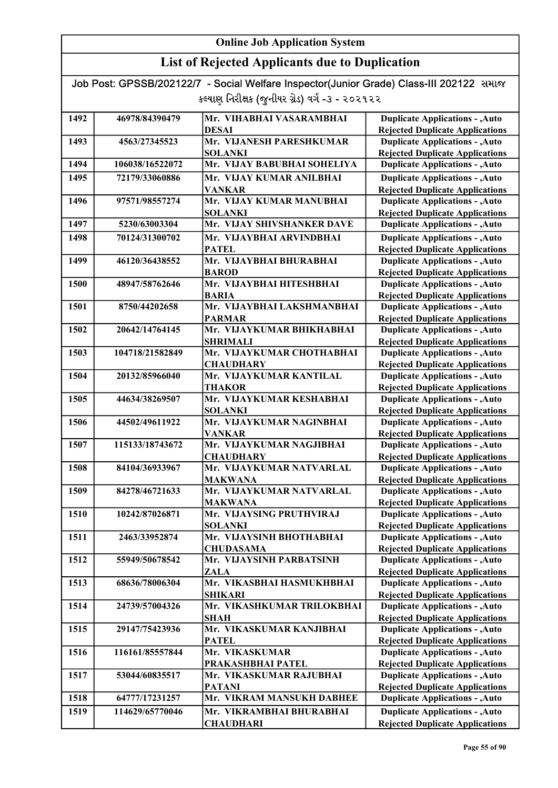| Job Post: GPSSB/202122/7 - Social Welfare Inspector(Junior Grade) Class-III 202122 समाल |  |
|-----------------------------------------------------------------------------------------|--|
| કલ્યાણ નિરીક્ષક (જુનીયર ગ્રેડ) વર્ગ -૩ - ૨૦૨૧૨૨                                         |  |

| 1492 | 46978/84390479  | Mr. VIHABHAI VASARAMBHAI                     | <b>Duplicate Applications - , Auto</b>                                           |
|------|-----------------|----------------------------------------------|----------------------------------------------------------------------------------|
|      |                 | DESAI                                        | <b>Rejected Duplicate Applications</b>                                           |
| 1493 | 4563/27345523   | Mr. VIJANESH PARESHKUMAR                     | <b>Duplicate Applications - , Auto</b>                                           |
|      |                 | <b>SOLANKI</b>                               | <b>Rejected Duplicate Applications</b>                                           |
| 1494 | 106038/16522072 | Mr. VIJAY BABUBHAI SOHELIYA                  | <b>Duplicate Applications - , Auto</b>                                           |
| 1495 | 72179/33060886  | Mr. VIJAY KUMAR ANILBHAI                     | <b>Duplicate Applications - , Auto</b>                                           |
|      |                 | <b>VANKAR</b>                                | <b>Rejected Duplicate Applications</b>                                           |
| 1496 | 97571/98557274  | Mr. VIJAY KUMAR MANUBHAI                     | <b>Duplicate Applications - , Auto</b>                                           |
|      |                 | <b>SOLANKI</b>                               | <b>Rejected Duplicate Applications</b>                                           |
| 1497 | 5230/63003304   | Mr. VIJAY SHIVSHANKER DAVE                   | <b>Duplicate Applications - , Auto</b>                                           |
| 1498 | 70124/31300702  | Mr. VIJAYBHAI ARVINDBHAI                     | <b>Duplicate Applications - , Auto</b>                                           |
|      |                 | <b>PATEL</b>                                 | <b>Rejected Duplicate Applications</b>                                           |
| 1499 | 46120/36438552  | Mr. VIJAYBHAI BHURABHAI                      | <b>Duplicate Applications - , Auto</b>                                           |
|      |                 | <b>BAROD</b>                                 | <b>Rejected Duplicate Applications</b>                                           |
| 1500 | 48947/58762646  | Mr. VIJAYBHAI HITESHBHAI                     | <b>Duplicate Applications - , Auto</b>                                           |
|      |                 | <b>BARIA</b>                                 | <b>Rejected Duplicate Applications</b>                                           |
| 1501 | 8750/44202658   | Mr. VIJAYBHAI LAKSHMANBHAI                   | <b>Duplicate Applications - , Auto</b>                                           |
|      |                 | <b>PARMAR</b>                                | <b>Rejected Duplicate Applications</b>                                           |
| 1502 | 20642/14764145  | Mr. VIJAYKUMAR BHIKHABHAI                    | <b>Duplicate Applications - , Auto</b>                                           |
|      |                 | <b>SHRIMALI</b>                              | <b>Rejected Duplicate Applications</b>                                           |
| 1503 | 104718/21582849 | Mr. VIJAYKUMAR CHOTHABHAI                    | <b>Duplicate Applications - , Auto</b>                                           |
|      |                 | <b>CHAUDHARY</b>                             | <b>Rejected Duplicate Applications</b>                                           |
| 1504 | 20132/85966040  | Mr. VIJAYKUMAR KANTILAL                      | <b>Duplicate Applications - , Auto</b>                                           |
|      |                 | <b>THAKOR</b>                                | <b>Rejected Duplicate Applications</b>                                           |
| 1505 | 44634/38269507  | Mr. VIJAYKUMAR KESHABHAI                     | <b>Duplicate Applications - , Auto</b>                                           |
|      |                 | <b>SOLANKI</b>                               | <b>Rejected Duplicate Applications</b>                                           |
| 1506 | 44502/49611922  | Mr. VIJAYKUMAR NAGINBHAI                     | <b>Duplicate Applications - , Auto</b>                                           |
|      |                 | <b>VANKAR</b>                                | <b>Rejected Duplicate Applications</b>                                           |
| 1507 | 115133/18743672 | Mr. VIJAYKUMAR NAGJIBHAI                     | <b>Duplicate Applications - , Auto</b>                                           |
|      |                 | <b>CHAUDHARY</b>                             | <b>Rejected Duplicate Applications</b>                                           |
| 1508 | 84104/36933967  | Mr. VIJAYKUMAR NATVARLAL                     | <b>Duplicate Applications - , Auto</b>                                           |
|      |                 | <b>MAKWANA</b>                               | <b>Rejected Duplicate Applications</b>                                           |
| 1509 | 84278/46721633  | Mr. VIJAYKUMAR NATVARLAL                     | <b>Duplicate Applications - , Auto</b>                                           |
|      |                 | <b>MAKWANA</b>                               | <b>Rejected Duplicate Applications</b>                                           |
| 1510 | 10242/87026871  | Mr. VIJAYSING PRUTHVIRAJ                     | <b>Duplicate Applications - , Auto</b>                                           |
|      |                 | <b>SOLANKI</b>                               | <b>Rejected Duplicate Applications</b>                                           |
| 1511 | 2463/33952874   | Mr. VIJAYSINH BHOTHABHAI                     | <b>Duplicate Applications - , Auto</b>                                           |
|      |                 | <b>CHUDASAMA</b>                             | <b>Rejected Duplicate Applications</b>                                           |
| 1512 | 55949/50678542  | Mr. VIJAYSINH PARBATSINH                     | <b>Duplicate Applications - , Auto</b>                                           |
|      |                 | ZALA                                         | <b>Rejected Duplicate Applications</b>                                           |
| 1513 | 68636/78006304  | Mr. VIKASBHAI HASMUKHBHAI                    | <b>Duplicate Applications - , Auto</b><br><b>Rejected Duplicate Applications</b> |
| 1514 | 24739/57004326  | <b>SHIKARI</b><br>Mr. VIKASHKUMAR TRILOKBHAI | <b>Duplicate Applications - , Auto</b>                                           |
|      |                 | SHAH                                         | <b>Rejected Duplicate Applications</b>                                           |
| 1515 | 29147/75423936  | Mr. VIKASKUMAR KANJIBHAI                     | <b>Duplicate Applications - , Auto</b>                                           |
|      |                 |                                              | <b>Rejected Duplicate Applications</b>                                           |
| 1516 | 116161/85557844 | <b>PATEL</b><br>Mr. VIKASKUMAR               | <b>Duplicate Applications - , Auto</b>                                           |
|      |                 | PRAKASHBHAI PATEL                            | <b>Rejected Duplicate Applications</b>                                           |
| 1517 | 53044/60835517  | Mr. VIKASKUMAR RAJUBHAI                      | <b>Duplicate Applications - , Auto</b>                                           |
|      |                 | <b>PATANI</b>                                | <b>Rejected Duplicate Applications</b>                                           |
| 1518 | 64777/17231257  | Mr. VIKRAM MANSUKH DABHEE                    | <b>Duplicate Applications - , Auto</b>                                           |
|      |                 |                                              |                                                                                  |
| 1519 | 114629/65770046 | Mr. VIKRAMBHAI BHURABHAI                     | <b>Duplicate Applications - , Auto</b>                                           |
|      |                 | <b>CHAUDHARI</b>                             | <b>Rejected Duplicate Applications</b>                                           |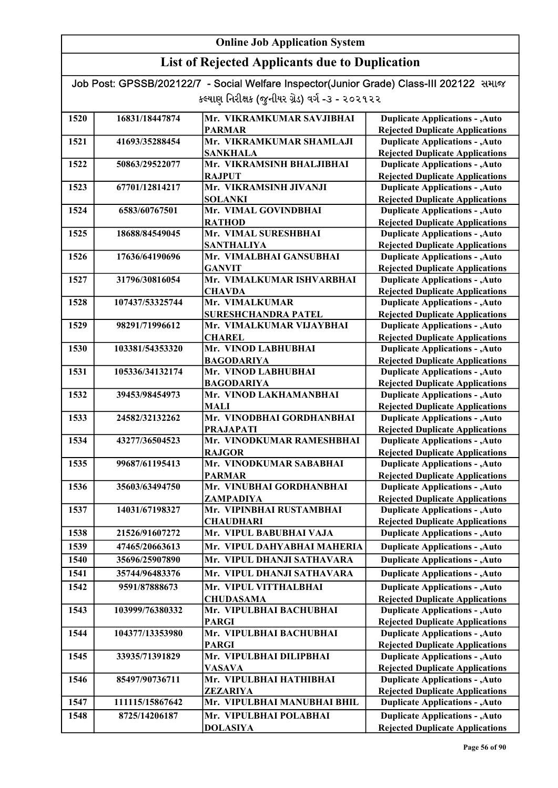| Job Post: GPSSB/202122/7 - Social Welfare Inspector(Junior Grade) Class-III 202122 समाल |  |
|-----------------------------------------------------------------------------------------|--|
| કલ્યાણ નિરીક્ષક (જુનીયર ગ્રેડ) વર્ગ -૩ - ૨૦૨૧૨૨                                         |  |

| 1520 | 16831/18447874  | Mr. VIKRAMKUMAR SAVJIBHAI                              | <b>Duplicate Applications - , Auto</b>                                           |
|------|-----------------|--------------------------------------------------------|----------------------------------------------------------------------------------|
|      |                 | <b>PARMAR</b>                                          | <b>Rejected Duplicate Applications</b>                                           |
| 1521 | 41693/35288454  | Mr. VIKRAMKUMAR SHAMLAJI                               | <b>Duplicate Applications - , Auto</b>                                           |
|      |                 | <b>SANKHALA</b>                                        | <b>Rejected Duplicate Applications</b>                                           |
| 1522 | 50863/29522077  | Mr. VIKRAMSINH BHALJIBHAI                              | <b>Duplicate Applications - , Auto</b>                                           |
|      |                 | <b>RAJPUT</b>                                          | <b>Rejected Duplicate Applications</b>                                           |
| 1523 | 67701/12814217  | Mr. VIKRAMSINH JIVANJI                                 | <b>Duplicate Applications - , Auto</b>                                           |
|      |                 | <b>SOLANKI</b>                                         | <b>Rejected Duplicate Applications</b>                                           |
| 1524 | 6583/60767501   | Mr. VIMAL GOVINDBHAI                                   | <b>Duplicate Applications - , Auto</b>                                           |
|      |                 | <b>RATHOD</b>                                          | <b>Rejected Duplicate Applications</b>                                           |
| 1525 | 18688/84549045  | Mr. VIMAL SURESHBHAI                                   | <b>Duplicate Applications - , Auto</b>                                           |
|      |                 | <b>SANTHALIYA</b><br>Mr. VIMALBHAI GANSUBHAI           | <b>Rejected Duplicate Applications</b>                                           |
| 1526 | 17636/64190696  |                                                        | <b>Duplicate Applications - , Auto</b>                                           |
|      |                 | <b>GANVIT</b>                                          | <b>Rejected Duplicate Applications</b>                                           |
| 1527 | 31796/30816054  | Mr. VIMALKUMAR ISHVARBHAI                              | <b>Duplicate Applications - , Auto</b>                                           |
| 1528 | 107437/53325744 | <b>CHAVDA</b><br>Mr. VIMALKUMAR                        | <b>Rejected Duplicate Applications</b>                                           |
|      |                 |                                                        | <b>Duplicate Applications - , Auto</b>                                           |
| 1529 | 98291/71996612  | <b>SURESHCHANDRA PATEL</b><br>Mr. VIMALKUMAR VIJAYBHAI | <b>Rejected Duplicate Applications</b><br><b>Duplicate Applications - , Auto</b> |
|      |                 | <b>CHAREL</b>                                          |                                                                                  |
| 1530 | 103381/54353320 | Mr. VINOD LABHUBHAI                                    | <b>Rejected Duplicate Applications</b><br><b>Duplicate Applications - , Auto</b> |
|      |                 | <b>BAGODARIYA</b>                                      |                                                                                  |
| 1531 | 105336/34132174 | Mr. VINOD LABHUBHAI                                    | <b>Rejected Duplicate Applications</b><br><b>Duplicate Applications - , Auto</b> |
|      |                 | <b>BAGODARIYA</b>                                      | <b>Rejected Duplicate Applications</b>                                           |
| 1532 | 39453/98454973  | Mr. VINOD LAKHAMANBHAI                                 | <b>Duplicate Applications - , Auto</b>                                           |
|      |                 | <b>MALI</b>                                            | <b>Rejected Duplicate Applications</b>                                           |
| 1533 | 24582/32132262  | Mr. VINODBHAI GORDHANBHAI                              | <b>Duplicate Applications - , Auto</b>                                           |
|      |                 | <b>PRAJAPATI</b>                                       | <b>Rejected Duplicate Applications</b>                                           |
| 1534 | 43277/36504523  | Mr. VINODKUMAR RAMESHBHAI                              | <b>Duplicate Applications - , Auto</b>                                           |
|      |                 | <b>RAJGOR</b>                                          | <b>Rejected Duplicate Applications</b>                                           |
| 1535 | 99687/61195413  | Mr. VINODKUMAR SABABHAI                                | <b>Duplicate Applications - , Auto</b>                                           |
|      |                 | <b>PARMAR</b>                                          | <b>Rejected Duplicate Applications</b>                                           |
| 1536 | 35603/63494750  | Mr. VINUBHAI GORDHANBHAI                               | <b>Duplicate Applications - , Auto</b>                                           |
|      |                 | ZAMPADIYA                                              | <b>Rejected Duplicate Applications</b>                                           |
| 1537 | 14031/67198327  | Mr. VIPINBHAI RUSTAMBHAI                               | <b>Duplicate Applications - , Auto</b>                                           |
|      |                 | <b>CHAUDHARI</b>                                       | <b>Rejected Duplicate Applications</b>                                           |
| 1538 | 21526/91607272  | Mr. VIPUL BABUBHAI VAJA                                | <b>Duplicate Applications - , Auto</b>                                           |
| 1539 | 47465/20663613  | Mr. VIPUL DAHYABHAI MAHERIA                            | <b>Duplicate Applications - , Auto</b>                                           |
| 1540 | 35696/25907890  | Mr. VIPUL DHANJI SATHAVARA                             | <b>Duplicate Applications - , Auto</b>                                           |
| 1541 | 35744/96483376  | Mr. VIPUL DHANJI SATHAVARA                             | <b>Duplicate Applications - , Auto</b>                                           |
| 1542 | 9591/87888673   | Mr. VIPUL VITTHALBHAI                                  | <b>Duplicate Applications - , Auto</b>                                           |
|      |                 | <b>CHUDASAMA</b>                                       | <b>Rejected Duplicate Applications</b>                                           |
| 1543 | 103999/76380332 | Mr. VIPULBHAI BACHUBHAI                                | <b>Duplicate Applications - , Auto</b>                                           |
|      |                 | <b>PARGI</b>                                           | <b>Rejected Duplicate Applications</b>                                           |
| 1544 | 104377/13353980 | Mr. VIPULBHAI BACHUBHAI                                | <b>Duplicate Applications - , Auto</b>                                           |
|      |                 | <b>PARGI</b>                                           | <b>Rejected Duplicate Applications</b>                                           |
| 1545 | 33935/71391829  | Mr. VIPULBHAI DILIPBHAI                                | <b>Duplicate Applications - , Auto</b>                                           |
|      |                 | <b>VASAVA</b>                                          | <b>Rejected Duplicate Applications</b>                                           |
| 1546 | 85497/90736711  | Mr. VIPULBHAI HATHIBHAI                                | <b>Duplicate Applications - , Auto</b>                                           |
|      |                 | <b>ZEZARIYA</b>                                        | <b>Rejected Duplicate Applications</b>                                           |
| 1547 | 111115/15867642 | Mr. VIPULBHAI MANUBHAI BHIL                            | <b>Duplicate Applications - , Auto</b>                                           |
| 1548 | 8725/14206187   | Mr. VIPULBHAI POLABHAI                                 | <b>Duplicate Applications - , Auto</b>                                           |
|      |                 | <b>DOLASIYA</b>                                        | <b>Rejected Duplicate Applications</b>                                           |
|      |                 |                                                        |                                                                                  |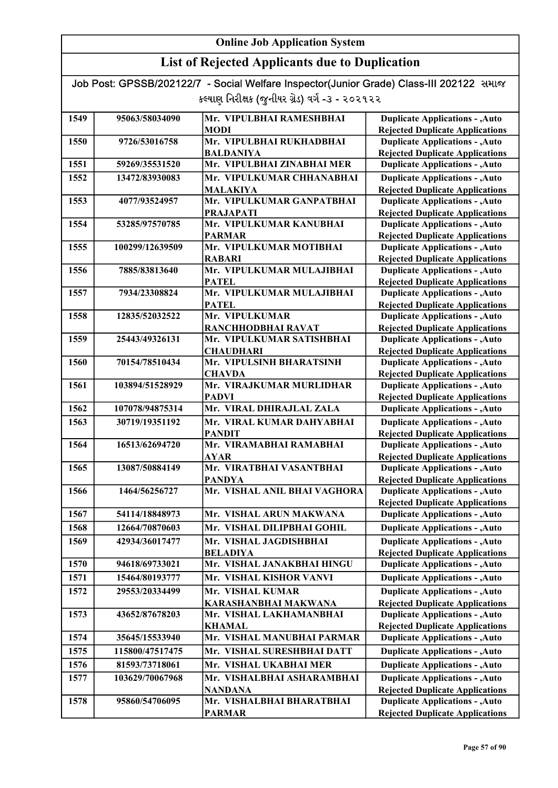| Job Post: GPSSB/202122/7 - Social Welfare Inspector(Junior Grade) Class-III 202122 समाल |  |
|-----------------------------------------------------------------------------------------|--|
| કલ્યાણ નિરીક્ષક (જુનીયર ગ્રેડ) વર્ગ -૩ - ૨૦૨૧૨૨                                         |  |

| 1549 | 95063/58034090  | Mr. VIPULBHAI RAMESHBHAI                 | <b>Duplicate Applications - , Auto</b>                                           |
|------|-----------------|------------------------------------------|----------------------------------------------------------------------------------|
|      |                 | <b>MODI</b>                              | <b>Rejected Duplicate Applications</b>                                           |
| 1550 | 9726/53016758   | Mr. VIPULBHAI RUKHADBHAI                 | <b>Duplicate Applications - , Auto</b>                                           |
|      |                 | <b>BALDANIYA</b>                         | <b>Rejected Duplicate Applications</b>                                           |
| 1551 | 59269/35531520  | Mr. VIPULBHAI ZINABHAI MER               | <b>Duplicate Applications - , Auto</b>                                           |
| 1552 | 13472/83930083  | Mr. VIPULKUMAR CHHANABHAI                | <b>Duplicate Applications - , Auto</b>                                           |
|      |                 | <b>MALAKIYA</b>                          | <b>Rejected Duplicate Applications</b>                                           |
| 1553 | 4077/93524957   | Mr. VIPULKUMAR GANPATBHAI                | <b>Duplicate Applications - , Auto</b>                                           |
|      |                 | <b>PRAJAPATI</b>                         | <b>Rejected Duplicate Applications</b>                                           |
| 1554 | 53285/97570785  | Mr. VIPULKUMAR KANUBHAI                  | <b>Duplicate Applications - , Auto</b>                                           |
|      |                 | <b>PARMAR</b><br>Mr. VIPULKUMAR MOTIBHAI | <b>Rejected Duplicate Applications</b>                                           |
| 1555 | 100299/12639509 | <b>RABARI</b>                            | <b>Duplicate Applications - , Auto</b><br><b>Rejected Duplicate Applications</b> |
| 1556 | 7885/83813640   | Mr. VIPULKUMAR MULAJIBHAI                | <b>Duplicate Applications - , Auto</b>                                           |
|      |                 | <b>PATEL</b>                             | <b>Rejected Duplicate Applications</b>                                           |
| 1557 | 7934/23308824   | Mr. VIPULKUMAR MULAJIBHAI                | <b>Duplicate Applications - , Auto</b>                                           |
|      |                 | <b>PATEL</b>                             | <b>Rejected Duplicate Applications</b>                                           |
| 1558 | 12835/52032522  | Mr. VIPULKUMAR                           | <b>Duplicate Applications - , Auto</b>                                           |
|      |                 | RANCHHODBHAI RAVAT                       | <b>Rejected Duplicate Applications</b>                                           |
| 1559 | 25443/49326131  | Mr. VIPULKUMAR SATISHBHAI                | <b>Duplicate Applications - , Auto</b>                                           |
|      |                 | <b>CHAUDHARI</b>                         | <b>Rejected Duplicate Applications</b>                                           |
| 1560 | 70154/78510434  | Mr. VIPULSINH BHARATSINH                 | <b>Duplicate Applications - , Auto</b>                                           |
|      |                 | <b>CHAVDA</b>                            | <b>Rejected Duplicate Applications</b>                                           |
| 1561 | 103894/51528929 | Mr. VIRAJKUMAR MURLIDHAR                 | <b>Duplicate Applications - , Auto</b>                                           |
|      |                 | <b>PADVI</b>                             | <b>Rejected Duplicate Applications</b>                                           |
| 1562 | 107078/94875314 | Mr. VIRAL DHIRAJLAL ZALA                 | <b>Duplicate Applications - , Auto</b>                                           |
| 1563 | 30719/19351192  | Mr. VIRAL KUMAR DAHYABHAI                | <b>Duplicate Applications - , Auto</b>                                           |
|      |                 | <b>PANDIT</b>                            | <b>Rejected Duplicate Applications</b>                                           |
| 1564 | 16513/62694720  | Mr. VIRAMABHAI RAMABHAI                  | <b>Duplicate Applications - , Auto</b>                                           |
|      |                 | <b>AYAR</b>                              | <b>Rejected Duplicate Applications</b>                                           |
| 1565 | 13087/50884149  | Mr. VIRATBHAI VASANTBHAI                 | <b>Duplicate Applications - , Auto</b>                                           |
|      |                 | <b>PANDYA</b>                            | <b>Rejected Duplicate Applications</b>                                           |
| 1566 | 1464/56256727   | Mr. VISHAL ANIL BHAI VAGHORA             | <b>Duplicate Applications - , Auto</b>                                           |
| 1567 | 54114/18848973  | Mr. VISHAL ARUN MAKWANA                  | <b>Rejected Duplicate Applications</b>                                           |
|      |                 |                                          | <b>Duplicate Applications - , Auto</b>                                           |
| 1568 | 12664/70870603  | Mr. VISHAL DILIPBHAI GOHIL               | <b>Duplicate Applications - , Auto</b>                                           |
| 1569 | 42934/36017477  | Mr. VISHAL JAGDISHBHAI                   | <b>Duplicate Applications - , Auto</b>                                           |
|      |                 | <b>BELADIYA</b>                          | <b>Rejected Duplicate Applications</b>                                           |
| 1570 | 94618/69733021  | Mr. VISHAL JANAKBHAI HINGU               | <b>Duplicate Applications - , Auto</b>                                           |
| 1571 | 15464/80193777  | Mr. VISHAL KISHOR VANVI                  | <b>Duplicate Applications - , Auto</b>                                           |
| 1572 | 29553/20334499  | Mr. VISHAL KUMAR                         | <b>Duplicate Applications - , Auto</b>                                           |
|      |                 | KARASHANBHAI MAKWANA                     | <b>Rejected Duplicate Applications</b>                                           |
| 1573 | 43652/87678203  | Mr. VISHAL LAKHAMANBHAI                  | <b>Duplicate Applications - , Auto</b>                                           |
|      |                 | <b>KHAMAL</b>                            | <b>Rejected Duplicate Applications</b>                                           |
| 1574 | 35645/15533940  | Mr. VISHAL MANUBHAI PARMAR               | <b>Duplicate Applications - , Auto</b>                                           |
| 1575 | 115800/47517475 | Mr. VISHAL SURESHBHAI DATT               | <b>Duplicate Applications - , Auto</b>                                           |
| 1576 | 81593/73718061  | Mr. VISHAL UKABHAI MER                   | <b>Duplicate Applications - , Auto</b>                                           |
| 1577 | 103629/70067968 | Mr. VISHALBHAI ASHARAMBHAI               | <b>Duplicate Applications - , Auto</b>                                           |
|      |                 | <b>NANDANA</b>                           | <b>Rejected Duplicate Applications</b>                                           |
| 1578 | 95860/54706095  | Mr. VISHALBHAI BHARATBHAI                | <b>Duplicate Applications - , Auto</b>                                           |
|      |                 | <b>PARMAR</b>                            | <b>Rejected Duplicate Applications</b>                                           |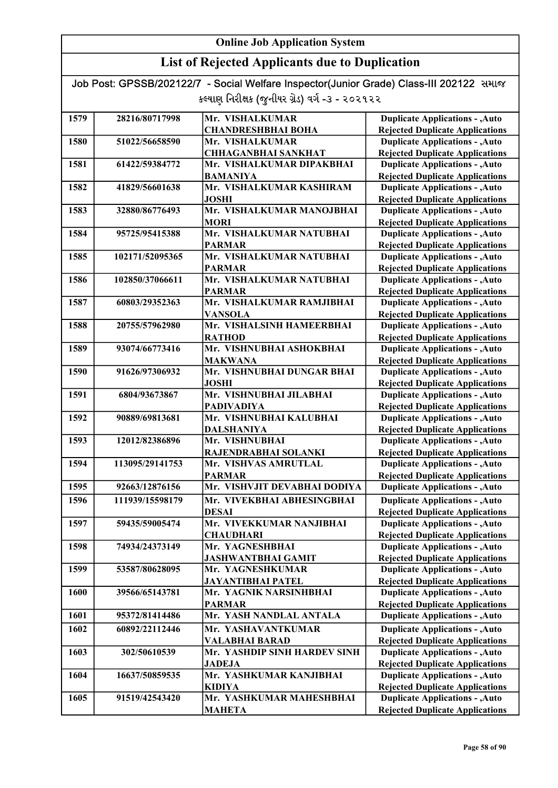## List of Rejected Applicants due to Duplication

| 1579 | 28216/80717998  | Mr. VISHALKUMAR              | <b>Duplicate Applications - , Auto</b> |
|------|-----------------|------------------------------|----------------------------------------|
|      |                 | <b>CHANDRESHBHAI BOHA</b>    | <b>Rejected Duplicate Applications</b> |
| 1580 | 51022/56658590  | Mr. VISHALKUMAR              | <b>Duplicate Applications - , Auto</b> |
|      |                 | <b>CHHAGANBHAI SANKHAT</b>   | <b>Rejected Duplicate Applications</b> |
| 1581 | 61422/59384772  | Mr. VISHALKUMAR DIPAKBHAI    | <b>Duplicate Applications - , Auto</b> |
|      |                 | <b>BAMANIYA</b>              | <b>Rejected Duplicate Applications</b> |
| 1582 | 41829/56601638  | Mr. VISHALKUMAR KASHIRAM     | <b>Duplicate Applications - , Auto</b> |
|      |                 | <b>JOSHI</b>                 | <b>Rejected Duplicate Applications</b> |
| 1583 | 32880/86776493  | Mr. VISHALKUMAR MANOJBHAI    | <b>Duplicate Applications - , Auto</b> |
|      |                 | <b>MORI</b>                  | <b>Rejected Duplicate Applications</b> |
| 1584 | 95725/95415388  | Mr. VISHALKUMAR NATUBHAI     | <b>Duplicate Applications - , Auto</b> |
|      |                 | <b>PARMAR</b>                | <b>Rejected Duplicate Applications</b> |
| 1585 | 102171/52095365 | Mr. VISHALKUMAR NATUBHAI     | <b>Duplicate Applications - , Auto</b> |
|      |                 | <b>PARMAR</b>                | <b>Rejected Duplicate Applications</b> |
| 1586 | 102850/37066611 | Mr. VISHALKUMAR NATUBHAI     | <b>Duplicate Applications - , Auto</b> |
|      |                 | <b>PARMAR</b>                | <b>Rejected Duplicate Applications</b> |
| 1587 | 60803/29352363  | Mr. VISHALKUMAR RAMJIBHAI    | <b>Duplicate Applications - , Auto</b> |
|      |                 | <b>VANSOLA</b>               | <b>Rejected Duplicate Applications</b> |
| 1588 | 20755/57962980  | Mr. VISHALSINH HAMEERBHAI    | <b>Duplicate Applications - , Auto</b> |
|      |                 | <b>RATHOD</b>                | <b>Rejected Duplicate Applications</b> |
| 1589 | 93074/66773416  | Mr. VISHNUBHAI ASHOKBHAI     | <b>Duplicate Applications - , Auto</b> |
|      |                 | <b>MAKWANA</b>               | <b>Rejected Duplicate Applications</b> |
| 1590 | 91626/97306932  | Mr. VISHNUBHAI DUNGAR BHAI   | <b>Duplicate Applications - , Auto</b> |
|      |                 | <b>JOSHI</b>                 | <b>Rejected Duplicate Applications</b> |
| 1591 | 6804/93673867   | Mr. VISHNUBHAI JILABHAI      | <b>Duplicate Applications - , Auto</b> |
|      |                 | PADIVADIYA                   | <b>Rejected Duplicate Applications</b> |
| 1592 | 90889/69813681  | Mr. VISHNUBHAI KALUBHAI      | <b>Duplicate Applications - , Auto</b> |
|      |                 | <b>DALSHANIYA</b>            | <b>Rejected Duplicate Applications</b> |
| 1593 | 12012/82386896  | Mr. VISHNUBHAI               | <b>Duplicate Applications - , Auto</b> |
|      |                 | RAJENDRABHAI SOLANKI         | <b>Rejected Duplicate Applications</b> |
| 1594 | 113095/29141753 | Mr. VISHVAS AMRUTLAL         | <b>Duplicate Applications - , Auto</b> |
|      |                 | <b>PARMAR</b>                | <b>Rejected Duplicate Applications</b> |
| 1595 | 92663/12876156  | Mr. VISHVJIT DEVABHAI DODIYA | <b>Duplicate Applications - , Auto</b> |
| 1596 | 111939/15598179 | Mr. VIVEKBHAI ABHESINGBHAI   | <b>Duplicate Applications - , Auto</b> |
|      |                 | <b>DESAI</b>                 | <b>Rejected Duplicate Applications</b> |
| 1597 | 59435/59005474  | Mr. VIVEKKUMAR NANJIBHAI     | <b>Duplicate Applications - , Auto</b> |
|      |                 | <b>CHAUDHARI</b>             | <b>Rejected Duplicate Applications</b> |
| 1598 | 74934/24373149  | Mr. YAGNESHBHAI              | <b>Duplicate Applications - , Auto</b> |
|      |                 | <b>JASHWANTBHAI GAMIT</b>    | <b>Rejected Duplicate Applications</b> |
| 1599 | 53587/80628095  | Mr. YAGNESHKUMAR             | <b>Duplicate Applications - , Auto</b> |
|      |                 | <b>JAYANTIBHAI PATEL</b>     | <b>Rejected Duplicate Applications</b> |
| 1600 | 39566/65143781  | Mr. YAGNIK NARSINHBHAI       | <b>Duplicate Applications - , Auto</b> |
|      |                 | <b>PARMAR</b>                | <b>Rejected Duplicate Applications</b> |
| 1601 | 95372/81414486  | Mr. YASH NANDLAL ANTALA      | <b>Duplicate Applications - , Auto</b> |
| 1602 | 60892/22112446  | Mr. YASHAVANTKUMAR           | <b>Duplicate Applications - , Auto</b> |
|      |                 | <b>VALABHAI BARAD</b>        | <b>Rejected Duplicate Applications</b> |
| 1603 | 302/50610539    | Mr. YASHDIP SINH HARDEV SINH | <b>Duplicate Applications - , Auto</b> |
|      |                 | <b>JADEJA</b>                | <b>Rejected Duplicate Applications</b> |
| 1604 | 16637/50859535  | Mr. YASHKUMAR KANJIBHAI      | <b>Duplicate Applications - , Auto</b> |
|      |                 | <b>KIDIYA</b>                | <b>Rejected Duplicate Applications</b> |
| 1605 | 91519/42543420  | Mr. YASHKUMAR MAHESHBHAI     | <b>Duplicate Applications - , Auto</b> |
|      |                 | <b>MAHETA</b>                | <b>Rejected Duplicate Applications</b> |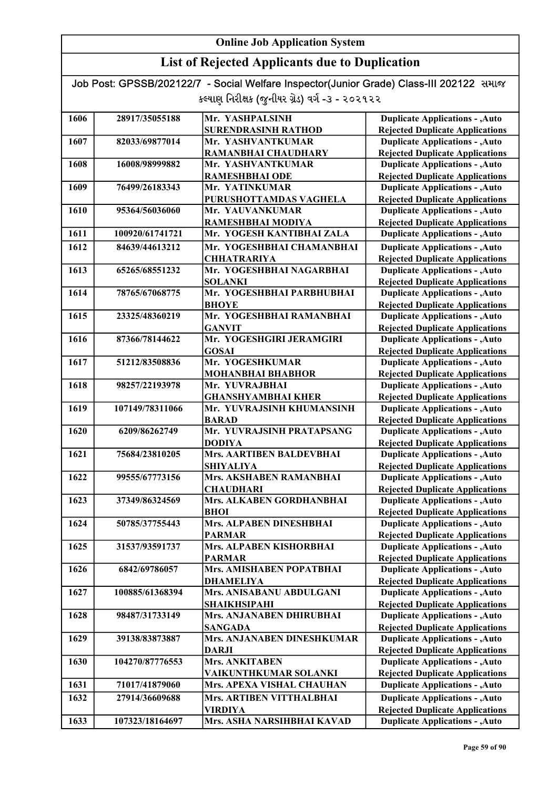## List of Rejected Applicants due to Duplication

Job Post: GPSSB/202122/7 - Social Welfare Inspector(Junior Grade) Class-III 202122 સમાજ કલ્યાણ નિરીક્ષક (જુનીયર ગ્રેડ) વર્ગ -૩ - ૨૦૨૧૨૨

| 1606 | 28917/35055188  | Mr. YASHPALSINH                 | <b>Duplicate Applications - , Auto</b> |
|------|-----------------|---------------------------------|----------------------------------------|
|      |                 | <b>SURENDRASINH RATHOD</b>      | <b>Rejected Duplicate Applications</b> |
| 1607 | 82033/69877014  | Mr. YASHVANTKUMAR               | <b>Duplicate Applications - , Auto</b> |
|      |                 | RAMANBHAI CHAUDHARY             | <b>Rejected Duplicate Applications</b> |
| 1608 | 16008/98999882  | Mr. YASHVANTKUMAR               | <b>Duplicate Applications - , Auto</b> |
|      |                 | <b>RAMESHBHAI ODE</b>           | <b>Rejected Duplicate Applications</b> |
| 1609 | 76499/26183343  | Mr. YATINKUMAR                  | <b>Duplicate Applications - , Auto</b> |
|      |                 | PURUSHOTTAMDAS VAGHELA          | <b>Rejected Duplicate Applications</b> |
| 1610 | 95364/56036060  | Mr. YAUVANKUMAR                 | <b>Duplicate Applications - , Auto</b> |
|      |                 | RAMESHBHAI MODIYA               | <b>Rejected Duplicate Applications</b> |
| 1611 | 100920/61741721 | Mr. YOGESH KANTIBHAI ZALA       | <b>Duplicate Applications - , Auto</b> |
| 1612 | 84639/44613212  | Mr. YOGESHBHAI CHAMANBHAI       | <b>Duplicate Applications - , Auto</b> |
|      |                 | <b>CHHATRARIYA</b>              | <b>Rejected Duplicate Applications</b> |
| 1613 | 65265/68551232  | Mr. YOGESHBHAI NAGARBHAI        | <b>Duplicate Applications - , Auto</b> |
|      |                 | <b>SOLANKI</b>                  | <b>Rejected Duplicate Applications</b> |
| 1614 | 78765/67068775  | Mr. YOGESHBHAI PARBHUBHAI       | <b>Duplicate Applications - , Auto</b> |
|      |                 | <b>BHOYE</b>                    | <b>Rejected Duplicate Applications</b> |
| 1615 | 23325/48360219  | Mr. YOGESHBHAI RAMANBHAI        | <b>Duplicate Applications - , Auto</b> |
|      |                 | <b>GANVIT</b>                   | <b>Rejected Duplicate Applications</b> |
| 1616 | 87366/78144622  | Mr. YOGESHGIRI JERAMGIRI        | <b>Duplicate Applications - , Auto</b> |
|      |                 | <b>GOSAI</b>                    | <b>Rejected Duplicate Applications</b> |
| 1617 | 51212/83508836  | Mr. YOGESHKUMAR                 | <b>Duplicate Applications - , Auto</b> |
|      |                 | <b>MOHANBHAI BHABHOR</b>        | <b>Rejected Duplicate Applications</b> |
| 1618 | 98257/22193978  | Mr. YUVRAJBHAI                  | <b>Duplicate Applications - , Auto</b> |
|      |                 | <b>GHANSHYAMBHAI KHER</b>       | <b>Rejected Duplicate Applications</b> |
| 1619 | 107149/78311066 | Mr. YUVRAJSINH KHUMANSINH       | <b>Duplicate Applications - , Auto</b> |
|      |                 | <b>BARAD</b>                    | <b>Rejected Duplicate Applications</b> |
| 1620 | 6209/86262749   | Mr. YUVRAJSINH PRATAPSANG       | <b>Duplicate Applications - , Auto</b> |
|      |                 | <b>DODIYA</b>                   | <b>Rejected Duplicate Applications</b> |
| 1621 | 75684/23810205  | <b>Mrs. AARTIBEN BALDEVBHAI</b> | <b>Duplicate Applications - , Auto</b> |
|      |                 | <b>SHIYALIYA</b>                | <b>Rejected Duplicate Applications</b> |
| 1622 | 99555/67773156  | Mrs. AKSHABEN RAMANBHAI         | <b>Duplicate Applications - , Auto</b> |
|      |                 | <b>CHAUDHARI</b>                | <b>Rejected Duplicate Applications</b> |
| 1623 | 37349/86324569  | Mrs. ALKABEN GORDHANBHAI        | <b>Duplicate Applications - , Auto</b> |
|      |                 | <b>BHOI</b>                     | <b>Rejected Duplicate Applications</b> |
| 1624 | 50785/37755443  | Mrs. ALPABEN DINESHBHAI         | <b>Duplicate Applications - , Auto</b> |
|      |                 | <b>PARMAR</b>                   | <b>Rejected Duplicate Applications</b> |
| 1625 | 31537/93591737  | Mrs. ALPABEN KISHORBHAI         | <b>Duplicate Applications - , Auto</b> |
|      |                 | <b>PARMAR</b>                   | <b>Rejected Duplicate Applications</b> |
| 1626 | 6842/69786057   | Mrs. AMISHABEN POPATBHAI        | <b>Duplicate Applications - , Auto</b> |
|      |                 | <b>DHAMELIYA</b>                | <b>Rejected Duplicate Applications</b> |
| 1627 | 100885/61368394 | Mrs. ANISABANU ABDULGANI        | <b>Duplicate Applications - , Auto</b> |
|      |                 | <b>SHAIKHSIPAHI</b>             | <b>Rejected Duplicate Applications</b> |
| 1628 | 98487/31733149  | Mrs. ANJANABEN DHIRUBHAI        | <b>Duplicate Applications - , Auto</b> |
|      |                 | <b>SANGADA</b>                  | <b>Rejected Duplicate Applications</b> |
| 1629 | 39138/83873887  | Mrs. ANJANABEN DINESHKUMAR      | <b>Duplicate Applications - , Auto</b> |
|      |                 | <b>DARJI</b>                    | <b>Rejected Duplicate Applications</b> |
| 1630 | 104270/87776553 | <b>Mrs. ANKITABEN</b>           | <b>Duplicate Applications - , Auto</b> |
|      |                 | VAIKUNTHKUMAR SOLANKI           | <b>Rejected Duplicate Applications</b> |
| 1631 | 71017/41879060  | Mrs. APEXA VISHAL CHAUHAN       | <b>Duplicate Applications - , Auto</b> |
| 1632 | 27914/36609688  | Mrs. ARTIBEN VITTHALBHAI        | <b>Duplicate Applications - , Auto</b> |
|      |                 | <b>VIRDIYA</b>                  | <b>Rejected Duplicate Applications</b> |
| 1633 | 107323/18164697 | Mrs. ASHA NARSIHBHAI KAVAD      | <b>Duplicate Applications - , Auto</b> |

Rejected Duplicate Applications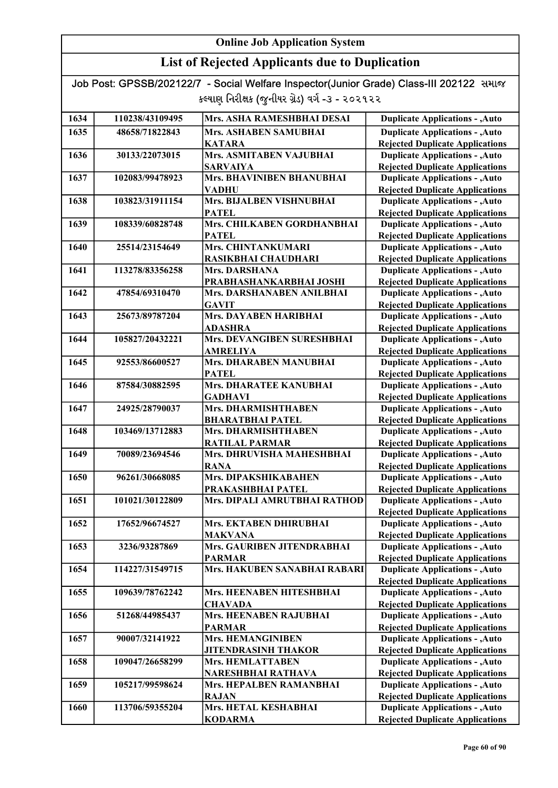| Job Post: GPSSB/202122/7 - Social Welfare Inspector(Junior Grade) Class-III 202122 સમાજ |  |
|-----------------------------------------------------------------------------------------|--|
| કલ્યાણ નિરીક્ષક (જુનીયર ગ્રેડ) વર્ગ -૩ - ૨૦૨૧૨૨                                         |  |

| 1634 | 110238/43109495 | Mrs. ASHA RAMESHBHAI DESAI          | <b>Duplicate Applications - , Auto</b>                                           |
|------|-----------------|-------------------------------------|----------------------------------------------------------------------------------|
| 1635 | 48658/71822843  | <b>Mrs. ASHABEN SAMUBHAI</b>        | <b>Duplicate Applications - , Auto</b>                                           |
|      |                 | <b>KATARA</b>                       | <b>Rejected Duplicate Applications</b>                                           |
| 1636 | 30133/22073015  | Mrs. ASMITABEN VAJUBHAI             | <b>Duplicate Applications - , Auto</b>                                           |
|      |                 | <b>SARVAIYA</b>                     | <b>Rejected Duplicate Applications</b>                                           |
| 1637 | 102083/99478923 | Mrs. BHAVINIBEN BHANUBHAI           | <b>Duplicate Applications - , Auto</b>                                           |
|      |                 | <b>VADHU</b>                        | <b>Rejected Duplicate Applications</b>                                           |
| 1638 | 103823/31911154 | Mrs. BIJALBEN VISHNUBHAI            | <b>Duplicate Applications - , Auto</b>                                           |
|      |                 | <b>PATEL</b>                        | <b>Rejected Duplicate Applications</b>                                           |
| 1639 | 108339/60828748 | Mrs. CHILKABEN GORDHANBHAI          | <b>Duplicate Applications - , Auto</b>                                           |
|      |                 | <b>PATEL</b>                        | <b>Rejected Duplicate Applications</b>                                           |
| 1640 | 25514/23154649  | Mrs. CHINTANKUMARI                  | <b>Duplicate Applications - , Auto</b>                                           |
|      |                 | RASIKBHAI CHAUDHARI                 | <b>Rejected Duplicate Applications</b>                                           |
| 1641 | 113278/83356258 | Mrs. DARSHANA                       | <b>Duplicate Applications - , Auto</b>                                           |
|      |                 | PRABHASHANKARBHAI JOSHI             | <b>Rejected Duplicate Applications</b>                                           |
| 1642 | 47854/69310470  | Mrs. DARSHANABEN ANILBHAI           | <b>Duplicate Applications - , Auto</b>                                           |
|      |                 | <b>GAVIT</b>                        | <b>Rejected Duplicate Applications</b>                                           |
| 1643 | 25673/89787204  | <b>Mrs. DAYABEN HARIBHAI</b>        | <b>Duplicate Applications - , Auto</b>                                           |
|      |                 | <b>ADASHRA</b>                      | <b>Rejected Duplicate Applications</b>                                           |
| 1644 | 105827/20432221 | Mrs. DEVANGIBEN SURESHBHAI          | <b>Duplicate Applications - , Auto</b>                                           |
|      |                 | <b>AMRELIYA</b>                     | <b>Rejected Duplicate Applications</b>                                           |
| 1645 | 92553/86600527  | <b>Mrs. DHARABEN MANUBHAI</b>       | <b>Duplicate Applications - , Auto</b>                                           |
|      |                 | <b>PATEL</b>                        | <b>Rejected Duplicate Applications</b>                                           |
| 1646 | 87584/30882595  | Mrs. DHARATEE KANUBHAI              | <b>Duplicate Applications - , Auto</b>                                           |
|      |                 | <b>GADHAVI</b>                      | <b>Rejected Duplicate Applications</b>                                           |
| 1647 | 24925/28790037  | Mrs. DHARMISHTHABEN                 | <b>Duplicate Applications - , Auto</b>                                           |
|      |                 | <b>BHARATBHAI PATEL</b>             | <b>Rejected Duplicate Applications</b>                                           |
| 1648 | 103469/13712883 | Mrs. DHARMISHTHABEN                 | <b>Duplicate Applications - , Auto</b>                                           |
|      |                 | <b>RATILAL PARMAR</b>               | <b>Rejected Duplicate Applications</b>                                           |
| 1649 | 70089/23694546  | Mrs. DHRUVISHA MAHESHBHAI           | <b>Duplicate Applications - , Auto</b>                                           |
| 1650 | 96261/30668085  | <b>RANA</b><br>Mrs. DIPAKSHIKABAHEN | <b>Rejected Duplicate Applications</b>                                           |
|      |                 | PRAKASHBHAI PATEL                   | <b>Duplicate Applications - , Auto</b>                                           |
| 1651 | 101021/30122809 | Mrs. DIPALI AMRUTBHAI RATHOD        | <b>Rejected Duplicate Applications</b><br><b>Duplicate Applications - , Auto</b> |
|      |                 |                                     | <b>Rejected Duplicate Applications</b>                                           |
| 1652 | 17652/96674527  | Mrs. EKTABEN DHIRUBHAI              | <b>Duplicate Applications - , Auto</b>                                           |
|      |                 | <b>MAKVANA</b>                      | <b>Rejected Duplicate Applications</b>                                           |
| 1653 | 3236/93287869   | Mrs. GAURIBEN JITENDRABHAI          | <b>Duplicate Applications - , Auto</b>                                           |
|      |                 | <b>PARMAR</b>                       | <b>Rejected Duplicate Applications</b>                                           |
| 1654 | 114227/31549715 | Mrs. HAKUBEN SANABHAI RABARI        | <b>Duplicate Applications - , Auto</b>                                           |
|      |                 |                                     | <b>Rejected Duplicate Applications</b>                                           |
| 1655 | 109639/78762242 | Mrs. HEENABEN HITESHBHAI            | <b>Duplicate Applications - , Auto</b>                                           |
|      |                 | <b>CHAVADA</b>                      | <b>Rejected Duplicate Applications</b>                                           |
| 1656 | 51268/44985437  | Mrs. HEENABEN RAJUBHAI              | <b>Duplicate Applications - , Auto</b>                                           |
|      |                 | <b>PARMAR</b>                       | <b>Rejected Duplicate Applications</b>                                           |
| 1657 | 90007/32141922  | <b>Mrs. HEMANGINIBEN</b>            | <b>Duplicate Applications - , Auto</b>                                           |
|      |                 | <b>JITENDRASINH THAKOR</b>          | <b>Rejected Duplicate Applications</b>                                           |
| 1658 | 109047/26658299 | <b>Mrs. HEMLATTABEN</b>             | <b>Duplicate Applications - , Auto</b>                                           |
|      |                 | NARESHBHAI RATHAVA                  | <b>Rejected Duplicate Applications</b>                                           |
| 1659 | 105217/99598624 | Mrs. HEPALBEN RAMANBHAI             | <b>Duplicate Applications - , Auto</b>                                           |
|      |                 | <b>RAJAN</b>                        | <b>Rejected Duplicate Applications</b>                                           |
| 1660 | 113706/59355204 | Mrs. HETAL KESHABHAI                | <b>Duplicate Applications - , Auto</b>                                           |
|      |                 | <b>KODARMA</b>                      | <b>Rejected Duplicate Applications</b>                                           |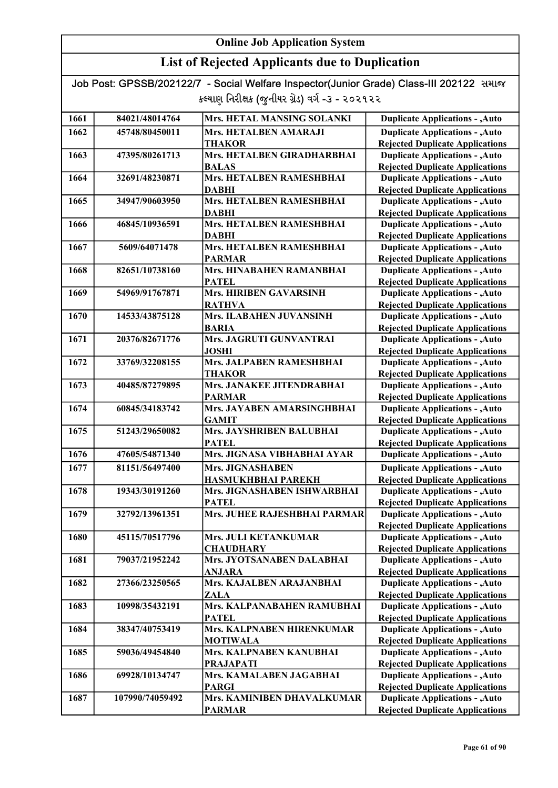| Job Post: GPSSB/202122/7 - Social Welfare Inspector(Junior Grade) Class-III 202122 समाल |  |
|-----------------------------------------------------------------------------------------|--|
| કલ્યાણ નિરીક્ષક (જુનીયર ગ્રેડ) વર્ગ -૩ - ૨૦૨૧૨૨                                         |  |

| 1661 | 84021/48014764  | Mrs. HETAL MANSING SOLANKI    | <b>Duplicate Applications - , Auto</b> |
|------|-----------------|-------------------------------|----------------------------------------|
| 1662 | 45748/80450011  | Mrs. HETALBEN AMARAJI         | <b>Duplicate Applications - , Auto</b> |
|      |                 | <b>THAKOR</b>                 | <b>Rejected Duplicate Applications</b> |
| 1663 | 47395/80261713  | Mrs. HETALBEN GIRADHARBHAI    | <b>Duplicate Applications - , Auto</b> |
|      |                 | <b>BALAS</b>                  | <b>Rejected Duplicate Applications</b> |
| 1664 | 32691/48230871  | Mrs. HETALBEN RAMESHBHAI      | <b>Duplicate Applications - , Auto</b> |
|      |                 | <b>DABHI</b>                  | <b>Rejected Duplicate Applications</b> |
| 1665 | 34947/90603950  | Mrs. HETALBEN RAMESHBHAI      | <b>Duplicate Applications - , Auto</b> |
|      |                 | <b>DABHI</b>                  | <b>Rejected Duplicate Applications</b> |
| 1666 | 46845/10936591  | Mrs. HETALBEN RAMESHBHAI      | <b>Duplicate Applications - , Auto</b> |
|      |                 | <b>DABHI</b>                  | <b>Rejected Duplicate Applications</b> |
| 1667 | 5609/64071478   | Mrs. HETALBEN RAMESHBHAI      | <b>Duplicate Applications - , Auto</b> |
|      |                 | <b>PARMAR</b>                 | <b>Rejected Duplicate Applications</b> |
| 1668 | 82651/10738160  | Mrs. HINABAHEN RAMANBHAI      | <b>Duplicate Applications - , Auto</b> |
|      |                 | <b>PATEL</b>                  | <b>Rejected Duplicate Applications</b> |
| 1669 | 54969/91767871  | <b>Mrs. HIRIBEN GAVARSINH</b> | <b>Duplicate Applications - , Auto</b> |
|      |                 | <b>RATHVA</b>                 | <b>Rejected Duplicate Applications</b> |
| 1670 | 14533/43875128  | Mrs. ILABAHEN JUVANSINH       | <b>Duplicate Applications - , Auto</b> |
|      |                 | <b>BARIA</b>                  | <b>Rejected Duplicate Applications</b> |
| 1671 | 20376/82671776  | Mrs. JAGRUTI GUNVANTRAI       | <b>Duplicate Applications - , Auto</b> |
|      |                 | <b>JOSHI</b>                  | <b>Rejected Duplicate Applications</b> |
| 1672 | 33769/32208155  | Mrs. JALPABEN RAMESHBHAI      | <b>Duplicate Applications - , Auto</b> |
|      |                 | <b>THAKOR</b>                 | <b>Rejected Duplicate Applications</b> |
| 1673 | 40485/87279895  | Mrs. JANAKEE JITENDRABHAI     | <b>Duplicate Applications - , Auto</b> |
|      |                 | <b>PARMAR</b>                 | <b>Rejected Duplicate Applications</b> |
| 1674 | 60845/34183742  | Mrs. JAYABEN AMARSINGHBHAI    | <b>Duplicate Applications - , Auto</b> |
|      |                 | <b>GAMIT</b>                  | <b>Rejected Duplicate Applications</b> |
| 1675 | 51243/29650082  | Mrs. JAYSHRIBEN BALUBHAI      | <b>Duplicate Applications - , Auto</b> |
|      |                 | <b>PATEL</b>                  | <b>Rejected Duplicate Applications</b> |
| 1676 | 47605/54871340  | Mrs. JIGNASA VIBHABHAI AYAR   | <b>Duplicate Applications - , Auto</b> |
| 1677 | 81151/56497400  | Mrs. JIGNASHABEN              | <b>Duplicate Applications - , Auto</b> |
|      |                 | <b>HASMUKHBHAI PAREKH</b>     | <b>Rejected Duplicate Applications</b> |
| 1678 | 19343/30191260  | Mrs. JIGNASHABEN ISHWARBHAI   | <b>Duplicate Applications - , Auto</b> |
|      |                 | <b>PATEL</b>                  | <b>Rejected Duplicate Applications</b> |
| 1679 | 32792/13961351  | Mrs. JUHEE RAJESHBHAI PARMAR  | <b>Duplicate Applications - , Auto</b> |
|      |                 |                               | <b>Rejected Duplicate Applications</b> |
| 1680 | 45115/70517796  | Mrs. JULI KETANKUMAR          | <b>Duplicate Applications - , Auto</b> |
|      |                 | <b>CHAUDHARY</b>              | <b>Rejected Duplicate Applications</b> |
| 1681 | 79037/21952242  | Mrs. JYOTSANABEN DALABHAI     | <b>Duplicate Applications - , Auto</b> |
|      |                 | <b>ANJARA</b>                 | <b>Rejected Duplicate Applications</b> |
| 1682 | 27366/23250565  | Mrs. KAJALBEN ARAJANBHAI      | <b>Duplicate Applications - , Auto</b> |
|      |                 | <b>ZALA</b>                   | <b>Rejected Duplicate Applications</b> |
| 1683 | 10998/35432191  | Mrs. KALPANABAHEN RAMUBHAI    | <b>Duplicate Applications - , Auto</b> |
|      |                 | <b>PATEL</b>                  | <b>Rejected Duplicate Applications</b> |
| 1684 | 38347/40753419  | Mrs. KALPNABEN HIRENKUMAR     | <b>Duplicate Applications - , Auto</b> |
|      |                 | <b>MOTIWALA</b>               | <b>Rejected Duplicate Applications</b> |
| 1685 | 59036/49454840  | Mrs. KALPNABEN KANUBHAI       | <b>Duplicate Applications - , Auto</b> |
|      |                 | <b>PRAJAPATI</b>              | <b>Rejected Duplicate Applications</b> |
| 1686 | 69928/10134747  | Mrs. KAMALABEN JAGABHAI       | <b>Duplicate Applications - , Auto</b> |
|      |                 | <b>PARGI</b>                  | <b>Rejected Duplicate Applications</b> |
| 1687 | 107990/74059492 | Mrs. KAMINIBEN DHAVALKUMAR    | <b>Duplicate Applications - , Auto</b> |
|      |                 | <b>PARMAR</b>                 | <b>Rejected Duplicate Applications</b> |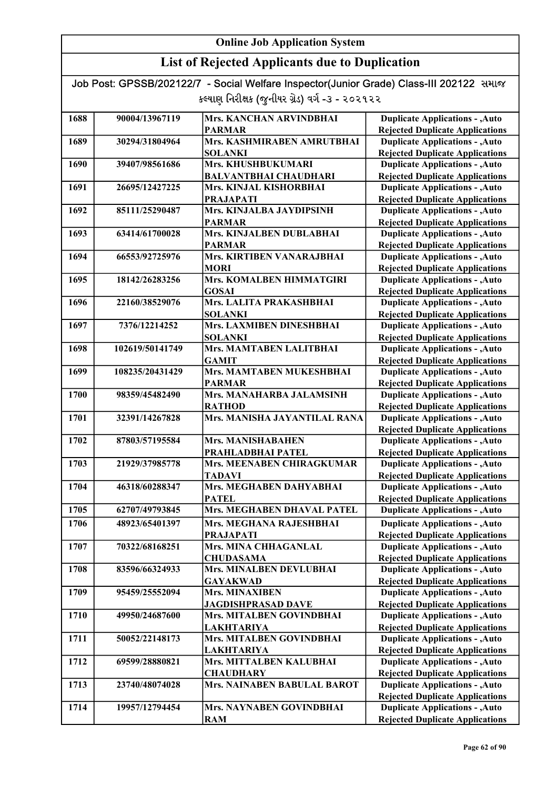| Job Post: GPSSB/202122/7 - Social Welfare Inspector(Junior Grade) Class-III 202122 समाल |  |
|-----------------------------------------------------------------------------------------|--|
| કલ્યાણ નિરીક્ષક (જુનીયર ગ્રેડ) વર્ગ -૩ - ૨૦૨૧૨૨                                         |  |

| 1688 | 90004/13967119  | Mrs. KANCHAN ARVINDBHAI      | <b>Duplicate Applications - , Auto</b> |
|------|-----------------|------------------------------|----------------------------------------|
|      |                 | <b>PARMAR</b>                | <b>Rejected Duplicate Applications</b> |
| 1689 | 30294/31804964  | Mrs. KASHMIRABEN AMRUTBHAI   | <b>Duplicate Applications - , Auto</b> |
|      |                 | <b>SOLANKI</b>               | <b>Rejected Duplicate Applications</b> |
| 1690 | 39407/98561686  | Mrs. KHUSHBUKUMARI           | <b>Duplicate Applications - , Auto</b> |
|      |                 | <b>BALVANTBHAI CHAUDHARI</b> | <b>Rejected Duplicate Applications</b> |
| 1691 | 26695/12427225  | Mrs. KINJAL KISHORBHAI       | <b>Duplicate Applications - , Auto</b> |
|      |                 | <b>PRAJAPATI</b>             | <b>Rejected Duplicate Applications</b> |
| 1692 | 85111/25290487  | Mrs. KINJALBA JAYDIPSINH     | <b>Duplicate Applications - , Auto</b> |
|      |                 | <b>PARMAR</b>                | <b>Rejected Duplicate Applications</b> |
| 1693 | 63414/61700028  | Mrs. KINJALBEN DUBLABHAI     | <b>Duplicate Applications - , Auto</b> |
|      |                 | <b>PARMAR</b>                | <b>Rejected Duplicate Applications</b> |
| 1694 | 66553/92725976  | Mrs. KIRTIBEN VANARAJBHAI    | <b>Duplicate Applications - , Auto</b> |
|      |                 | <b>MORI</b>                  | <b>Rejected Duplicate Applications</b> |
| 1695 | 18142/26283256  | Mrs. KOMALBEN HIMMATGIRI     | <b>Duplicate Applications - , Auto</b> |
|      |                 | <b>GOSAI</b>                 | <b>Rejected Duplicate Applications</b> |
| 1696 | 22160/38529076  | Mrs. LALITA PRAKASHBHAI      | <b>Duplicate Applications - , Auto</b> |
|      |                 | <b>SOLANKI</b>               | <b>Rejected Duplicate Applications</b> |
| 1697 | 7376/12214252   | Mrs. LAXMIBEN DINESHBHAI     | <b>Duplicate Applications - , Auto</b> |
|      |                 | <b>SOLANKI</b>               | <b>Rejected Duplicate Applications</b> |
| 1698 | 102619/50141749 | Mrs. MAMTABEN LALITBHAI      | <b>Duplicate Applications - , Auto</b> |
|      |                 | <b>GAMIT</b>                 | <b>Rejected Duplicate Applications</b> |
| 1699 | 108235/20431429 | Mrs. MAMTABEN MUKESHBHAI     | <b>Duplicate Applications - , Auto</b> |
|      |                 | <b>PARMAR</b>                | <b>Rejected Duplicate Applications</b> |
| 1700 | 98359/45482490  | Mrs. MANAHARBA JALAMSINH     | <b>Duplicate Applications - , Auto</b> |
|      |                 | <b>RATHOD</b>                | <b>Rejected Duplicate Applications</b> |
| 1701 | 32391/14267828  | Mrs. MANISHA JAYANTILAL RANA | <b>Duplicate Applications - , Auto</b> |
|      |                 |                              | <b>Rejected Duplicate Applications</b> |
| 1702 | 87803/57195584  | Mrs. MANISHABAHEN            | <b>Duplicate Applications - , Auto</b> |
|      |                 | PRAHLADBHAI PATEL            | <b>Rejected Duplicate Applications</b> |
| 1703 | 21929/37985778  | Mrs. MEENABEN CHIRAGKUMAR    | <b>Duplicate Applications - , Auto</b> |
|      |                 | <b>TADAVI</b>                | <b>Rejected Duplicate Applications</b> |
| 1704 | 46318/60288347  | Mrs. MEGHABEN DAHYABHAI      | <b>Duplicate Applications - , Auto</b> |
|      |                 | <b>PATEL</b>                 | <b>Rejected Duplicate Applications</b> |
| 1705 | 62707/49793845  | Mrs. MEGHABEN DHAVAL PATEL   | <b>Duplicate Applications - , Auto</b> |
| 1706 | 48923/65401397  | Mrs. MEGHANA RAJESHBHAI      | <b>Duplicate Applications - , Auto</b> |
|      |                 | <b>PRAJAPATI</b>             | <b>Rejected Duplicate Applications</b> |
| 1707 | 70322/68168251  | Mrs. MINA CHHAGANLAL         | <b>Duplicate Applications - , Auto</b> |
|      |                 | <b>CHUDASAMA</b>             | <b>Rejected Duplicate Applications</b> |
| 1708 | 83596/66324933  | Mrs. MINALBEN DEVLUBHAI      | <b>Duplicate Applications - , Auto</b> |
|      |                 | <b>GAYAKWAD</b>              | <b>Rejected Duplicate Applications</b> |
| 1709 | 95459/25552094  | Mrs. MINAXIBEN               | <b>Duplicate Applications - , Auto</b> |
|      |                 | <b>JAGDISHPRASAD DAVE</b>    | <b>Rejected Duplicate Applications</b> |
| 1710 | 49950/24687600  | Mrs. MITALBEN GOVINDBHAI     | <b>Duplicate Applications - , Auto</b> |
|      |                 | <b>LAKHTARIYA</b>            | <b>Rejected Duplicate Applications</b> |
| 1711 | 50052/22148173  | Mrs. MITALBEN GOVINDBHAI     | <b>Duplicate Applications - , Auto</b> |
|      |                 | <b>LAKHTARIYA</b>            | <b>Rejected Duplicate Applications</b> |
| 1712 | 69599/28880821  | Mrs. MITTALBEN KALUBHAI      | <b>Duplicate Applications - , Auto</b> |
|      |                 | <b>CHAUDHARY</b>             | <b>Rejected Duplicate Applications</b> |
| 1713 | 23740/48074028  | Mrs. NAINABEN BABULAL BAROT  | <b>Duplicate Applications - , Auto</b> |
|      |                 |                              | <b>Rejected Duplicate Applications</b> |
| 1714 | 19957/12794454  | Mrs. NAYNABEN GOVINDBHAI     | <b>Duplicate Applications - , Auto</b> |
|      |                 | <b>RAM</b>                   | <b>Rejected Duplicate Applications</b> |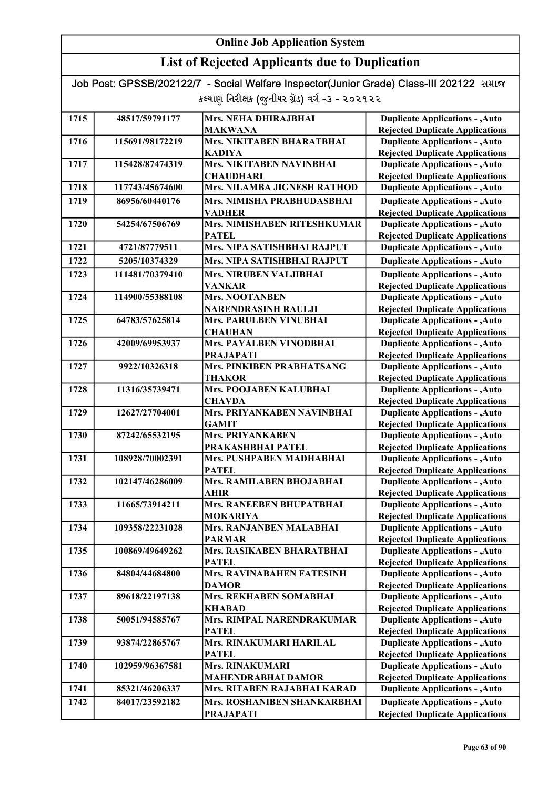| Job Post: GPSSB/202122/7 - Social Welfare Inspector(Junior Grade) Class-III 202122 समाल |  |
|-----------------------------------------------------------------------------------------|--|
| કલ્યાણ નિરીક્ષક (જુનીયર ગ્રેડ) વર્ગ -૩ - ૨૦૨૧૨૨                                         |  |

| 1715 | 48517/59791177  | Mrs. NEHA DHIRAJBHAI                    | <b>Duplicate Applications - , Auto</b>                                           |
|------|-----------------|-----------------------------------------|----------------------------------------------------------------------------------|
|      |                 | <b>MAKWANA</b>                          | <b>Rejected Duplicate Applications</b>                                           |
| 1716 | 115691/98172219 | Mrs. NIKITABEN BHARATBHAI               | <b>Duplicate Applications - , Auto</b>                                           |
|      |                 | <b>KADIYA</b>                           | <b>Rejected Duplicate Applications</b>                                           |
| 1717 | 115428/87474319 | Mrs. NIKITABEN NAVINBHAI                | <b>Duplicate Applications - , Auto</b>                                           |
|      |                 | <b>CHAUDHARI</b>                        | <b>Rejected Duplicate Applications</b>                                           |
| 1718 | 117743/45674600 | Mrs. NILAMBA JIGNESH RATHOD             | <b>Duplicate Applications - , Auto</b>                                           |
| 1719 | 86956/60440176  | Mrs. NIMISHA PRABHUDASBHAI              | <b>Duplicate Applications - , Auto</b>                                           |
|      |                 | <b>VADHER</b>                           | <b>Rejected Duplicate Applications</b>                                           |
| 1720 | 54254/67506769  | Mrs. NIMISHABEN RITESHKUMAR             | <b>Duplicate Applications - , Auto</b>                                           |
|      |                 | <b>PATEL</b>                            | <b>Rejected Duplicate Applications</b>                                           |
| 1721 | 4721/87779511   | Mrs. NIPA SATISHBHAI RAJPUT             | <b>Duplicate Applications - , Auto</b>                                           |
| 1722 | 5205/10374329   | Mrs. NIPA SATISHBHAI RAJPUT             | <b>Duplicate Applications - , Auto</b>                                           |
| 1723 | 111481/70379410 | <b>Mrs. NIRUBEN VALJIBHAI</b>           | <b>Duplicate Applications - , Auto</b>                                           |
|      |                 | <b>VANKAR</b>                           | <b>Rejected Duplicate Applications</b>                                           |
| 1724 | 114900/55388108 | <b>Mrs. NOOTANBEN</b>                   | <b>Duplicate Applications - , Auto</b>                                           |
|      |                 | <b>NARENDRASINH RAULJI</b>              | <b>Rejected Duplicate Applications</b>                                           |
| 1725 | 64783/57625814  | <b>Mrs. PARULBEN VINUBHAI</b>           | <b>Duplicate Applications - , Auto</b>                                           |
|      |                 | <b>CHAUHAN</b>                          | <b>Rejected Duplicate Applications</b>                                           |
| 1726 | 42009/69953937  | Mrs. PAYALBEN VINODBHAI                 | <b>Duplicate Applications - , Auto</b>                                           |
|      |                 | <b>PRAJAPATI</b>                        | <b>Rejected Duplicate Applications</b>                                           |
| 1727 | 9922/10326318   | Mrs. PINKIBEN PRABHATSANG               | <b>Duplicate Applications - , Auto</b>                                           |
| 1728 | 11316/35739471  | <b>THAKOR</b><br>Mrs. POOJABEN KALUBHAI | <b>Rejected Duplicate Applications</b><br><b>Duplicate Applications - , Auto</b> |
|      |                 | <b>CHAVDA</b>                           | <b>Rejected Duplicate Applications</b>                                           |
| 1729 | 12627/27704001  | Mrs. PRIYANKABEN NAVINBHAI              | <b>Duplicate Applications - , Auto</b>                                           |
|      |                 | <b>GAMIT</b>                            | <b>Rejected Duplicate Applications</b>                                           |
| 1730 | 87242/65532195  | <b>Mrs. PRIYANKABEN</b>                 | <b>Duplicate Applications - , Auto</b>                                           |
|      |                 | PRAKASHBHAI PATEL                       | <b>Rejected Duplicate Applications</b>                                           |
| 1731 | 108928/70002391 | Mrs. PUSHPABEN MADHABHAI                | <b>Duplicate Applications - , Auto</b>                                           |
|      |                 | <b>PATEL</b>                            | <b>Rejected Duplicate Applications</b>                                           |
| 1732 | 102147/46286009 | Mrs. RAMILABEN BHOJABHAI                | <b>Duplicate Applications - , Auto</b>                                           |
|      |                 | <b>AHIR</b>                             | <b>Rejected Duplicate Applications</b>                                           |
| 1733 | 11665/73914211  | Mrs. RANEEBEN BHUPATBHAI                | <b>Duplicate Applications - , Auto</b>                                           |
|      |                 | <b>MOKARIYA</b>                         | <b>Rejected Duplicate Applications</b>                                           |
| 1734 | 109358/22231028 | Mrs. RANJANBEN MALABHAI                 | <b>Duplicate Applications - , Auto</b>                                           |
|      |                 | <b>PARMAR</b>                           | <b>Rejected Duplicate Applications</b>                                           |
| 1735 | 100869/49649262 | Mrs. RASIKABEN BHARATBHAI               | <b>Duplicate Applications - , Auto</b>                                           |
|      |                 | <b>PATEL</b>                            | <b>Rejected Duplicate Applications</b>                                           |
| 1736 | 84804/44684800  | Mrs. RAVINABAHEN FATESINH               | <b>Duplicate Applications - , Auto</b>                                           |
| 1737 | 89618/22197138  | <b>DAMOR</b><br>Mrs. REKHABEN SOMABHAI  | <b>Rejected Duplicate Applications</b><br><b>Duplicate Applications - , Auto</b> |
|      |                 | <b>KHABAD</b>                           | <b>Rejected Duplicate Applications</b>                                           |
| 1738 | 50051/94585767  | Mrs. RIMPAL NARENDRAKUMAR               | <b>Duplicate Applications - , Auto</b>                                           |
|      |                 | <b>PATEL</b>                            | <b>Rejected Duplicate Applications</b>                                           |
| 1739 | 93874/22865767  | Mrs. RINAKUMARI HARILAL                 | <b>Duplicate Applications - , Auto</b>                                           |
|      |                 | <b>PATEL</b>                            | <b>Rejected Duplicate Applications</b>                                           |
| 1740 | 102959/96367581 | <b>Mrs. RINAKUMARI</b>                  | <b>Duplicate Applications - , Auto</b>                                           |
|      |                 | <b>MAHENDRABHAI DAMOR</b>               | <b>Rejected Duplicate Applications</b>                                           |
| 1741 | 85321/46206337  | Mrs. RITABEN RAJABHAI KARAD             | <b>Duplicate Applications - , Auto</b>                                           |
| 1742 | 84017/23592182  | Mrs. ROSHANIBEN SHANKARBHAI             | <b>Duplicate Applications - , Auto</b>                                           |
|      |                 | <b>PRAJAPATI</b>                        | <b>Rejected Duplicate Applications</b>                                           |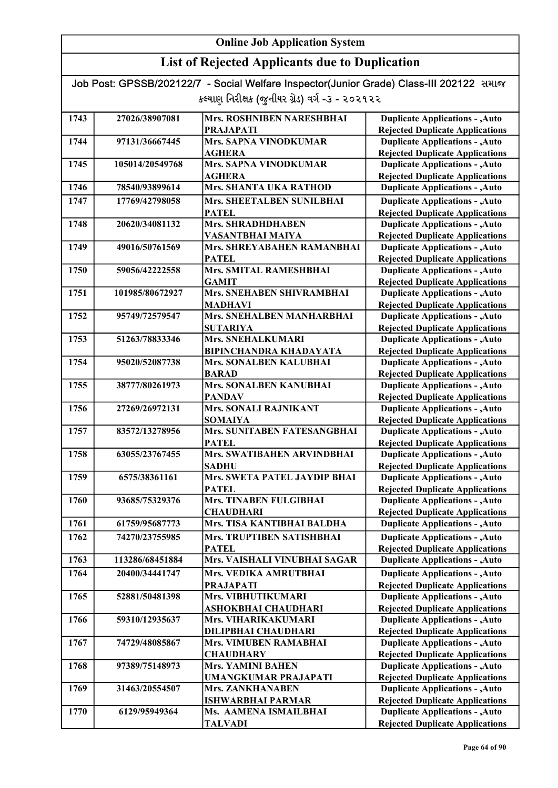## List of Rejected Applicants due to Duplication

| 1743 | 27026/38907081  | Mrs. ROSHNIBEN NARESHBHAI                     | <b>Duplicate Applications - , Auto</b>                                           |
|------|-----------------|-----------------------------------------------|----------------------------------------------------------------------------------|
|      |                 | <b>PRAJAPATI</b>                              | <b>Rejected Duplicate Applications</b>                                           |
| 1744 | 97131/36667445  | Mrs. SAPNA VINODKUMAR                         | <b>Duplicate Applications - , Auto</b>                                           |
|      |                 | <b>AGHERA</b>                                 | <b>Rejected Duplicate Applications</b>                                           |
| 1745 | 105014/20549768 | Mrs. SAPNA VINODKUMAR                         | <b>Duplicate Applications - , Auto</b>                                           |
|      |                 | <b>AGHERA</b>                                 | <b>Rejected Duplicate Applications</b>                                           |
| 1746 | 78540/93899614  | Mrs. SHANTA UKA RATHOD                        | <b>Duplicate Applications - , Auto</b>                                           |
| 1747 | 17769/42798058  | Mrs. SHEETALBEN SUNILBHAI                     | <b>Duplicate Applications - , Auto</b>                                           |
|      |                 | <b>PATEL</b>                                  | <b>Rejected Duplicate Applications</b>                                           |
| 1748 | 20620/34081132  | <b>Mrs. SHRADHDHABEN</b>                      | <b>Duplicate Applications - , Auto</b>                                           |
|      |                 | VASANTBHAI MAIYA                              | <b>Rejected Duplicate Applications</b>                                           |
| 1749 | 49016/50761569  | Mrs. SHREYABAHEN RAMANBHAI                    | <b>Duplicate Applications - , Auto</b>                                           |
|      |                 | <b>PATEL</b>                                  | <b>Rejected Duplicate Applications</b>                                           |
| 1750 | 59056/42222558  | Mrs. SMITAL RAMESHBHAI                        | <b>Duplicate Applications - , Auto</b>                                           |
|      |                 | <b>GAMIT</b>                                  | <b>Rejected Duplicate Applications</b>                                           |
| 1751 | 101985/80672927 | <b>Mrs. SNEHABEN SHIVRAMBHAI</b>              | <b>Duplicate Applications - , Auto</b>                                           |
|      |                 | <b>MADHAVI</b>                                | <b>Rejected Duplicate Applications</b>                                           |
| 1752 | 95749/72579547  | Mrs. SNEHALBEN MANHARBHAI                     | <b>Duplicate Applications - , Auto</b>                                           |
|      |                 | <b>SUTARIYA</b>                               | <b>Rejected Duplicate Applications</b>                                           |
| 1753 | 51263/78833346  | Mrs. SNEHALKUMARI                             | <b>Duplicate Applications - , Auto</b>                                           |
|      |                 | <b>BIPINCHANDRA KHADAYATA</b>                 | <b>Rejected Duplicate Applications</b>                                           |
| 1754 | 95020/52087738  | Mrs. SONALBEN KALUBHAI                        | <b>Duplicate Applications - , Auto</b>                                           |
|      |                 | <b>BARAD</b>                                  | <b>Rejected Duplicate Applications</b>                                           |
| 1755 | 38777/80261973  | Mrs. SONALBEN KANUBHAI                        | <b>Duplicate Applications - , Auto</b>                                           |
|      |                 | <b>PANDAV</b>                                 | <b>Rejected Duplicate Applications</b>                                           |
| 1756 | 27269/26972131  | Mrs. SONALI RAJNIKANT                         | <b>Duplicate Applications - , Auto</b>                                           |
| 1757 | 83572/13278956  | <b>SOMAIYA</b><br>Mrs. SUNITABEN FATESANGBHAI | <b>Rejected Duplicate Applications</b><br><b>Duplicate Applications - , Auto</b> |
|      |                 | <b>PATEL</b>                                  | <b>Rejected Duplicate Applications</b>                                           |
| 1758 | 63055/23767455  | Mrs. SWATIBAHEN ARVINDBHAI                    | <b>Duplicate Applications - , Auto</b>                                           |
|      |                 | <b>SADHU</b>                                  | <b>Rejected Duplicate Applications</b>                                           |
| 1759 | 6575/38361161   | Mrs. SWETA PATEL JAYDIP BHAI                  | <b>Duplicate Applications - , Auto</b>                                           |
|      |                 | <b>PATEL</b>                                  | <b>Rejected Duplicate Applications</b>                                           |
| 1760 | 93685/75329376  | Mrs. TINABEN FULGIBHAI                        | <b>Duplicate Applications - , Auto</b>                                           |
|      |                 | <b>CHAUDHARI</b>                              | <b>Rejected Duplicate Applications</b>                                           |
| 1761 | 61759/95687773  | Mrs. TISA KANTIBHAI BALDHA                    | <b>Duplicate Applications - , Auto</b>                                           |
| 1762 | 74270/23755985  | Mrs. TRUPTIBEN SATISHBHAI                     | <b>Duplicate Applications - , Auto</b>                                           |
|      |                 | <b>PATEL</b>                                  | <b>Rejected Duplicate Applications</b>                                           |
| 1763 | 113286/68451884 | Mrs. VAISHALI VINUBHAI SAGAR                  | <b>Duplicate Applications - , Auto</b>                                           |
| 1764 | 20400/34441747  | Mrs. VEDIKA AMRUTBHAI                         | <b>Duplicate Applications - , Auto</b>                                           |
|      |                 | <b>PRAJAPATI</b>                              | <b>Rejected Duplicate Applications</b>                                           |
| 1765 | 52881/50481398  | Mrs. VIBHUTIKUMARI                            | <b>Duplicate Applications - , Auto</b>                                           |
|      |                 | ASHOKBHAI CHAUDHARI                           | <b>Rejected Duplicate Applications</b>                                           |
| 1766 | 59310/12935637  | Mrs. VIHARIKAKUMARI                           | <b>Duplicate Applications - , Auto</b>                                           |
|      |                 | <b>DILIPBHAI CHAUDHARI</b>                    | <b>Rejected Duplicate Applications</b>                                           |
| 1767 | 74729/48085867  | <b>Mrs. VIMUBEN RAMABHAI</b>                  | <b>Duplicate Applications - , Auto</b>                                           |
|      |                 | <b>CHAUDHARY</b>                              | <b>Rejected Duplicate Applications</b>                                           |
| 1768 | 97389/75148973  | <b>Mrs. YAMINI BAHEN</b>                      | <b>Duplicate Applications - , Auto</b>                                           |
|      |                 | UMANGKUMAR PRAJAPATI                          | <b>Rejected Duplicate Applications</b>                                           |
| 1769 | 31463/20554507  | <b>Mrs. ZANKHANABEN</b>                       | <b>Duplicate Applications - , Auto</b>                                           |
|      |                 | <b>ISHWARBHAI PARMAR</b>                      | <b>Rejected Duplicate Applications</b>                                           |
| 1770 | 6129/95949364   | Ms. AAMENA ISMAILBHAI                         | <b>Duplicate Applications - , Auto</b>                                           |
|      |                 | <b>TALVADI</b>                                | <b>Rejected Duplicate Applications</b>                                           |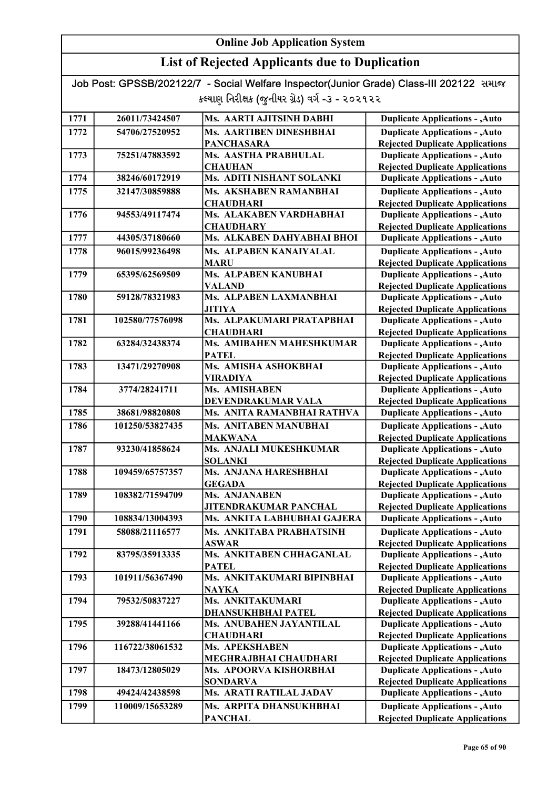## List of Rejected Applicants due to Duplication

| 1771 | 26011/73424507  | Ms. AARTI AJITSINH DABHI                             | <b>Duplicate Applications - , Auto</b>                                           |
|------|-----------------|------------------------------------------------------|----------------------------------------------------------------------------------|
| 1772 | 54706/27520952  | <b>Ms. AARTIBEN DINESHBHAI</b>                       | <b>Duplicate Applications - , Auto</b>                                           |
|      |                 | <b>PANCHASARA</b>                                    | <b>Rejected Duplicate Applications</b>                                           |
| 1773 | 75251/47883592  | Ms. AASTHA PRABHULAL                                 | <b>Duplicate Applications - , Auto</b>                                           |
|      |                 | <b>CHAUHAN</b>                                       | <b>Rejected Duplicate Applications</b>                                           |
| 1774 | 38246/60172919  | Ms. ADITI NISHANT SOLANKI                            | <b>Duplicate Applications - , Auto</b>                                           |
| 1775 | 32147/30859888  | Ms. AKSHABEN RAMANBHAI                               | <b>Duplicate Applications - , Auto</b>                                           |
|      |                 | <b>CHAUDHARI</b>                                     | <b>Rejected Duplicate Applications</b>                                           |
| 1776 | 94553/49117474  | Ms. ALAKABEN VARDHABHAI                              | <b>Duplicate Applications - , Auto</b>                                           |
|      |                 | <b>CHAUDHARY</b>                                     | <b>Rejected Duplicate Applications</b>                                           |
| 1777 | 44305/37180660  | Ms. ALKABEN DAHYABHAI BHOI                           | <b>Duplicate Applications - , Auto</b>                                           |
| 1778 | 96015/99236498  | <b>Ms. ALPABEN KANAIYALAL</b>                        | <b>Duplicate Applications - , Auto</b>                                           |
|      |                 | <b>MARU</b>                                          | <b>Rejected Duplicate Applications</b>                                           |
| 1779 | 65395/62569509  | <b>Ms. ALPABEN KANUBHAI</b>                          | <b>Duplicate Applications - , Auto</b>                                           |
|      |                 | <b>VALAND</b>                                        | <b>Rejected Duplicate Applications</b>                                           |
| 1780 | 59128/78321983  | Ms. ALPABEN LAXMANBHAI                               | <b>Duplicate Applications - , Auto</b>                                           |
|      |                 | <b>JITIYA</b>                                        | <b>Rejected Duplicate Applications</b>                                           |
| 1781 | 102580/77576098 | Ms. ALPAKUMARI PRATAPBHAI                            | <b>Duplicate Applications - , Auto</b>                                           |
|      |                 | <b>CHAUDHARI</b>                                     | <b>Rejected Duplicate Applications</b>                                           |
| 1782 | 63284/32438374  | Ms. AMIBAHEN MAHESHKUMAR                             | <b>Duplicate Applications - , Auto</b>                                           |
|      |                 | <b>PATEL</b>                                         | <b>Rejected Duplicate Applications</b>                                           |
| 1783 | 13471/29270908  | Ms. AMISHA ASHOKBHAI                                 | <b>Duplicate Applications - , Auto</b>                                           |
|      |                 | <b>VIRADIYA</b>                                      | <b>Rejected Duplicate Applications</b>                                           |
| 1784 | 3774/28241711   | Ms. AMISHABEN                                        | <b>Duplicate Applications - , Auto</b>                                           |
|      |                 | DEVENDRAKUMAR VALA                                   | <b>Rejected Duplicate Applications</b>                                           |
| 1785 | 38681/98820808  | Ms. ANITA RAMANBHAI RATHVA                           | <b>Duplicate Applications - , Auto</b>                                           |
| 1786 | 101250/53827435 | <b>Ms. ANITABEN MANUBHAI</b>                         | <b>Duplicate Applications - , Auto</b>                                           |
|      |                 | <b>MAKWANA</b>                                       | <b>Rejected Duplicate Applications</b>                                           |
| 1787 | 93230/41858624  | Ms. ANJALI MUKESHKUMAR                               | <b>Duplicate Applications - , Auto</b>                                           |
|      |                 | <b>SOLANKI</b>                                       | <b>Rejected Duplicate Applications</b>                                           |
| 1788 | 109459/65757357 | Ms. ANJANA HARESHBHAI                                | <b>Duplicate Applications - , Auto</b>                                           |
|      |                 | <b>GEGADA</b><br><b>Ms. ANJANABEN</b>                | <b>Rejected Duplicate Applications</b>                                           |
| 1789 | 108382/71594709 |                                                      | <b>Duplicate Applications - , Auto</b>                                           |
| 1790 | 108834/13004393 | JITENDRAKUMAR PANCHAL<br>Ms. ANKITA LABHUBHAI GAJERA | <b>Rejected Duplicate Applications</b><br><b>Duplicate Applications - , Auto</b> |
|      |                 |                                                      |                                                                                  |
| 1791 | 58088/21116577  | Ms. ANKITABA PRABHATSINH<br><b>ASWAR</b>             | <b>Duplicate Applications - , Auto</b>                                           |
| 1792 | 83795/35913335  | Ms. ANKITABEN CHHAGANLAL                             | <b>Rejected Duplicate Applications</b><br><b>Duplicate Applications - , Auto</b> |
|      |                 | <b>PATEL</b>                                         | <b>Rejected Duplicate Applications</b>                                           |
| 1793 | 101911/56367490 | Ms. ANKITAKUMARI BIPINBHAI                           | <b>Duplicate Applications - , Auto</b>                                           |
|      |                 | <b>NAYKA</b>                                         | <b>Rejected Duplicate Applications</b>                                           |
| 1794 | 79532/50837227  | Ms. ANKITAKUMARI                                     | <b>Duplicate Applications - , Auto</b>                                           |
|      |                 | <b>DHANSUKHBHAI PATEL</b>                            | <b>Rejected Duplicate Applications</b>                                           |
| 1795 | 39288/41441166  | Ms. ANUBAHEN JAYANTILAL                              | <b>Duplicate Applications - , Auto</b>                                           |
|      |                 | <b>CHAUDHARI</b>                                     | <b>Rejected Duplicate Applications</b>                                           |
| 1796 | 116722/38061532 | <b>Ms. APEKSHABEN</b>                                | <b>Duplicate Applications - , Auto</b>                                           |
|      |                 | MEGHRAJBHAI CHAUDHARI                                | <b>Rejected Duplicate Applications</b>                                           |
| 1797 | 18473/12805029  | Ms. APOORVA KISHORBHAI                               | <b>Duplicate Applications - , Auto</b>                                           |
|      |                 | <b>SONDARVA</b>                                      | <b>Rejected Duplicate Applications</b>                                           |
| 1798 | 49424/42438598  | Ms. ARATI RATILAL JADAV                              | <b>Duplicate Applications - , Auto</b>                                           |
| 1799 | 110009/15653289 | Ms. ARPITA DHANSUKHBHAI                              | <b>Duplicate Applications - , Auto</b>                                           |
|      |                 | <b>PANCHAL</b>                                       | <b>Rejected Duplicate Applications</b>                                           |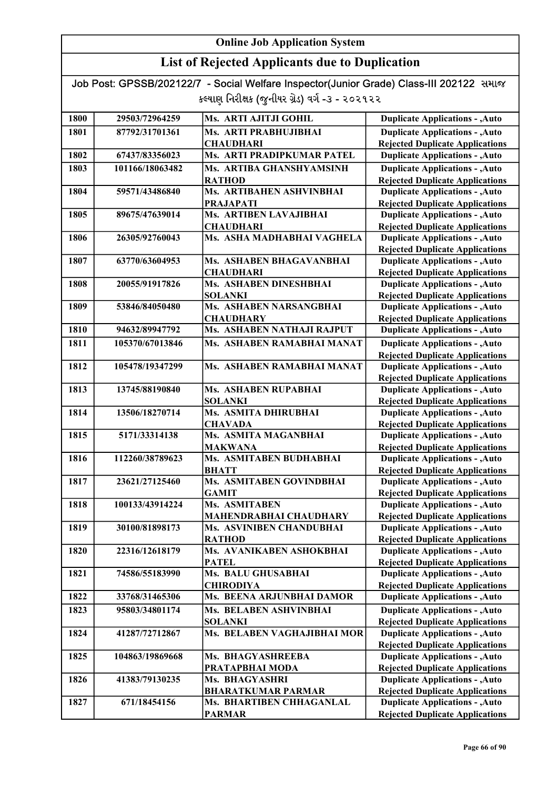## List of Rejected Applicants due to Duplication

| 1800 | 29503/72964259  | Ms. ARTI AJITJI GOHIL                  | <b>Duplicate Applications - , Auto</b>                                           |
|------|-----------------|----------------------------------------|----------------------------------------------------------------------------------|
| 1801 | 87792/31701361  | Ms. ARTI PRABHUJIBHAI                  | <b>Duplicate Applications - , Auto</b>                                           |
|      |                 | <b>CHAUDHARI</b>                       | <b>Rejected Duplicate Applications</b>                                           |
| 1802 | 67437/83356023  | Ms. ARTI PRADIPKUMAR PATEL             | <b>Duplicate Applications - , Auto</b>                                           |
| 1803 | 101166/18063482 | Ms. ARTIBA GHANSHYAMSINH               | <b>Duplicate Applications - , Auto</b>                                           |
|      |                 | <b>RATHOD</b>                          | <b>Rejected Duplicate Applications</b>                                           |
| 1804 | 59571/43486840  | Ms. ARTIBAHEN ASHVINBHAI               | <b>Duplicate Applications - , Auto</b>                                           |
|      |                 | <b>PRAJAPATI</b>                       | <b>Rejected Duplicate Applications</b>                                           |
| 1805 | 89675/47639014  | Ms. ARTIBEN LAVAJIBHAI                 | <b>Duplicate Applications - , Auto</b>                                           |
|      |                 | <b>CHAUDHARI</b>                       | <b>Rejected Duplicate Applications</b>                                           |
| 1806 | 26305/92760043  | Ms. ASHA MADHABHAI VAGHELA             | <b>Duplicate Applications - , Auto</b>                                           |
|      |                 |                                        | <b>Rejected Duplicate Applications</b>                                           |
| 1807 | 63770/63604953  | Ms. ASHABEN BHAGAVANBHAI               | <b>Duplicate Applications - , Auto</b>                                           |
|      |                 | <b>CHAUDHARI</b>                       | <b>Rejected Duplicate Applications</b>                                           |
| 1808 | 20055/91917826  | Ms. ASHABEN DINESHBHAI                 | <b>Duplicate Applications - , Auto</b>                                           |
|      |                 | <b>SOLANKI</b>                         | <b>Rejected Duplicate Applications</b>                                           |
| 1809 | 53846/84050480  | Ms. ASHABEN NARSANGBHAI                | <b>Duplicate Applications - , Auto</b>                                           |
|      |                 | <b>CHAUDHARY</b>                       | <b>Rejected Duplicate Applications</b>                                           |
| 1810 | 94632/89947792  | Ms. ASHABEN NATHAJI RAJPUT             | <b>Duplicate Applications - , Auto</b>                                           |
| 1811 | 105370/67013846 | Ms. ASHABEN RAMABHAI MANAT             | <b>Duplicate Applications - , Auto</b>                                           |
|      |                 |                                        | <b>Rejected Duplicate Applications</b>                                           |
| 1812 | 105478/19347299 | Ms. ASHABEN RAMABHAI MANAT             | <b>Duplicate Applications - , Auto</b>                                           |
|      |                 |                                        | <b>Rejected Duplicate Applications</b>                                           |
| 1813 | 13745/88190840  | Ms. ASHABEN RUPABHAI                   | <b>Duplicate Applications - , Auto</b>                                           |
| 1814 | 13506/18270714  | <b>SOLANKI</b><br>Ms. ASMITA DHIRUBHAI | <b>Rejected Duplicate Applications</b><br><b>Duplicate Applications - , Auto</b> |
|      |                 | <b>CHAVADA</b>                         |                                                                                  |
| 1815 | 5171/33314138   | Ms. ASMITA MAGANBHAI                   | <b>Rejected Duplicate Applications</b><br><b>Duplicate Applications - , Auto</b> |
|      |                 | <b>MAKWANA</b>                         | <b>Rejected Duplicate Applications</b>                                           |
| 1816 | 112260/38789623 | Ms. ASMITABEN BUDHABHAI                | <b>Duplicate Applications - , Auto</b>                                           |
|      |                 | <b>BHATT</b>                           | <b>Rejected Duplicate Applications</b>                                           |
| 1817 | 23621/27125460  | Ms. ASMITABEN GOVINDBHAI               | <b>Duplicate Applications - , Auto</b>                                           |
|      |                 | <b>GAMIT</b>                           | <b>Rejected Duplicate Applications</b>                                           |
| 1818 | 100133/43914224 | Ms. ASMITABEN                          | <b>Duplicate Applications - , Auto</b>                                           |
|      |                 | <b>MAHENDRABHAI CHAUDHARY</b>          | <b>Rejected Duplicate Applications</b>                                           |
| 1819 | 30100/81898173  | Ms. ASVINIBEN CHANDUBHAI               | <b>Duplicate Applications - , Auto</b>                                           |
|      |                 | <b>RATHOD</b>                          | <b>Rejected Duplicate Applications</b>                                           |
| 1820 | 22316/12618179  | Ms. AVANIKABEN ASHOKBHAI               | <b>Duplicate Applications - , Auto</b>                                           |
|      |                 | <b>PATEL</b>                           | <b>Rejected Duplicate Applications</b>                                           |
| 1821 | 74586/55183990  | Ms. BALU GHUSABHAI                     | <b>Duplicate Applications - , Auto</b>                                           |
|      |                 | <b>CHIRODIYA</b>                       | <b>Rejected Duplicate Applications</b>                                           |
| 1822 | 33768/31465306  | Ms. BEENA ARJUNBHAI DAMOR              | <b>Duplicate Applications - , Auto</b>                                           |
| 1823 | 95803/34801174  | <b>Ms. BELABEN ASHVINBHAI</b>          | <b>Duplicate Applications - , Auto</b>                                           |
|      |                 | <b>SOLANKI</b>                         | <b>Rejected Duplicate Applications</b>                                           |
| 1824 | 41287/72712867  | Ms. BELABEN VAGHAJIBHAI MOR            | <b>Duplicate Applications - , Auto</b>                                           |
|      |                 |                                        | <b>Rejected Duplicate Applications</b>                                           |
| 1825 | 104863/19869668 | Ms. BHAGYASHREEBA                      | <b>Duplicate Applications - , Auto</b>                                           |
|      |                 | PRATAPBHAI MODA                        | <b>Rejected Duplicate Applications</b>                                           |
| 1826 | 41383/79130235  | Ms. BHAGYASHRI                         | <b>Duplicate Applications - , Auto</b>                                           |
|      |                 | <b>BHARATKUMAR PARMAR</b>              | <b>Rejected Duplicate Applications</b>                                           |
| 1827 | 671/18454156    | Ms. BHARTIBEN CHHAGANLAL               | <b>Duplicate Applications - , Auto</b>                                           |
|      |                 | <b>PARMAR</b>                          | <b>Rejected Duplicate Applications</b>                                           |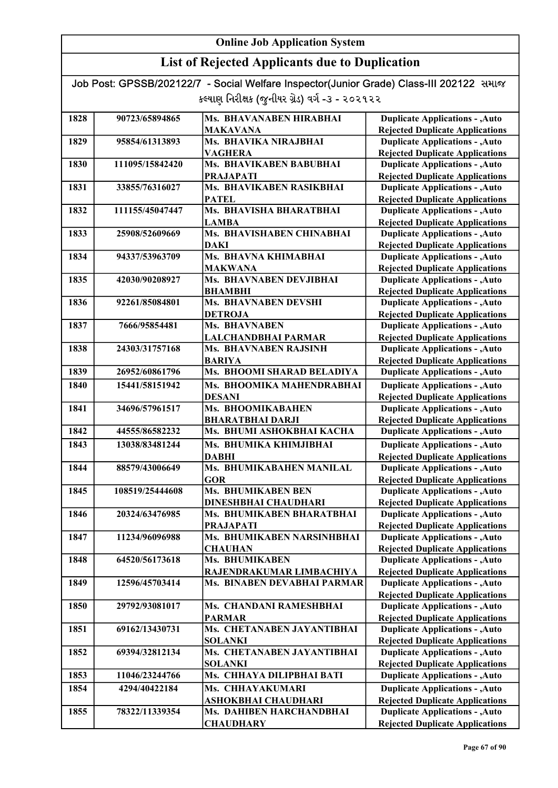## List of Rejected Applicants due to Duplication

| 1828 | 90723/65894865  | Ms. BHAVANABEN HIRABHAI                                 | <b>Duplicate Applications - , Auto</b>                                           |
|------|-----------------|---------------------------------------------------------|----------------------------------------------------------------------------------|
|      |                 | <b>MAKAVANA</b>                                         | <b>Rejected Duplicate Applications</b>                                           |
| 1829 | 95854/61313893  | Ms. BHAVIKA NIRAJBHAI                                   | <b>Duplicate Applications - , Auto</b>                                           |
|      |                 | <b>VAGHERA</b>                                          | <b>Rejected Duplicate Applications</b>                                           |
| 1830 | 111095/15842420 | Ms. BHAVIKABEN BABUBHAI                                 | <b>Duplicate Applications - , Auto</b>                                           |
|      |                 | <b>PRAJAPATI</b>                                        | <b>Rejected Duplicate Applications</b>                                           |
| 1831 | 33855/76316027  | Ms. BHAVIKABEN RASIKBHAI                                | <b>Duplicate Applications - , Auto</b>                                           |
|      |                 | <b>PATEL</b>                                            | <b>Rejected Duplicate Applications</b>                                           |
| 1832 | 111155/45047447 | Ms. BHAVISHA BHARATBHAI                                 | <b>Duplicate Applications - , Auto</b>                                           |
|      |                 | <b>LAMBA</b>                                            | <b>Rejected Duplicate Applications</b>                                           |
| 1833 | 25908/52609669  | Ms. BHAVISHABEN CHINABHAI                               | <b>Duplicate Applications - , Auto</b>                                           |
|      |                 | DAKI                                                    | <b>Rejected Duplicate Applications</b>                                           |
| 1834 | 94337/53963709  | Ms. BHAVNA KHIMABHAI                                    | <b>Duplicate Applications - , Auto</b>                                           |
|      |                 | <b>MAKWANA</b>                                          | <b>Rejected Duplicate Applications</b>                                           |
| 1835 | 42030/90208927  | Ms. BHAVNABEN DEVJIBHAI                                 | <b>Duplicate Applications - , Auto</b>                                           |
|      |                 | <b>BHAMBHI</b>                                          | <b>Rejected Duplicate Applications</b>                                           |
| 1836 | 92261/85084801  | <b>Ms. BHAVNABEN DEVSHI</b>                             | <b>Duplicate Applications - , Auto</b>                                           |
|      |                 | <b>DETROJA</b>                                          | <b>Rejected Duplicate Applications</b>                                           |
| 1837 | 7666/95854481   | Ms. BHAVNABEN                                           | <b>Duplicate Applications - , Auto</b>                                           |
|      |                 | LALCHANDBHAI PARMAR                                     | <b>Rejected Duplicate Applications</b>                                           |
| 1838 | 24303/31757168  | Ms. BHAVNABEN RAJSINH<br><b>BARIYA</b>                  | <b>Duplicate Applications - , Auto</b>                                           |
| 1839 | 26952/60861796  | Ms. BHOOMI SHARAD BELADIYA                              | <b>Rejected Duplicate Applications</b><br><b>Duplicate Applications - , Auto</b> |
|      |                 |                                                         |                                                                                  |
| 1840 | 15441/58151942  | Ms. BHOOMIKA MAHENDRABHAI                               | <b>Duplicate Applications - , Auto</b>                                           |
|      |                 | <b>DESANI</b>                                           | <b>Rejected Duplicate Applications</b>                                           |
| 1841 | 34696/57961517  | Ms. BHOOMIKABAHEN                                       | <b>Duplicate Applications - , Auto</b>                                           |
|      |                 | <b>BHARATBHAI DARJI</b>                                 | <b>Rejected Duplicate Applications</b>                                           |
| 1842 | 44555/86582232  | Ms. BHUMI ASHOKBHAI KACHA                               | <b>Duplicate Applications - , Auto</b>                                           |
| 1843 | 13038/83481244  | Ms. BHUMIKA KHIMJIBHAI                                  | <b>Duplicate Applications - , Auto</b>                                           |
|      |                 | <b>DABHI</b>                                            | <b>Rejected Duplicate Applications</b>                                           |
| 1844 | 88579/43006649  | Ms. BHUMIKABAHEN MANILAL                                | <b>Duplicate Applications - , Auto</b>                                           |
|      |                 | <b>GOR</b>                                              | <b>Rejected Duplicate Applications</b>                                           |
| 1845 | 108519/25444608 | <b>Ms. BHUMIKABEN BEN</b>                               | <b>Duplicate Applications - , Auto</b>                                           |
|      |                 | <b>DINESHBHAI CHAUDHARI</b>                             | <b>Rejected Duplicate Applications</b>                                           |
| 1846 | 20324/63476985  | Ms. BHUMIKABEN BHARATBHAI                               | <b>Duplicate Applications - , Auto</b>                                           |
|      |                 | PRAJAPATI<br>Ms. BHUMIKABEN NARSINHBHAI                 | <b>Rejected Duplicate Applications</b>                                           |
| 1847 | 11234/96096988  |                                                         | <b>Duplicate Applications - , Auto</b>                                           |
| 1848 | 64520/56173618  | <b>CHAUHAN</b><br>Ms. BHUMIKABEN                        | <b>Rejected Duplicate Applications</b><br><b>Duplicate Applications - , Auto</b> |
|      |                 |                                                         | <b>Rejected Duplicate Applications</b>                                           |
| 1849 | 12596/45703414  | RAJENDRAKUMAR LIMBACHIYA<br>Ms. BINABEN DEVABHAI PARMAR | <b>Duplicate Applications - , Auto</b>                                           |
|      |                 |                                                         | <b>Rejected Duplicate Applications</b>                                           |
| 1850 | 29792/93081017  | Ms. CHANDANI RAMESHBHAI                                 | <b>Duplicate Applications - , Auto</b>                                           |
|      |                 | <b>PARMAR</b>                                           | <b>Rejected Duplicate Applications</b>                                           |
| 1851 | 69162/13430731  | Ms. CHETANABEN JAYANTIBHAI                              | <b>Duplicate Applications - , Auto</b>                                           |
|      |                 | <b>SOLANKI</b>                                          | <b>Rejected Duplicate Applications</b>                                           |
| 1852 | 69394/32812134  | Ms. CHETANABEN JAYANTIBHAI                              | <b>Duplicate Applications - , Auto</b>                                           |
|      |                 | <b>SOLANKI</b>                                          | <b>Rejected Duplicate Applications</b>                                           |
| 1853 | 11046/23244766  | Ms. CHHAYA DILIPBHAI BATI                               | <b>Duplicate Applications - , Auto</b>                                           |
| 1854 | 4294/40422184   | Ms. CHHAYAKUMARI                                        | <b>Duplicate Applications - , Auto</b>                                           |
|      |                 | ASHOKBHAI CHAUDHARI                                     | <b>Rejected Duplicate Applications</b>                                           |
| 1855 | 78322/11339354  | Ms. DAHIBEN HARCHANDBHAI                                | <b>Duplicate Applications - , Auto</b>                                           |
|      |                 | <b>CHAUDHARY</b>                                        | <b>Rejected Duplicate Applications</b>                                           |
|      |                 |                                                         |                                                                                  |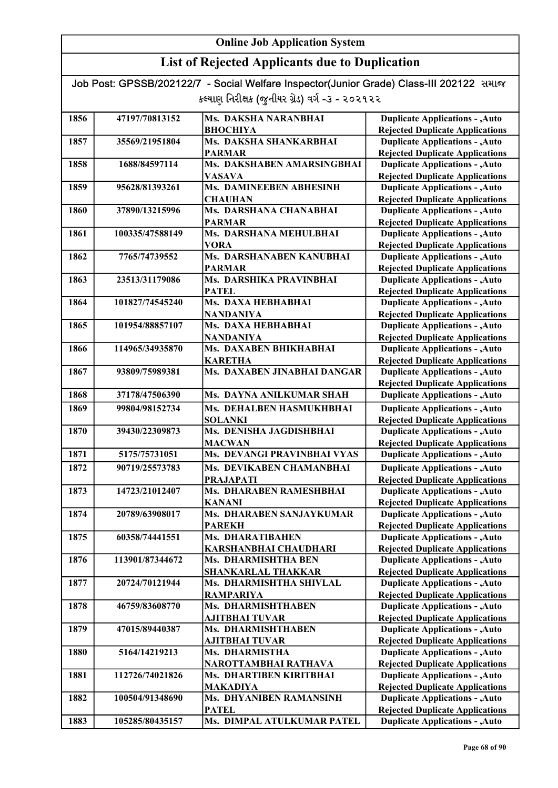## List of Rejected Applicants due to Duplication

| 1856 | 47197/70813152  | Ms. DAKSHA NARANBHAI                          | <b>Duplicate Applications - , Auto</b>                                           |
|------|-----------------|-----------------------------------------------|----------------------------------------------------------------------------------|
|      |                 | <b>ВНОСНІҮА</b>                               | <b>Rejected Duplicate Applications</b>                                           |
| 1857 | 35569/21951804  | Ms. DAKSHA SHANKARBHAI                        | <b>Duplicate Applications - , Auto</b>                                           |
|      |                 | <b>PARMAR</b>                                 | <b>Rejected Duplicate Applications</b>                                           |
| 1858 | 1688/84597114   | Ms. DAKSHABEN AMARSINGBHAI                    | <b>Duplicate Applications - , Auto</b>                                           |
|      |                 | <b>VASAVA</b>                                 | <b>Rejected Duplicate Applications</b>                                           |
| 1859 | 95628/81393261  | Ms. DAMINEEBEN ABHESINH                       | <b>Duplicate Applications - , Auto</b>                                           |
|      |                 | <b>CHAUHAN</b>                                | <b>Rejected Duplicate Applications</b>                                           |
| 1860 | 37890/13215996  | Ms. DARSHANA CHANABHAI                        | <b>Duplicate Applications - , Auto</b>                                           |
|      |                 | <b>PARMAR</b>                                 | <b>Rejected Duplicate Applications</b>                                           |
| 1861 | 100335/47588149 | Ms. DARSHANA MEHULBHAI                        | <b>Duplicate Applications - , Auto</b>                                           |
|      |                 | <b>VORA</b>                                   | <b>Rejected Duplicate Applications</b>                                           |
| 1862 | 7765/74739552   | Ms. DARSHANABEN KANUBHAI                      | <b>Duplicate Applications - , Auto</b>                                           |
|      |                 | <b>PARMAR</b>                                 | <b>Rejected Duplicate Applications</b>                                           |
| 1863 | 23513/31179086  | Ms. DARSHIKA PRAVINBHAI                       | <b>Duplicate Applications - , Auto</b>                                           |
|      |                 | <b>PATEL</b>                                  | <b>Rejected Duplicate Applications</b>                                           |
| 1864 | 101827/74545240 | Ms. DAXA HEBHABHAI                            | <b>Duplicate Applications - , Auto</b>                                           |
|      |                 | <b>NANDANIYA</b>                              | <b>Rejected Duplicate Applications</b>                                           |
| 1865 | 101954/88857107 | Ms. DAXA HEBHABHAI                            | <b>Duplicate Applications - , Auto</b>                                           |
|      |                 | <b>NANDANIYA</b>                              | <b>Rejected Duplicate Applications</b>                                           |
| 1866 | 114965/34935870 | Ms. DAXABEN BHIKHABHAI                        | <b>Duplicate Applications - , Auto</b>                                           |
|      |                 | <b>KARETHA</b><br>Ms. DAXABEN JINABHAI DANGAR | <b>Rejected Duplicate Applications</b>                                           |
| 1867 | 93809/75989381  |                                               | <b>Duplicate Applications - , Auto</b>                                           |
| 1868 | 37178/47506390  | Ms. DAYNA ANILKUMAR SHAH                      | <b>Rejected Duplicate Applications</b><br><b>Duplicate Applications - , Auto</b> |
|      |                 |                                               |                                                                                  |
| 1869 | 99804/98152734  | Ms. DEHALBEN HASMUKHBHAI<br><b>SOLANKI</b>    | <b>Duplicate Applications - , Auto</b><br><b>Rejected Duplicate Applications</b> |
| 1870 | 39430/22309873  | Ms. DENISHA JAGDISHBHAI                       | <b>Duplicate Applications - , Auto</b>                                           |
|      |                 | <b>MACWAN</b>                                 | <b>Rejected Duplicate Applications</b>                                           |
| 1871 | 5175/75731051   | Ms. DEVANGI PRAVINBHAI VYAS                   | <b>Duplicate Applications - , Auto</b>                                           |
| 1872 | 90719/25573783  | Ms. DEVIKABEN CHAMANBHAI                      | <b>Duplicate Applications - , Auto</b>                                           |
|      |                 | <b>PRAJAPATI</b>                              | <b>Rejected Duplicate Applications</b>                                           |
| 1873 | 14723/21012407  | Ms. DHARABEN RAMESHBHAI                       | Duplicate Applications - , Auto                                                  |
|      |                 | <b>KANANI</b>                                 | <b>Rejected Duplicate Applications</b>                                           |
| 1874 | 20789/63908017  | Ms. DHARABEN SANJAYKUMAR                      | <b>Duplicate Applications - , Auto</b>                                           |
|      |                 | <b>PAREKH</b>                                 | <b>Rejected Duplicate Applications</b>                                           |
| 1875 | 60358/74441551  | Ms. DHARATIBAHEN                              | <b>Duplicate Applications - , Auto</b>                                           |
|      |                 | <b>KARSHANBHAI CHAUDHARI</b>                  | <b>Rejected Duplicate Applications</b>                                           |
| 1876 | 113901/87344672 | Ms. DHARMISHTHA BEN                           | <b>Duplicate Applications - , Auto</b>                                           |
|      |                 | <b>SHANKARLAL THAKKAR</b>                     | <b>Rejected Duplicate Applications</b>                                           |
| 1877 | 20724/70121944  | Ms. DHARMISHTHA SHIVLAL                       | <b>Duplicate Applications - , Auto</b>                                           |
|      |                 | <b>RAMPARIYA</b>                              | <b>Rejected Duplicate Applications</b>                                           |
| 1878 | 46759/83608770  | Ms. DHARMISHTHABEN                            | <b>Duplicate Applications - , Auto</b>                                           |
|      |                 | AJITBHAI TUVAR                                | <b>Rejected Duplicate Applications</b>                                           |
| 1879 | 47015/89440387  | Ms. DHARMISHTHABEN                            | <b>Duplicate Applications - , Auto</b>                                           |
|      |                 | AJITBHAI TUVAR                                | <b>Rejected Duplicate Applications</b>                                           |
| 1880 | 5164/14219213   | Ms. DHARMISTHA                                | <b>Duplicate Applications - , Auto</b>                                           |
|      |                 | NAROTTAMBHAI RATHAVA                          | <b>Rejected Duplicate Applications</b>                                           |
| 1881 | 112726/74021826 | Ms. DHARTIBEN KIRITBHAI                       | <b>Duplicate Applications - , Auto</b>                                           |
|      |                 | <b>MAKADIYA</b>                               | <b>Rejected Duplicate Applications</b>                                           |
| 1882 | 100504/91348690 | Ms. DHYANIBEN RAMANSINH                       | <b>Duplicate Applications - , Auto</b>                                           |
|      |                 | <b>PATEL</b>                                  | <b>Rejected Duplicate Applications</b>                                           |
| 1883 | 105285/80435157 | Ms. DIMPAL ATULKUMAR PATEL                    | <b>Duplicate Applications - , Auto</b>                                           |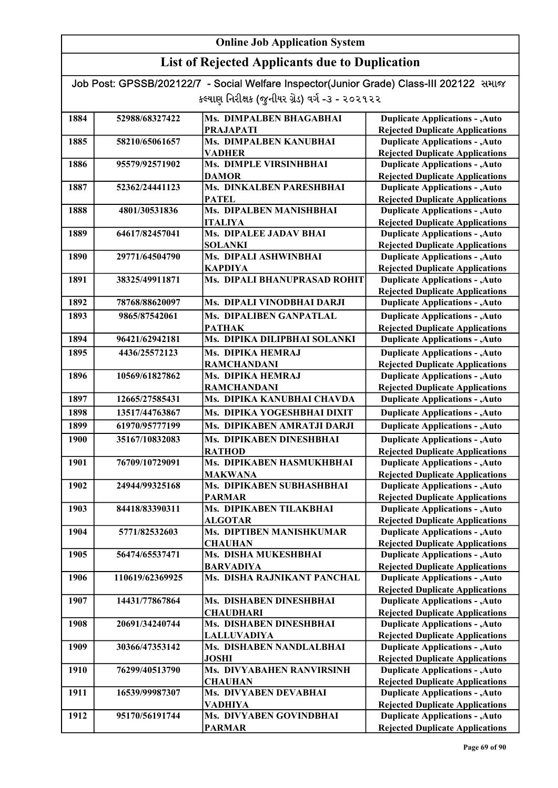## List of Rejected Applicants due to Duplication

| 1884 | 52988/68327422  | Ms. DIMPALBEN BHAGABHAI                   | <b>Duplicate Applications - , Auto</b> |
|------|-----------------|-------------------------------------------|----------------------------------------|
|      |                 | <b>PRAJAPATI</b>                          | <b>Rejected Duplicate Applications</b> |
| 1885 | 58210/65061657  | Ms. DIMPALBEN KANUBHAI                    | <b>Duplicate Applications - , Auto</b> |
|      |                 | <b>VADHER</b>                             | <b>Rejected Duplicate Applications</b> |
| 1886 | 95579/92571902  | Ms. DIMPLE VIRSINHBHAI                    | <b>Duplicate Applications - , Auto</b> |
|      |                 | <b>DAMOR</b>                              | <b>Rejected Duplicate Applications</b> |
| 1887 | 52362/24441123  | Ms. DINKALBEN PARESHBHAI                  | <b>Duplicate Applications - , Auto</b> |
|      |                 | <b>PATEL</b>                              | <b>Rejected Duplicate Applications</b> |
| 1888 | 4801/30531836   | Ms. DIPALBEN MANISHBHAI                   | <b>Duplicate Applications - , Auto</b> |
|      |                 | <b>ITALIYA</b>                            | <b>Rejected Duplicate Applications</b> |
| 1889 | 64617/82457041  | Ms. DIPALEE JADAV BHAI                    | <b>Duplicate Applications - , Auto</b> |
|      |                 | <b>SOLANKI</b>                            | <b>Rejected Duplicate Applications</b> |
| 1890 | 29771/64504790  | Ms. DIPALI ASHWINBHAI                     | <b>Duplicate Applications - , Auto</b> |
|      |                 | <b>KAPDIYA</b>                            | <b>Rejected Duplicate Applications</b> |
| 1891 | 38325/49911871  | Ms. DIPALI BHANUPRASAD ROHIT              | <b>Duplicate Applications - , Auto</b> |
|      |                 |                                           | <b>Rejected Duplicate Applications</b> |
| 1892 | 78768/88620097  | Ms. DIPALI VINODBHAI DARJI                | <b>Duplicate Applications - , Auto</b> |
| 1893 | 9865/87542061   | Ms. DIPALIBEN GANPATLAL                   | <b>Duplicate Applications - , Auto</b> |
|      |                 | <b>PATHAK</b>                             | <b>Rejected Duplicate Applications</b> |
| 1894 | 96421/62942181  | Ms. DIPIKA DILIPBHAI SOLANKI              | <b>Duplicate Applications - , Auto</b> |
| 1895 | 4436/25572123   | Ms. DIPIKA HEMRAJ                         | <b>Duplicate Applications - , Auto</b> |
|      |                 | <b>RAMCHANDANI</b>                        | <b>Rejected Duplicate Applications</b> |
| 1896 | 10569/61827862  | Ms. DIPIKA HEMRAJ                         | <b>Duplicate Applications - , Auto</b> |
|      |                 | <b>RAMCHANDANI</b>                        | <b>Rejected Duplicate Applications</b> |
| 1897 | 12665/27585431  | Ms. DIPIKA KANUBHAI CHAVDA                | <b>Duplicate Applications - , Auto</b> |
| 1898 | 13517/44763867  | Ms. DIPIKA YOGESHBHAI DIXIT               | <b>Duplicate Applications - , Auto</b> |
| 1899 | 61970/95777199  | Ms. DIPIKABEN AMRATJI DARJI               | <b>Duplicate Applications - , Auto</b> |
| 1900 | 35167/10832083  | Ms. DIPIKABEN DINESHBHAI                  | <b>Duplicate Applications - , Auto</b> |
|      |                 | <b>RATHOD</b>                             | <b>Rejected Duplicate Applications</b> |
| 1901 | 76709/10729091  | Ms. DIPIKABEN HASMUKHBHAI                 | <b>Duplicate Applications - , Auto</b> |
|      |                 | <b>MAKWANA</b>                            | <b>Rejected Duplicate Applications</b> |
| 1902 | 24944/99325168  | Ms. DIPIKABEN SUBHASHBHAI                 | <b>Duplicate Applications - , Auto</b> |
|      |                 | <b>PARMAR</b>                             | <b>Rejected Duplicate Applications</b> |
| 1903 | 84418/83390311  | Ms. DIPIKABEN TILAKBHAI                   | <b>Duplicate Applications - , Auto</b> |
|      |                 | <b>ALGOTAR</b>                            | <b>Rejected Duplicate Applications</b> |
| 1904 | 5771/82532603   | <b>Ms. DIPTIBEN MANISHKUMAR</b>           | <b>Duplicate Applications - , Auto</b> |
|      |                 | <b>CHAUHAN</b>                            | <b>Rejected Duplicate Applications</b> |
| 1905 | 56474/65537471  | Ms. DISHA MUKESHBHAI                      | <b>Duplicate Applications - , Auto</b> |
|      |                 | <b>BARVADIYA</b>                          | <b>Rejected Duplicate Applications</b> |
| 1906 | 110619/62369925 | Ms. DISHA RAJNIKANT PANCHAL               | <b>Duplicate Applications - , Auto</b> |
|      |                 |                                           | <b>Rejected Duplicate Applications</b> |
| 1907 | 14431/77867864  | Ms. DISHABEN DINESHBHAI                   | <b>Duplicate Applications - , Auto</b> |
|      |                 | <b>CHAUDHARI</b>                          | <b>Rejected Duplicate Applications</b> |
| 1908 | 20691/34240744  | Ms. DISHABEN DINESHBHAI                   | <b>Duplicate Applications - , Auto</b> |
|      |                 | <b>LALLUVADIYA</b>                        | <b>Rejected Duplicate Applications</b> |
| 1909 | 30366/47353142  | Ms. DISHABEN NANDLALBHAI                  | <b>Duplicate Applications - , Auto</b> |
|      |                 | <b>JOSHI</b>                              | <b>Rejected Duplicate Applications</b> |
| 1910 | 76299/40513790  | Ms. DIVYABAHEN RANVIRSINH                 | <b>Duplicate Applications - , Auto</b> |
|      |                 | <b>CHAUHAN</b>                            | <b>Rejected Duplicate Applications</b> |
| 1911 | 16539/99987307  | Ms. DIVYABEN DEVABHAI                     | <b>Duplicate Applications - , Auto</b> |
| 1912 | 95170/56191744  | <b>VADHIYA</b><br>Ms. DIVYABEN GOVINDBHAI | <b>Rejected Duplicate Applications</b> |
|      |                 |                                           | <b>Duplicate Applications - , Auto</b> |
|      |                 | <b>PARMAR</b>                             | <b>Rejected Duplicate Applications</b> |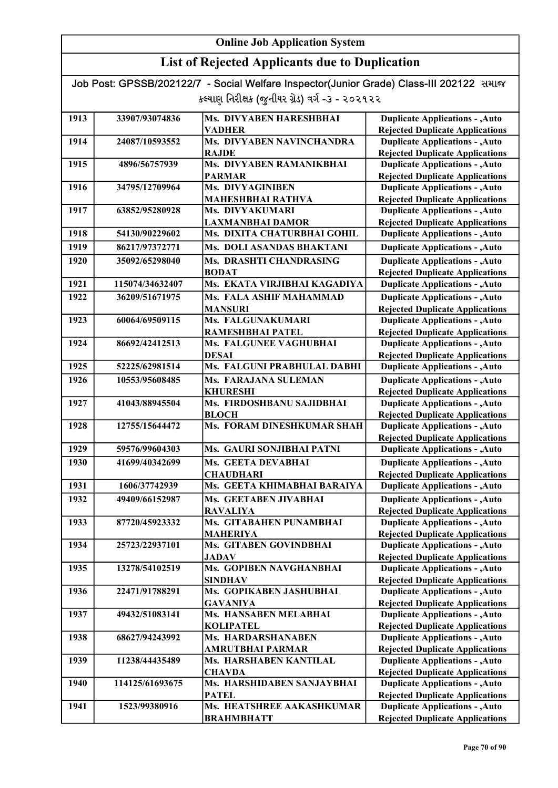| Job Post: GPSSB/202122/7 - Social Welfare Inspector(Junior Grade) Class-III 202122 समाल |  |
|-----------------------------------------------------------------------------------------|--|
| કલ્યાણ નિરીક્ષક (જુનીયર ગ્રેડ) વર્ગ -૩ - ૨૦૨૧૨૨                                         |  |

| 1913 | 33907/93074836  | <b>Ms. DIVYABEN HARESHBHAI</b> | <b>Duplicate Applications - , Auto</b>                                           |
|------|-----------------|--------------------------------|----------------------------------------------------------------------------------|
|      |                 | VADHER                         | <b>Rejected Duplicate Applications</b>                                           |
| 1914 | 24087/10593552  | Ms. DIVYABEN NAVINCHANDRA      | <b>Duplicate Applications - , Auto</b>                                           |
|      |                 | <b>RAJDE</b>                   | <b>Rejected Duplicate Applications</b>                                           |
| 1915 | 4896/56757939   | Ms. DIVYABEN RAMANIKBHAI       | <b>Duplicate Applications - , Auto</b>                                           |
|      |                 | <b>PARMAR</b>                  | <b>Rejected Duplicate Applications</b>                                           |
| 1916 | 34795/12709964  | Ms. DIVYAGINIBEN               | <b>Duplicate Applications - , Auto</b>                                           |
|      |                 | MAHESHBHAI RATHVA              | <b>Rejected Duplicate Applications</b>                                           |
| 1917 | 63852/95280928  | Ms. DIVYAKUMARI                | <b>Duplicate Applications - , Auto</b>                                           |
|      |                 | <b>LAXMANBHAI DAMOR</b>        | <b>Rejected Duplicate Applications</b>                                           |
| 1918 | 54130/90229602  | Ms. DIXITA CHATURBHAI GOHIL    | <b>Duplicate Applications - , Auto</b>                                           |
| 1919 | 86217/97372771  | Ms. DOLI ASANDAS BHAKTANI      | <b>Duplicate Applications - , Auto</b>                                           |
| 1920 | 35092/65298040  | Ms. DRASHTI CHANDRASING        | <b>Duplicate Applications - , Auto</b>                                           |
|      |                 | <b>BODAT</b>                   | <b>Rejected Duplicate Applications</b>                                           |
| 1921 | 115074/34632407 | Ms. EKATA VIRJIBHAI KAGADIYA   | <b>Duplicate Applications - , Auto</b>                                           |
| 1922 | 36209/51671975  | Ms. FALA ASHIF MAHAMMAD        | <b>Duplicate Applications - , Auto</b>                                           |
|      |                 | <b>MANSURI</b>                 | <b>Rejected Duplicate Applications</b>                                           |
| 1923 | 60064/69509115  | Ms. FALGUNAKUMARI              | <b>Duplicate Applications - , Auto</b>                                           |
|      |                 | RAMESHBHAI PATEL               | <b>Rejected Duplicate Applications</b>                                           |
| 1924 | 86692/42412513  | Ms. FALGUNEE VAGHUBHAI         | <b>Duplicate Applications - , Auto</b>                                           |
|      |                 | <b>DESAI</b>                   | <b>Rejected Duplicate Applications</b>                                           |
| 1925 | 52225/62981514  | Ms. FALGUNI PRABHULAL DABHI    | <b>Duplicate Applications - , Auto</b>                                           |
| 1926 | 10553/95608485  | Ms. FARAJANA SULEMAN           | <b>Duplicate Applications - , Auto</b>                                           |
|      |                 | <b>KHURESHI</b>                | <b>Rejected Duplicate Applications</b>                                           |
| 1927 | 41043/88945504  | Ms. FIRDOSHBANU SAJIDBHAI      | <b>Duplicate Applications - , Auto</b>                                           |
|      |                 | <b>BLOCH</b>                   | <b>Rejected Duplicate Applications</b>                                           |
| 1928 | 12755/15644472  | Ms. FORAM DINESHKUMAR SHAH     | <b>Duplicate Applications - , Auto</b><br><b>Rejected Duplicate Applications</b> |
| 1929 | 59576/99604303  | Ms. GAURI SONJIBHAI PATNI      | <b>Duplicate Applications - , Auto</b>                                           |
| 1930 | 41699/40342699  | Ms. GEETA DEVABHAI             | <b>Duplicate Applications - , Auto</b>                                           |
|      |                 | <b>CHAUDHARI</b>               | <b>Rejected Duplicate Applications</b>                                           |
| 1931 | 1606/37742939   | Ms. GEETA KHIMABHAI BARAIYA    | <b>Duplicate Applications - , Auto</b>                                           |
| 1932 | 49409/66152987  | Ms. GEETABEN JIVABHAI          | <b>Duplicate Applications - , Auto</b>                                           |
|      |                 | <b>RAVALIYA</b>                | <b>Rejected Duplicate Applications</b>                                           |
| 1933 | 87720/45923332  | Ms. GITABAHEN PUNAMBHAI        | <b>Duplicate Applications - , Auto</b>                                           |
|      |                 | <b>MAHERIYA</b>                | <b>Rejected Duplicate Applications</b>                                           |
| 1934 | 25723/22937101  | Ms. GITABEN GOVINDBHAI         | <b>Duplicate Applications - , Auto</b>                                           |
|      |                 | <b>JADAV</b>                   | <b>Rejected Duplicate Applications</b>                                           |
| 1935 | 13278/54102519  | Ms. GOPIBEN NAVGHANBHAI        | <b>Duplicate Applications - , Auto</b>                                           |
|      |                 | <b>SINDHAV</b>                 | <b>Rejected Duplicate Applications</b>                                           |
| 1936 | 22471/91788291  | Ms. GOPIKABEN JASHUBHAI        | <b>Duplicate Applications - , Auto</b>                                           |
|      |                 | <b>GAVANIYA</b>                | <b>Rejected Duplicate Applications</b>                                           |
| 1937 | 49432/51083141  | Ms. HANSABEN MELABHAI          | <b>Duplicate Applications - , Auto</b>                                           |
|      |                 | <b>KOLIPATEL</b>               | <b>Rejected Duplicate Applications</b>                                           |
| 1938 | 68627/94243992  | Ms. HARDARSHANABEN             | <b>Duplicate Applications - , Auto</b>                                           |
|      |                 | <b>AMRUTBHAI PARMAR</b>        | <b>Rejected Duplicate Applications</b>                                           |
| 1939 | 11238/44435489  | Ms. HARSHABEN KANTILAL         | <b>Duplicate Applications - , Auto</b>                                           |
|      |                 | <b>CHAVDA</b>                  | <b>Rejected Duplicate Applications</b>                                           |
| 1940 | 114125/61693675 | Ms. HARSHIDABEN SANJAYBHAI     | <b>Duplicate Applications - , Auto</b>                                           |
|      |                 | <b>PATEL</b>                   | <b>Rejected Duplicate Applications</b>                                           |
| 1941 | 1523/99380916   | Ms. HEATSHREE AAKASHKUMAR      | <b>Duplicate Applications - , Auto</b>                                           |
|      |                 | <b>BRAHMBHATT</b>              | <b>Rejected Duplicate Applications</b>                                           |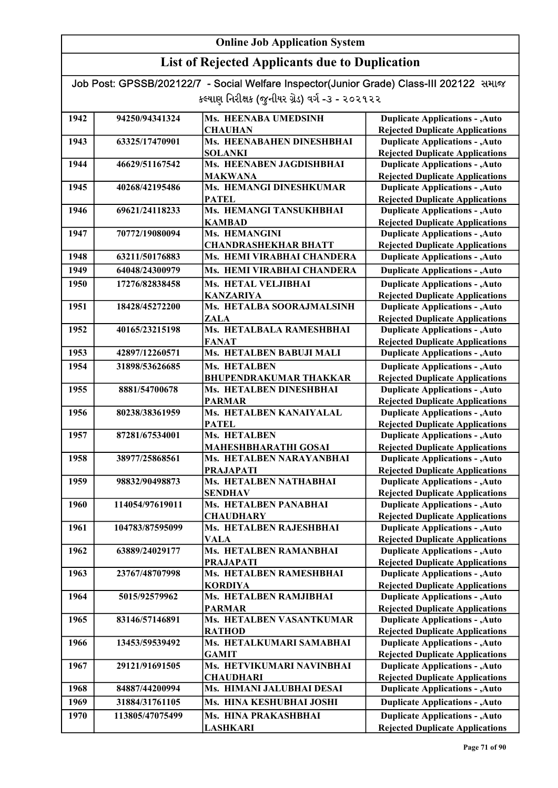## List of Rejected Applicants due to Duplication

| 1942 | 94250/94341324  | Ms. HEENABA UMEDSINH                        | <b>Duplicate Applications - , Auto</b>                                           |
|------|-----------------|---------------------------------------------|----------------------------------------------------------------------------------|
|      |                 | <b>CHAUHAN</b>                              | <b>Rejected Duplicate Applications</b>                                           |
| 1943 | 63325/17470901  | Ms. HEENABAHEN DINESHBHAI                   | <b>Duplicate Applications - , Auto</b>                                           |
|      |                 | <b>SOLANKI</b>                              | <b>Rejected Duplicate Applications</b>                                           |
| 1944 | 46629/51167542  | Ms. HEENABEN JAGDISHBHAI                    | <b>Duplicate Applications - , Auto</b>                                           |
|      |                 | <b>MAKWANA</b>                              | <b>Rejected Duplicate Applications</b>                                           |
| 1945 | 40268/42195486  | Ms. HEMANGI DINESHKUMAR                     | <b>Duplicate Applications - , Auto</b>                                           |
|      |                 | <b>PATEL</b>                                | <b>Rejected Duplicate Applications</b>                                           |
| 1946 | 69621/24118233  | Ms. HEMANGI TANSUKHBHAI                     | <b>Duplicate Applications - , Auto</b>                                           |
|      |                 | <b>KAMBAD</b>                               | <b>Rejected Duplicate Applications</b>                                           |
| 1947 | 70772/19080094  | Ms. HEMANGINI                               | <b>Duplicate Applications - , Auto</b>                                           |
|      |                 | <b>CHANDRASHEKHAR BHATT</b>                 | <b>Rejected Duplicate Applications</b>                                           |
| 1948 | 63211/50176883  | Ms. HEMI VIRABHAI CHANDERA                  | <b>Duplicate Applications - , Auto</b>                                           |
| 1949 | 64048/24300979  | Ms. HEMI VIRABHAI CHANDERA                  | <b>Duplicate Applications - , Auto</b>                                           |
| 1950 | 17276/82838458  | Ms. HETAL VELJIBHAI                         | <b>Duplicate Applications - , Auto</b>                                           |
|      |                 | <b>KANZARIYA</b>                            | <b>Rejected Duplicate Applications</b>                                           |
| 1951 | 18428/45272200  | Ms. HETALBA SOORAJMALSINH                   | <b>Duplicate Applications - , Auto</b>                                           |
|      |                 | <b>ZALA</b>                                 | <b>Rejected Duplicate Applications</b>                                           |
| 1952 | 40165/23215198  | Ms. HETALBALA RAMESHBHAI                    | <b>Duplicate Applications - , Auto</b>                                           |
|      |                 | <b>FANAT</b>                                | <b>Rejected Duplicate Applications</b>                                           |
| 1953 | 42897/12260571  | Ms. HETALBEN BABUJI MALI                    | <b>Duplicate Applications - , Auto</b>                                           |
| 1954 | 31898/53626685  | <b>Ms. HETALBEN</b>                         | <b>Duplicate Applications - , Auto</b>                                           |
|      |                 | <b>BHUPENDRAKUMAR THAKKAR</b>               | <b>Rejected Duplicate Applications</b>                                           |
| 1955 | 8881/54700678   | Ms. HETALBEN DINESHBHAI                     | <b>Duplicate Applications - , Auto</b>                                           |
|      |                 | <b>PARMAR</b>                               | <b>Rejected Duplicate Applications</b>                                           |
| 1956 | 80238/38361959  | Ms. HETALBEN KANAIYALAL                     | <b>Duplicate Applications - , Auto</b>                                           |
|      |                 | <b>PATEL</b>                                | <b>Rejected Duplicate Applications</b>                                           |
| 1957 | 87281/67534001  | Ms. HETALBEN                                | <b>Duplicate Applications - , Auto</b>                                           |
|      |                 | <b>MAHESHBHARATHI GOSAI</b>                 | <b>Rejected Duplicate Applications</b>                                           |
| 1958 | 38977/25868561  | Ms. HETALBEN NARAYANBHAI                    | <b>Duplicate Applications - , Auto</b>                                           |
|      |                 | <b>PRAJAPATI</b>                            | <b>Rejected Duplicate Applications</b>                                           |
| 1959 | 98832/90498873  | Ms. HETALBEN NATHABHAI                      | <b>Duplicate Applications - , Auto</b>                                           |
|      |                 | <b>SENDHAV</b>                              | <b>Rejected Duplicate Applications</b>                                           |
| 1960 | 114054/97619011 | <b>Ms. HETALBEN PANABHAI</b>                | <b>Duplicate Applications - , Auto</b>                                           |
|      |                 | <b>CHAUDHARY</b><br>Ms. HETALBEN RAJESHBHAI | <b>Rejected Duplicate Applications</b><br><b>Duplicate Applications - , Auto</b> |
| 1961 | 104783/87595099 | <b>VALA</b>                                 |                                                                                  |
| 1962 | 63889/24029177  | Ms. HETALBEN RAMANBHAI                      | <b>Rejected Duplicate Applications</b><br><b>Duplicate Applications - , Auto</b> |
|      |                 | <b>PRAJAPATI</b>                            | <b>Rejected Duplicate Applications</b>                                           |
| 1963 | 23767/48707998  | Ms. HETALBEN RAMESHBHAI                     | <b>Duplicate Applications - , Auto</b>                                           |
|      |                 | <b>KORDIYA</b>                              | <b>Rejected Duplicate Applications</b>                                           |
| 1964 | 5015/92579962   | Ms. HETALBEN RAMJIBHAI                      | <b>Duplicate Applications - , Auto</b>                                           |
|      |                 | <b>PARMAR</b>                               | <b>Rejected Duplicate Applications</b>                                           |
| 1965 | 83146/57146891  | Ms. HETALBEN VASANTKUMAR                    | <b>Duplicate Applications - , Auto</b>                                           |
|      |                 | <b>RATHOD</b>                               | <b>Rejected Duplicate Applications</b>                                           |
| 1966 | 13453/59539492  | Ms. HETALKUMARI SAMABHAI                    | <b>Duplicate Applications - , Auto</b>                                           |
|      |                 | <b>GAMIT</b>                                | <b>Rejected Duplicate Applications</b>                                           |
| 1967 | 29121/91691505  | Ms. HETVIKUMARI NAVINBHAI                   | <b>Duplicate Applications - , Auto</b>                                           |
|      |                 | <b>CHAUDHARI</b>                            | <b>Rejected Duplicate Applications</b>                                           |
| 1968 | 84887/44200994  | Ms. HIMANI JALUBHAI DESAI                   | <b>Duplicate Applications - , Auto</b>                                           |
| 1969 | 31884/31761105  | Ms. HINA KESHUBHAI JOSHI                    | <b>Duplicate Applications - , Auto</b>                                           |
| 1970 | 113805/47075499 | Ms. HINA PRAKASHBHAI                        | <b>Duplicate Applications - , Auto</b>                                           |
|      |                 | <b>LASHKARI</b>                             | <b>Rejected Duplicate Applications</b>                                           |
|      |                 |                                             |                                                                                  |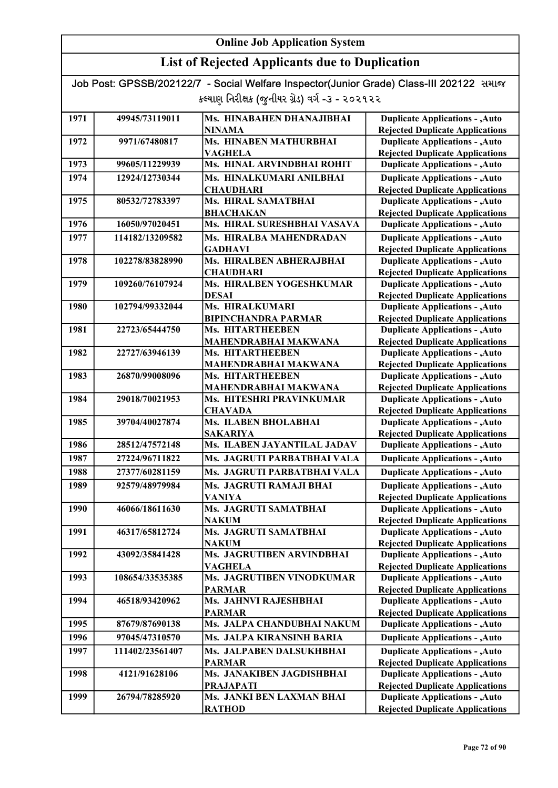## List of Rejected Applicants due to Duplication

| 1971 | 49945/73119011  | Ms. HINABAHEN DHANAJIBHAI   | <b>Duplicate Applications - , Auto</b> |
|------|-----------------|-----------------------------|----------------------------------------|
|      |                 | <b>NINAMA</b>               | <b>Rejected Duplicate Applications</b> |
| 1972 | 9971/67480817   | Ms. HINABEN MATHURBHAI      | <b>Duplicate Applications - , Auto</b> |
|      |                 | <b>VAGHELA</b>              | <b>Rejected Duplicate Applications</b> |
| 1973 | 99605/11229939  | Ms. HINAL ARVINDBHAI ROHIT  | <b>Duplicate Applications - , Auto</b> |
| 1974 | 12924/12730344  | Ms. HINALKUMARI ANILBHAI    | <b>Duplicate Applications - , Auto</b> |
|      |                 | <b>CHAUDHARI</b>            | <b>Rejected Duplicate Applications</b> |
| 1975 | 80532/72783397  | Ms. HIRAL SAMATBHAI         | <b>Duplicate Applications - , Auto</b> |
|      |                 | <b>BHACHAKAN</b>            | <b>Rejected Duplicate Applications</b> |
| 1976 | 16050/97020451  | Ms. HIRAL SURESHBHAI VASAVA | <b>Duplicate Applications - , Auto</b> |
| 1977 | 114182/13209582 | Ms. HIRALBA MAHENDRADAN     | <b>Duplicate Applications - , Auto</b> |
|      |                 | <b>GADHAVI</b>              | <b>Rejected Duplicate Applications</b> |
| 1978 | 102278/83828990 | Ms. HIRALBEN ABHERAJBHAI    | <b>Duplicate Applications - , Auto</b> |
|      |                 | <b>CHAUDHARI</b>            | <b>Rejected Duplicate Applications</b> |
| 1979 | 109260/76107924 | Ms. HIRALBEN YOGESHKUMAR    | <b>Duplicate Applications - , Auto</b> |
|      |                 | <b>DESAI</b>                | <b>Rejected Duplicate Applications</b> |
| 1980 | 102794/99332044 | Ms. HIRALKUMARI             | <b>Duplicate Applications - , Auto</b> |
|      |                 | <b>BIPINCHANDRA PARMAR</b>  | <b>Rejected Duplicate Applications</b> |
| 1981 | 22723/65444750  | <b>Ms. HITARTHEEBEN</b>     | <b>Duplicate Applications - , Auto</b> |
|      |                 | <b>MAHENDRABHAI MAKWANA</b> | <b>Rejected Duplicate Applications</b> |
| 1982 | 22727/63946139  | Ms. HITARTHEEBEN            | <b>Duplicate Applications - , Auto</b> |
|      |                 | MAHENDRABHAI MAKWANA        | <b>Rejected Duplicate Applications</b> |
| 1983 | 26870/99008096  | <b>Ms. HITARTHEEBEN</b>     | <b>Duplicate Applications - , Auto</b> |
|      |                 | MAHENDRABHAI MAKWANA        | <b>Rejected Duplicate Applications</b> |
| 1984 | 29018/70021953  | Ms. HITESHRI PRAVINKUMAR    | <b>Duplicate Applications - , Auto</b> |
|      |                 | <b>CHAVADA</b>              | <b>Rejected Duplicate Applications</b> |
| 1985 | 39704/40027874  | Ms. ILABEN BHOLABHAI        | <b>Duplicate Applications - , Auto</b> |
|      |                 | <b>SAKARIYA</b>             | <b>Rejected Duplicate Applications</b> |
| 1986 | 28512/47572148  | Ms. ILABEN JAYANTILAL JADAV | <b>Duplicate Applications - , Auto</b> |
| 1987 | 27224/96711822  | Ms. JAGRUTI PARBATBHAI VALA | <b>Duplicate Applications - , Auto</b> |
| 1988 | 27377/60281159  | Ms. JAGRUTI PARBATBHAI VALA | <b>Duplicate Applications - , Auto</b> |
| 1989 | 92579/48979984  | Ms. JAGRUTI RAMAJI BHAI     | <b>Duplicate Applications - , Auto</b> |
|      |                 | <b>VANIYA</b>               | <b>Rejected Duplicate Applications</b> |
| 1990 | 46066/18611630  | Ms. JAGRUTI SAMATBHAI       | <b>Duplicate Applications - , Auto</b> |
|      |                 | <b>NAKUM</b>                | <b>Rejected Duplicate Applications</b> |
| 1991 | 46317/65812724  | Ms. JAGRUTI SAMATBHAI       | <b>Duplicate Applications - , Auto</b> |
|      |                 | <b>NAKUM</b>                | <b>Rejected Duplicate Applications</b> |
| 1992 | 43092/35841428  | Ms. JAGRUTIBEN ARVINDBHAI   | <b>Duplicate Applications - , Auto</b> |
|      |                 | <b>VAGHELA</b>              | <b>Rejected Duplicate Applications</b> |
| 1993 | 108654/33535385 | Ms. JAGRUTIBEN VINODKUMAR   | <b>Duplicate Applications - , Auto</b> |
|      |                 | <b>PARMAR</b>               | <b>Rejected Duplicate Applications</b> |
| 1994 | 46518/93420962  | Ms. JAHNVI RAJESHBHAI       | <b>Duplicate Applications - , Auto</b> |
|      |                 | <b>PARMAR</b>               | <b>Rejected Duplicate Applications</b> |
| 1995 | 87679/87690138  | Ms. JALPA CHANDUBHAI NAKUM  | <b>Duplicate Applications - , Auto</b> |
| 1996 | 97045/47310570  | Ms. JALPA KIRANSINH BARIA   | <b>Duplicate Applications - , Auto</b> |
| 1997 | 111402/23561407 | Ms. JALPABEN DALSUKHBHAI    | <b>Duplicate Applications - , Auto</b> |
|      |                 | <b>PARMAR</b>               | <b>Rejected Duplicate Applications</b> |
| 1998 | 4121/91628106   | Ms. JANAKIBEN JAGDISHBHAI   | <b>Duplicate Applications - , Auto</b> |
|      |                 | <b>PRAJAPATI</b>            | <b>Rejected Duplicate Applications</b> |
| 1999 | 26794/78285920  | Ms. JANKI BEN LAXMAN BHAI   | <b>Duplicate Applications - , Auto</b> |
|      |                 | <b>RATHOD</b>               | <b>Rejected Duplicate Applications</b> |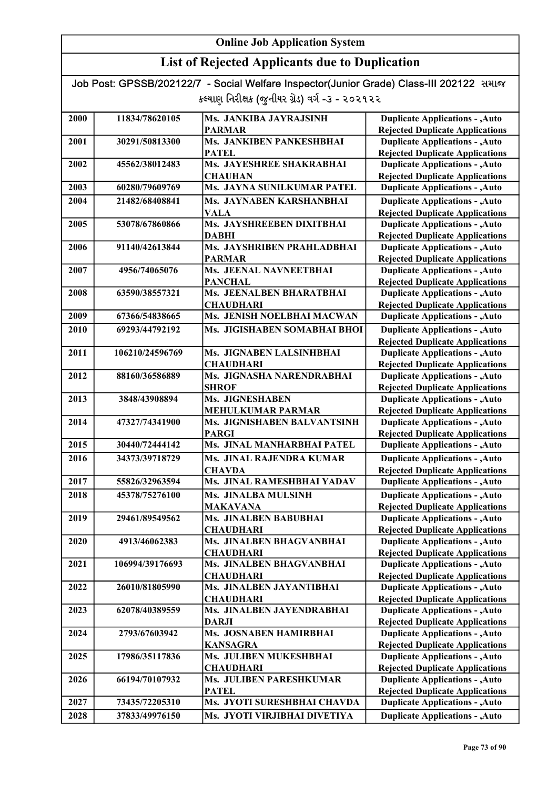| Job Post: GPSSB/202122/7 - Social Welfare Inspector(Junior Grade) Class-III 202122 समाल |  |
|-----------------------------------------------------------------------------------------|--|
| કલ્યાણ નિરીક્ષક (જુનીયર ગ્રેડ) વર્ગ -૩ - ૨૦૨૧૨૨                                         |  |

| 2000 | 11834/78620105  | Ms. JANKIBA JAYRAJSINH                        | <b>Duplicate Applications - , Auto</b>                                           |
|------|-----------------|-----------------------------------------------|----------------------------------------------------------------------------------|
|      |                 | <b>PARMAR</b>                                 | <b>Rejected Duplicate Applications</b>                                           |
| 2001 | 30291/50813300  | Ms. JANKIBEN PANKESHBHAI                      | <b>Duplicate Applications - , Auto</b>                                           |
|      |                 | <b>PATEL</b>                                  | <b>Rejected Duplicate Applications</b>                                           |
| 2002 | 45562/38012483  | Ms. JAYESHREE SHAKRABHAI                      | <b>Duplicate Applications - , Auto</b>                                           |
|      |                 | <b>CHAUHAN</b>                                | <b>Rejected Duplicate Applications</b>                                           |
| 2003 | 60280/79609769  | Ms. JAYNA SUNILKUMAR PATEL                    | <b>Duplicate Applications - , Auto</b>                                           |
| 2004 | 21482/68408841  | Ms. JAYNABEN KARSHANBHAI                      | <b>Duplicate Applications - , Auto</b>                                           |
|      |                 | <b>VALA</b>                                   | <b>Rejected Duplicate Applications</b>                                           |
| 2005 | 53078/67860866  | Ms. JAYSHREEBEN DIXITBHAI                     | <b>Duplicate Applications - , Auto</b>                                           |
|      |                 | <b>DABHI</b>                                  | <b>Rejected Duplicate Applications</b>                                           |
| 2006 | 91140/42613844  | Ms. JAYSHRIBEN PRAHLADBHAI                    | <b>Duplicate Applications - , Auto</b>                                           |
|      |                 | <b>PARMAR</b>                                 | <b>Rejected Duplicate Applications</b>                                           |
| 2007 | 4956/74065076   | Ms. JEENAL NAVNEETBHAI                        | <b>Duplicate Applications - , Auto</b>                                           |
|      |                 | <b>PANCHAL</b>                                | <b>Rejected Duplicate Applications</b>                                           |
| 2008 | 63590/38557321  | Ms. JEENALBEN BHARATBHAI                      | <b>Duplicate Applications - , Auto</b>                                           |
|      |                 | <b>CHAUDHARI</b>                              | <b>Rejected Duplicate Applications</b>                                           |
| 2009 | 67366/54838665  | Ms. JENISH NOELBHAI MACWAN                    | <b>Duplicate Applications - , Auto</b>                                           |
| 2010 | 69293/44792192  | Ms. JIGISHABEN SOMABHAI BHOI                  | <b>Duplicate Applications - , Auto</b>                                           |
|      |                 |                                               | <b>Rejected Duplicate Applications</b>                                           |
| 2011 | 106210/24596769 | Ms. JIGNABEN LALSINHBHAI                      | <b>Duplicate Applications - , Auto</b>                                           |
|      |                 | <b>CHAUDHARI</b>                              | <b>Rejected Duplicate Applications</b>                                           |
| 2012 | 88160/36586889  | Ms. JIGNASHA NARENDRABHAI                     | <b>Duplicate Applications - , Auto</b>                                           |
|      |                 | <b>SHROF</b>                                  | <b>Rejected Duplicate Applications</b>                                           |
| 2013 | 3848/43908894   | Ms. JIGNESHABEN                               | <b>Duplicate Applications - , Auto</b>                                           |
|      |                 | <b>MEHULKUMAR PARMAR</b>                      | <b>Rejected Duplicate Applications</b>                                           |
| 2014 | 47327/74341900  | Ms. JIGNISHABEN BALVANTSINH                   | <b>Duplicate Applications - , Auto</b>                                           |
|      |                 | <b>PARGI</b>                                  | <b>Rejected Duplicate Applications</b>                                           |
| 2015 | 30440/72444142  | Ms. JINAL MANHARBHAI PATEL                    | <b>Duplicate Applications - , Auto</b>                                           |
| 2016 | 34373/39718729  | Ms. JINAL RAJENDRA KUMAR                      | <b>Duplicate Applications - , Auto</b>                                           |
|      |                 | <b>CHAVDA</b>                                 | <b>Rejected Duplicate Applications</b>                                           |
| 2017 | 55826/32963594  | Ms. JINAL RAMESHBHAI YADAV                    | <b>Duplicate Applications - , Auto</b>                                           |
| 2018 | 45378/75276100  | Ms. JINALBA MULSINH                           | <b>Duplicate Applications - , Auto</b>                                           |
|      |                 | <b>MAKAVANA</b>                               | <b>Rejected Duplicate Applications</b>                                           |
| 2019 | 29461/89549562  | Ms. JINALBEN BABUBHAI                         | <b>Duplicate Applications - , Auto</b>                                           |
|      |                 | <b>CHAUDHARI</b>                              | <b>Rejected Duplicate Applications</b>                                           |
| 2020 | 4913/46062383   | Ms. JINALBEN BHAGVANBHAI                      | <b>Duplicate Applications - , Auto</b>                                           |
|      |                 | <b>CHAUDHARI</b>                              | <b>Rejected Duplicate Applications</b>                                           |
| 2021 | 106994/39176693 | Ms. JINALBEN BHAGVANBHAI                      | <b>Duplicate Applications - , Auto</b>                                           |
|      |                 | <b>CHAUDHARI</b>                              | <b>Rejected Duplicate Applications</b>                                           |
| 2022 | 26010/81805990  | Ms. JINALBEN JAYANTIBHAI                      | <b>Duplicate Applications - , Auto</b>                                           |
| 2023 | 62078/40389559  | <b>CHAUDHARI</b><br>Ms. JINALBEN JAYENDRABHAI | <b>Rejected Duplicate Applications</b><br><b>Duplicate Applications - , Auto</b> |
|      |                 | <b>DARJI</b>                                  | <b>Rejected Duplicate Applications</b>                                           |
| 2024 | 2793/67603942   | Ms. JOSNABEN HAMIRBHAI                        | <b>Duplicate Applications - , Auto</b>                                           |
|      |                 | <b>KANSAGRA</b>                               | <b>Rejected Duplicate Applications</b>                                           |
| 2025 | 17986/35117836  | Ms. JULIBEN MUKESHBHAI                        | <b>Duplicate Applications - , Auto</b>                                           |
|      |                 | <b>CHAUDHARI</b>                              | <b>Rejected Duplicate Applications</b>                                           |
| 2026 | 66194/70107932  | Ms. JULIBEN PARESHKUMAR                       | <b>Duplicate Applications - , Auto</b>                                           |
|      |                 | <b>PATEL</b>                                  | <b>Rejected Duplicate Applications</b>                                           |
| 2027 | 73435/72205310  | Ms. JYOTI SURESHBHAI CHAVDA                   | <b>Duplicate Applications - , Auto</b>                                           |
| 2028 | 37833/49976150  | Ms. JYOTI VIRJIBHAI DIVETIYA                  | <b>Duplicate Applications - , Auto</b>                                           |
|      |                 |                                               |                                                                                  |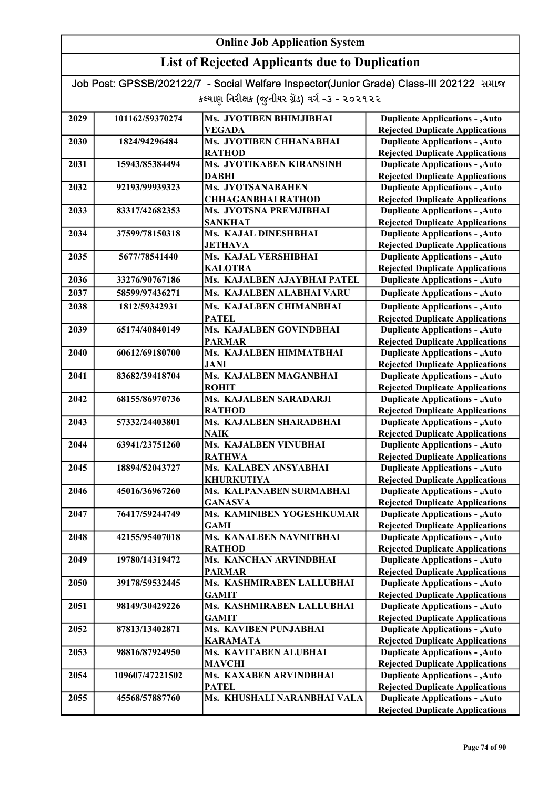| Job Post: GPSSB/202122/7 - Social Welfare Inspector(Junior Grade) Class-III 202122 समाळ |  |
|-----------------------------------------------------------------------------------------|--|
| કલ્યાણ નિરીક્ષક (જુનીયર ગ્રેડ) વર્ગ -૩ - ૨૦૨૧૨૨                                         |  |

| 2029 | 101162/59370274 | Ms. JYOTIBEN BHIMJIBHAI                  | <b>Duplicate Applications - , Auto</b>                                           |
|------|-----------------|------------------------------------------|----------------------------------------------------------------------------------|
|      |                 | <b>VEGADA</b>                            | <b>Rejected Duplicate Applications</b>                                           |
| 2030 | 1824/94296484   | Ms. JYOTIBEN CHHANABHAI                  | <b>Duplicate Applications - , Auto</b>                                           |
|      |                 | <b>RATHOD</b>                            | <b>Rejected Duplicate Applications</b>                                           |
| 2031 | 15943/85384494  | Ms. JYOTIKABEN KIRANSINH                 | <b>Duplicate Applications - , Auto</b>                                           |
|      |                 | <b>DABHI</b>                             | <b>Rejected Duplicate Applications</b>                                           |
| 2032 | 92193/99939323  | Ms. JYOTSANABAHEN                        | <b>Duplicate Applications - , Auto</b>                                           |
|      |                 | <b>CHHAGANBHAI RATHOD</b>                | <b>Rejected Duplicate Applications</b>                                           |
| 2033 | 83317/42682353  | Ms. JYOTSNA PREMJIBHAI                   | <b>Duplicate Applications - , Auto</b>                                           |
|      |                 | <b>SANKHAT</b>                           | <b>Rejected Duplicate Applications</b>                                           |
| 2034 | 37599/78150318  | Ms. KAJAL DINESHBHAI                     | <b>Duplicate Applications - , Auto</b>                                           |
|      |                 | <b>JETHAVA</b>                           | <b>Rejected Duplicate Applications</b>                                           |
| 2035 | 5677/78541440   | Ms. KAJAL VERSHIBHAI                     | <b>Duplicate Applications - , Auto</b>                                           |
|      |                 | <b>KALOTRA</b>                           | <b>Rejected Duplicate Applications</b>                                           |
| 2036 | 33276/90767186  | Ms. KAJALBEN AJAYBHAI PATEL              | <b>Duplicate Applications - , Auto</b>                                           |
| 2037 | 58599/97436271  | Ms. KAJALBEN ALABHAI VARU                | <b>Duplicate Applications - , Auto</b>                                           |
| 2038 | 1812/59342931   | Ms. KAJALBEN CHIMANBHAI                  | <b>Duplicate Applications - , Auto</b>                                           |
|      |                 | <b>PATEL</b>                             | <b>Rejected Duplicate Applications</b>                                           |
| 2039 | 65174/40840149  | Ms. KAJALBEN GOVINDBHAI                  | <b>Duplicate Applications - , Auto</b>                                           |
|      |                 | <b>PARMAR</b>                            | <b>Rejected Duplicate Applications</b>                                           |
| 2040 | 60612/69180700  | Ms. KAJALBEN HIMMATBHAI                  | <b>Duplicate Applications - , Auto</b>                                           |
|      |                 | <b>JANI</b>                              |                                                                                  |
| 2041 | 83682/39418704  | Ms. KAJALBEN MAGANBHAI                   | <b>Rejected Duplicate Applications</b><br><b>Duplicate Applications - , Auto</b> |
|      |                 |                                          |                                                                                  |
| 2042 |                 | <b>ROHIT</b><br>Ms. KAJALBEN SARADARJI   | <b>Rejected Duplicate Applications</b>                                           |
|      | 68155/86970736  | <b>RATHOD</b>                            | <b>Duplicate Applications - , Auto</b>                                           |
| 2043 | 57332/24403801  | Ms. KAJALBEN SHARADBHAI                  | <b>Rejected Duplicate Applications</b><br><b>Duplicate Applications - , Auto</b> |
|      |                 | NAIK                                     | <b>Rejected Duplicate Applications</b>                                           |
| 2044 | 63941/23751260  | Ms. KAJALBEN VINUBHAI                    | <b>Duplicate Applications - , Auto</b>                                           |
|      |                 | <b>RATHWA</b>                            | <b>Rejected Duplicate Applications</b>                                           |
| 2045 | 18894/52043727  | Ms. KALABEN ANSYABHAI                    | <b>Duplicate Applications - , Auto</b>                                           |
|      |                 | <b>KHURKUTIYA</b>                        | <b>Rejected Duplicate Applications</b>                                           |
| 2046 | 45016/36967260  | Ms. KALPANABEN SURMABHAI                 | <b>Duplicate Applications - , Auto</b>                                           |
|      |                 | <b>GANASVA</b>                           | <b>Rejected Duplicate Applications</b>                                           |
| 2047 | 76417/59244749  | Ms. KAMINIBEN YOGESHKUMAR                | <b>Duplicate Applications - , Auto</b>                                           |
|      |                 | <b>GAMI</b>                              | <b>Rejected Duplicate Applications</b>                                           |
| 2048 | 42155/95407018  | Ms. KANALBEN NAVNITBHAI                  | <b>Duplicate Applications - , Auto</b>                                           |
|      |                 | <b>RATHOD</b>                            | <b>Rejected Duplicate Applications</b>                                           |
| 2049 | 19780/14319472  | Ms. KANCHAN ARVINDBHAI                   | <b>Duplicate Applications - , Auto</b>                                           |
|      |                 | <b>PARMAR</b>                            | <b>Rejected Duplicate Applications</b>                                           |
| 2050 | 39178/59532445  | Ms. KASHMIRABEN LALLUBHAI                | <b>Duplicate Applications - , Auto</b>                                           |
|      |                 | <b>GAMIT</b>                             | <b>Rejected Duplicate Applications</b>                                           |
| 2051 | 98149/30429226  | Ms. KASHMIRABEN LALLUBHAI                | <b>Duplicate Applications - , Auto</b>                                           |
|      |                 |                                          |                                                                                  |
| 2052 | 87813/13402871  | <b>GAMIT</b><br>Ms. KAVIBEN PUNJABHAI    | <b>Rejected Duplicate Applications</b><br><b>Duplicate Applications - , Auto</b> |
|      |                 |                                          |                                                                                  |
| 2053 | 98816/87924950  | <b>KARAMATA</b><br>Ms. KAVITABEN ALUBHAI | <b>Rejected Duplicate Applications</b><br><b>Duplicate Applications - , Auto</b> |
|      |                 |                                          |                                                                                  |
|      |                 | <b>MAVCHI</b><br>Ms. KAXABEN ARVINDBHAI  | <b>Rejected Duplicate Applications</b>                                           |
| 2054 | 109607/47221502 |                                          | <b>Duplicate Applications - , Auto</b>                                           |
|      |                 | <b>PATEL</b>                             | <b>Rejected Duplicate Applications</b>                                           |
| 2055 | 45568/57887760  | Ms. KHUSHALI NARANBHAI VALA              | <b>Duplicate Applications - , Auto</b>                                           |
|      |                 |                                          | <b>Rejected Duplicate Applications</b>                                           |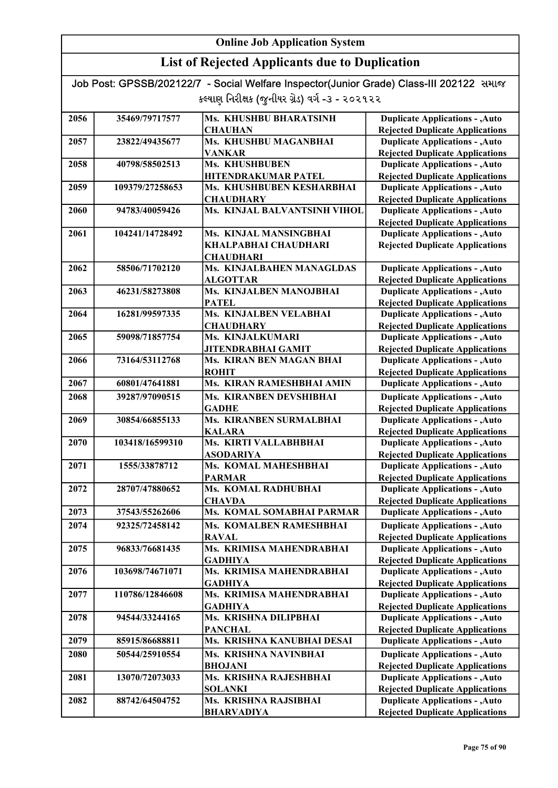| Job Post: GPSSB/202122/7 - Social Welfare Inspector(Junior Grade) Class-III 202122 समाल |  |
|-----------------------------------------------------------------------------------------|--|
| કલ્યાણ નિરીક્ષક (જુનીયર ગ્રેડ) વર્ગ -૩ - ૨૦૨૧૨૨                                         |  |

| 2056 | 35469/79717577  | Ms. KHUSHBU BHARATSINH           | <b>Duplicate Applications - , Auto</b> |
|------|-----------------|----------------------------------|----------------------------------------|
|      |                 | <b>CHAUHAN</b>                   | <b>Rejected Duplicate Applications</b> |
| 2057 | 23822/49435677  | Ms. KHUSHBU MAGANBHAI            | <b>Duplicate Applications - , Auto</b> |
|      |                 | <b>VANKAR</b>                    | <b>Rejected Duplicate Applications</b> |
| 2058 | 40798/58502513  | Ms. KHUSHBUBEN                   | <b>Duplicate Applications - , Auto</b> |
|      |                 | HITENDRAKUMAR PATEL              | <b>Rejected Duplicate Applications</b> |
| 2059 | 109379/27258653 | Ms. KHUSHBUBEN KESHARBHAI        | <b>Duplicate Applications - , Auto</b> |
|      |                 | <b>CHAUDHARY</b>                 | <b>Rejected Duplicate Applications</b> |
| 2060 | 94783/40059426  | Ms. KINJAL BALVANTSINH VIHOL     | <b>Duplicate Applications - , Auto</b> |
|      |                 |                                  | <b>Rejected Duplicate Applications</b> |
| 2061 | 104241/14728492 | <b>Ms. KINJAL MANSINGBHAI</b>    | <b>Duplicate Applications - , Auto</b> |
|      |                 | KHALPABHAI CHAUDHARI             | <b>Rejected Duplicate Applications</b> |
|      |                 | <b>CHAUDHARI</b>                 |                                        |
| 2062 | 58506/71702120  | <b>Ms. KINJALBAHEN MANAGLDAS</b> | <b>Duplicate Applications - , Auto</b> |
|      |                 | <b>ALGOTTAR</b>                  | <b>Rejected Duplicate Applications</b> |
| 2063 | 46231/58273808  | Ms. KINJALBEN MANOJBHAI          | <b>Duplicate Applications - , Auto</b> |
|      |                 | <b>PATEL</b>                     | <b>Rejected Duplicate Applications</b> |
| 2064 | 16281/99597335  | Ms. KINJALBEN VELABHAI           | <b>Duplicate Applications - , Auto</b> |
|      |                 | <b>CHAUDHARY</b>                 | <b>Rejected Duplicate Applications</b> |
| 2065 | 59098/71857754  | Ms. KINJALKUMARI                 | <b>Duplicate Applications - , Auto</b> |
|      |                 | JITENDRABHAI GAMIT               | <b>Rejected Duplicate Applications</b> |
| 2066 | 73164/53112768  | Ms. KIRAN BEN MAGAN BHAI         | <b>Duplicate Applications - , Auto</b> |
|      |                 | <b>ROHIT</b>                     | <b>Rejected Duplicate Applications</b> |
| 2067 | 60801/47641881  | Ms. KIRAN RAMESHBHAI AMIN        | <b>Duplicate Applications - , Auto</b> |
| 2068 | 39287/97090515  | Ms. KIRANBEN DEVSHIBHAI          | <b>Duplicate Applications - , Auto</b> |
|      |                 | <b>GADHE</b>                     | <b>Rejected Duplicate Applications</b> |
| 2069 | 30854/66855133  | Ms. KIRANBEN SURMALBHAI          | <b>Duplicate Applications - , Auto</b> |
|      |                 | <b>KALARA</b>                    | <b>Rejected Duplicate Applications</b> |
| 2070 | 103418/16599310 | Ms. KIRTI VALLABHBHAI            | <b>Duplicate Applications - , Auto</b> |
|      |                 | <b>ASODARIYA</b>                 | <b>Rejected Duplicate Applications</b> |
| 2071 | 1555/33878712   | Ms. KOMAL MAHESHBHAI             | <b>Duplicate Applications - , Auto</b> |
|      |                 | <b>PARMAR</b>                    | <b>Rejected Duplicate Applications</b> |
| 2072 | 28707/47880652  | Ms. KOMAL RADHUBHAI              | <b>Duplicate Applications - , Auto</b> |
|      |                 | <b>CHAVDA</b>                    | <b>Rejected Duplicate Applications</b> |
| 2073 | 37543/55262606  | Ms. KOMAL SOMABHAI PARMAR        | <b>Duplicate Applications - , Auto</b> |
| 2074 | 92325/72458142  | Ms. KOMALBEN RAMESHBHAI          | <b>Duplicate Applications - , Auto</b> |
|      |                 | <b>RAVAL</b>                     | <b>Rejected Duplicate Applications</b> |
| 2075 | 96833/76681435  | Ms. KRIMISA MAHENDRABHAI         | <b>Duplicate Applications - , Auto</b> |
|      |                 | <b>GADHIYA</b>                   | <b>Rejected Duplicate Applications</b> |
| 2076 | 103698/74671071 | Ms. KRIMISA MAHENDRABHAI         | <b>Duplicate Applications - , Auto</b> |
|      |                 | <b>GADHIYA</b>                   | <b>Rejected Duplicate Applications</b> |
| 2077 | 110786/12846608 | Ms. KRIMISA MAHENDRABHAI         | <b>Duplicate Applications - , Auto</b> |
|      |                 | <b>GADHIYA</b>                   | <b>Rejected Duplicate Applications</b> |
| 2078 | 94544/33244165  | Ms. KRISHNA DILIPBHAI            | <b>Duplicate Applications - , Auto</b> |
|      |                 | <b>PANCHAL</b>                   | <b>Rejected Duplicate Applications</b> |
| 2079 | 85915/86688811  | Ms. KRISHNA KANUBHAI DESAI       | <b>Duplicate Applications - , Auto</b> |
| 2080 | 50544/25910554  | Ms. KRISHNA NAVINBHAI            | <b>Duplicate Applications - , Auto</b> |
|      |                 | <b>BHOJANI</b>                   | <b>Rejected Duplicate Applications</b> |
| 2081 | 13070/72073033  | Ms. KRISHNA RAJESHBHAI           | <b>Duplicate Applications - , Auto</b> |
|      |                 | <b>SOLANKI</b>                   | <b>Rejected Duplicate Applications</b> |
| 2082 | 88742/64504752  | Ms. KRISHNA RAJSIBHAI            | <b>Duplicate Applications - , Auto</b> |
|      |                 | <b>BHARVADIYA</b>                | <b>Rejected Duplicate Applications</b> |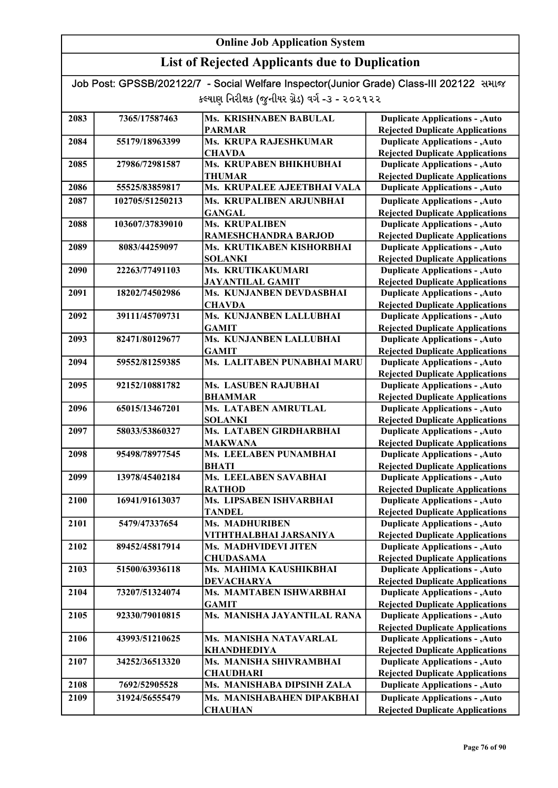## List of Rejected Applicants due to Duplication

| 2083 | 7365/17587463   | Ms. KRISHNABEN BABULAL                  | <b>Duplicate Applications - , Auto</b>                                           |
|------|-----------------|-----------------------------------------|----------------------------------------------------------------------------------|
|      |                 | <b>PARMAR</b>                           | <b>Rejected Duplicate Applications</b>                                           |
| 2084 | 55179/18963399  | Ms. KRUPA RAJESHKUMAR                   | <b>Duplicate Applications - , Auto</b>                                           |
|      |                 | <b>CHAVDA</b>                           | <b>Rejected Duplicate Applications</b>                                           |
| 2085 | 27986/72981587  | Ms. KRUPABEN BHIKHUBHAI                 | <b>Duplicate Applications - , Auto</b>                                           |
|      |                 | <b>THUMAR</b>                           | <b>Rejected Duplicate Applications</b>                                           |
| 2086 | 55525/83859817  | Ms. KRUPALEE AJEETBHAI VALA             | <b>Duplicate Applications - , Auto</b>                                           |
| 2087 | 102705/51250213 | Ms. KRUPALIBEN ARJUNBHAI                | <b>Duplicate Applications - , Auto</b>                                           |
|      |                 | <b>GANGAL</b>                           | <b>Rejected Duplicate Applications</b>                                           |
| 2088 | 103607/37839010 | <b>Ms. KRUPALIBEN</b>                   | <b>Duplicate Applications - , Auto</b>                                           |
|      |                 | RAMESHCHANDRA BARJOD                    | <b>Rejected Duplicate Applications</b>                                           |
| 2089 | 8083/44259097   | Ms. KRUTIKABEN KISHORBHAI               | <b>Duplicate Applications - , Auto</b>                                           |
|      |                 | <b>SOLANKI</b>                          | <b>Rejected Duplicate Applications</b>                                           |
| 2090 | 22263/77491103  | Ms. KRUTIKAKUMARI                       | <b>Duplicate Applications - , Auto</b>                                           |
|      |                 | <b>JAYANTILAL GAMIT</b>                 | <b>Rejected Duplicate Applications</b>                                           |
| 2091 | 18202/74502986  | Ms. KUNJANBEN DEVDASBHAI                | <b>Duplicate Applications - , Auto</b>                                           |
|      |                 | <b>CHAVDA</b>                           | <b>Rejected Duplicate Applications</b>                                           |
| 2092 | 39111/45709731  | Ms. KUNJANBEN LALLUBHAI                 | <b>Duplicate Applications - , Auto</b>                                           |
| 2093 |                 | <b>GAMIT</b><br>Ms. KUNJANBEN LALLUBHAI | <b>Rejected Duplicate Applications</b>                                           |
|      | 82471/80129677  | <b>GAMIT</b>                            | <b>Duplicate Applications - , Auto</b><br><b>Rejected Duplicate Applications</b> |
| 2094 | 59552/81259385  | Ms. LALITABEN PUNABHAI MARU             | <b>Duplicate Applications - , Auto</b>                                           |
|      |                 |                                         | <b>Rejected Duplicate Applications</b>                                           |
| 2095 | 92152/10881782  | Ms. LASUBEN RAJUBHAI                    | <b>Duplicate Applications - , Auto</b>                                           |
|      |                 | <b>BHAMMAR</b>                          | <b>Rejected Duplicate Applications</b>                                           |
| 2096 | 65015/13467201  | Ms. LATABEN AMRUTLAL                    | <b>Duplicate Applications - , Auto</b>                                           |
|      |                 | <b>SOLANKI</b>                          | <b>Rejected Duplicate Applications</b>                                           |
| 2097 | 58033/53860327  | Ms. LATABEN GIRDHARBHAI                 | <b>Duplicate Applications - , Auto</b>                                           |
|      |                 | <b>MAKWANA</b>                          | <b>Rejected Duplicate Applications</b>                                           |
| 2098 | 95498/78977545  | Ms. LEELABEN PUNAMBHAI                  | <b>Duplicate Applications - , Auto</b>                                           |
|      |                 | <b>BHATI</b>                            | <b>Rejected Duplicate Applications</b>                                           |
| 2099 | 13978/45402184  | Ms. LEELABEN SAVABHAI                   | <b>Duplicate Applications - , Auto</b>                                           |
|      |                 | <b>RATHOD</b>                           | <b>Rejected Duplicate Applications</b>                                           |
| 2100 | 16941/91613037  | Ms. LIPSABEN ISHVARBHAI                 | <b>Duplicate Applications - , Auto</b>                                           |
| 2101 | 5479/47337654   | <b>TANDEL</b><br><b>Ms. MADHURIBEN</b>  | <b>Rejected Duplicate Applications</b><br><b>Duplicate Applications - , Auto</b> |
|      |                 | VITHTHALBHAI JARSANIYA                  | <b>Rejected Duplicate Applications</b>                                           |
| 2102 | 89452/45817914  | Ms. MADHVIDEVI JITEN                    | <b>Duplicate Applications - , Auto</b>                                           |
|      |                 | <b>CHUDASAMA</b>                        | <b>Rejected Duplicate Applications</b>                                           |
| 2103 | 51500/63936118  | Ms. MAHIMA KAUSHIKBHAI                  | <b>Duplicate Applications - , Auto</b>                                           |
|      |                 | <b>DEVACHARYA</b>                       | <b>Rejected Duplicate Applications</b>                                           |
| 2104 | 73207/51324074  | Ms. MAMTABEN ISHWARBHAI                 | <b>Duplicate Applications - , Auto</b>                                           |
|      |                 | <b>GAMIT</b>                            | <b>Rejected Duplicate Applications</b>                                           |
| 2105 | 92330/79010815  | Ms. MANISHA JAYANTILAL RANA             | <b>Duplicate Applications - , Auto</b>                                           |
|      |                 |                                         | <b>Rejected Duplicate Applications</b>                                           |
| 2106 | 43993/51210625  | Ms. MANISHA NATAVARLAL                  | <b>Duplicate Applications - , Auto</b>                                           |
|      |                 | <b>KHANDHEDIYA</b>                      | <b>Rejected Duplicate Applications</b>                                           |
| 2107 | 34252/36513320  | Ms. MANISHA SHIVRAMBHAI                 | <b>Duplicate Applications - , Auto</b>                                           |
|      |                 | <b>CHAUDHARI</b>                        | <b>Rejected Duplicate Applications</b>                                           |
| 2108 | 7692/52905528   | Ms. MANISHABA DIPSINH ZALA              | <b>Duplicate Applications - , Auto</b>                                           |
| 2109 | 31924/56555479  | Ms. MANISHABAHEN DIPAKBHAI              | <b>Duplicate Applications - , Auto</b>                                           |
|      |                 | <b>CHAUHAN</b>                          | <b>Rejected Duplicate Applications</b>                                           |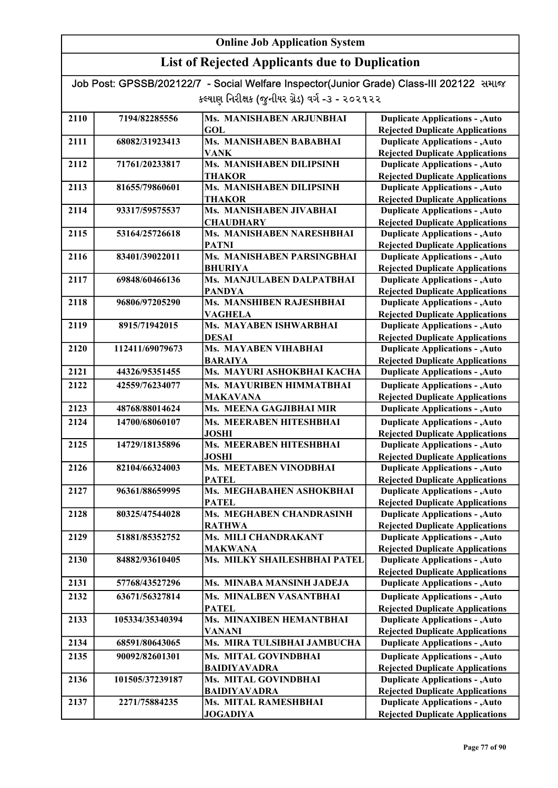| Job Post: GPSSB/202122/7 - Social Welfare Inspector(Junior Grade) Class-III 202122 समाल |  |
|-----------------------------------------------------------------------------------------|--|
| કલ્યાણ નિરીક્ષક (જુનીયર ગ્રેડ) વર્ગ -૩ - ૨૦૨૧૨૨                                         |  |

| 2110 | 7194/82285556   | Ms. MANISHABEN ARJUNBHAI       | <b>Duplicate Applications - , Auto</b> |
|------|-----------------|--------------------------------|----------------------------------------|
|      |                 | <b>GOL</b>                     | <b>Rejected Duplicate Applications</b> |
| 2111 | 68082/31923413  | <b>Ms. MANISHABEN BABABHAI</b> | <b>Duplicate Applications - , Auto</b> |
|      |                 | <b>VANK</b>                    | <b>Rejected Duplicate Applications</b> |
| 2112 | 71761/20233817  | Ms. MANISHABEN DILIPSINH       | <b>Duplicate Applications - , Auto</b> |
|      |                 | <b>THAKOR</b>                  | <b>Rejected Duplicate Applications</b> |
| 2113 | 81655/79860601  | Ms. MANISHABEN DILIPSINH       | <b>Duplicate Applications - , Auto</b> |
|      |                 | <b>THAKOR</b>                  | <b>Rejected Duplicate Applications</b> |
| 2114 | 93317/59575537  | Ms. MANISHABEN JIVABHAI        | <b>Duplicate Applications - , Auto</b> |
|      |                 | <b>CHAUDHARY</b>               | <b>Rejected Duplicate Applications</b> |
| 2115 | 53164/25726618  | Ms. MANISHABEN NARESHBHAI      | <b>Duplicate Applications - , Auto</b> |
|      |                 | <b>PATNI</b>                   | <b>Rejected Duplicate Applications</b> |
| 2116 | 83401/39022011  | Ms. MANISHABEN PARSINGBHAI     | <b>Duplicate Applications - , Auto</b> |
|      |                 | <b>BHURIYA</b>                 | <b>Rejected Duplicate Applications</b> |
| 2117 | 69848/60466136  | Ms. MANJULABEN DALPATBHAI      | <b>Duplicate Applications - , Auto</b> |
|      |                 | <b>PANDYA</b>                  | <b>Rejected Duplicate Applications</b> |
| 2118 | 96806/97205290  | Ms. MANSHIBEN RAJESHBHAI       | <b>Duplicate Applications - , Auto</b> |
|      |                 | <b>VAGHELA</b>                 | <b>Rejected Duplicate Applications</b> |
| 2119 | 8915/71942015   | Ms. MAYABEN ISHWARBHAI         | <b>Duplicate Applications - , Auto</b> |
|      |                 | <b>DESAI</b>                   | <b>Rejected Duplicate Applications</b> |
| 2120 | 112411/69079673 | Ms. MAYABEN VIHABHAI           | <b>Duplicate Applications - , Auto</b> |
|      |                 | <b>BARAIYA</b>                 | <b>Rejected Duplicate Applications</b> |
| 2121 | 44326/95351455  | Ms. MAYURI ASHOKBHAI KACHA     | <b>Duplicate Applications - , Auto</b> |
| 2122 | 42559/76234077  | Ms. MAYURIBEN HIMMATBHAI       | <b>Duplicate Applications - , Auto</b> |
|      |                 | <b>MAKAVANA</b>                | <b>Rejected Duplicate Applications</b> |
| 2123 | 48768/88014624  | Ms. MEENA GAGJIBHAI MIR        | <b>Duplicate Applications - , Auto</b> |
| 2124 | 14700/68060107  | Ms. MEERABEN HITESHBHAI        | <b>Duplicate Applications - , Auto</b> |
|      |                 | <b>JOSHI</b>                   | <b>Rejected Duplicate Applications</b> |
| 2125 | 14729/18135896  | Ms. MEERABEN HITESHBHAI        | <b>Duplicate Applications - , Auto</b> |
|      |                 | <b>JOSHI</b>                   | <b>Rejected Duplicate Applications</b> |
| 2126 | 82104/66324003  | Ms. MEETABEN VINODBHAI         | <b>Duplicate Applications - , Auto</b> |
|      |                 | <b>PATEL</b>                   | <b>Rejected Duplicate Applications</b> |
| 2127 | 96361/88659995  | Ms. MEGHABAHEN ASHOKBHAI       | <b>Duplicate Applications - , Auto</b> |
|      |                 | <b>PATEL</b>                   | <b>Rejected Duplicate Applications</b> |
| 2128 | 80325/47544028  | Ms. MEGHABEN CHANDRASINH       | <b>Duplicate Applications - , Auto</b> |
|      |                 | <b>RATHWA</b>                  | <b>Rejected Duplicate Applications</b> |
| 2129 | 51881/85352752  | Ms. MILI CHANDRAKANT           | <b>Duplicate Applications - , Auto</b> |
|      |                 | <b>MAKWANA</b>                 | <b>Rejected Duplicate Applications</b> |
| 2130 | 84882/93610405  | Ms. MILKY SHAILESHBHAI PATEL   | <b>Duplicate Applications - , Auto</b> |
|      |                 |                                | <b>Rejected Duplicate Applications</b> |
| 2131 | 57768/43527296  | Ms. MINABA MANSINH JADEJA      | <b>Duplicate Applications - , Auto</b> |
| 2132 | 63671/56327814  | Ms. MINALBEN VASANTBHAI        | <b>Duplicate Applications - , Auto</b> |
|      |                 | <b>PATEL</b>                   | <b>Rejected Duplicate Applications</b> |
| 2133 | 105334/35340394 | Ms. MINAXIBEN HEMANTBHAI       | <b>Duplicate Applications - , Auto</b> |
|      |                 | <b>VANANI</b>                  | <b>Rejected Duplicate Applications</b> |
| 2134 | 68591/80643065  | Ms. MIRA TULSIBHAI JAMBUCHA    | <b>Duplicate Applications - , Auto</b> |
| 2135 | 90092/82601301  | Ms. MITAL GOVINDBHAI           | <b>Duplicate Applications - , Auto</b> |
|      |                 | <b>BAIDIYAVADRA</b>            | <b>Rejected Duplicate Applications</b> |
| 2136 | 101505/37239187 | Ms. MITAL GOVINDBHAI           | <b>Duplicate Applications - , Auto</b> |
|      |                 | <b>BAIDIYAVADRA</b>            | <b>Rejected Duplicate Applications</b> |
| 2137 | 2271/75884235   | Ms. MITAL RAMESHBHAI           | <b>Duplicate Applications - , Auto</b> |
|      |                 | <b>JOGADIYA</b>                | <b>Rejected Duplicate Applications</b> |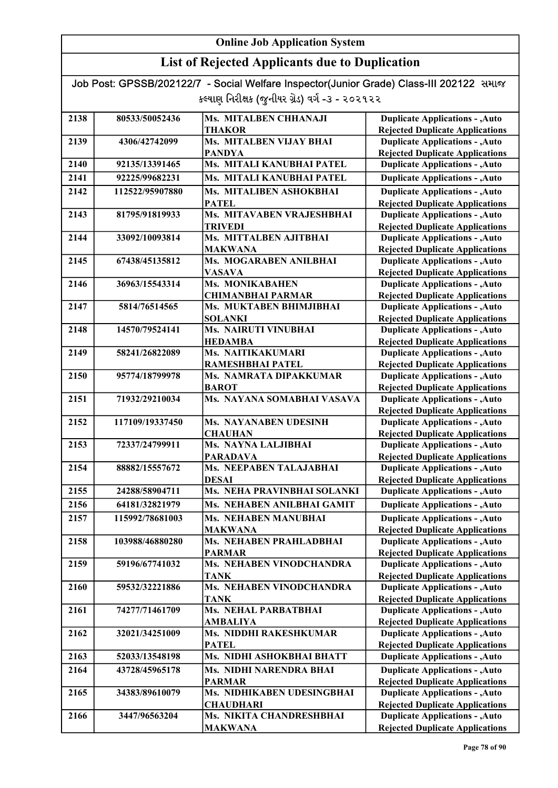## List of Rejected Applicants due to Duplication

| 2138 | 80533/50052436  | Ms. MITALBEN CHHANAJI                             | <b>Duplicate Applications - , Auto</b>                                           |
|------|-----------------|---------------------------------------------------|----------------------------------------------------------------------------------|
|      |                 | <b>THAKOR</b>                                     | <b>Rejected Duplicate Applications</b>                                           |
| 2139 | 4306/42742099   | Ms. MITALBEN VIJAY BHAI                           | <b>Duplicate Applications - , Auto</b>                                           |
|      |                 | <b>PANDYA</b>                                     | <b>Rejected Duplicate Applications</b>                                           |
| 2140 | 92135/13391465  | Ms. MITALI KANUBHAI PATEL                         | <b>Duplicate Applications - , Auto</b>                                           |
| 2141 | 92225/99682231  | Ms. MITALI KANUBHAI PATEL                         | <b>Duplicate Applications - , Auto</b>                                           |
|      |                 |                                                   |                                                                                  |
| 2142 | 112522/95907880 | Ms. MITALIBEN ASHOKBHAI                           | <b>Duplicate Applications - , Auto</b>                                           |
| 2143 | 81795/91819933  | <b>PATEL</b><br>Ms. MITAVABEN VRAJESHBHAI         | <b>Rejected Duplicate Applications</b><br><b>Duplicate Applications - , Auto</b> |
|      |                 | <b>TRIVEDI</b>                                    | <b>Rejected Duplicate Applications</b>                                           |
| 2144 | 33092/10093814  | Ms. MITTALBEN AJITBHAI                            | <b>Duplicate Applications - , Auto</b>                                           |
|      |                 | <b>MAKWANA</b>                                    | <b>Rejected Duplicate Applications</b>                                           |
| 2145 | 67438/45135812  | Ms. MOGARABEN ANILBHAI                            | <b>Duplicate Applications - , Auto</b>                                           |
|      |                 | <b>VASAVA</b>                                     | <b>Rejected Duplicate Applications</b>                                           |
| 2146 | 36963/15543314  | <b>Ms. MONIKABAHEN</b>                            | <b>Duplicate Applications - , Auto</b>                                           |
|      |                 | <b>CHIMANBHAI PARMAR</b>                          | <b>Rejected Duplicate Applications</b>                                           |
| 2147 | 5814/76514565   | Ms. MUKTABEN BHIMJIBHAI                           | <b>Duplicate Applications - , Auto</b>                                           |
|      |                 | <b>SOLANKI</b>                                    | <b>Rejected Duplicate Applications</b>                                           |
| 2148 | 14570/79524141  | <b>Ms. NAIRUTI VINUBHAI</b>                       | <b>Duplicate Applications - , Auto</b>                                           |
|      |                 | <b>HEDAMBA</b>                                    | <b>Rejected Duplicate Applications</b>                                           |
| 2149 | 58241/26822089  | Ms. NAITIKAKUMARI                                 | <b>Duplicate Applications - , Auto</b>                                           |
|      |                 | RAMESHBHAI PATEL                                  | <b>Rejected Duplicate Applications</b>                                           |
| 2150 | 95774/18799978  | Ms. NAMRATA DIPAKKUMAR                            | <b>Duplicate Applications - , Auto</b>                                           |
|      |                 | <b>BAROT</b>                                      | <b>Rejected Duplicate Applications</b>                                           |
| 2151 | 71932/29210034  | Ms. NAYANA SOMABHAI VASAVA                        | <b>Duplicate Applications - , Auto</b>                                           |
|      |                 |                                                   | <b>Rejected Duplicate Applications</b>                                           |
| 2152 | 117109/19337450 | <b>Ms. NAYANABEN UDESINH</b>                      | <b>Duplicate Applications - , Auto</b>                                           |
|      |                 | <b>CHAUHAN</b>                                    | <b>Rejected Duplicate Applications</b>                                           |
| 2153 | 72337/24799911  | Ms. NAYNA LALJIBHAI                               | <b>Duplicate Applications - , Auto</b>                                           |
| 2154 | 88882/15557672  | <b>PARADAVA</b><br><b>Ms. NEEPABEN TALAJABHAI</b> | <b>Rejected Duplicate Applications</b>                                           |
|      |                 | <b>DESAI</b>                                      | <b>Duplicate Applications - , Auto</b><br><b>Rejected Duplicate Applications</b> |
| 2155 | 24288/58904711  | Ms. NEHA PRAVINBHAI SOLANKI                       | <b>Duplicate Applications - , Auto</b>                                           |
| 2156 | 64181/32821979  | Ms. NEHABEN ANILBHAI GAMIT                        | <b>Duplicate Applications - , Auto</b>                                           |
|      |                 |                                                   |                                                                                  |
| 2157 | 115992/78681003 | <b>Ms. NEHABEN MANUBHAI</b>                       | <b>Duplicate Applications - , Auto</b>                                           |
| 2158 | 103988/46880280 | <b>MAKWANA</b><br><b>Ms. NEHABEN PRAHLADBHAI</b>  | <b>Rejected Duplicate Applications</b><br><b>Duplicate Applications - , Auto</b> |
|      |                 | <b>PARMAR</b>                                     | <b>Rejected Duplicate Applications</b>                                           |
| 2159 | 59196/67741032  | Ms. NEHABEN VINODCHANDRA                          | <b>Duplicate Applications - , Auto</b>                                           |
|      |                 | TANK                                              | <b>Rejected Duplicate Applications</b>                                           |
| 2160 | 59532/32221886  | Ms. NEHABEN VINODCHANDRA                          | <b>Duplicate Applications - , Auto</b>                                           |
|      |                 | <b>TANK</b>                                       | <b>Rejected Duplicate Applications</b>                                           |
| 2161 | 74277/71461709  | Ms. NEHAL PARBATBHAI                              | <b>Duplicate Applications - , Auto</b>                                           |
|      |                 | <b>AMBALIYA</b>                                   | <b>Rejected Duplicate Applications</b>                                           |
| 2162 | 32021/34251009  | Ms. NIDDHI RAKESHKUMAR                            | <b>Duplicate Applications - , Auto</b>                                           |
|      |                 | <b>PATEL</b>                                      | <b>Rejected Duplicate Applications</b>                                           |
| 2163 | 52033/13548198  | Ms. NIDHI ASHOKBHAI BHATT                         | <b>Duplicate Applications - , Auto</b>                                           |
| 2164 | 43728/45965178  | Ms. NIDHI NARENDRA BHAI                           | <b>Duplicate Applications - , Auto</b>                                           |
|      |                 | <b>PARMAR</b>                                     | <b>Rejected Duplicate Applications</b>                                           |
| 2165 | 34383/89610079  | Ms. NIDHIKABEN UDESINGBHAI                        | <b>Duplicate Applications - , Auto</b>                                           |
|      |                 | <b>CHAUDHARI</b>                                  | <b>Rejected Duplicate Applications</b>                                           |
| 2166 | 3447/96563204   | Ms. NIKITA CHANDRESHBHAI                          | <b>Duplicate Applications - , Auto</b>                                           |
|      |                 | <b>MAKWANA</b>                                    | <b>Rejected Duplicate Applications</b>                                           |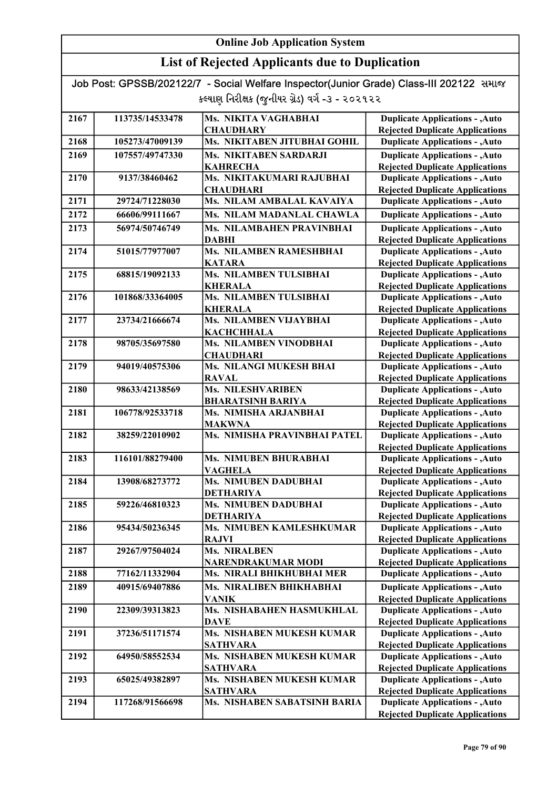## List of Rejected Applicants due to Duplication

| 2167 | 113735/14533478 | Ms. NIKITA VAGHABHAI                | <b>Duplicate Applications - , Auto</b>                                           |
|------|-----------------|-------------------------------------|----------------------------------------------------------------------------------|
|      |                 | <b>CHAUDHARY</b>                    | <b>Rejected Duplicate Applications</b>                                           |
| 2168 | 105273/47009139 | Ms. NIKITABEN JITUBHAI GOHIL        | <b>Duplicate Applications - , Auto</b>                                           |
| 2169 | 107557/49747330 | <b>Ms. NIKITABEN SARDARJI</b>       | <b>Duplicate Applications - , Auto</b>                                           |
|      |                 | <b>KAHRECHA</b>                     | <b>Rejected Duplicate Applications</b>                                           |
| 2170 | 9137/38460462   | Ms. NIKITAKUMARI RAJUBHAI           | <b>Duplicate Applications - , Auto</b>                                           |
|      |                 | <b>CHAUDHARI</b>                    | <b>Rejected Duplicate Applications</b>                                           |
| 2171 | 29724/71228030  | Ms. NILAM AMBALAL KAVAIYA           | <b>Duplicate Applications - , Auto</b>                                           |
| 2172 | 66606/99111667  | Ms. NILAM MADANLAL CHAWLA           | <b>Duplicate Applications - , Auto</b>                                           |
| 2173 | 56974/50746749  | Ms. NILAMBAHEN PRAVINBHAI           | <b>Duplicate Applications - , Auto</b>                                           |
|      |                 | <b>DABHI</b>                        | <b>Rejected Duplicate Applications</b>                                           |
| 2174 | 51015/77977007  | <b>Ms. NILAMBEN RAMESHBHAI</b>      | <b>Duplicate Applications - , Auto</b>                                           |
|      |                 | <b>KATARA</b>                       | <b>Rejected Duplicate Applications</b>                                           |
| 2175 | 68815/19092133  | Ms. NILAMBEN TULSIBHAI              | <b>Duplicate Applications - , Auto</b>                                           |
|      |                 | <b>KHERALA</b>                      | <b>Rejected Duplicate Applications</b>                                           |
| 2176 | 101868/33364005 | Ms. NILAMBEN TULSIBHAI              | <b>Duplicate Applications - , Auto</b>                                           |
|      |                 | <b>KHERALA</b>                      | <b>Rejected Duplicate Applications</b>                                           |
| 2177 | 23734/21666674  | Ms. NILAMBEN VIJAYBHAI              | <b>Duplicate Applications - , Auto</b>                                           |
|      |                 | <b>KACHCHHALA</b>                   | <b>Rejected Duplicate Applications</b>                                           |
| 2178 | 98705/35697580  | Ms. NILAMBEN VINODBHAI              | <b>Duplicate Applications - , Auto</b>                                           |
|      |                 | <b>CHAUDHARI</b>                    | <b>Rejected Duplicate Applications</b>                                           |
| 2179 | 94019/40575306  | Ms. NILANGI MUKESH BHAI             | <b>Duplicate Applications - , Auto</b>                                           |
|      |                 | <b>RAVAL</b>                        | <b>Rejected Duplicate Applications</b>                                           |
| 2180 | 98633/42138569  | <b>Ms. NILESHVARIBEN</b>            | <b>Duplicate Applications - , Auto</b>                                           |
|      |                 | <b>BHARATSINH BARIYA</b>            | <b>Rejected Duplicate Applications</b>                                           |
| 2181 | 106778/92533718 | Ms. NIMISHA ARJANBHAI               | <b>Duplicate Applications - , Auto</b>                                           |
|      |                 | <b>MAKWNA</b>                       | <b>Rejected Duplicate Applications</b>                                           |
| 2182 | 38259/22010902  | Ms. NIMISHA PRAVINBHAI PATEL        | <b>Duplicate Applications - , Auto</b>                                           |
| 2183 | 116101/88279400 | <b>Ms. NIMUBEN BHURABHAI</b>        | <b>Rejected Duplicate Applications</b><br><b>Duplicate Applications - , Auto</b> |
|      |                 | <b>VAGHELA</b>                      | <b>Rejected Duplicate Applications</b>                                           |
| 2184 | 13908/68273772  | <b>Ms. NIMUBEN DADUBHAI</b>         | <b>Duplicate Applications - , Auto</b>                                           |
|      |                 | <b>DETHARIYA</b>                    | <b>Rejected Duplicate Applications</b>                                           |
| 2185 | 59226/46810323  | <b>Ms. NIMUBEN DADUBHAI</b>         | <b>Duplicate Applications - , Auto</b>                                           |
|      |                 | <b>DETHARIYA</b>                    | <b>Rejected Duplicate Applications</b>                                           |
| 2186 | 95434/50236345  | Ms. NIMUBEN KAMLESHKUMAR            | <b>Duplicate Applications - , Auto</b>                                           |
|      |                 | <b>RAJVI</b>                        | <b>Rejected Duplicate Applications</b>                                           |
| 2187 | 29267/97504024  | <b>Ms. NIRALBEN</b>                 | <b>Duplicate Applications - , Auto</b>                                           |
|      |                 | <b>NARENDRAKUMAR MODI</b>           | <b>Rejected Duplicate Applications</b>                                           |
| 2188 | 77162/11332904  | Ms. NIRALI BHIKHUBHAI MER           | <b>Duplicate Applications - , Auto</b>                                           |
| 2189 | 40915/69407886  | <b>Ms. NIRALIBEN BHIKHABHAI</b>     | <b>Duplicate Applications - , Auto</b>                                           |
|      |                 | <b>VANIK</b>                        | <b>Rejected Duplicate Applications</b>                                           |
| 2190 | 22309/39313823  | Ms. NISHABAHEN HASMUKHLAL           | <b>Duplicate Applications - , Auto</b>                                           |
|      |                 | <b>DAVE</b>                         | <b>Rejected Duplicate Applications</b>                                           |
| 2191 | 37236/51171574  | Ms. NISHABEN MUKESH KUMAR           | <b>Duplicate Applications - , Auto</b>                                           |
|      |                 | <b>SATHVARA</b>                     | <b>Rejected Duplicate Applications</b>                                           |
| 2192 | 64950/58552534  | Ms. NISHABEN MUKESH KUMAR           | <b>Duplicate Applications - , Auto</b>                                           |
|      |                 | <b>SATHVARA</b>                     | <b>Rejected Duplicate Applications</b>                                           |
| 2193 | 65025/49382897  | Ms. NISHABEN MUKESH KUMAR           | <b>Duplicate Applications - , Auto</b>                                           |
|      |                 | <b>SATHVARA</b>                     | <b>Rejected Duplicate Applications</b>                                           |
| 2194 | 117268/91566698 | <b>Ms. NISHABEN SABATSINH BARIA</b> | <b>Duplicate Applications - , Auto</b>                                           |
|      |                 |                                     | <b>Rejected Duplicate Applications</b>                                           |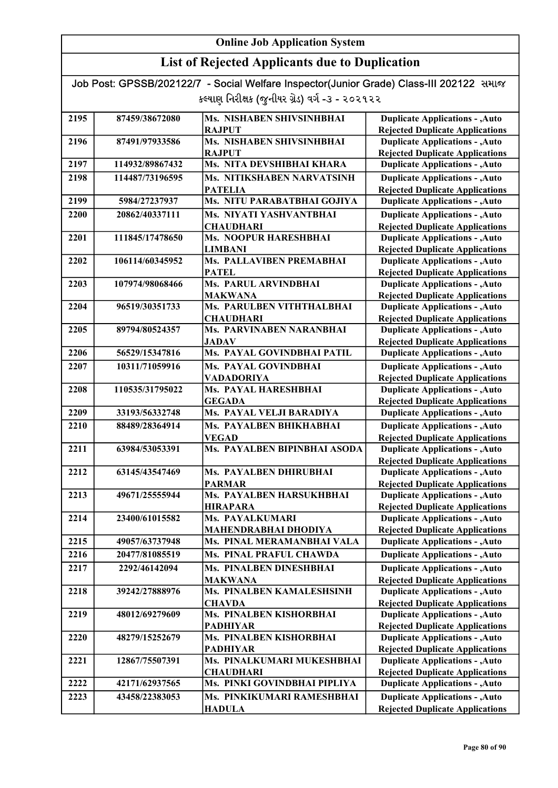| Job Post: GPSSB/202122/7 - Social Welfare Inspector(Junior Grade) Class-III 202122 समाल |  |
|-----------------------------------------------------------------------------------------|--|
| કલ્યાણ નિરીક્ષક (જુનીયર ગ્રેડ) વર્ગ -૩ - ૨૦૨૧૨૨                                         |  |

| <b>Rejected Duplicate Applications</b><br><b>RAJPUT</b><br>Ms. NISHABEN SHIVSINHBHAI<br><b>Duplicate Applications - , Auto</b><br>2196<br>87491/97933586<br><b>RAJPUT</b><br><b>Rejected Duplicate Applications</b><br>Ms. NITA DEVSHIBHAI KHARA<br>2197<br>114932/89867432<br><b>Duplicate Applications - , Auto</b><br>Ms. NITIKSHABEN NARVATSINH<br><b>Duplicate Applications - , Auto</b><br>2198<br>114487/73196595<br><b>PATELIA</b><br><b>Rejected Duplicate Applications</b><br>Ms. NITU PARABATBHAI GOJIYA<br>2199<br><b>Duplicate Applications - , Auto</b><br>5984/27237937<br>Ms. NIYATI YASHVANTBHAI<br><b>Duplicate Applications - , Auto</b><br>2200<br>20862/40337111<br><b>Rejected Duplicate Applications</b><br><b>CHAUDHARI</b><br>2201<br>Ms. NOOPUR HARESHBHAI<br><b>Duplicate Applications - , Auto</b><br>111845/17478650<br><b>Rejected Duplicate Applications</b><br><b>LIMBANI</b><br>Ms. PALLAVIBEN PREMABHAI<br><b>Duplicate Applications - , Auto</b><br>2202<br>106114/60345952<br><b>PATEL</b><br><b>Rejected Duplicate Applications</b><br>Ms. PARUL ARVINDBHAI<br><b>Duplicate Applications - , Auto</b><br>2203<br>107974/98068466<br><b>Rejected Duplicate Applications</b><br><b>MAKWANA</b><br>Ms. PARULBEN VITHTHALBHAI<br><b>Duplicate Applications - , Auto</b><br>2204<br>96519/30351733<br><b>Rejected Duplicate Applications</b><br><b>CHAUDHARI</b><br>Ms. PARVINABEN NARANBHAI<br><b>Duplicate Applications - , Auto</b><br>2205<br>89794/80524357<br><b>Rejected Duplicate Applications</b><br>JADAV<br>Ms. PAYAL GOVINDBHAI PATIL<br>56529/15347816<br><b>Duplicate Applications - , Auto</b><br>2206<br>Ms. PAYAL GOVINDBHAI<br><b>Duplicate Applications - , Auto</b><br>2207<br>10311/71059916<br><b>Rejected Duplicate Applications</b><br>VADADORIYA<br>Ms. PAYAL HARESHBHAI<br><b>Duplicate Applications - , Auto</b><br>2208<br>110535/31795022<br><b>GEGADA</b><br><b>Rejected Duplicate Applications</b><br>2209<br>Ms. PAYAL VELJI BARADIYA<br><b>Duplicate Applications - , Auto</b><br>33193/56332748<br>2210<br>88489/28364914<br>Ms. PAYALBEN BHIKHABHAI<br><b>Duplicate Applications - , Auto</b><br><b>VEGAD</b><br><b>Rejected Duplicate Applications</b><br>Ms. PAYALBEN BIPINBHAI ASODA<br>2211<br><b>Duplicate Applications - , Auto</b><br>63984/53053391<br><b>Rejected Duplicate Applications</b><br>2212<br>63145/43547469<br>Ms. PAYALBEN DHIRUBHAI<br><b>Duplicate Applications - , Auto</b><br><b>PARMAR</b><br><b>Rejected Duplicate Applications</b><br>Ms. PAYALBEN HARSUKHBHAI<br><b>Duplicate Applications - , Auto</b><br>2213<br>49671/25555944<br><b>HIRAPARA</b><br><b>Rejected Duplicate Applications</b><br>2214<br>23400/61015582<br>Ms. PAYALKUMARI<br><b>Duplicate Applications - , Auto</b><br><b>Rejected Duplicate Applications</b><br><b>MAHENDRABHAI DHODIYA</b><br>Ms. PINAL MERAMANBHAI VALA<br><b>Duplicate Applications - , Auto</b><br>2215<br>49057/63737948<br>2216<br>20477/81085519<br>Ms. PINAL PRAFUL CHAWDA<br><b>Duplicate Applications - , Auto</b><br><b>Duplicate Applications - , Auto</b><br>2217<br>2292/46142094<br>Ms. PINALBEN DINESHBHAI<br><b>Rejected Duplicate Applications</b><br><b>MAKWANA</b><br>Ms. PINALBEN KAMALESHSINH<br><b>Duplicate Applications - , Auto</b><br>2218<br>39242/27888976<br><b>Rejected Duplicate Applications</b><br><b>CHAVDA</b><br>Ms. PINALBEN KISHORBHAI<br><b>Duplicate Applications - , Auto</b><br>2219<br>48012/69279609<br><b>Rejected Duplicate Applications</b><br><b>PADHIYAR</b><br><b>Duplicate Applications - , Auto</b><br>2220<br>48279/15252679<br>Ms. PINALBEN KISHORBHAI<br><b>Rejected Duplicate Applications</b><br><b>PADHIYAR</b><br>Ms. PINALKUMARI MUKESHBHAI<br><b>Duplicate Applications - , Auto</b><br>2221<br>12867/75507391<br><b>Rejected Duplicate Applications</b><br><b>CHAUDHARI</b><br>Ms. PINKI GOVINDBHAI PIPLIYA<br>42171/62937565<br><b>Duplicate Applications - , Auto</b><br>2222<br>Duplicate Applications - , Auto<br>2223<br>43458/22383053<br>Ms. PINKIKUMARI RAMESHBHAI<br><b>Rejected Duplicate Applications</b><br><b>HADULA</b> | 2195 | 87459/38672080 | Ms. NISHABEN SHIVSINHBHAI | <b>Duplicate Applications - , Auto</b> |
|-----------------------------------------------------------------------------------------------------------------------------------------------------------------------------------------------------------------------------------------------------------------------------------------------------------------------------------------------------------------------------------------------------------------------------------------------------------------------------------------------------------------------------------------------------------------------------------------------------------------------------------------------------------------------------------------------------------------------------------------------------------------------------------------------------------------------------------------------------------------------------------------------------------------------------------------------------------------------------------------------------------------------------------------------------------------------------------------------------------------------------------------------------------------------------------------------------------------------------------------------------------------------------------------------------------------------------------------------------------------------------------------------------------------------------------------------------------------------------------------------------------------------------------------------------------------------------------------------------------------------------------------------------------------------------------------------------------------------------------------------------------------------------------------------------------------------------------------------------------------------------------------------------------------------------------------------------------------------------------------------------------------------------------------------------------------------------------------------------------------------------------------------------------------------------------------------------------------------------------------------------------------------------------------------------------------------------------------------------------------------------------------------------------------------------------------------------------------------------------------------------------------------------------------------------------------------------------------------------------------------------------------------------------------------------------------------------------------------------------------------------------------------------------------------------------------------------------------------------------------------------------------------------------------------------------------------------------------------------------------------------------------------------------------------------------------------------------------------------------------------------------------------------------------------------------------------------------------------------------------------------------------------------------------------------------------------------------------------------------------------------------------------------------------------------------------------------------------------------------------------------------------------------------------------------------------------------------------------------------------------------------------------------------------------------------------------------------------------------------------------------------------------------------------------------------------------------------------------------------------------------------------------------------------------------------------------------------------------------------------------------------------------------------------------------------------------------------------------------------------------------------------|------|----------------|---------------------------|----------------------------------------|
|                                                                                                                                                                                                                                                                                                                                                                                                                                                                                                                                                                                                                                                                                                                                                                                                                                                                                                                                                                                                                                                                                                                                                                                                                                                                                                                                                                                                                                                                                                                                                                                                                                                                                                                                                                                                                                                                                                                                                                                                                                                                                                                                                                                                                                                                                                                                                                                                                                                                                                                                                                                                                                                                                                                                                                                                                                                                                                                                                                                                                                                                                                                                                                                                                                                                                                                                                                                                                                                                                                                                                                                                                                                                                                                                                                                                                                                                                                                                                                                                                                                                                                                                         |      |                |                           |                                        |
|                                                                                                                                                                                                                                                                                                                                                                                                                                                                                                                                                                                                                                                                                                                                                                                                                                                                                                                                                                                                                                                                                                                                                                                                                                                                                                                                                                                                                                                                                                                                                                                                                                                                                                                                                                                                                                                                                                                                                                                                                                                                                                                                                                                                                                                                                                                                                                                                                                                                                                                                                                                                                                                                                                                                                                                                                                                                                                                                                                                                                                                                                                                                                                                                                                                                                                                                                                                                                                                                                                                                                                                                                                                                                                                                                                                                                                                                                                                                                                                                                                                                                                                                         |      |                |                           |                                        |
|                                                                                                                                                                                                                                                                                                                                                                                                                                                                                                                                                                                                                                                                                                                                                                                                                                                                                                                                                                                                                                                                                                                                                                                                                                                                                                                                                                                                                                                                                                                                                                                                                                                                                                                                                                                                                                                                                                                                                                                                                                                                                                                                                                                                                                                                                                                                                                                                                                                                                                                                                                                                                                                                                                                                                                                                                                                                                                                                                                                                                                                                                                                                                                                                                                                                                                                                                                                                                                                                                                                                                                                                                                                                                                                                                                                                                                                                                                                                                                                                                                                                                                                                         |      |                |                           |                                        |
|                                                                                                                                                                                                                                                                                                                                                                                                                                                                                                                                                                                                                                                                                                                                                                                                                                                                                                                                                                                                                                                                                                                                                                                                                                                                                                                                                                                                                                                                                                                                                                                                                                                                                                                                                                                                                                                                                                                                                                                                                                                                                                                                                                                                                                                                                                                                                                                                                                                                                                                                                                                                                                                                                                                                                                                                                                                                                                                                                                                                                                                                                                                                                                                                                                                                                                                                                                                                                                                                                                                                                                                                                                                                                                                                                                                                                                                                                                                                                                                                                                                                                                                                         |      |                |                           |                                        |
|                                                                                                                                                                                                                                                                                                                                                                                                                                                                                                                                                                                                                                                                                                                                                                                                                                                                                                                                                                                                                                                                                                                                                                                                                                                                                                                                                                                                                                                                                                                                                                                                                                                                                                                                                                                                                                                                                                                                                                                                                                                                                                                                                                                                                                                                                                                                                                                                                                                                                                                                                                                                                                                                                                                                                                                                                                                                                                                                                                                                                                                                                                                                                                                                                                                                                                                                                                                                                                                                                                                                                                                                                                                                                                                                                                                                                                                                                                                                                                                                                                                                                                                                         |      |                |                           |                                        |
|                                                                                                                                                                                                                                                                                                                                                                                                                                                                                                                                                                                                                                                                                                                                                                                                                                                                                                                                                                                                                                                                                                                                                                                                                                                                                                                                                                                                                                                                                                                                                                                                                                                                                                                                                                                                                                                                                                                                                                                                                                                                                                                                                                                                                                                                                                                                                                                                                                                                                                                                                                                                                                                                                                                                                                                                                                                                                                                                                                                                                                                                                                                                                                                                                                                                                                                                                                                                                                                                                                                                                                                                                                                                                                                                                                                                                                                                                                                                                                                                                                                                                                                                         |      |                |                           |                                        |
|                                                                                                                                                                                                                                                                                                                                                                                                                                                                                                                                                                                                                                                                                                                                                                                                                                                                                                                                                                                                                                                                                                                                                                                                                                                                                                                                                                                                                                                                                                                                                                                                                                                                                                                                                                                                                                                                                                                                                                                                                                                                                                                                                                                                                                                                                                                                                                                                                                                                                                                                                                                                                                                                                                                                                                                                                                                                                                                                                                                                                                                                                                                                                                                                                                                                                                                                                                                                                                                                                                                                                                                                                                                                                                                                                                                                                                                                                                                                                                                                                                                                                                                                         |      |                |                           |                                        |
|                                                                                                                                                                                                                                                                                                                                                                                                                                                                                                                                                                                                                                                                                                                                                                                                                                                                                                                                                                                                                                                                                                                                                                                                                                                                                                                                                                                                                                                                                                                                                                                                                                                                                                                                                                                                                                                                                                                                                                                                                                                                                                                                                                                                                                                                                                                                                                                                                                                                                                                                                                                                                                                                                                                                                                                                                                                                                                                                                                                                                                                                                                                                                                                                                                                                                                                                                                                                                                                                                                                                                                                                                                                                                                                                                                                                                                                                                                                                                                                                                                                                                                                                         |      |                |                           |                                        |
|                                                                                                                                                                                                                                                                                                                                                                                                                                                                                                                                                                                                                                                                                                                                                                                                                                                                                                                                                                                                                                                                                                                                                                                                                                                                                                                                                                                                                                                                                                                                                                                                                                                                                                                                                                                                                                                                                                                                                                                                                                                                                                                                                                                                                                                                                                                                                                                                                                                                                                                                                                                                                                                                                                                                                                                                                                                                                                                                                                                                                                                                                                                                                                                                                                                                                                                                                                                                                                                                                                                                                                                                                                                                                                                                                                                                                                                                                                                                                                                                                                                                                                                                         |      |                |                           |                                        |
|                                                                                                                                                                                                                                                                                                                                                                                                                                                                                                                                                                                                                                                                                                                                                                                                                                                                                                                                                                                                                                                                                                                                                                                                                                                                                                                                                                                                                                                                                                                                                                                                                                                                                                                                                                                                                                                                                                                                                                                                                                                                                                                                                                                                                                                                                                                                                                                                                                                                                                                                                                                                                                                                                                                                                                                                                                                                                                                                                                                                                                                                                                                                                                                                                                                                                                                                                                                                                                                                                                                                                                                                                                                                                                                                                                                                                                                                                                                                                                                                                                                                                                                                         |      |                |                           |                                        |
|                                                                                                                                                                                                                                                                                                                                                                                                                                                                                                                                                                                                                                                                                                                                                                                                                                                                                                                                                                                                                                                                                                                                                                                                                                                                                                                                                                                                                                                                                                                                                                                                                                                                                                                                                                                                                                                                                                                                                                                                                                                                                                                                                                                                                                                                                                                                                                                                                                                                                                                                                                                                                                                                                                                                                                                                                                                                                                                                                                                                                                                                                                                                                                                                                                                                                                                                                                                                                                                                                                                                                                                                                                                                                                                                                                                                                                                                                                                                                                                                                                                                                                                                         |      |                |                           |                                        |
|                                                                                                                                                                                                                                                                                                                                                                                                                                                                                                                                                                                                                                                                                                                                                                                                                                                                                                                                                                                                                                                                                                                                                                                                                                                                                                                                                                                                                                                                                                                                                                                                                                                                                                                                                                                                                                                                                                                                                                                                                                                                                                                                                                                                                                                                                                                                                                                                                                                                                                                                                                                                                                                                                                                                                                                                                                                                                                                                                                                                                                                                                                                                                                                                                                                                                                                                                                                                                                                                                                                                                                                                                                                                                                                                                                                                                                                                                                                                                                                                                                                                                                                                         |      |                |                           |                                        |
|                                                                                                                                                                                                                                                                                                                                                                                                                                                                                                                                                                                                                                                                                                                                                                                                                                                                                                                                                                                                                                                                                                                                                                                                                                                                                                                                                                                                                                                                                                                                                                                                                                                                                                                                                                                                                                                                                                                                                                                                                                                                                                                                                                                                                                                                                                                                                                                                                                                                                                                                                                                                                                                                                                                                                                                                                                                                                                                                                                                                                                                                                                                                                                                                                                                                                                                                                                                                                                                                                                                                                                                                                                                                                                                                                                                                                                                                                                                                                                                                                                                                                                                                         |      |                |                           |                                        |
|                                                                                                                                                                                                                                                                                                                                                                                                                                                                                                                                                                                                                                                                                                                                                                                                                                                                                                                                                                                                                                                                                                                                                                                                                                                                                                                                                                                                                                                                                                                                                                                                                                                                                                                                                                                                                                                                                                                                                                                                                                                                                                                                                                                                                                                                                                                                                                                                                                                                                                                                                                                                                                                                                                                                                                                                                                                                                                                                                                                                                                                                                                                                                                                                                                                                                                                                                                                                                                                                                                                                                                                                                                                                                                                                                                                                                                                                                                                                                                                                                                                                                                                                         |      |                |                           |                                        |
|                                                                                                                                                                                                                                                                                                                                                                                                                                                                                                                                                                                                                                                                                                                                                                                                                                                                                                                                                                                                                                                                                                                                                                                                                                                                                                                                                                                                                                                                                                                                                                                                                                                                                                                                                                                                                                                                                                                                                                                                                                                                                                                                                                                                                                                                                                                                                                                                                                                                                                                                                                                                                                                                                                                                                                                                                                                                                                                                                                                                                                                                                                                                                                                                                                                                                                                                                                                                                                                                                                                                                                                                                                                                                                                                                                                                                                                                                                                                                                                                                                                                                                                                         |      |                |                           |                                        |
|                                                                                                                                                                                                                                                                                                                                                                                                                                                                                                                                                                                                                                                                                                                                                                                                                                                                                                                                                                                                                                                                                                                                                                                                                                                                                                                                                                                                                                                                                                                                                                                                                                                                                                                                                                                                                                                                                                                                                                                                                                                                                                                                                                                                                                                                                                                                                                                                                                                                                                                                                                                                                                                                                                                                                                                                                                                                                                                                                                                                                                                                                                                                                                                                                                                                                                                                                                                                                                                                                                                                                                                                                                                                                                                                                                                                                                                                                                                                                                                                                                                                                                                                         |      |                |                           |                                        |
|                                                                                                                                                                                                                                                                                                                                                                                                                                                                                                                                                                                                                                                                                                                                                                                                                                                                                                                                                                                                                                                                                                                                                                                                                                                                                                                                                                                                                                                                                                                                                                                                                                                                                                                                                                                                                                                                                                                                                                                                                                                                                                                                                                                                                                                                                                                                                                                                                                                                                                                                                                                                                                                                                                                                                                                                                                                                                                                                                                                                                                                                                                                                                                                                                                                                                                                                                                                                                                                                                                                                                                                                                                                                                                                                                                                                                                                                                                                                                                                                                                                                                                                                         |      |                |                           |                                        |
|                                                                                                                                                                                                                                                                                                                                                                                                                                                                                                                                                                                                                                                                                                                                                                                                                                                                                                                                                                                                                                                                                                                                                                                                                                                                                                                                                                                                                                                                                                                                                                                                                                                                                                                                                                                                                                                                                                                                                                                                                                                                                                                                                                                                                                                                                                                                                                                                                                                                                                                                                                                                                                                                                                                                                                                                                                                                                                                                                                                                                                                                                                                                                                                                                                                                                                                                                                                                                                                                                                                                                                                                                                                                                                                                                                                                                                                                                                                                                                                                                                                                                                                                         |      |                |                           |                                        |
|                                                                                                                                                                                                                                                                                                                                                                                                                                                                                                                                                                                                                                                                                                                                                                                                                                                                                                                                                                                                                                                                                                                                                                                                                                                                                                                                                                                                                                                                                                                                                                                                                                                                                                                                                                                                                                                                                                                                                                                                                                                                                                                                                                                                                                                                                                                                                                                                                                                                                                                                                                                                                                                                                                                                                                                                                                                                                                                                                                                                                                                                                                                                                                                                                                                                                                                                                                                                                                                                                                                                                                                                                                                                                                                                                                                                                                                                                                                                                                                                                                                                                                                                         |      |                |                           |                                        |
|                                                                                                                                                                                                                                                                                                                                                                                                                                                                                                                                                                                                                                                                                                                                                                                                                                                                                                                                                                                                                                                                                                                                                                                                                                                                                                                                                                                                                                                                                                                                                                                                                                                                                                                                                                                                                                                                                                                                                                                                                                                                                                                                                                                                                                                                                                                                                                                                                                                                                                                                                                                                                                                                                                                                                                                                                                                                                                                                                                                                                                                                                                                                                                                                                                                                                                                                                                                                                                                                                                                                                                                                                                                                                                                                                                                                                                                                                                                                                                                                                                                                                                                                         |      |                |                           |                                        |
|                                                                                                                                                                                                                                                                                                                                                                                                                                                                                                                                                                                                                                                                                                                                                                                                                                                                                                                                                                                                                                                                                                                                                                                                                                                                                                                                                                                                                                                                                                                                                                                                                                                                                                                                                                                                                                                                                                                                                                                                                                                                                                                                                                                                                                                                                                                                                                                                                                                                                                                                                                                                                                                                                                                                                                                                                                                                                                                                                                                                                                                                                                                                                                                                                                                                                                                                                                                                                                                                                                                                                                                                                                                                                                                                                                                                                                                                                                                                                                                                                                                                                                                                         |      |                |                           |                                        |
|                                                                                                                                                                                                                                                                                                                                                                                                                                                                                                                                                                                                                                                                                                                                                                                                                                                                                                                                                                                                                                                                                                                                                                                                                                                                                                                                                                                                                                                                                                                                                                                                                                                                                                                                                                                                                                                                                                                                                                                                                                                                                                                                                                                                                                                                                                                                                                                                                                                                                                                                                                                                                                                                                                                                                                                                                                                                                                                                                                                                                                                                                                                                                                                                                                                                                                                                                                                                                                                                                                                                                                                                                                                                                                                                                                                                                                                                                                                                                                                                                                                                                                                                         |      |                |                           |                                        |
|                                                                                                                                                                                                                                                                                                                                                                                                                                                                                                                                                                                                                                                                                                                                                                                                                                                                                                                                                                                                                                                                                                                                                                                                                                                                                                                                                                                                                                                                                                                                                                                                                                                                                                                                                                                                                                                                                                                                                                                                                                                                                                                                                                                                                                                                                                                                                                                                                                                                                                                                                                                                                                                                                                                                                                                                                                                                                                                                                                                                                                                                                                                                                                                                                                                                                                                                                                                                                                                                                                                                                                                                                                                                                                                                                                                                                                                                                                                                                                                                                                                                                                                                         |      |                |                           |                                        |
|                                                                                                                                                                                                                                                                                                                                                                                                                                                                                                                                                                                                                                                                                                                                                                                                                                                                                                                                                                                                                                                                                                                                                                                                                                                                                                                                                                                                                                                                                                                                                                                                                                                                                                                                                                                                                                                                                                                                                                                                                                                                                                                                                                                                                                                                                                                                                                                                                                                                                                                                                                                                                                                                                                                                                                                                                                                                                                                                                                                                                                                                                                                                                                                                                                                                                                                                                                                                                                                                                                                                                                                                                                                                                                                                                                                                                                                                                                                                                                                                                                                                                                                                         |      |                |                           |                                        |
|                                                                                                                                                                                                                                                                                                                                                                                                                                                                                                                                                                                                                                                                                                                                                                                                                                                                                                                                                                                                                                                                                                                                                                                                                                                                                                                                                                                                                                                                                                                                                                                                                                                                                                                                                                                                                                                                                                                                                                                                                                                                                                                                                                                                                                                                                                                                                                                                                                                                                                                                                                                                                                                                                                                                                                                                                                                                                                                                                                                                                                                                                                                                                                                                                                                                                                                                                                                                                                                                                                                                                                                                                                                                                                                                                                                                                                                                                                                                                                                                                                                                                                                                         |      |                |                           |                                        |
|                                                                                                                                                                                                                                                                                                                                                                                                                                                                                                                                                                                                                                                                                                                                                                                                                                                                                                                                                                                                                                                                                                                                                                                                                                                                                                                                                                                                                                                                                                                                                                                                                                                                                                                                                                                                                                                                                                                                                                                                                                                                                                                                                                                                                                                                                                                                                                                                                                                                                                                                                                                                                                                                                                                                                                                                                                                                                                                                                                                                                                                                                                                                                                                                                                                                                                                                                                                                                                                                                                                                                                                                                                                                                                                                                                                                                                                                                                                                                                                                                                                                                                                                         |      |                |                           |                                        |
|                                                                                                                                                                                                                                                                                                                                                                                                                                                                                                                                                                                                                                                                                                                                                                                                                                                                                                                                                                                                                                                                                                                                                                                                                                                                                                                                                                                                                                                                                                                                                                                                                                                                                                                                                                                                                                                                                                                                                                                                                                                                                                                                                                                                                                                                                                                                                                                                                                                                                                                                                                                                                                                                                                                                                                                                                                                                                                                                                                                                                                                                                                                                                                                                                                                                                                                                                                                                                                                                                                                                                                                                                                                                                                                                                                                                                                                                                                                                                                                                                                                                                                                                         |      |                |                           |                                        |
|                                                                                                                                                                                                                                                                                                                                                                                                                                                                                                                                                                                                                                                                                                                                                                                                                                                                                                                                                                                                                                                                                                                                                                                                                                                                                                                                                                                                                                                                                                                                                                                                                                                                                                                                                                                                                                                                                                                                                                                                                                                                                                                                                                                                                                                                                                                                                                                                                                                                                                                                                                                                                                                                                                                                                                                                                                                                                                                                                                                                                                                                                                                                                                                                                                                                                                                                                                                                                                                                                                                                                                                                                                                                                                                                                                                                                                                                                                                                                                                                                                                                                                                                         |      |                |                           |                                        |
|                                                                                                                                                                                                                                                                                                                                                                                                                                                                                                                                                                                                                                                                                                                                                                                                                                                                                                                                                                                                                                                                                                                                                                                                                                                                                                                                                                                                                                                                                                                                                                                                                                                                                                                                                                                                                                                                                                                                                                                                                                                                                                                                                                                                                                                                                                                                                                                                                                                                                                                                                                                                                                                                                                                                                                                                                                                                                                                                                                                                                                                                                                                                                                                                                                                                                                                                                                                                                                                                                                                                                                                                                                                                                                                                                                                                                                                                                                                                                                                                                                                                                                                                         |      |                |                           |                                        |
|                                                                                                                                                                                                                                                                                                                                                                                                                                                                                                                                                                                                                                                                                                                                                                                                                                                                                                                                                                                                                                                                                                                                                                                                                                                                                                                                                                                                                                                                                                                                                                                                                                                                                                                                                                                                                                                                                                                                                                                                                                                                                                                                                                                                                                                                                                                                                                                                                                                                                                                                                                                                                                                                                                                                                                                                                                                                                                                                                                                                                                                                                                                                                                                                                                                                                                                                                                                                                                                                                                                                                                                                                                                                                                                                                                                                                                                                                                                                                                                                                                                                                                                                         |      |                |                           |                                        |
|                                                                                                                                                                                                                                                                                                                                                                                                                                                                                                                                                                                                                                                                                                                                                                                                                                                                                                                                                                                                                                                                                                                                                                                                                                                                                                                                                                                                                                                                                                                                                                                                                                                                                                                                                                                                                                                                                                                                                                                                                                                                                                                                                                                                                                                                                                                                                                                                                                                                                                                                                                                                                                                                                                                                                                                                                                                                                                                                                                                                                                                                                                                                                                                                                                                                                                                                                                                                                                                                                                                                                                                                                                                                                                                                                                                                                                                                                                                                                                                                                                                                                                                                         |      |                |                           |                                        |
|                                                                                                                                                                                                                                                                                                                                                                                                                                                                                                                                                                                                                                                                                                                                                                                                                                                                                                                                                                                                                                                                                                                                                                                                                                                                                                                                                                                                                                                                                                                                                                                                                                                                                                                                                                                                                                                                                                                                                                                                                                                                                                                                                                                                                                                                                                                                                                                                                                                                                                                                                                                                                                                                                                                                                                                                                                                                                                                                                                                                                                                                                                                                                                                                                                                                                                                                                                                                                                                                                                                                                                                                                                                                                                                                                                                                                                                                                                                                                                                                                                                                                                                                         |      |                |                           |                                        |
|                                                                                                                                                                                                                                                                                                                                                                                                                                                                                                                                                                                                                                                                                                                                                                                                                                                                                                                                                                                                                                                                                                                                                                                                                                                                                                                                                                                                                                                                                                                                                                                                                                                                                                                                                                                                                                                                                                                                                                                                                                                                                                                                                                                                                                                                                                                                                                                                                                                                                                                                                                                                                                                                                                                                                                                                                                                                                                                                                                                                                                                                                                                                                                                                                                                                                                                                                                                                                                                                                                                                                                                                                                                                                                                                                                                                                                                                                                                                                                                                                                                                                                                                         |      |                |                           |                                        |
|                                                                                                                                                                                                                                                                                                                                                                                                                                                                                                                                                                                                                                                                                                                                                                                                                                                                                                                                                                                                                                                                                                                                                                                                                                                                                                                                                                                                                                                                                                                                                                                                                                                                                                                                                                                                                                                                                                                                                                                                                                                                                                                                                                                                                                                                                                                                                                                                                                                                                                                                                                                                                                                                                                                                                                                                                                                                                                                                                                                                                                                                                                                                                                                                                                                                                                                                                                                                                                                                                                                                                                                                                                                                                                                                                                                                                                                                                                                                                                                                                                                                                                                                         |      |                |                           |                                        |
|                                                                                                                                                                                                                                                                                                                                                                                                                                                                                                                                                                                                                                                                                                                                                                                                                                                                                                                                                                                                                                                                                                                                                                                                                                                                                                                                                                                                                                                                                                                                                                                                                                                                                                                                                                                                                                                                                                                                                                                                                                                                                                                                                                                                                                                                                                                                                                                                                                                                                                                                                                                                                                                                                                                                                                                                                                                                                                                                                                                                                                                                                                                                                                                                                                                                                                                                                                                                                                                                                                                                                                                                                                                                                                                                                                                                                                                                                                                                                                                                                                                                                                                                         |      |                |                           |                                        |
|                                                                                                                                                                                                                                                                                                                                                                                                                                                                                                                                                                                                                                                                                                                                                                                                                                                                                                                                                                                                                                                                                                                                                                                                                                                                                                                                                                                                                                                                                                                                                                                                                                                                                                                                                                                                                                                                                                                                                                                                                                                                                                                                                                                                                                                                                                                                                                                                                                                                                                                                                                                                                                                                                                                                                                                                                                                                                                                                                                                                                                                                                                                                                                                                                                                                                                                                                                                                                                                                                                                                                                                                                                                                                                                                                                                                                                                                                                                                                                                                                                                                                                                                         |      |                |                           |                                        |
|                                                                                                                                                                                                                                                                                                                                                                                                                                                                                                                                                                                                                                                                                                                                                                                                                                                                                                                                                                                                                                                                                                                                                                                                                                                                                                                                                                                                                                                                                                                                                                                                                                                                                                                                                                                                                                                                                                                                                                                                                                                                                                                                                                                                                                                                                                                                                                                                                                                                                                                                                                                                                                                                                                                                                                                                                                                                                                                                                                                                                                                                                                                                                                                                                                                                                                                                                                                                                                                                                                                                                                                                                                                                                                                                                                                                                                                                                                                                                                                                                                                                                                                                         |      |                |                           |                                        |
|                                                                                                                                                                                                                                                                                                                                                                                                                                                                                                                                                                                                                                                                                                                                                                                                                                                                                                                                                                                                                                                                                                                                                                                                                                                                                                                                                                                                                                                                                                                                                                                                                                                                                                                                                                                                                                                                                                                                                                                                                                                                                                                                                                                                                                                                                                                                                                                                                                                                                                                                                                                                                                                                                                                                                                                                                                                                                                                                                                                                                                                                                                                                                                                                                                                                                                                                                                                                                                                                                                                                                                                                                                                                                                                                                                                                                                                                                                                                                                                                                                                                                                                                         |      |                |                           |                                        |
|                                                                                                                                                                                                                                                                                                                                                                                                                                                                                                                                                                                                                                                                                                                                                                                                                                                                                                                                                                                                                                                                                                                                                                                                                                                                                                                                                                                                                                                                                                                                                                                                                                                                                                                                                                                                                                                                                                                                                                                                                                                                                                                                                                                                                                                                                                                                                                                                                                                                                                                                                                                                                                                                                                                                                                                                                                                                                                                                                                                                                                                                                                                                                                                                                                                                                                                                                                                                                                                                                                                                                                                                                                                                                                                                                                                                                                                                                                                                                                                                                                                                                                                                         |      |                |                           |                                        |
|                                                                                                                                                                                                                                                                                                                                                                                                                                                                                                                                                                                                                                                                                                                                                                                                                                                                                                                                                                                                                                                                                                                                                                                                                                                                                                                                                                                                                                                                                                                                                                                                                                                                                                                                                                                                                                                                                                                                                                                                                                                                                                                                                                                                                                                                                                                                                                                                                                                                                                                                                                                                                                                                                                                                                                                                                                                                                                                                                                                                                                                                                                                                                                                                                                                                                                                                                                                                                                                                                                                                                                                                                                                                                                                                                                                                                                                                                                                                                                                                                                                                                                                                         |      |                |                           |                                        |
|                                                                                                                                                                                                                                                                                                                                                                                                                                                                                                                                                                                                                                                                                                                                                                                                                                                                                                                                                                                                                                                                                                                                                                                                                                                                                                                                                                                                                                                                                                                                                                                                                                                                                                                                                                                                                                                                                                                                                                                                                                                                                                                                                                                                                                                                                                                                                                                                                                                                                                                                                                                                                                                                                                                                                                                                                                                                                                                                                                                                                                                                                                                                                                                                                                                                                                                                                                                                                                                                                                                                                                                                                                                                                                                                                                                                                                                                                                                                                                                                                                                                                                                                         |      |                |                           |                                        |
|                                                                                                                                                                                                                                                                                                                                                                                                                                                                                                                                                                                                                                                                                                                                                                                                                                                                                                                                                                                                                                                                                                                                                                                                                                                                                                                                                                                                                                                                                                                                                                                                                                                                                                                                                                                                                                                                                                                                                                                                                                                                                                                                                                                                                                                                                                                                                                                                                                                                                                                                                                                                                                                                                                                                                                                                                                                                                                                                                                                                                                                                                                                                                                                                                                                                                                                                                                                                                                                                                                                                                                                                                                                                                                                                                                                                                                                                                                                                                                                                                                                                                                                                         |      |                |                           |                                        |
|                                                                                                                                                                                                                                                                                                                                                                                                                                                                                                                                                                                                                                                                                                                                                                                                                                                                                                                                                                                                                                                                                                                                                                                                                                                                                                                                                                                                                                                                                                                                                                                                                                                                                                                                                                                                                                                                                                                                                                                                                                                                                                                                                                                                                                                                                                                                                                                                                                                                                                                                                                                                                                                                                                                                                                                                                                                                                                                                                                                                                                                                                                                                                                                                                                                                                                                                                                                                                                                                                                                                                                                                                                                                                                                                                                                                                                                                                                                                                                                                                                                                                                                                         |      |                |                           |                                        |
|                                                                                                                                                                                                                                                                                                                                                                                                                                                                                                                                                                                                                                                                                                                                                                                                                                                                                                                                                                                                                                                                                                                                                                                                                                                                                                                                                                                                                                                                                                                                                                                                                                                                                                                                                                                                                                                                                                                                                                                                                                                                                                                                                                                                                                                                                                                                                                                                                                                                                                                                                                                                                                                                                                                                                                                                                                                                                                                                                                                                                                                                                                                                                                                                                                                                                                                                                                                                                                                                                                                                                                                                                                                                                                                                                                                                                                                                                                                                                                                                                                                                                                                                         |      |                |                           |                                        |
|                                                                                                                                                                                                                                                                                                                                                                                                                                                                                                                                                                                                                                                                                                                                                                                                                                                                                                                                                                                                                                                                                                                                                                                                                                                                                                                                                                                                                                                                                                                                                                                                                                                                                                                                                                                                                                                                                                                                                                                                                                                                                                                                                                                                                                                                                                                                                                                                                                                                                                                                                                                                                                                                                                                                                                                                                                                                                                                                                                                                                                                                                                                                                                                                                                                                                                                                                                                                                                                                                                                                                                                                                                                                                                                                                                                                                                                                                                                                                                                                                                                                                                                                         |      |                |                           |                                        |
|                                                                                                                                                                                                                                                                                                                                                                                                                                                                                                                                                                                                                                                                                                                                                                                                                                                                                                                                                                                                                                                                                                                                                                                                                                                                                                                                                                                                                                                                                                                                                                                                                                                                                                                                                                                                                                                                                                                                                                                                                                                                                                                                                                                                                                                                                                                                                                                                                                                                                                                                                                                                                                                                                                                                                                                                                                                                                                                                                                                                                                                                                                                                                                                                                                                                                                                                                                                                                                                                                                                                                                                                                                                                                                                                                                                                                                                                                                                                                                                                                                                                                                                                         |      |                |                           |                                        |
|                                                                                                                                                                                                                                                                                                                                                                                                                                                                                                                                                                                                                                                                                                                                                                                                                                                                                                                                                                                                                                                                                                                                                                                                                                                                                                                                                                                                                                                                                                                                                                                                                                                                                                                                                                                                                                                                                                                                                                                                                                                                                                                                                                                                                                                                                                                                                                                                                                                                                                                                                                                                                                                                                                                                                                                                                                                                                                                                                                                                                                                                                                                                                                                                                                                                                                                                                                                                                                                                                                                                                                                                                                                                                                                                                                                                                                                                                                                                                                                                                                                                                                                                         |      |                |                           |                                        |
|                                                                                                                                                                                                                                                                                                                                                                                                                                                                                                                                                                                                                                                                                                                                                                                                                                                                                                                                                                                                                                                                                                                                                                                                                                                                                                                                                                                                                                                                                                                                                                                                                                                                                                                                                                                                                                                                                                                                                                                                                                                                                                                                                                                                                                                                                                                                                                                                                                                                                                                                                                                                                                                                                                                                                                                                                                                                                                                                                                                                                                                                                                                                                                                                                                                                                                                                                                                                                                                                                                                                                                                                                                                                                                                                                                                                                                                                                                                                                                                                                                                                                                                                         |      |                |                           |                                        |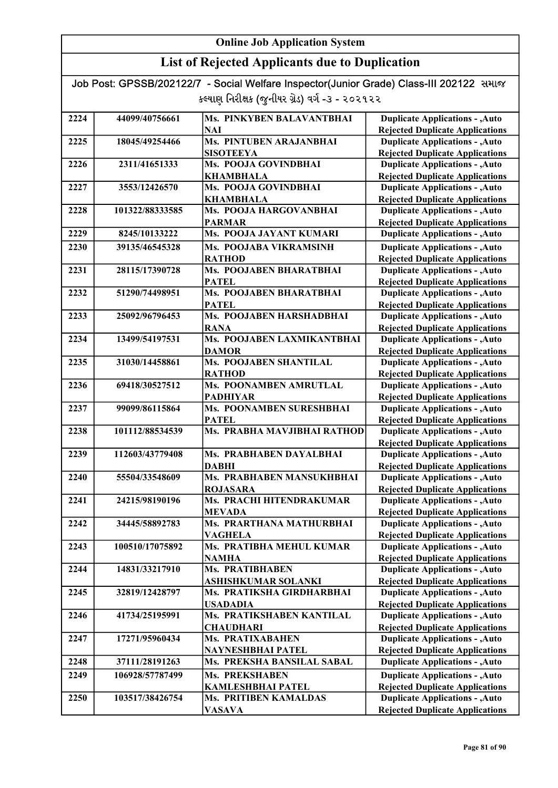## List of Rejected Applicants due to Duplication

| 2224 | 44099/40756661  | Ms. PINKYBEN BALAVANTBHAI     | <b>Duplicate Applications - , Auto</b> |
|------|-----------------|-------------------------------|----------------------------------------|
|      |                 | <b>NAI</b>                    | <b>Rejected Duplicate Applications</b> |
| 2225 | 18045/49254466  | Ms. PINTUBEN ARAJANBHAI       | <b>Duplicate Applications - , Auto</b> |
|      |                 | <b>SISOTEEYA</b>              | <b>Rejected Duplicate Applications</b> |
| 2226 | 2311/41651333   | Ms. POOJA GOVINDBHAI          | <b>Duplicate Applications - , Auto</b> |
|      |                 | <b>KHAMBHALA</b>              | <b>Rejected Duplicate Applications</b> |
| 2227 | 3553/12426570   | Ms. POOJA GOVINDBHAI          | <b>Duplicate Applications - , Auto</b> |
|      |                 | <b>KHAMBHALA</b>              | <b>Rejected Duplicate Applications</b> |
| 2228 | 101322/88333585 | Ms. POOJA HARGOVANBHAI        | <b>Duplicate Applications - , Auto</b> |
|      |                 | <b>PARMAR</b>                 | <b>Rejected Duplicate Applications</b> |
| 2229 | 8245/10133222   | Ms. POOJA JAYANT KUMARI       | <b>Duplicate Applications - , Auto</b> |
| 2230 | 39135/46545328  | Ms. POOJABA VIKRAMSINH        | <b>Duplicate Applications - , Auto</b> |
|      |                 | <b>RATHOD</b>                 | <b>Rejected Duplicate Applications</b> |
| 2231 | 28115/17390728  | Ms. POOJABEN BHARATBHAI       | <b>Duplicate Applications - , Auto</b> |
|      |                 | <b>PATEL</b>                  | <b>Rejected Duplicate Applications</b> |
| 2232 | 51290/74498951  | Ms. POOJABEN BHARATBHAI       | <b>Duplicate Applications - , Auto</b> |
|      |                 | <b>PATEL</b>                  | <b>Rejected Duplicate Applications</b> |
| 2233 | 25092/96796453  | Ms. POOJABEN HARSHADBHAI      | <b>Duplicate Applications - , Auto</b> |
|      |                 | <b>RANA</b>                   | <b>Rejected Duplicate Applications</b> |
| 2234 | 13499/54197531  | Ms. POOJABEN LAXMIKANTBHAI    | <b>Duplicate Applications - , Auto</b> |
|      |                 | <b>DAMOR</b>                  | <b>Rejected Duplicate Applications</b> |
| 2235 | 31030/14458861  | <b>Ms. POOJABEN SHANTILAL</b> | <b>Duplicate Applications - , Auto</b> |
|      |                 | <b>RATHOD</b>                 | <b>Rejected Duplicate Applications</b> |
| 2236 | 69418/30527512  | Ms. POONAMBEN AMRUTLAL        | <b>Duplicate Applications - , Auto</b> |
|      |                 | <b>PADHIYAR</b>               | <b>Rejected Duplicate Applications</b> |
| 2237 | 99099/86115864  | Ms. POONAMBEN SURESHBHAI      | <b>Duplicate Applications - , Auto</b> |
|      |                 | <b>PATEL</b>                  | <b>Rejected Duplicate Applications</b> |
| 2238 | 101112/88534539 | Ms. PRABHA MAVJIBHAI RATHOD   | <b>Duplicate Applications - , Auto</b> |
|      |                 |                               | <b>Rejected Duplicate Applications</b> |
| 2239 | 112603/43779408 | Ms. PRABHABEN DAYALBHAI       | <b>Duplicate Applications - , Auto</b> |
|      |                 | <b>DABHI</b>                  | <b>Rejected Duplicate Applications</b> |
| 2240 | 55504/33548609  | Ms. PRABHABEN MANSUKHBHAI     | <b>Duplicate Applications - , Auto</b> |
|      |                 | <b>ROJASARA</b>               | <b>Rejected Duplicate Applications</b> |
| 2241 | 24215/98190196  | Ms. PRACHI HITENDRAKUMAR      | <b>Duplicate Applications - , Auto</b> |
|      |                 | <b>MEVADA</b>                 | <b>Rejected Duplicate Applications</b> |
| 2242 | 34445/58892783  | Ms. PRARTHANA MATHURBHAI      | <b>Duplicate Applications - , Auto</b> |
|      |                 | <b>VAGHELA</b>                | <b>Rejected Duplicate Applications</b> |
| 2243 | 100510/17075892 | Ms. PRATIBHA MEHUL KUMAR      | <b>Duplicate Applications - , Auto</b> |
|      |                 | <b>NAMHA</b>                  | <b>Rejected Duplicate Applications</b> |
| 2244 | 14831/33217910  | Ms. PRATIBHABEN               | <b>Duplicate Applications - , Auto</b> |
|      |                 | <b>ASHISHKUMAR SOLANKI</b>    | <b>Rejected Duplicate Applications</b> |
| 2245 | 32819/12428797  | Ms. PRATIKSHA GIRDHARBHAI     | <b>Duplicate Applications - , Auto</b> |
|      |                 | <b>USADADIA</b>               | <b>Rejected Duplicate Applications</b> |
| 2246 | 41734/25195991  | Ms. PRATIKSHABEN KANTILAL     | <b>Duplicate Applications - , Auto</b> |
|      |                 | <b>CHAUDHARI</b>              | <b>Rejected Duplicate Applications</b> |
| 2247 | 17271/95960434  | Ms. PRATIXABAHEN              | <b>Duplicate Applications - , Auto</b> |
|      |                 | NAYNESHBHAI PATEL             | <b>Rejected Duplicate Applications</b> |
| 2248 | 37111/28191263  | Ms. PREKSHA BANSILAL SABAL    | <b>Duplicate Applications - , Auto</b> |
| 2249 | 106928/57787499 | <b>Ms. PREKSHABEN</b>         | <b>Duplicate Applications - , Auto</b> |
|      |                 | <b>KAMLESHBHAI PATEL</b>      | <b>Rejected Duplicate Applications</b> |
| 2250 | 103517/38426754 | <b>Ms. PRITIBEN KAMALDAS</b>  | <b>Duplicate Applications - , Auto</b> |
|      |                 | <b>VASAVA</b>                 | <b>Rejected Duplicate Applications</b> |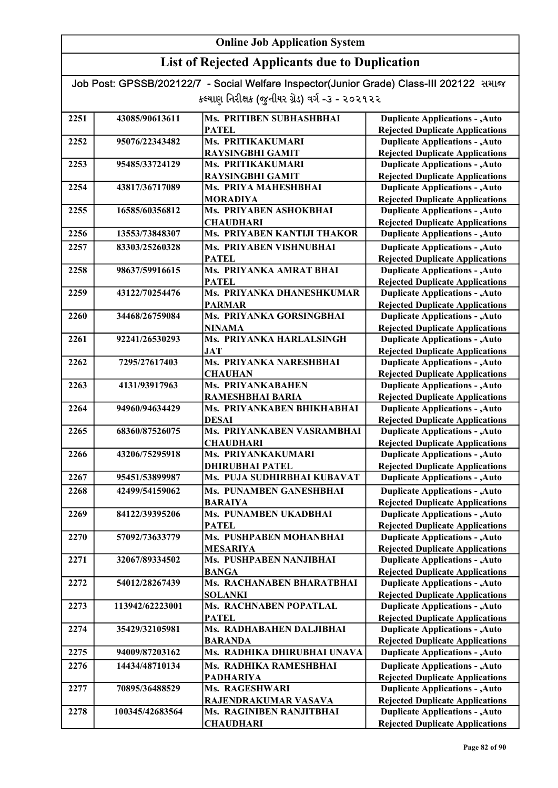## List of Rejected Applicants due to Duplication

| 2251 | 43085/90613611  | Ms. PRITIBEN SUBHASHBHAI                   | <b>Duplicate Applications - , Auto</b>                                           |
|------|-----------------|--------------------------------------------|----------------------------------------------------------------------------------|
|      |                 | <b>PATEL</b>                               | <b>Rejected Duplicate Applications</b>                                           |
| 2252 | 95076/22343482  | Ms. PRITIKAKUMARI                          | <b>Duplicate Applications - , Auto</b>                                           |
|      |                 | <b>RAYSINGBHI GAMIT</b>                    | <b>Rejected Duplicate Applications</b>                                           |
| 2253 | 95485/33724129  | Ms. PRITIKAKUMARI                          | <b>Duplicate Applications - , Auto</b>                                           |
|      |                 | <b>RAYSINGBHI GAMIT</b>                    | <b>Rejected Duplicate Applications</b>                                           |
| 2254 | 43817/36717089  | Ms. PRIYA MAHESHBHAI                       | <b>Duplicate Applications - , Auto</b>                                           |
|      |                 | <b>MORADIYA</b>                            | <b>Rejected Duplicate Applications</b>                                           |
| 2255 | 16585/60356812  | Ms. PRIYABEN ASHOKBHAI                     | <b>Duplicate Applications - , Auto</b>                                           |
|      |                 | <b>CHAUDHARI</b>                           | <b>Rejected Duplicate Applications</b>                                           |
| 2256 | 13553/73848307  | Ms. PRIYABEN KANTIJI THAKOR                | <b>Duplicate Applications - , Auto</b>                                           |
| 2257 | 83303/25260328  | Ms. PRIYABEN VISHNUBHAI                    | <b>Duplicate Applications - , Auto</b>                                           |
|      |                 | <b>PATEL</b>                               | <b>Rejected Duplicate Applications</b>                                           |
| 2258 | 98637/59916615  | Ms. PRIYANKA AMRAT BHAI                    | <b>Duplicate Applications - , Auto</b>                                           |
|      |                 | <b>PATEL</b>                               | <b>Rejected Duplicate Applications</b>                                           |
| 2259 | 43122/70254476  | Ms. PRIYANKA DHANESHKUMAR                  | <b>Duplicate Applications - , Auto</b>                                           |
|      |                 | <b>PARMAR</b>                              | <b>Rejected Duplicate Applications</b>                                           |
| 2260 | 34468/26759084  | Ms. PRIYANKA GORSINGBHAI                   | <b>Duplicate Applications - , Auto</b>                                           |
|      |                 | <b>NINAMA</b>                              | <b>Rejected Duplicate Applications</b>                                           |
| 2261 | 92241/26530293  | Ms. PRIYANKA HARLALSINGH                   | <b>Duplicate Applications - , Auto</b>                                           |
|      |                 | JAT                                        | <b>Rejected Duplicate Applications</b>                                           |
| 2262 | 7295/27617403   | Ms. PRIYANKA NARESHBHAI                    | <b>Duplicate Applications - , Auto</b>                                           |
|      |                 | <b>CHAUHAN</b>                             | <b>Rejected Duplicate Applications</b>                                           |
| 2263 | 4131/93917963   | Ms. PRIYANKABAHEN                          | <b>Duplicate Applications - , Auto</b>                                           |
|      |                 | <b>RAMESHBHAI BARIA</b>                    | <b>Rejected Duplicate Applications</b>                                           |
| 2264 | 94960/94634429  | Ms. PRIYANKABEN BHIKHABHAI                 | <b>Duplicate Applications - , Auto</b>                                           |
|      | 68360/87526075  | <b>DESAI</b><br>Ms. PRIYANKABEN VASRAMBHAI | <b>Rejected Duplicate Applications</b>                                           |
| 2265 |                 |                                            | <b>Duplicate Applications - , Auto</b>                                           |
| 2266 | 43206/75295918  | <b>CHAUDHARI</b><br>Ms. PRIYANKAKUMARI     | <b>Rejected Duplicate Applications</b><br><b>Duplicate Applications - , Auto</b> |
|      |                 | <b>DHIRUBHAI PATEL</b>                     | <b>Rejected Duplicate Applications</b>                                           |
| 2267 | 95451/53899987  | Ms. PUJA SUDHIRBHAI KUBAVAT                | <b>Duplicate Applications - , Auto</b>                                           |
|      |                 |                                            |                                                                                  |
| 2268 | 42499/54159062  | Ms. PUNAMBEN GANESHBHAI                    | <b>Duplicate Applications - , Auto</b>                                           |
|      |                 | <b>BARAIYA</b><br>Ms. PUNAMBEN UKADBHAI    | <b>Rejected Duplicate Applications</b>                                           |
| 2269 | 84122/39395206  | <b>PATEL</b>                               | <b>Duplicate Applications - , Auto</b>                                           |
| 2270 | 57092/73633779  | Ms. PUSHPABEN MOHANBHAI                    | <b>Rejected Duplicate Applications</b><br><b>Duplicate Applications - , Auto</b> |
|      |                 | <b>MESARIYA</b>                            | <b>Rejected Duplicate Applications</b>                                           |
| 2271 | 32067/89334502  | Ms. PUSHPABEN NANJIBHAI                    | <b>Duplicate Applications - , Auto</b>                                           |
|      |                 | <b>BANGA</b>                               | <b>Rejected Duplicate Applications</b>                                           |
| 2272 | 54012/28267439  | Ms. RACHANABEN BHARATBHAI                  | <b>Duplicate Applications - , Auto</b>                                           |
|      |                 | <b>SOLANKI</b>                             | <b>Rejected Duplicate Applications</b>                                           |
| 2273 | 113942/62223001 | Ms. RACHNABEN POPATLAL                     | <b>Duplicate Applications - , Auto</b>                                           |
|      |                 | <b>PATEL</b>                               | <b>Rejected Duplicate Applications</b>                                           |
| 2274 | 35429/32105981  | Ms. RADHABAHEN DALJIBHAI                   | <b>Duplicate Applications - , Auto</b>                                           |
|      |                 | <b>BARANDA</b>                             | <b>Rejected Duplicate Applications</b>                                           |
| 2275 | 94009/87203162  | Ms. RADHIKA DHIRUBHAI UNAVA                | <b>Duplicate Applications - , Auto</b>                                           |
| 2276 | 14434/48710134  | Ms. RADHIKA RAMESHBHAI                     | <b>Duplicate Applications - , Auto</b>                                           |
|      |                 | <b>PADHARIYA</b>                           | <b>Rejected Duplicate Applications</b>                                           |
| 2277 | 70895/36488529  | Ms. RAGESHWARI                             | <b>Duplicate Applications - , Auto</b>                                           |
|      |                 | RAJENDRAKUMAR VASAVA                       | <b>Rejected Duplicate Applications</b>                                           |
| 2278 | 100345/42683564 | Ms. RAGINIBEN RANJITBHAI                   | <b>Duplicate Applications - , Auto</b>                                           |
|      |                 | <b>CHAUDHARI</b>                           | <b>Rejected Duplicate Applications</b>                                           |
|      |                 |                                            |                                                                                  |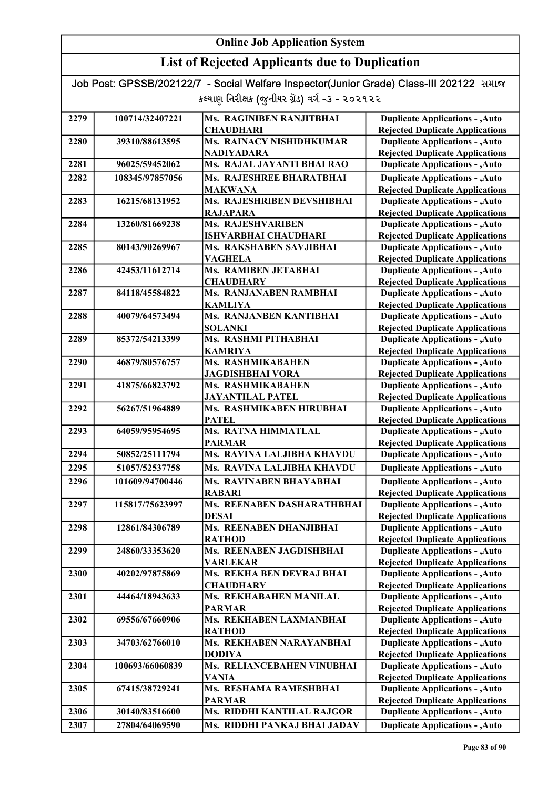## List of Rejected Applicants due to Duplication

| 2279 | 100714/32407221 | Ms. RAGINIBEN RANJITBHAI                               | <b>Duplicate Applications - , Auto</b>                                           |
|------|-----------------|--------------------------------------------------------|----------------------------------------------------------------------------------|
|      |                 | <b>CHAUDHARI</b>                                       | <b>Rejected Duplicate Applications</b>                                           |
| 2280 | 39310/88613595  | Ms. RAINACY NISHIDHKUMAR                               | <b>Duplicate Applications - , Auto</b>                                           |
|      |                 | <b>NADIYADARA</b>                                      | <b>Rejected Duplicate Applications</b>                                           |
| 2281 | 96025/59452062  | Ms. RAJAL JAYANTI BHAI RAO                             | <b>Duplicate Applications - , Auto</b>                                           |
| 2282 | 108345/97857056 | Ms. RAJESHREE BHARATBHAI                               | <b>Duplicate Applications - , Auto</b>                                           |
|      |                 | <b>MAKWANA</b>                                         | <b>Rejected Duplicate Applications</b>                                           |
| 2283 | 16215/68131952  | Ms. RAJESHRIBEN DEVSHIBHAI                             | <b>Duplicate Applications - , Auto</b>                                           |
|      |                 | <b>RAJAPARA</b>                                        | <b>Rejected Duplicate Applications</b>                                           |
| 2284 | 13260/81669238  | Ms. RAJESHVARIBEN                                      | <b>Duplicate Applications - , Auto</b>                                           |
| 2285 | 80143/90269967  | <b>ISHVARBHAI CHAUDHARI</b><br>Ms. RAKSHABEN SAVJIBHAI | <b>Rejected Duplicate Applications</b><br><b>Duplicate Applications - , Auto</b> |
|      |                 | <b>VAGHELA</b>                                         | <b>Rejected Duplicate Applications</b>                                           |
| 2286 | 42453/11612714  | Ms. RAMIBEN JETABHAI                                   | <b>Duplicate Applications - , Auto</b>                                           |
|      |                 | <b>CHAUDHARY</b>                                       | <b>Rejected Duplicate Applications</b>                                           |
| 2287 | 84118/45584822  | Ms. RANJANABEN RAMBHAI                                 | <b>Duplicate Applications - , Auto</b>                                           |
|      |                 | <b>KAMLIYA</b>                                         | <b>Rejected Duplicate Applications</b>                                           |
| 2288 | 40079/64573494  | Ms. RANJANBEN KANTIBHAI                                | <b>Duplicate Applications - , Auto</b>                                           |
|      |                 | <b>SOLANKI</b>                                         | <b>Rejected Duplicate Applications</b>                                           |
| 2289 | 85372/54213399  | Ms. RASHMI PITHABHAI                                   | <b>Duplicate Applications - , Auto</b>                                           |
|      |                 | <b>KAMRIYA</b>                                         | <b>Rejected Duplicate Applications</b>                                           |
| 2290 | 46879/80576757  | Ms. RASHMIKABAHEN                                      | <b>Duplicate Applications - , Auto</b>                                           |
|      |                 | <b>JAGDISHBHAI VORA</b>                                | <b>Rejected Duplicate Applications</b>                                           |
| 2291 | 41875/66823792  | Ms. RASHMIKABAHEN                                      | <b>Duplicate Applications - , Auto</b>                                           |
|      |                 | <b>JAYANTILAL PATEL</b>                                | <b>Rejected Duplicate Applications</b>                                           |
| 2292 | 56267/51964889  | Ms. RASHMIKABEN HIRUBHAI                               | <b>Duplicate Applications - , Auto</b>                                           |
|      |                 | <b>PATEL</b>                                           | <b>Rejected Duplicate Applications</b>                                           |
| 2293 | 64059/95954695  | Ms. RATNA HIMMATLAL                                    | <b>Duplicate Applications - , Auto</b>                                           |
|      |                 | <b>PARMAR</b>                                          | <b>Rejected Duplicate Applications</b>                                           |
| 2294 | 50852/25111794  | Ms. RAVINA LALJIBHA KHAVDU                             | <b>Duplicate Applications - , Auto</b>                                           |
| 2295 | 51057/52537758  | Ms. RAVINA LALJIBHA KHAVDU                             | <b>Duplicate Applications - , Auto</b>                                           |
| 2296 | 101609/94700446 | Ms. RAVINABEN BHAYABHAI                                | <b>Duplicate Applications - , Auto</b>                                           |
|      |                 | <b>RABARI</b>                                          | <b>Rejected Duplicate Applications</b>                                           |
| 2297 | 115817/75623997 | Ms. REENABEN DASHARATHBHAI                             | <b>Duplicate Applications - , Auto</b>                                           |
|      |                 | <b>DESAI</b>                                           | <b>Rejected Duplicate Applications</b>                                           |
| 2298 | 12861/84306789  | <b>Ms. REENABEN DHANJIBHAI</b>                         | <b>Duplicate Applications - , Auto</b>                                           |
|      |                 | <b>RATHOD</b>                                          | <b>Rejected Duplicate Applications</b>                                           |
| 2299 | 24860/33353620  | Ms. REENABEN JAGDISHBHAI                               | <b>Duplicate Applications - , Auto</b>                                           |
|      |                 | <b>VARLEKAR</b>                                        | <b>Rejected Duplicate Applications</b>                                           |
| 2300 | 40202/97875869  | Ms. REKHA BEN DEVRAJ BHAI                              | <b>Duplicate Applications - , Auto</b>                                           |
|      |                 | <b>CHAUDHARY</b>                                       | <b>Rejected Duplicate Applications</b>                                           |
| 2301 | 44464/18943633  | Ms. REKHABAHEN MANILAL                                 | <b>Duplicate Applications - , Auto</b>                                           |
|      |                 | <b>PARMAR</b>                                          | <b>Rejected Duplicate Applications</b>                                           |
| 2302 | 69556/67660906  | Ms. REKHABEN LAXMANBHAI                                | <b>Duplicate Applications - , Auto</b>                                           |
|      |                 | <b>RATHOD</b>                                          | <b>Rejected Duplicate Applications</b>                                           |
| 2303 | 34703/62766010  | Ms. REKHABEN NARAYANBHAI                               | <b>Duplicate Applications - , Auto</b>                                           |
|      |                 | <b>DODIYA</b>                                          | <b>Rejected Duplicate Applications</b>                                           |
| 2304 | 100693/66060839 | Ms. RELIANCEBAHEN VINUBHAI                             | <b>Duplicate Applications - , Auto</b>                                           |
|      |                 | <b>VANIA</b>                                           | <b>Rejected Duplicate Applications</b>                                           |
| 2305 | 67415/38729241  | Ms. RESHAMA RAMESHBHAI                                 | <b>Duplicate Applications - , Auto</b>                                           |
| 2306 | 30140/83516600  | <b>PARMAR</b><br>Ms. RIDDHI KANTILAL RAJGOR            | <b>Rejected Duplicate Applications</b><br><b>Duplicate Applications - , Auto</b> |
|      |                 |                                                        |                                                                                  |
| 2307 | 27804/64069590  | Ms. RIDDHI PANKAJ BHAI JADAV                           | <b>Duplicate Applications - , Auto</b>                                           |
|      |                 |                                                        |                                                                                  |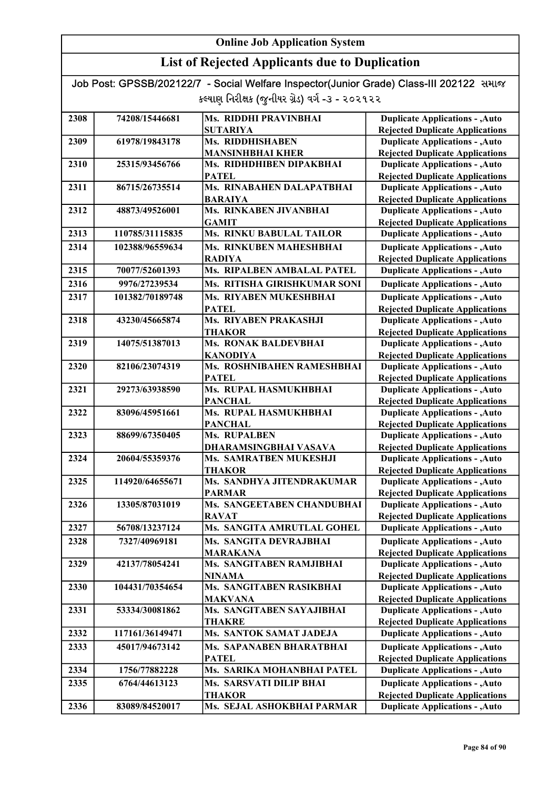## List of Rejected Applicants due to Duplication

Job Post: GPSSB/202122/7 - Social Welfare Inspector(Junior Grade) Class-III 202122 સમાજ કલ્યાણ નિરીક્ષક (જુનીયર ગ્રેડ) વર્ગ -૩ - ૨૦૨૧૨૨

| 2308 | 74208/15446681  | Ms. RIDDHI PRAVINBHAI           | <b>Duplicate Applications - , Auto</b> |
|------|-----------------|---------------------------------|----------------------------------------|
|      |                 | <b>SUTARIYA</b>                 | <b>Rejected Duplicate Applications</b> |
| 2309 | 61978/19843178  | Ms. RIDDHISHABEN                | <b>Duplicate Applications - , Auto</b> |
|      |                 | <b>MANSINHBHAI KHER</b>         | <b>Rejected Duplicate Applications</b> |
| 2310 | 25315/93456766  | Ms. RIDHDHIBEN DIPAKBHAI        | <b>Duplicate Applications - , Auto</b> |
|      |                 | <b>PATEL</b>                    | <b>Rejected Duplicate Applications</b> |
| 2311 | 86715/26735514  | Ms. RINABAHEN DALAPATBHAI       | <b>Duplicate Applications - , Auto</b> |
|      |                 | <b>BARAIYA</b>                  | <b>Rejected Duplicate Applications</b> |
| 2312 | 48873/49526001  | Ms. RINKABEN JIVANBHAI          | <b>Duplicate Applications - , Auto</b> |
|      |                 | <b>GAMIT</b>                    | <b>Rejected Duplicate Applications</b> |
| 2313 | 110785/31115835 | <b>Ms. RINKU BABULAL TAILOR</b> | <b>Duplicate Applications - , Auto</b> |
| 2314 | 102388/96559634 | Ms. RINKUBEN MAHESHBHAI         | <b>Duplicate Applications - , Auto</b> |
|      |                 | <b>RADIYA</b>                   | <b>Rejected Duplicate Applications</b> |
| 2315 | 70077/52601393  | Ms. RIPALBEN AMBALAL PATEL      | <b>Duplicate Applications - , Auto</b> |
| 2316 | 9976/27239534   | Ms. RITISHA GIRISHKUMAR SONI    | <b>Duplicate Applications - , Auto</b> |
| 2317 | 101382/70189748 | Ms. RIYABEN MUKESHBHAI          | <b>Duplicate Applications - , Auto</b> |
|      |                 | PATEL                           | <b>Rejected Duplicate Applications</b> |
| 2318 | 43230/45665874  | Ms. RIYABEN PRAKASHJI           | <b>Duplicate Applications - , Auto</b> |
|      |                 | THAKOR                          | <b>Rejected Duplicate Applications</b> |
| 2319 | 14075/51387013  | <b>Ms. RONAK BALDEVBHAI</b>     | <b>Duplicate Applications - , Auto</b> |
|      |                 | <b>KANODIYA</b>                 | <b>Rejected Duplicate Applications</b> |
| 2320 | 82106/23074319  | Ms. ROSHNIBAHEN RAMESHBHAI      | <b>Duplicate Applications - , Auto</b> |
|      |                 | <b>PATEL</b>                    | <b>Rejected Duplicate Applications</b> |
| 2321 | 29273/63938590  | Ms. RUPAL HASMUKHBHAI           | <b>Duplicate Applications - , Auto</b> |
|      |                 | <b>PANCHAL</b>                  | <b>Rejected Duplicate Applications</b> |
| 2322 | 83096/45951661  | Ms. RUPAL HASMUKHBHAI           | <b>Duplicate Applications - , Auto</b> |
|      |                 | <b>PANCHAL</b>                  | <b>Rejected Duplicate Applications</b> |
| 2323 | 88699/67350405  | Ms. RUPALBEN                    | <b>Duplicate Applications - , Auto</b> |
|      |                 | DHARAMSINGBHAI VASAVA           | <b>Rejected Duplicate Applications</b> |
| 2324 | 20604/55359376  | Ms. SAMRATBEN MUKESHJI          | <b>Duplicate Applications - , Auto</b> |
|      |                 | <b>THAKOR</b>                   | <b>Rejected Duplicate Applications</b> |
| 2325 | 114920/64655671 | Ms. SANDHYA JITENDRAKUMAR       | <b>Duplicate Applications - , Auto</b> |
|      |                 | <b>PARMAR</b>                   | <b>Rejected Duplicate Applications</b> |
| 2326 | 13305/87031019  | Ms. SANGEETABEN CHANDUBHAI      | <b>Duplicate Applications - , Auto</b> |
|      |                 | <b>RAVAT</b>                    | <b>Rejected Duplicate Applications</b> |
| 2327 | 56708/13237124  | Ms. SANGITA AMRUTLAL GOHEL      | <b>Duplicate Applications - , Auto</b> |
| 2328 | 7327/40969181   | Ms. SANGITA DEVRAJBHAI          | <b>Duplicate Applications - , Auto</b> |
|      |                 | <b>MARAKANA</b>                 | <b>Rejected Duplicate Applications</b> |
| 2329 | 42137/78054241  | Ms. SANGITABEN RAMJIBHAI        | <b>Duplicate Applications - , Auto</b> |
|      |                 | <b>NINAMA</b>                   | <b>Rejected Duplicate Applications</b> |
| 2330 | 104431/70354654 | Ms. SANGITABEN RASIKBHAI        | <b>Duplicate Applications - , Auto</b> |
|      |                 | <b>MAKVANA</b>                  | <b>Rejected Duplicate Applications</b> |
| 2331 | 53334/30081862  | Ms. SANGITABEN SAYAJIBHAI       | <b>Duplicate Applications - , Auto</b> |
|      |                 | <b>THAKRE</b>                   | <b>Rejected Duplicate Applications</b> |
| 2332 | 117161/36149471 | Ms. SANTOK SAMAT JADEJA         | <b>Duplicate Applications - , Auto</b> |
| 2333 | 45017/94673142  | Ms. SAPANABEN BHARATBHAI        | <b>Duplicate Applications - , Auto</b> |
|      |                 | <b>PATEL</b>                    | <b>Rejected Duplicate Applications</b> |
| 2334 | 1756/77882228   | Ms. SARIKA MOHANBHAI PATEL      | <b>Duplicate Applications - , Auto</b> |
| 2335 | 6764/44613123   | Ms. SARSVATI DILIP BHAI         | <b>Duplicate Applications - , Auto</b> |
|      |                 | <b>THAKOR</b>                   | <b>Rejected Duplicate Applications</b> |
| 2336 | 83089/84520017  | Ms. SEJAL ASHOKBHAI PARMAR      | <b>Duplicate Applications - , Auto</b> |
|      |                 |                                 |                                        |

Rejected Duplicate Applications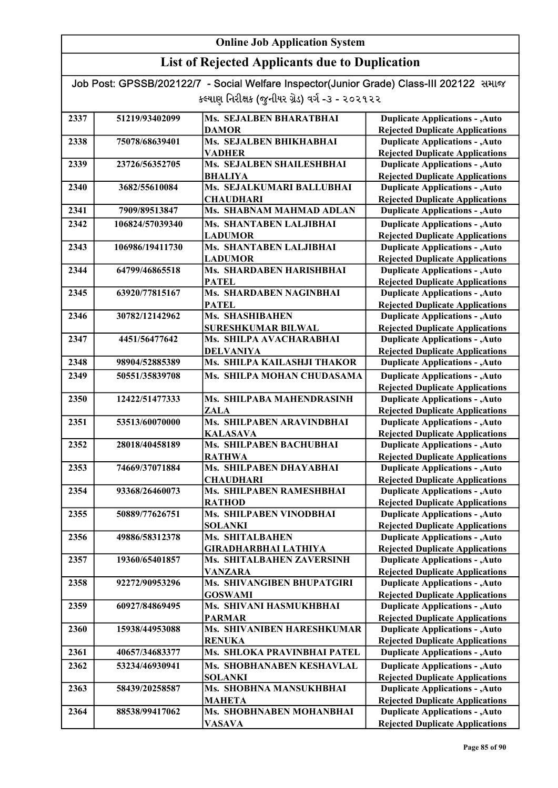## List of Rejected Applicants due to Duplication

| 2337 | 51219/93402099  | Ms. SEJALBEN BHARATBHAI        | <b>Duplicate Applications - , Auto</b>                                           |
|------|-----------------|--------------------------------|----------------------------------------------------------------------------------|
|      |                 | <b>DAMOR</b>                   | <b>Rejected Duplicate Applications</b>                                           |
| 2338 | 75078/68639401  | Ms. SEJALBEN BHIKHABHAI        | <b>Duplicate Applications - , Auto</b>                                           |
|      |                 | <b>VADHER</b>                  | <b>Rejected Duplicate Applications</b>                                           |
| 2339 | 23726/56352705  | Ms. SEJALBEN SHAILESHBHAI      | <b>Duplicate Applications - , Auto</b>                                           |
|      |                 | <b>BHALIYA</b>                 | <b>Rejected Duplicate Applications</b>                                           |
| 2340 | 3682/55610084   | Ms. SEJALKUMARI BALLUBHAI      | <b>Duplicate Applications - , Auto</b>                                           |
|      |                 | <b>CHAUDHARI</b>               | <b>Rejected Duplicate Applications</b>                                           |
| 2341 | 7909/89513847   | Ms. SHABNAM MAHMAD ADLAN       | <b>Duplicate Applications - , Auto</b>                                           |
| 2342 | 106824/57039340 | <b>Ms. SHANTABEN LALJIBHAI</b> | <b>Duplicate Applications - , Auto</b>                                           |
|      |                 | <b>LADUMOR</b>                 | <b>Rejected Duplicate Applications</b>                                           |
| 2343 | 106986/19411730 | Ms. SHANTABEN LALJIBHAI        | <b>Duplicate Applications - , Auto</b>                                           |
|      |                 | <b>LADUMOR</b>                 | <b>Rejected Duplicate Applications</b>                                           |
| 2344 | 64799/46865518  | Ms. SHARDABEN HARISHBHAI       | <b>Duplicate Applications - , Auto</b>                                           |
|      |                 | <b>PATEL</b>                   | <b>Rejected Duplicate Applications</b>                                           |
| 2345 | 63920/77815167  | Ms. SHARDABEN NAGINBHAI        | <b>Duplicate Applications - , Auto</b>                                           |
|      |                 | <b>PATEL</b>                   | <b>Rejected Duplicate Applications</b>                                           |
| 2346 | 30782/12142962  | Ms. SHASHIBAHEN                | <b>Duplicate Applications - , Auto</b>                                           |
|      |                 | <b>SURESHKUMAR BILWAL</b>      | <b>Rejected Duplicate Applications</b>                                           |
| 2347 | 4451/56477642   | Ms. SHILPA AVACHARABHAI        | <b>Duplicate Applications - , Auto</b>                                           |
|      |                 | <b>DELVANIYA</b>               | <b>Rejected Duplicate Applications</b>                                           |
| 2348 | 98904/52885389  | Ms. SHILPA KAILASHJI THAKOR    | <b>Duplicate Applications - , Auto</b>                                           |
| 2349 | 50551/35839708  | Ms. SHILPA MOHAN CHUDASAMA     | <b>Duplicate Applications - , Auto</b>                                           |
|      |                 |                                | <b>Rejected Duplicate Applications</b>                                           |
| 2350 | 12422/51477333  | Ms. SHILPABA MAHENDRASINH      | <b>Duplicate Applications - , Auto</b>                                           |
|      |                 | ZALA                           | <b>Rejected Duplicate Applications</b>                                           |
| 2351 | 53513/60070000  | Ms. SHILPABEN ARAVINDBHAI      | <b>Duplicate Applications - , Auto</b>                                           |
|      |                 | <b>KALASAVA</b>                | <b>Rejected Duplicate Applications</b>                                           |
| 2352 | 28018/40458189  | Ms. SHILPABEN BACHUBHAI        | <b>Duplicate Applications - , Auto</b>                                           |
|      |                 | <b>RATHWA</b>                  | <b>Rejected Duplicate Applications</b>                                           |
| 2353 | 74669/37071884  | Ms. SHILPABEN DHAYABHAI        | <b>Duplicate Applications - , Auto</b>                                           |
|      |                 | <b>CHAUDHARI</b>               | <b>Rejected Duplicate Applications</b>                                           |
| 2354 | 93368/26460073  | Ms. SHILPABEN RAMESHBHAI       | <b>Duplicate Applications - , Auto</b>                                           |
|      |                 | <b>RATHOD</b>                  | <b>Rejected Duplicate Applications</b>                                           |
| 2355 | 50889/77626751  | Ms. SHILPABEN VINODBHAI        | <b>Duplicate Applications - , Auto</b>                                           |
|      |                 | <b>SOLANKI</b>                 | <b>Rejected Duplicate Applications</b>                                           |
| 2356 | 49886/58312378  | <b>Ms. SHITALBAHEN</b>         | <b>Duplicate Applications - , Auto</b>                                           |
|      |                 | <b>GIRADHARBHAI LATHIYA</b>    | <b>Rejected Duplicate Applications</b>                                           |
| 2357 | 19360/65401857  | Ms. SHITALBAHEN ZAVERSINH      | <b>Duplicate Applications - , Auto</b>                                           |
|      |                 | <b>VANZARA</b>                 | <b>Rejected Duplicate Applications</b>                                           |
| 2358 | 92272/90953296  | Ms. SHIVANGIBEN BHUPATGIRI     | <b>Duplicate Applications - , Auto</b>                                           |
|      |                 | <b>GOSWAMI</b>                 | <b>Rejected Duplicate Applications</b>                                           |
| 2359 | 60927/84869495  | Ms. SHIVANI HASMUKHBHAI        | <b>Duplicate Applications - , Auto</b>                                           |
|      |                 | <b>PARMAR</b>                  | <b>Rejected Duplicate Applications</b>                                           |
| 2360 | 15938/44953088  | Ms. SHIVANIBEN HARESHKUMAR     | <b>Duplicate Applications - , Auto</b>                                           |
|      |                 | <b>RENUKA</b>                  |                                                                                  |
| 2361 | 40657/34683377  | Ms. SHLOKA PRAVINBHAI PATEL    | <b>Rejected Duplicate Applications</b><br><b>Duplicate Applications - , Auto</b> |
| 2362 | 53234/46930941  | Ms. SHOBHANABEN KESHAVLAL      | <b>Duplicate Applications - , Auto</b>                                           |
|      |                 | <b>SOLANKI</b>                 | <b>Rejected Duplicate Applications</b>                                           |
| 2363 | 58439/20258587  | Ms. SHOBHNA MANSUKHBHAI        | <b>Duplicate Applications - , Auto</b>                                           |
|      |                 | <b>MAHETA</b>                  | <b>Rejected Duplicate Applications</b>                                           |
| 2364 | 88538/99417062  | Ms. SHOBHNABEN MOHANBHAI       | <b>Duplicate Applications - , Auto</b>                                           |
|      |                 | <b>VASAVA</b>                  | <b>Rejected Duplicate Applications</b>                                           |
|      |                 |                                |                                                                                  |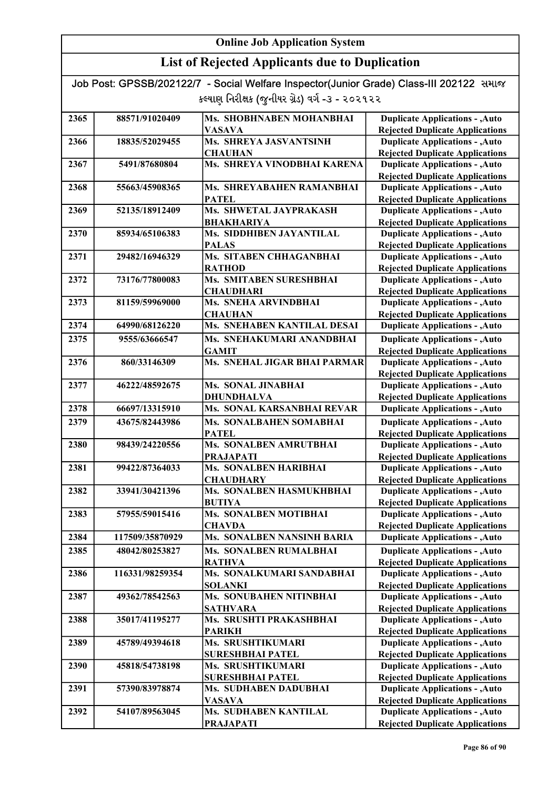| Job Post: GPSSB/202122/7 - Social Welfare Inspector(Junior Grade) Class-III 202122 समाल |  |
|-----------------------------------------------------------------------------------------|--|
| કલ્યાણ નિરીક્ષક (જુનીયર ગ્રેડ) વર્ગ -૩ - ૨૦૨૧૨૨                                         |  |

| 2365 | 88571/91020409  | Ms. SHOBHNABEN MOHANBHAI                        | <b>Duplicate Applications - , Auto</b>                                           |
|------|-----------------|-------------------------------------------------|----------------------------------------------------------------------------------|
|      |                 | <b>VASAVA</b>                                   | <b>Rejected Duplicate Applications</b>                                           |
| 2366 | 18835/52029455  | <b>Ms. SHREYA JASVANTSINH</b>                   | <b>Duplicate Applications - , Auto</b>                                           |
|      |                 | <b>CHAUHAN</b>                                  | <b>Rejected Duplicate Applications</b>                                           |
| 2367 | 5491/87680804   | Ms. SHREYA VINODBHAI KARENA                     | <b>Duplicate Applications - , Auto</b>                                           |
|      |                 |                                                 | <b>Rejected Duplicate Applications</b>                                           |
| 2368 | 55663/45908365  | Ms. SHREYABAHEN RAMANBHAI                       | <b>Duplicate Applications - , Auto</b>                                           |
|      |                 | <b>PATEL</b>                                    | <b>Rejected Duplicate Applications</b>                                           |
| 2369 | 52135/18912409  | Ms. SHWETAL JAYPRAKASH                          | <b>Duplicate Applications - , Auto</b>                                           |
|      |                 | <b>BHAKHARIYA</b>                               | <b>Rejected Duplicate Applications</b>                                           |
| 2370 | 85934/65106383  | Ms. SIDDHIBEN JAYANTILAL                        | <b>Duplicate Applications - , Auto</b>                                           |
| 2371 |                 | <b>PALAS</b>                                    | <b>Rejected Duplicate Applications</b>                                           |
|      | 29482/16946329  | Ms. SITABEN CHHAGANBHAI                         | <b>Duplicate Applications - , Auto</b>                                           |
|      |                 | <b>RATHOD</b>                                   | <b>Rejected Duplicate Applications</b>                                           |
| 2372 | 73176/77800083  | Ms. SMITABEN SURESHBHAI                         | <b>Duplicate Applications - , Auto</b>                                           |
| 2373 | 81159/59969000  | <b>CHAUDHARI</b><br><b>Ms. SNEHA ARVINDBHAI</b> | <b>Rejected Duplicate Applications</b><br><b>Duplicate Applications - , Auto</b> |
|      |                 |                                                 |                                                                                  |
| 2374 | 64990/68126220  | <b>CHAUHAN</b><br>Ms. SNEHABEN KANTILAL DESAI   | <b>Rejected Duplicate Applications</b><br><b>Duplicate Applications - , Auto</b> |
|      |                 |                                                 |                                                                                  |
| 2375 | 9555/63666547   | Ms. SNEHAKUMARI ANANDBHAI                       | <b>Duplicate Applications - , Auto</b>                                           |
|      |                 | <b>GAMIT</b>                                    | <b>Rejected Duplicate Applications</b>                                           |
| 2376 | 860/33146309    | Ms. SNEHAL JIGAR BHAI PARMAR                    | <b>Duplicate Applications - , Auto</b>                                           |
|      |                 |                                                 | <b>Rejected Duplicate Applications</b>                                           |
| 2377 | 46222/48592675  | Ms. SONAL JINABHAI                              | <b>Duplicate Applications - , Auto</b>                                           |
|      |                 | <b>DHUNDHALVA</b>                               | <b>Rejected Duplicate Applications</b>                                           |
| 2378 | 66697/13315910  | Ms. SONAL KARSANBHAI REVAR                      | <b>Duplicate Applications - , Auto</b>                                           |
| 2379 | 43675/82443986  | Ms. SONALBAHEN SOMABHAI                         | <b>Duplicate Applications - , Auto</b>                                           |
|      |                 | <b>PATEL</b>                                    | <b>Rejected Duplicate Applications</b>                                           |
| 2380 | 98439/24220556  | Ms. SONALBEN AMRUTBHAI                          | <b>Duplicate Applications - , Auto</b>                                           |
|      |                 | <b>PRAJAPATI</b>                                | <b>Rejected Duplicate Applications</b>                                           |
| 2381 | 99422/87364033  | Ms. SONALBEN HARIBHAI                           | <b>Duplicate Applications - , Auto</b>                                           |
|      |                 | <b>CHAUDHARY</b>                                | <b>Rejected Duplicate Applications</b>                                           |
| 2382 | 33941/30421396  | Ms. SONALBEN HASMUKHBHAI                        | <b>Duplicate Applications - , Auto</b>                                           |
|      |                 | <b>BUTIYA</b>                                   | <b>Rejected Duplicate Applications</b>                                           |
| 2383 | 57955/59015416  | <b>Ms. SONALBEN MOTIBHAI</b>                    | <b>Duplicate Applications - , Auto</b>                                           |
|      |                 | <b>CHAVDA</b>                                   | <b>Rejected Duplicate Applications</b>                                           |
| 2384 | 117509/35870929 | <b>Ms. SONALBEN NANSINH BARIA</b>               | <b>Duplicate Applications - , Auto</b>                                           |
| 2385 | 48042/80253827  | <b>Ms. SONALBEN RUMALBHAI</b>                   | <b>Duplicate Applications - , Auto</b>                                           |
|      |                 | <b>RATHVA</b>                                   | <b>Rejected Duplicate Applications</b>                                           |
| 2386 | 116331/98259354 | Ms. SONALKUMARI SANDABHAI                       | <b>Duplicate Applications - , Auto</b>                                           |
|      |                 | <b>SOLANKI</b>                                  | <b>Rejected Duplicate Applications</b>                                           |
| 2387 | 49362/78542563  | Ms. SONUBAHEN NITINBHAI                         | <b>Duplicate Applications - , Auto</b>                                           |
|      |                 | <b>SATHVARA</b>                                 | <b>Rejected Duplicate Applications</b>                                           |
| 2388 | 35017/41195277  | Ms. SRUSHTI PRAKASHBHAI                         | <b>Duplicate Applications - , Auto</b>                                           |
|      |                 | <b>PARIKH</b>                                   | <b>Rejected Duplicate Applications</b>                                           |
| 2389 | 45789/49394618  | <b>Ms. SRUSHTIKUMARI</b>                        | <b>Duplicate Applications - , Auto</b>                                           |
|      |                 | <b>SURESHBHAI PATEL</b>                         | <b>Rejected Duplicate Applications</b>                                           |
| 2390 | 45818/54738198  | Ms. SRUSHTIKUMARI                               | <b>Duplicate Applications - , Auto</b>                                           |
|      |                 | <b>SURESHBHAI PATEL</b>                         | <b>Rejected Duplicate Applications</b>                                           |
| 2391 | 57390/83978874  | Ms. SUDHABEN DADUBHAI                           | <b>Duplicate Applications - , Auto</b>                                           |
|      |                 | <b>VASAVA</b>                                   | <b>Rejected Duplicate Applications</b>                                           |
| 2392 | 54107/89563045  | <b>Ms. SUDHABEN KANTILAL</b>                    | <b>Duplicate Applications - , Auto</b>                                           |
|      |                 | <b>PRAJAPATI</b>                                | <b>Rejected Duplicate Applications</b>                                           |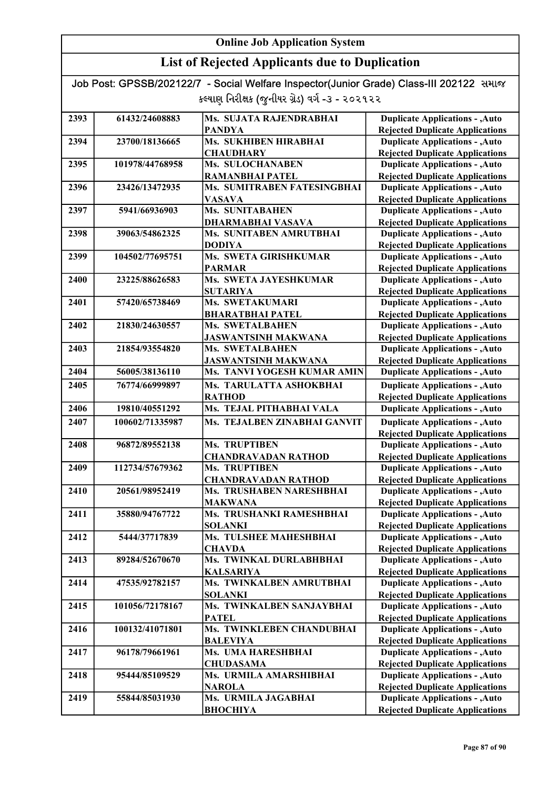## List of Rejected Applicants due to Duplication

| 2393 | 61432/24608883  | Ms. SUJATA RAJENDRABHAI         | <b>Duplicate Applications - , Auto</b> |
|------|-----------------|---------------------------------|----------------------------------------|
|      |                 | PANDYA                          | <b>Rejected Duplicate Applications</b> |
| 2394 | 23700/18136665  | Ms. SUKHIBEN HIRABHAI           | <b>Duplicate Applications - , Auto</b> |
|      |                 | <b>CHAUDHARY</b>                | <b>Rejected Duplicate Applications</b> |
| 2395 | 101978/44768958 | Ms. SULOCHANABEN                | <b>Duplicate Applications - , Auto</b> |
|      |                 | <b>RAMANBHAI PATEL</b>          | <b>Rejected Duplicate Applications</b> |
| 2396 | 23426/13472935  | Ms. SUMITRABEN FATESINGBHAI     | <b>Duplicate Applications - , Auto</b> |
|      |                 | <b>VASAVA</b>                   | <b>Rejected Duplicate Applications</b> |
| 2397 | 5941/66936903   | <b>Ms. SUNITABAHEN</b>          | <b>Duplicate Applications - , Auto</b> |
|      |                 | <b>DHARMABHAI VASAVA</b>        | <b>Rejected Duplicate Applications</b> |
| 2398 | 39063/54862325  | Ms. SUNITABEN AMRUTBHAI         | <b>Duplicate Applications - , Auto</b> |
|      |                 | <b>DODIYA</b>                   | <b>Rejected Duplicate Applications</b> |
| 2399 | 104502/77695751 | Ms. SWETA GIRISHKUMAR           | <b>Duplicate Applications - , Auto</b> |
|      |                 | <b>PARMAR</b>                   | <b>Rejected Duplicate Applications</b> |
| 2400 | 23225/88626583  | Ms. SWETA JAYESHKUMAR           | <b>Duplicate Applications - , Auto</b> |
|      |                 | <b>SUTARIYA</b>                 | <b>Rejected Duplicate Applications</b> |
| 2401 | 57420/65738469  | Ms. SWETAKUMARI                 | <b>Duplicate Applications - , Auto</b> |
|      |                 | <b>BHARATBHAI PATEL</b>         | <b>Rejected Duplicate Applications</b> |
| 2402 | 21830/24630557  | <b>Ms. SWETALBAHEN</b>          | <b>Duplicate Applications - , Auto</b> |
|      |                 | <b>JASWANTSINH MAKWANA</b>      | <b>Rejected Duplicate Applications</b> |
| 2403 | 21854/93554820  | Ms. SWETALBAHEN                 | <b>Duplicate Applications - , Auto</b> |
|      |                 | <b>JASWANTSINH MAKWANA</b>      | <b>Rejected Duplicate Applications</b> |
| 2404 | 56005/38136110  | Ms. TANVI YOGESH KUMAR AMIN     | <b>Duplicate Applications - , Auto</b> |
| 2405 | 76774/66999897  | Ms. TARULATTA ASHOKBHAI         | <b>Duplicate Applications - , Auto</b> |
|      |                 | <b>RATHOD</b>                   | <b>Rejected Duplicate Applications</b> |
| 2406 | 19810/40551292  | Ms. TEJAL PITHABHAI VALA        | <b>Duplicate Applications - , Auto</b> |
| 2407 | 100602/71335987 | Ms. TEJALBEN ZINABHAI GANVIT    | <b>Duplicate Applications - , Auto</b> |
|      |                 |                                 | <b>Rejected Duplicate Applications</b> |
| 2408 | 96872/89552138  | <b>Ms. TRUPTIBEN</b>            | <b>Duplicate Applications - , Auto</b> |
|      |                 | <b>CHANDRAVADAN RATHOD</b>      | <b>Rejected Duplicate Applications</b> |
| 2409 | 112734/57679362 | Ms. TRUPTIBEN                   | <b>Duplicate Applications - , Auto</b> |
|      |                 | <b>CHANDRAVADAN RATHOD</b>      | <b>Rejected Duplicate Applications</b> |
| 2410 | 20561/98952419  | <b>Ms. TRUSHABEN NARESHBHAI</b> | <b>Duplicate Applications - , Auto</b> |
|      |                 | <b>MAKWANA</b>                  | <b>Rejected Duplicate Applications</b> |
| 2411 | 35880/94767722  | Ms. TRUSHANKI RAMESHBHAI        | <b>Duplicate Applications - , Auto</b> |
|      |                 | SOLANKI                         | <b>Rejected Duplicate Applications</b> |
| 2412 | 5444/37717839   | Ms. TULSHEE MAHESHBHAI          | <b>Duplicate Applications - , Auto</b> |
|      |                 | <b>CHAVDA</b>                   | <b>Rejected Duplicate Applications</b> |
| 2413 | 89284/52670670  | Ms. TWINKAL DURLABHBHAI         | <b>Duplicate Applications - , Auto</b> |
|      |                 | <b>KALSARIYA</b>                | <b>Rejected Duplicate Applications</b> |
| 2414 | 47535/92782157  | Ms. TWINKALBEN AMRUTBHAI        | <b>Duplicate Applications - , Auto</b> |
|      |                 | <b>SOLANKI</b>                  | <b>Rejected Duplicate Applications</b> |
| 2415 | 101056/72178167 | Ms. TWINKALBEN SANJAYBHAI       | <b>Duplicate Applications - , Auto</b> |
|      |                 | <b>PATEL</b>                    | <b>Rejected Duplicate Applications</b> |
| 2416 | 100132/41071801 | Ms. TWINKLEBEN CHANDUBHAI       | <b>Duplicate Applications - , Auto</b> |
|      |                 | <b>BALEVIYA</b>                 | <b>Rejected Duplicate Applications</b> |
| 2417 | 96178/79661961  | Ms. UMA HARESHBHAI              | <b>Duplicate Applications - , Auto</b> |
|      |                 | <b>CHUDASAMA</b>                | <b>Rejected Duplicate Applications</b> |
| 2418 | 95444/85109529  | Ms. URMILA AMARSHIBHAI          | <b>Duplicate Applications - , Auto</b> |
|      |                 | <b>NAROLA</b>                   | <b>Rejected Duplicate Applications</b> |
| 2419 | 55844/85031930  | Ms. URMILA JAGABHAI             | <b>Duplicate Applications - , Auto</b> |
|      |                 | <b>ВНОСНІҮА</b>                 | <b>Rejected Duplicate Applications</b> |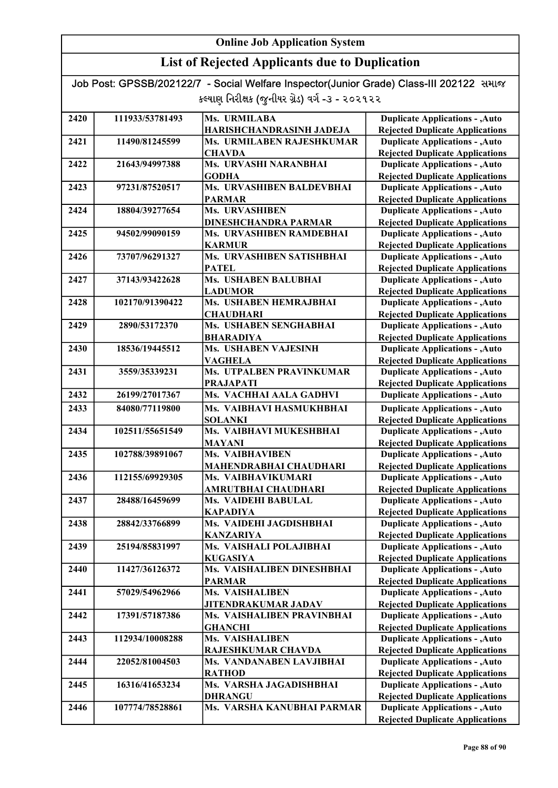## List of Rejected Applicants due to Duplication

| 2420 | 111933/53781493 | Ms. URMILABA                    | <b>Duplicate Applications - , Auto</b> |
|------|-----------------|---------------------------------|----------------------------------------|
|      |                 | HARISHCHANDRASINH JADEJA        | <b>Rejected Duplicate Applications</b> |
| 2421 | 11490/81245599  | Ms. URMILABEN RAJESHKUMAR       | <b>Duplicate Applications - , Auto</b> |
|      |                 | <b>CHAVDA</b>                   | <b>Rejected Duplicate Applications</b> |
| 2422 | 21643/94997388  | Ms. URVASHI NARANBHAI           | <b>Duplicate Applications - , Auto</b> |
|      |                 | <b>GODHA</b>                    | <b>Rejected Duplicate Applications</b> |
| 2423 | 97231/87520517  | Ms. URVASHIBEN BALDEVBHAI       | <b>Duplicate Applications - , Auto</b> |
|      |                 | <b>PARMAR</b>                   | <b>Rejected Duplicate Applications</b> |
| 2424 | 18804/39277654  | Ms. URVASHIBEN                  | <b>Duplicate Applications - , Auto</b> |
|      |                 | <b>DINESHCHANDRA PARMAR</b>     | <b>Rejected Duplicate Applications</b> |
| 2425 | 94502/99090159  | Ms. URVASHIBEN RAMDEBHAI        | <b>Duplicate Applications - , Auto</b> |
|      |                 | <b>KARMUR</b>                   | <b>Rejected Duplicate Applications</b> |
| 2426 | 73707/96291327  | Ms. URVASHIBEN SATISHBHAI       | <b>Duplicate Applications - , Auto</b> |
|      |                 | <b>PATEL</b>                    | <b>Rejected Duplicate Applications</b> |
| 2427 | 37143/93422628  | Ms. USHABEN BALUBHAI            | <b>Duplicate Applications - , Auto</b> |
|      |                 | <b>LADUMOR</b>                  | <b>Rejected Duplicate Applications</b> |
| 2428 | 102170/91390422 | Ms. USHABEN HEMRAJBHAI          | <b>Duplicate Applications - , Auto</b> |
|      |                 | <b>CHAUDHARI</b>                | <b>Rejected Duplicate Applications</b> |
| 2429 | 2890/53172370   | Ms. USHABEN SENGHABHAI          | <b>Duplicate Applications - , Auto</b> |
|      |                 | <b>BHARADIYA</b>                | <b>Rejected Duplicate Applications</b> |
| 2430 | 18536/19445512  | Ms. USHABEN VAJESINH            | <b>Duplicate Applications - , Auto</b> |
|      |                 | <b>VAGHELA</b>                  | <b>Rejected Duplicate Applications</b> |
| 2431 | 3559/35339231   | <b>Ms. UTPALBEN PRAVINKUMAR</b> | <b>Duplicate Applications - , Auto</b> |
|      |                 | <b>PRAJAPATI</b>                | <b>Rejected Duplicate Applications</b> |
| 2432 | 26199/27017367  | Ms. VACHHAI AALA GADHVI         | <b>Duplicate Applications - , Auto</b> |
| 2433 | 84080/77119800  | Ms. VAIBHAVI HASMUKHBHAI        | <b>Duplicate Applications - , Auto</b> |
|      |                 | <b>SOLANKI</b>                  | <b>Rejected Duplicate Applications</b> |
| 2434 | 102511/55651549 | Ms. VAIBHAVI MUKESHBHAI         | <b>Duplicate Applications - , Auto</b> |
|      |                 | MAYANI                          | <b>Rejected Duplicate Applications</b> |
| 2435 | 102788/39891067 | <b>Ms. VAIBHAVIBEN</b>          | <b>Duplicate Applications - , Auto</b> |
|      |                 | MAHENDRABHAI CHAUDHARI          | <b>Rejected Duplicate Applications</b> |
| 2436 | 112155/69929305 | Ms. VAIBHAVIKUMARI              | <b>Duplicate Applications - , Auto</b> |
|      |                 | AMRUTBHAI CHAUDHARI             | <b>Rejected Duplicate Applications</b> |
| 2437 | 28488/16459699  | <b>Ms. VAIDEHI BABULAL</b>      | <b>Duplicate Applications - , Auto</b> |
|      |                 | <b>KAPADIYA</b>                 | <b>Rejected Duplicate Applications</b> |
| 2438 | 28842/33766899  | Ms. VAIDEHI JAGDISHBHAI         | <b>Duplicate Applications - , Auto</b> |
|      |                 | <b>KANZARIYA</b>                | <b>Rejected Duplicate Applications</b> |
| 2439 | 25194/85831997  | Ms. VAISHALI POLAJIBHAI         | <b>Duplicate Applications - , Auto</b> |
|      |                 | <b>KUGASIYA</b>                 | <b>Rejected Duplicate Applications</b> |
| 2440 | 11427/36126372  | Ms. VAISHALIBEN DINESHBHAI      | <b>Duplicate Applications - , Auto</b> |
|      |                 | <b>PARMAR</b>                   | <b>Rejected Duplicate Applications</b> |
| 2441 | 57029/54962966  | <b>Ms. VAISHALIBEN</b>          | <b>Duplicate Applications - , Auto</b> |
|      |                 | <b>JITENDRAKUMAR JADAV</b>      | <b>Rejected Duplicate Applications</b> |
| 2442 | 17391/57187386  | Ms. VAISHALIBEN PRAVINBHAI      | <b>Duplicate Applications - , Auto</b> |
|      |                 | <b>GHANCHI</b>                  | <b>Rejected Duplicate Applications</b> |
| 2443 | 112934/10008288 | <b>Ms. VAISHALIBEN</b>          | <b>Duplicate Applications - , Auto</b> |
|      |                 | RAJESHKUMAR CHAVDA              | <b>Rejected Duplicate Applications</b> |
| 2444 | 22052/81004503  | Ms. VANDANABEN LAVJIBHAI        | <b>Duplicate Applications - , Auto</b> |
|      |                 | <b>RATHOD</b>                   | <b>Rejected Duplicate Applications</b> |
| 2445 | 16316/41653234  | Ms. VARSHA JAGADISHBHAI         | <b>Duplicate Applications - , Auto</b> |
|      |                 | <b>DHRANGU</b>                  | <b>Rejected Duplicate Applications</b> |
| 2446 | 107774/78528861 | Ms. VARSHA KANUBHAI PARMAR      | <b>Duplicate Applications - , Auto</b> |
|      |                 |                                 | <b>Rejected Duplicate Applications</b> |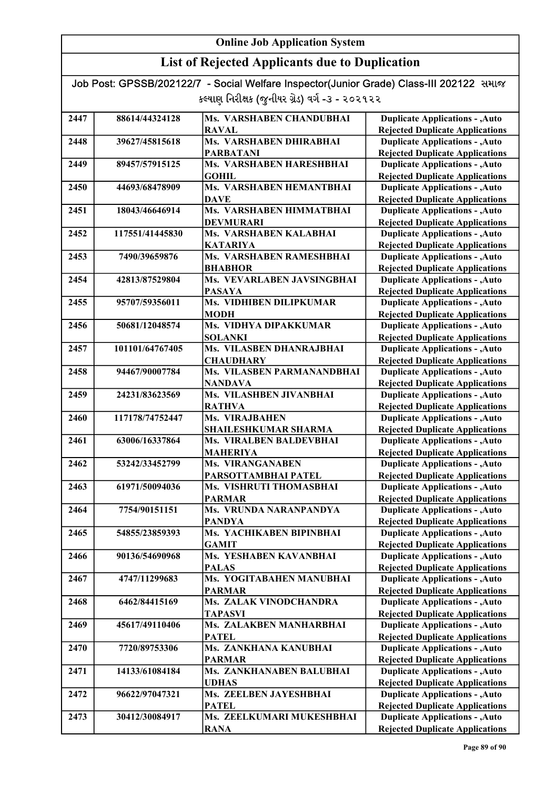| Job Post: GPSSB/202122/7 - Social Welfare Inspector(Junior Grade) Class-III 202122 समाल |  |
|-----------------------------------------------------------------------------------------|--|
| કલ્યાણ નિરીક્ષક (જુનીયર ગ્રેડ) વર્ગ -૩ - ૨૦૨૧૨૨                                         |  |

| 2447 | 88614/44324128  | <b>Ms. VARSHABEN CHANDUBHAI</b>                | <b>Duplicate Applications - , Auto</b>                                           |
|------|-----------------|------------------------------------------------|----------------------------------------------------------------------------------|
|      |                 | <b>RAVAL</b>                                   | <b>Rejected Duplicate Applications</b>                                           |
| 2448 | 39627/45815618  | Ms. VARSHABEN DHIRABHAI                        | <b>Duplicate Applications - , Auto</b>                                           |
|      |                 | <b>PARBATANI</b>                               | <b>Rejected Duplicate Applications</b>                                           |
| 2449 | 89457/57915125  | Ms. VARSHABEN HARESHBHAI                       | <b>Duplicate Applications - , Auto</b>                                           |
|      |                 | <b>GOHIL</b>                                   | <b>Rejected Duplicate Applications</b>                                           |
| 2450 | 44693/68478909  | Ms. VARSHABEN HEMANTBHAI                       | <b>Duplicate Applications - , Auto</b>                                           |
|      |                 | <b>DAVE</b>                                    | <b>Rejected Duplicate Applications</b>                                           |
| 2451 | 18043/46646914  | Ms. VARSHABEN HIMMATBHAI                       | <b>Duplicate Applications - , Auto</b>                                           |
|      |                 | <b>DEVMURARI</b>                               | <b>Rejected Duplicate Applications</b>                                           |
| 2452 | 117551/41445830 | <b>Ms. VARSHABEN KALABHAI</b>                  | <b>Duplicate Applications - , Auto</b>                                           |
|      |                 | <b>KATARIYA</b>                                | <b>Rejected Duplicate Applications</b>                                           |
| 2453 | 7490/39659876   | Ms. VARSHABEN RAMESHBHAI                       | <b>Duplicate Applications - , Auto</b>                                           |
|      |                 | <b>BHABHOR</b>                                 | <b>Rejected Duplicate Applications</b>                                           |
| 2454 | 42813/87529804  | Ms. VEVARLABEN JAVSINGBHAI                     | <b>Duplicate Applications - , Auto</b>                                           |
|      |                 | <b>PASAYA</b>                                  | <b>Rejected Duplicate Applications</b>                                           |
| 2455 | 95707/59356011  | Ms. VIDHIBEN DILIPKUMAR                        | <b>Duplicate Applications - , Auto</b>                                           |
|      |                 | <b>MODH</b>                                    | <b>Rejected Duplicate Applications</b>                                           |
| 2456 | 50681/12048574  | Ms. VIDHYA DIPAKKUMAR                          | <b>Duplicate Applications - , Auto</b>                                           |
|      |                 | <b>SOLANKI</b>                                 | <b>Rejected Duplicate Applications</b>                                           |
| 2457 | 101101/64767405 | Ms. VILASBEN DHANRAJBHAI                       | <b>Duplicate Applications - , Auto</b>                                           |
|      |                 | <b>CHAUDHARY</b><br>Ms. VILASBEN PARMANANDBHAI | <b>Rejected Duplicate Applications</b>                                           |
| 2458 | 94467/90007784  |                                                | <b>Duplicate Applications - , Auto</b>                                           |
|      |                 | <b>NANDAVA</b><br>Ms. VILASHBEN JIVANBHAI      | <b>Rejected Duplicate Applications</b>                                           |
| 2459 | 24231/83623569  |                                                | <b>Duplicate Applications - , Auto</b>                                           |
| 2460 | 117178/74752447 | <b>RATHVA</b><br>Ms. VIRAJBAHEN                | <b>Rejected Duplicate Applications</b><br><b>Duplicate Applications - , Auto</b> |
|      |                 | <b>SHAILESHKUMAR SHARMA</b>                    | <b>Rejected Duplicate Applications</b>                                           |
| 2461 | 63006/16337864  | Ms. VIRALBEN BALDEVBHAI                        | <b>Duplicate Applications - , Auto</b>                                           |
|      |                 | <b>MAHERIYA</b>                                | <b>Rejected Duplicate Applications</b>                                           |
| 2462 | 53242/33452799  | Ms. VIRANGANABEN                               | <b>Duplicate Applications - , Auto</b>                                           |
|      |                 | PARSOTTAMBHAI PATEL                            | <b>Rejected Duplicate Applications</b>                                           |
| 2463 | 61971/50094036  | Ms. VISHRUTI THOMASBHAI                        | <b>Duplicate Applications - , Auto</b>                                           |
|      |                 | <b>PARMAR</b>                                  | <b>Rejected Duplicate Applications</b>                                           |
| 2464 | 7754/90151151   | Ms. VRUNDA NARANPANDYA                         | <b>Duplicate Applications - , Auto</b>                                           |
|      |                 | <b>PANDYA</b>                                  | <b>Rejected Duplicate Applications</b>                                           |
| 2465 | 54855/23859393  | Ms. YACHIKABEN BIPINBHAI                       | <b>Duplicate Applications - , Auto</b>                                           |
|      |                 | <b>GAMIT</b>                                   | <b>Rejected Duplicate Applications</b>                                           |
| 2466 | 90136/54690968  | Ms. YESHABEN KAVANBHAI                         | <b>Duplicate Applications - , Auto</b>                                           |
|      |                 | <b>PALAS</b>                                   | <b>Rejected Duplicate Applications</b>                                           |
| 2467 | 4747/11299683   | Ms. YOGITABAHEN MANUBHAI                       | <b>Duplicate Applications - , Auto</b>                                           |
|      |                 | <b>PARMAR</b>                                  | <b>Rejected Duplicate Applications</b>                                           |
| 2468 | 6462/84415169   | Ms. ZALAK VINODCHANDRA                         | <b>Duplicate Applications - , Auto</b>                                           |
|      |                 | <b>TAPASVI</b>                                 | <b>Rejected Duplicate Applications</b>                                           |
| 2469 | 45617/49110406  | Ms. ZALAKBEN MANHARBHAI                        | <b>Duplicate Applications - , Auto</b>                                           |
|      |                 | <b>PATEL</b>                                   | <b>Rejected Duplicate Applications</b>                                           |
| 2470 | 7720/89753306   | Ms. ZANKHANA KANUBHAI                          | <b>Duplicate Applications - , Auto</b>                                           |
|      |                 | <b>PARMAR</b>                                  | <b>Rejected Duplicate Applications</b>                                           |
| 2471 | 14133/61084184  | Ms. ZANKHANABEN BALUBHAI                       | <b>Duplicate Applications - , Auto</b>                                           |
|      |                 | <b>UDHAS</b>                                   | <b>Rejected Duplicate Applications</b>                                           |
| 2472 | 96622/97047321  | Ms. ZEELBEN JAYESHBHAI                         | <b>Duplicate Applications - , Auto</b>                                           |
|      |                 | <b>PATEL</b>                                   | <b>Rejected Duplicate Applications</b>                                           |
| 2473 | 30412/30084917  | Ms. ZEELKUMARI MUKESHBHAI                      | <b>Duplicate Applications - , Auto</b>                                           |
|      |                 | <b>RANA</b>                                    | <b>Rejected Duplicate Applications</b>                                           |